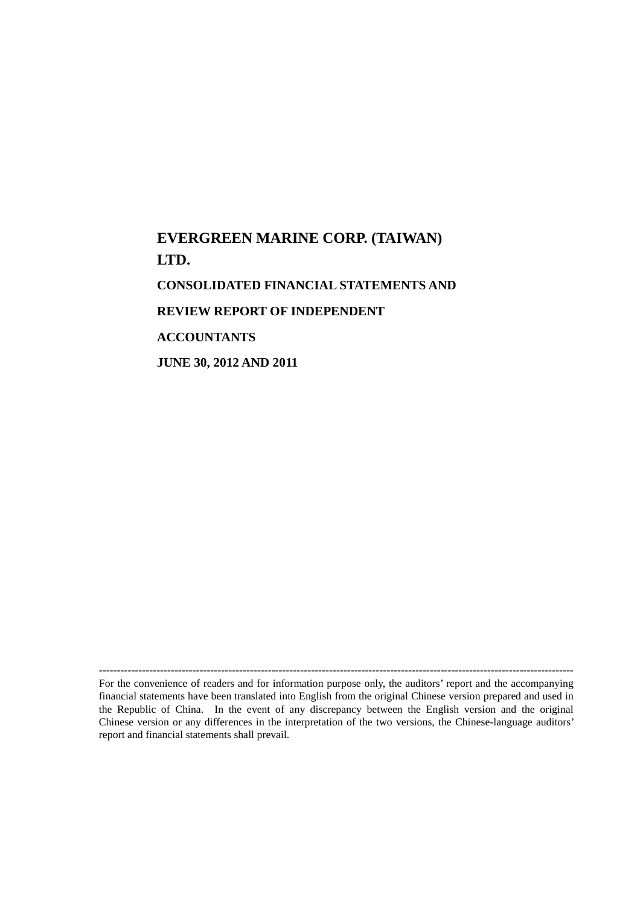# **EVERGREEN MARINE CORP. (TAIWAN) LTD. CONSOLIDATED FINANCIAL STATEMENTS AND REVIEW REPORT OF INDEPENDENT ACCOUNTANTS JUNE 30, 2012 AND 2011**

------------------------------------------------------------------------------------------------------------------------------------ For the convenience of readers and for information purpose only, the auditors' report and the accompanying financial statements have been translated into English from the original Chinese version prepared and used in the Republic of China. In the event of any discrepancy between the English version and the original Chinese version or any differences in the interpretation of the two versions, the Chinese-language auditors' report and financial statements shall prevail.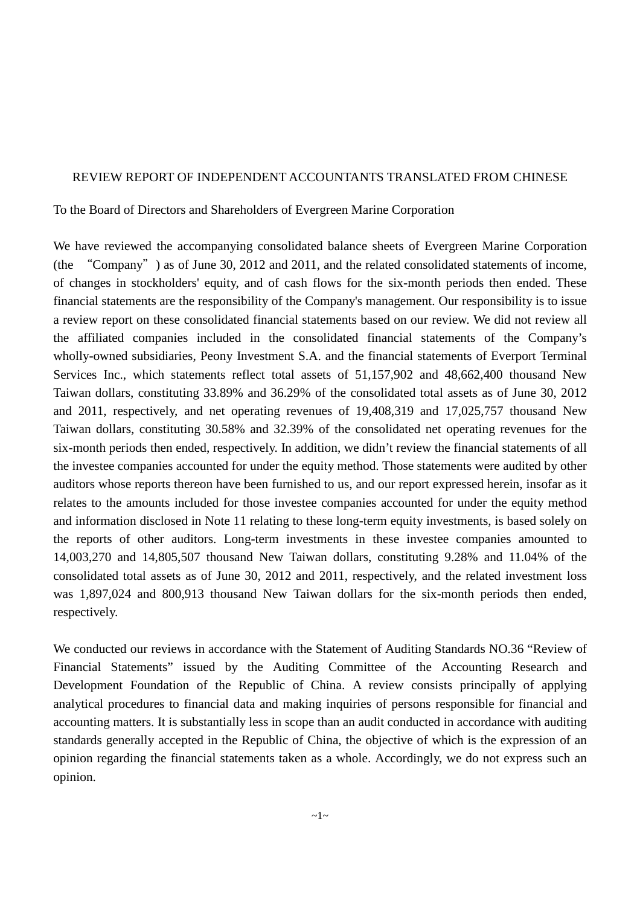# REVIEW REPORT OF INDEPENDENT ACCOUNTANTS TRANSLATED FROM CHINESE

To the Board of Directors and Shareholders of Evergreen Marine Corporation

We have reviewed the accompanying consolidated balance sheets of Evergreen Marine Corporation (the "Company") as of June 30, 2012 and 2011, and the related consolidated statements of income, of changes in stockholders' equity, and of cash flows for the six-month periods then ended. These financial statements are the responsibility of the Company's management. Our responsibility is to issue a review report on these consolidated financial statements based on our review. We did not review all the affiliated companies included in the consolidated financial statements of the Company's wholly-owned subsidiaries, Peony Investment S.A. and the financial statements of Everport Terminal Services Inc., which statements reflect total assets of 51,157,902 and 48,662,400 thousand New Taiwan dollars, constituting 33.89% and 36.29% of the consolidated total assets as of June 30, 2012 and 2011, respectively, and net operating revenues of 19,408,319 and 17,025,757 thousand New Taiwan dollars, constituting 30.58% and 32.39% of the consolidated net operating revenues for the six-month periods then ended, respectively. In addition, we didn't review the financial statements of all the investee companies accounted for under the equity method. Those statements were audited by other auditors whose reports thereon have been furnished to us, and our report expressed herein, insofar as it relates to the amounts included for those investee companies accounted for under the equity method and information disclosed in Note 11 relating to these long-term equity investments, is based solely on the reports of other auditors. Long-term investments in these investee companies amounted to 14,003,270 and 14,805,507 thousand New Taiwan dollars, constituting 9.28% and 11.04% of the consolidated total assets as of June 30, 2012 and 2011, respectively, and the related investment loss was 1,897,024 and 800,913 thousand New Taiwan dollars for the six-month periods then ended, respectively.

We conducted our reviews in accordance with the Statement of Auditing Standards NO.36 "Review of Financial Statements" issued by the Auditing Committee of the Accounting Research and Development Foundation of the Republic of China. A review consists principally of applying analytical procedures to financial data and making inquiries of persons responsible for financial and accounting matters. It is substantially less in scope than an audit conducted in accordance with auditing standards generally accepted in the Republic of China, the objective of which is the expression of an opinion regarding the financial statements taken as a whole. Accordingly, we do not express such an opinion.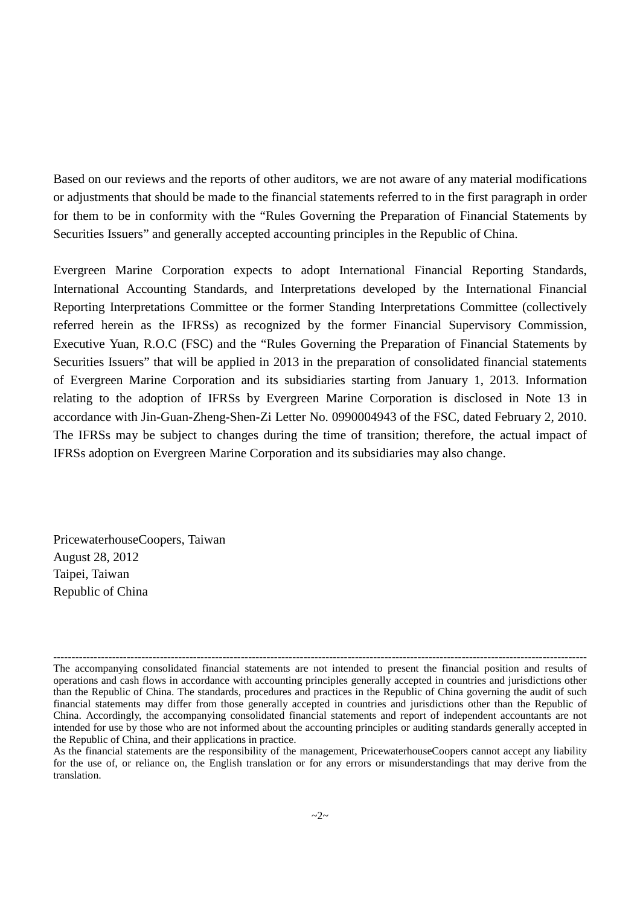Based on our reviews and the reports of other auditors, we are not aware of any material modifications or adjustments that should be made to the financial statements referred to in the first paragraph in order for them to be in conformity with the "Rules Governing the Preparation of Financial Statements by Securities Issuers" and generally accepted accounting principles in the Republic of China.

Evergreen Marine Corporation expects to adopt International Financial Reporting Standards, International Accounting Standards, and Interpretations developed by the International Financial Reporting Interpretations Committee or the former Standing Interpretations Committee (collectively referred herein as the IFRSs) as recognized by the former Financial Supervisory Commission, Executive Yuan, R.O.C (FSC) and the "Rules Governing the Preparation of Financial Statements by Securities Issuers" that will be applied in 2013 in the preparation of consolidated financial statements of Evergreen Marine Corporation and its subsidiaries starting from January 1, 2013. Information relating to the adoption of IFRSs by Evergreen Marine Corporation is disclosed in Note 13 in accordance with Jin-Guan-Zheng-Shen-Zi Letter No. 0990004943 of the FSC, dated February 2, 2010. The IFRSs may be subject to changes during the time of transition; therefore, the actual impact of IFRSs adoption on Evergreen Marine Corporation and its subsidiaries may also change.

PricewaterhouseCoopers, Taiwan August 28, 2012 Taipei, Taiwan Republic of China

<sup>-------------------------------------------------------------------------------------------------------------------------------------------------</sup> The accompanying consolidated financial statements are not intended to present the financial position and results of operations and cash flows in accordance with accounting principles generally accepted in countries and jurisdictions other than the Republic of China. The standards, procedures and practices in the Republic of China governing the audit of such financial statements may differ from those generally accepted in countries and jurisdictions other than the Republic of China. Accordingly, the accompanying consolidated financial statements and report of independent accountants are not intended for use by those who are not informed about the accounting principles or auditing standards generally accepted in the Republic of China, and their applications in practice.

As the financial statements are the responsibility of the management, PricewaterhouseCoopers cannot accept any liability for the use of, or reliance on, the English translation or for any errors or misunderstandings that may derive from the translation.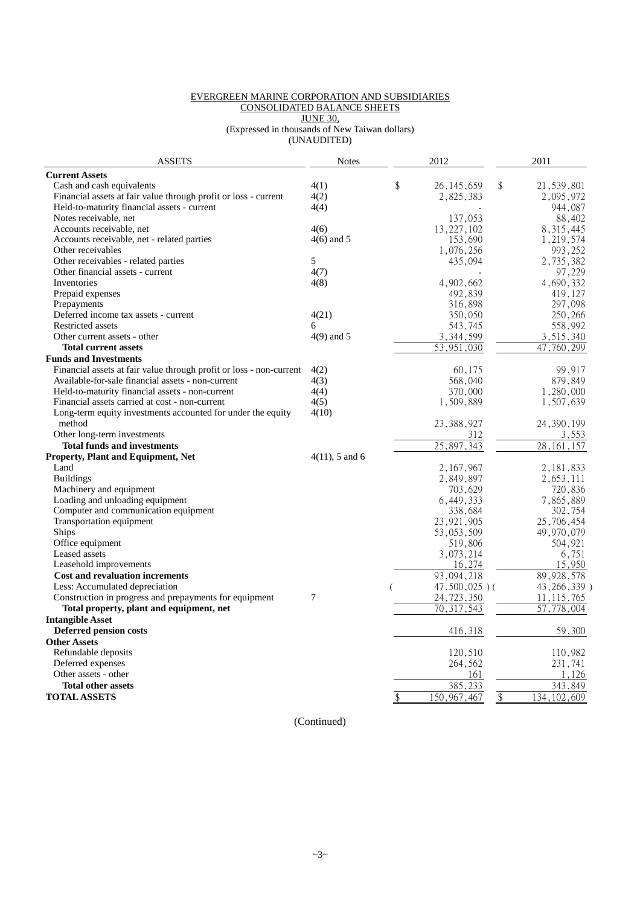#### EVERGREEN MARINE CORPORATION AND SUBSIDIARIES CONSOLIDATED BALANCE SHEETS JUNE 30,

(Expressed in thousands of New Taiwan dollars) (UNAUDITED)

| <b>ASSETS</b>                                                       | <b>Notes</b>      | 2012               | 2011                |
|---------------------------------------------------------------------|-------------------|--------------------|---------------------|
| <b>Current Assets</b>                                               |                   |                    |                     |
| Cash and cash equivalents                                           | 4(1)              | \$<br>26, 145, 659 | \$<br>21,539,801    |
| Financial assets at fair value through profit or loss - current     | 4(2)              | 2,825,383          | 2,095,972           |
| Held-to-maturity financial assets - current                         | 4(4)              |                    | 944,087             |
| Notes receivable, net                                               |                   | 137,053            | 88,402              |
| Accounts receivable, net                                            | 4(6)              | 13,227,102         | 8, 315, 445         |
| Accounts receivable, net - related parties                          | $4(6)$ and 5      | 153,690            | 1,219,574           |
| Other receivables                                                   |                   | 1,076,256          | 993,252             |
| Other receivables - related parties                                 | 5                 | 435,094            | 2,735,382           |
| Other financial assets - current                                    | 4(7)              |                    | 97,229              |
| Inventories                                                         | 4(8)              | 4,902,662          | 4,690,332           |
| Prepaid expenses                                                    |                   | 492,839            | 419,127             |
| Prepayments                                                         |                   | 316,898            | 297,098             |
| Deferred income tax assets - current                                | 4(21)             | 350,050            | 250,266             |
| <b>Restricted assets</b>                                            | 6                 | 543,745            | 558,992             |
| Other current assets - other                                        | $4(9)$ and 5      | 3,344,599          | 3,515,340           |
| <b>Total current assets</b>                                         |                   | 53,951,030         | 47,760,299          |
| <b>Funds and Investments</b>                                        |                   |                    |                     |
| Financial assets at fair value through profit or loss - non-current | 4(2)              | 60,175             | 99,917              |
| Available-for-sale financial assets - non-current                   | 4(3)              | 568,040            | 879,849             |
| Held-to-maturity financial assets - non-current                     | 4(4)              | 370,000            | 1,280,000           |
| Financial assets carried at cost - non-current                      | 4(5)              | 1,509,889          | 1,507,639           |
| Long-term equity investments accounted for under the equity         | 4(10)             |                    |                     |
| method                                                              |                   | 23, 388, 927       | 24, 390, 199        |
| Other long-term investments                                         |                   | 312                | 3,553               |
| <b>Total funds and investments</b>                                  |                   | 25,897,343         | 28, 161, 157        |
| <b>Property, Plant and Equipment, Net</b>                           | $4(11)$ , 5 and 6 |                    |                     |
| Land                                                                |                   | 2,167,967          | 2,181,833           |
| <b>Buildings</b>                                                    |                   | 2,849,897          | 2,653,111           |
| Machinery and equipment                                             |                   | 703,629            | 720,836             |
| Loading and unloading equipment                                     |                   | 6,449,333          | 7,865,889           |
| Computer and communication equipment                                |                   | 338,684            | 302,754             |
| Transportation equipment                                            |                   | 23, 921, 905       | 25,706,454          |
| Ships                                                               |                   | 53,053,509         | 49,970,079          |
| Office equipment                                                    |                   | 519,806            | 504,921             |
| Leased assets                                                       |                   | 3,073,214          | 6,751               |
| Leasehold improvements                                              |                   | 16,274             | 15,950              |
| Cost and revaluation increments                                     |                   | 93,094,218         | 89, 928, 578        |
| Less: Accumulated depreciation                                      |                   | $47,500,025$ )(    | 43, 266, 339)       |
| Construction in progress and prepayments for equipment              | 7                 | 24,723,350         | 11, 115, 765        |
| Total property, plant and equipment, net                            |                   | 70, 317, 543       | 57,778,004          |
| <b>Intangible Asset</b>                                             |                   |                    |                     |
| Deferred pension costs                                              |                   | 416,318            | 59,300              |
| <b>Other Assets</b>                                                 |                   |                    |                     |
| Refundable deposits                                                 |                   | 120,510            | 110,982             |
| Deferred expenses                                                   |                   | 264,562            | 231,741             |
| Other assets - other                                                |                   | 161                | 1,126               |
| <b>Total other assets</b>                                           |                   | 385,233            | 343,849             |
| <b>TOTAL ASSETS</b>                                                 |                   | \$<br>150,967,467  | \$<br>134, 102, 609 |

(Continued)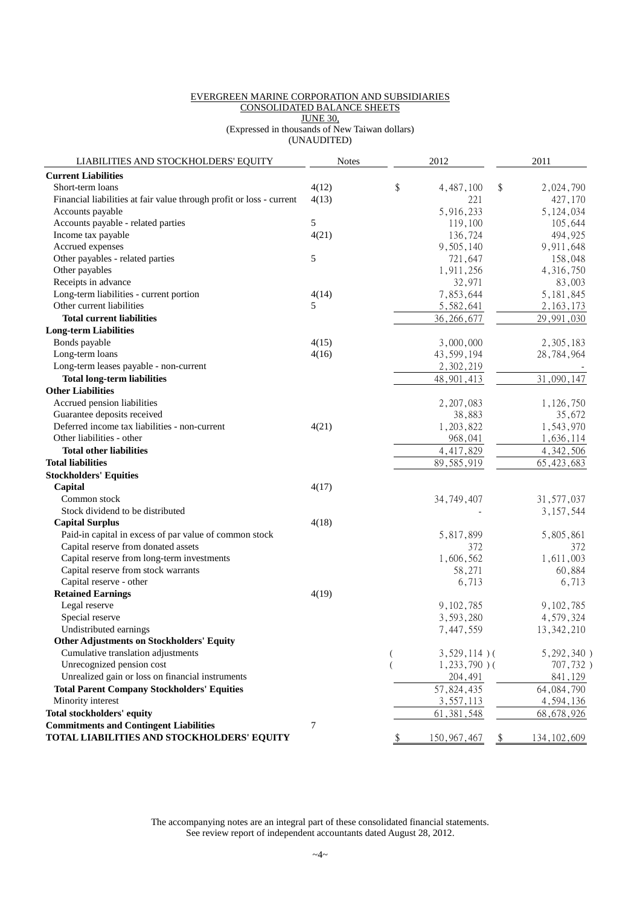#### EVERGREEN MARINE CORPORATION AND SUBSIDIARIES CONSOLIDATED BALANCE SHEETS JUNE 30, (Expressed in thousands of New Taiwan dollars)

(UNAUDITED)

|  |  | . |  |  |
|--|--|---|--|--|
|  |  |   |  |  |
|  |  |   |  |  |
|  |  |   |  |  |

| LIABILITIES AND STOCKHOLDERS' EQUITY                                 | <b>Notes</b> | 2012                |                            | 2011            |
|----------------------------------------------------------------------|--------------|---------------------|----------------------------|-----------------|
| <b>Current Liabilities</b>                                           |              |                     |                            |                 |
| Short-term loans                                                     | 4(12)        | \$<br>4,487,100     | \$                         | 2,024,790       |
| Financial liabilities at fair value through profit or loss - current | 4(13)        | 221                 |                            | 427,170         |
| Accounts payable                                                     |              | 5,916,233           |                            | 5,124,034       |
| Accounts payable - related parties                                   | 5            | 119,100             |                            | 105,644         |
| Income tax payable                                                   | 4(21)        | 136,724             |                            | 494,925         |
| Accrued expenses                                                     |              | 9,505,140           |                            | 9,911,648       |
| Other payables - related parties                                     | 5            | 721,647             |                            | 158,048         |
| Other payables                                                       |              | 1,911,256           |                            | 4,316,750       |
| Receipts in advance                                                  |              | 32,971              |                            | 83,003          |
| Long-term liabilities - current portion                              | 4(14)        | 7,853,644           |                            | 5, 181, 845     |
| Other current liabilities                                            | 5            | 5,582,641           |                            | 2, 163, 173     |
| <b>Total current liabilities</b>                                     |              | 36, 266, 677        |                            | 29,991,030      |
| <b>Long-term Liabilities</b>                                         |              |                     |                            |                 |
| Bonds payable                                                        | 4(15)        | 3,000,000           |                            | 2,305,183       |
| Long-term loans                                                      | 4(16)        | 43,599,194          |                            | 28,784,964      |
| Long-term leases payable - non-current                               |              | 2,302,219           |                            |                 |
| <b>Total long-term liabilities</b>                                   |              | 48, 901, 413        |                            | 31,090,147      |
| <b>Other Liabilities</b>                                             |              |                     |                            |                 |
| Accrued pension liabilities                                          |              | 2, 207, 083         |                            | 1,126,750       |
| Guarantee deposits received                                          |              | 38,883              |                            | 35,672          |
| Deferred income tax liabilities - non-current                        | 4(21)        | 1,203,822           |                            | 1,543,970       |
| Other liabilities - other                                            |              | 968,041             |                            | 1,636,114       |
| <b>Total other liabilities</b>                                       |              | 4,417,829           |                            | 4, 342, 506     |
| <b>Total liabilities</b>                                             |              | 89,585,919          |                            | 65, 423, 683    |
| <b>Stockholders' Equities</b>                                        |              |                     |                            |                 |
| Capital                                                              | 4(17)        |                     |                            |                 |
| Common stock                                                         |              | 34, 749, 407        |                            | 31, 577, 037    |
| Stock dividend to be distributed                                     |              |                     |                            | 3,157,544       |
| <b>Capital Surplus</b>                                               | 4(18)        |                     |                            |                 |
| Paid-in capital in excess of par value of common stock               |              | 5,817,899           |                            | 5,805,861       |
| Capital reserve from donated assets                                  |              | 372                 |                            | 372             |
| Capital reserve from long-term investments                           |              | 1,606,562           |                            | 1,611,003       |
| Capital reserve from stock warrants                                  |              | 58,271              |                            | 60,884          |
| Capital reserve - other                                              |              | 6,713               |                            | 6,713           |
| <b>Retained Earnings</b>                                             | 4(19)        |                     |                            |                 |
| Legal reserve                                                        |              | 9,102,785           |                            | 9,102,785       |
| Special reserve                                                      |              | 3,593,280           |                            | 4,579,324       |
| Undistributed earnings                                               |              | 7,447,559           |                            | 13, 342, 210    |
| <b>Other Adjustments on Stockholders' Equity</b>                     |              |                     |                            |                 |
| Cumulative translation adjustments                                   |              | $3,529,114$ )(      |                            | $5, 292, 340$ ) |
| Unrecognized pension cost                                            |              | $1,233,790$ )(      |                            | 707,732)        |
| Unrealized gain or loss on financial instruments                     |              | 204,491             |                            | 841,129         |
| <b>Total Parent Company Stockholders' Equities</b>                   |              | 57,824,435          |                            | 64, 084, 790    |
| Minority interest                                                    |              | 3,557,113           |                            | 4,594,136       |
| <b>Total stockholders' equity</b>                                    |              | 61, 381, 548        |                            | 68, 678, 926    |
| <b>Commitments and Contingent Liabilities</b>                        | 7            |                     |                            |                 |
| TOTAL LIABILITIES AND STOCKHOLDERS' EQUITY                           |              | \$<br>150, 967, 467 | $\boldsymbol{\mathsf{\$}}$ | 134, 102, 609   |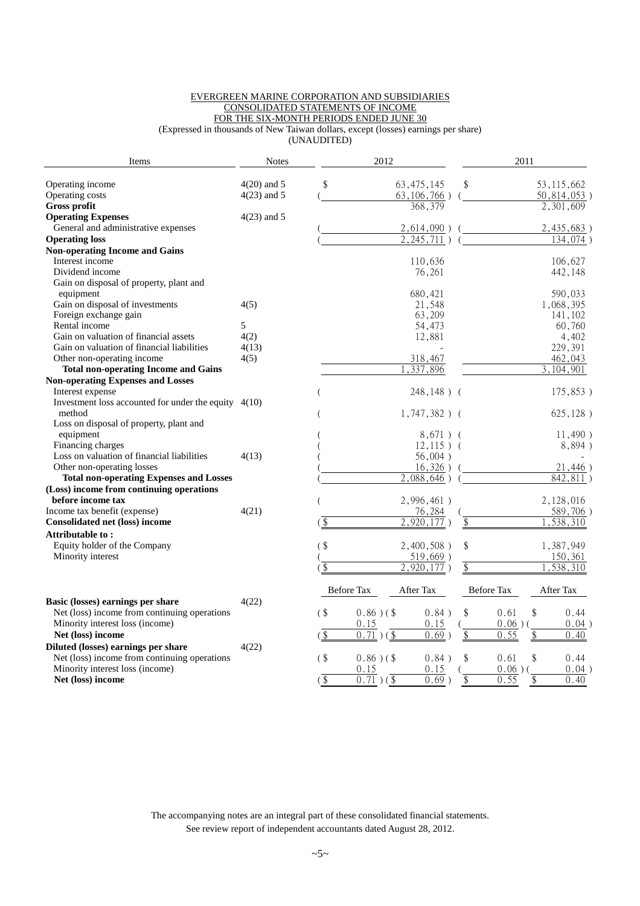#### EVERGREEN MARINE CORPORATION AND SUBSIDIARIES CONSOLIDATED STATEMENTS OF INCOME FOR THE SIX-MONTH PERIODS ENDED JUNE 30

(Expressed in thousands of New Taiwan dollars, except (losses) earnings per share)

(UNAUDITED)

| Items                                                  | <b>Notes</b>  |                                                     | 2012                      |                       | 2011             |                |
|--------------------------------------------------------|---------------|-----------------------------------------------------|---------------------------|-----------------------|------------------|----------------|
| Operating income                                       | $4(20)$ and 5 | \$                                                  |                           | 63, 475, 145          | \$               | 53, 115, 662   |
| Operating costs                                        | $4(23)$ and 5 |                                                     |                           | $63, 106, 766$ )      |                  | $50,814,053$ ) |
| <b>Gross profit</b>                                    |               |                                                     |                           | 368,379               |                  | 2,301,609      |
| <b>Operating Expenses</b>                              | $4(23)$ and 5 |                                                     |                           |                       |                  |                |
| General and administrative expenses                    |               |                                                     |                           | $2,614,090$ )         |                  | 2,435,683)     |
| <b>Operating loss</b>                                  |               |                                                     |                           | 2, 245, 711           |                  | 134,074)       |
| <b>Non-operating Income and Gains</b>                  |               |                                                     |                           |                       |                  |                |
| Interest income                                        |               |                                                     |                           | 110,636               |                  | 106,627        |
| Dividend income                                        |               |                                                     |                           | 76,261                |                  | 442,148        |
| Gain on disposal of property, plant and                |               |                                                     |                           |                       |                  |                |
| equipment                                              |               |                                                     |                           | 680,421               |                  | 590,033        |
| Gain on disposal of investments                        | 4(5)          |                                                     |                           | 21,548                |                  | 1,068,395      |
| Foreign exchange gain                                  |               |                                                     |                           | 63,209                |                  | 141,102        |
| Rental income                                          | 5             |                                                     |                           | 54,473                |                  | 60,760         |
| Gain on valuation of financial assets                  | 4(2)          |                                                     |                           | 12,881                |                  | 4,402          |
| Gain on valuation of financial liabilities             | 4(13)         |                                                     |                           |                       |                  | 229,391        |
| Other non-operating income                             | 4(5)          |                                                     |                           | 318,467               |                  | 462,043        |
| <b>Total non-operating Income and Gains</b>            |               |                                                     |                           | 337,896               |                  | 3,104,901      |
| <b>Non-operating Expenses and Losses</b>               |               |                                                     |                           |                       |                  |                |
| Interest expense                                       |               |                                                     |                           | 248,148) (            |                  | 175,853)       |
| Investment loss accounted for under the equity $4(10)$ |               |                                                     |                           |                       |                  |                |
| method                                                 |               |                                                     |                           | $1,747,382$ ) (       |                  | 625, 128)      |
| Loss on disposal of property, plant and                |               |                                                     |                           |                       |                  |                |
| equipment                                              |               |                                                     |                           | $8,671)$ (            |                  | 11,490)        |
| Financing charges                                      |               |                                                     |                           | $12,115$ ) (          |                  | 8,894)         |
| Loss on valuation of financial liabilities             | 4(13)         |                                                     |                           | 56,004)               |                  |                |
| Other non-operating losses                             |               |                                                     |                           | 16,326)               |                  | 21,446)        |
| <b>Total non-operating Expenses and Losses</b>         |               |                                                     |                           | $\frac{2,088,646}{2}$ |                  | 842,811)       |
| (Loss) income from continuing operations               |               |                                                     |                           |                       |                  |                |
| before income tax                                      |               |                                                     |                           | 2,996,461)            |                  | 2,128,016      |
| Income tax benefit (expense)                           | 4(21)         |                                                     |                           | 76,284                |                  | $589,706$ )    |
| <b>Consolidated net (loss) income</b>                  |               | $\left( \begin{array}{c} \oint \end{array} \right)$ |                           | 2,920,177             |                  | ,538,310       |
| <b>Attributable to:</b>                                |               |                                                     |                           |                       |                  |                |
| Equity holder of the Company                           |               | $($ \$                                              |                           | $2,400,508$ )         | \$               | 1,387,949      |
| Minority interest                                      |               |                                                     |                           | 519,669)              |                  | 150,361        |
|                                                        |               | $\sqrt{3}$                                          |                           | 2,920,177)            | \$               | 1,538,310      |
|                                                        |               | Before Tax                                          |                           | After Tax             | Before Tax       | After Tax      |
| Basic (losses) earnings per share                      | 4(22)         |                                                     |                           |                       |                  |                |
| Net (loss) income from continuing operations           |               | $($ \$                                              | $0.86$ ) (\$              | 0.84)                 | \$<br>0.61<br>\$ | 0.44           |
| Minority interest loss (income)                        |               |                                                     | 0.15                      | 0.15                  | $0.06$ )(        | $0.04$ )       |
| Net (loss) income                                      |               | $\sqrt{3}$                                          | $0.\overline{71}$ ) (\$   | 0.69                  | \$<br>0.55       | 0.40           |
| Diluted (losses) earnings per share                    | 4(22)         |                                                     |                           |                       |                  |                |
| Net (loss) income from continuing operations           |               | $($ \$                                              | $0.86$ ) (\$              | 0.84)                 | \$<br>\$<br>0.61 | 0.44           |
| Minority interest loss (income)                        |               |                                                     | 0.15                      | 0.15                  | $0.06$ )(        | $0.04$ )       |
| Net (loss) income                                      |               | $\sqrt{3}$                                          | 0.71<br>$(\overline{\$})$ | $0.69$ )              | \$<br>0.55<br>\$ | 0.40           |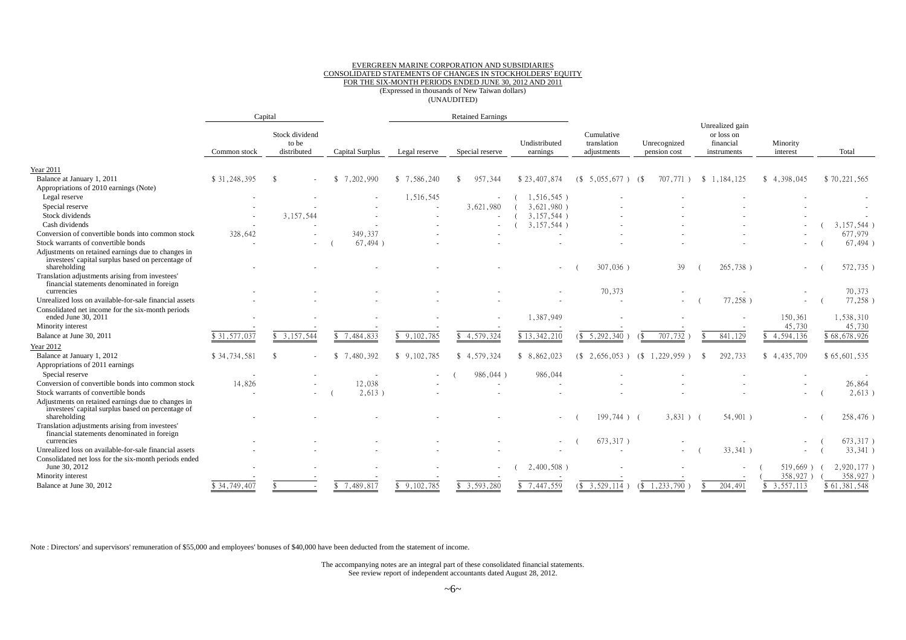#### EVERGREEN MARINE CORPORATION AND SUBSIDIARIES CONSOLIDATED STATEMENTS OF CHANGES IN STOCKHOLDERS' EQUITY FOR THE SIX-MONTH PERIODS ENDED JUNE 30, 2012 AND 2011 (Expressed in thousands of New Taiwan dollars) (UNAUDITED)

|                                                                                                                         |              | Capital                                |                  |                 | <b>Retained Earnings</b> |                           |                                          |                                         |                                                           |                      |              |
|-------------------------------------------------------------------------------------------------------------------------|--------------|----------------------------------------|------------------|-----------------|--------------------------|---------------------------|------------------------------------------|-----------------------------------------|-----------------------------------------------------------|----------------------|--------------|
|                                                                                                                         | Common stock | Stock dividend<br>to be<br>distributed | Capital Surplus  | Legal reserve   | Special reserve          | Undistributed<br>earnings | Cumulative<br>translation<br>adjustments | Unrecognized<br>pension cost            | Unrealized gain<br>or loss on<br>financial<br>instruments | Minority<br>interest | Total        |
| <b>Year 2011</b>                                                                                                        |              |                                        |                  |                 |                          |                           |                                          |                                         |                                                           |                      |              |
| Balance at January 1, 2011                                                                                              | \$31,248,395 | -\$                                    | 7,202,990<br>-SS | 7,586,240<br>\$ | 957,344                  | \$23,407,874              | 68<br>$5,055,677$ )                      | 707.771<br>- 6                          | 1,184,125<br><sup>\$</sup>                                | \$4,398,045          | \$70,221,565 |
| Appropriations of 2010 earnings (Note)                                                                                  |              |                                        |                  |                 |                          |                           |                                          |                                         |                                                           |                      |              |
| Legal reserve                                                                                                           |              |                                        |                  | 1,516,545       |                          | $1,516,545$ )             |                                          |                                         |                                                           |                      |              |
| Special reserve                                                                                                         |              |                                        |                  |                 | 3,621,980                | $3,621,980$ )             |                                          |                                         |                                                           |                      |              |
| Stock dividends                                                                                                         |              | 3, 157, 544                            |                  |                 |                          | 3,157,544)                |                                          |                                         |                                                           |                      |              |
| Cash dividends                                                                                                          |              |                                        |                  |                 |                          | 3,157,544                 |                                          |                                         |                                                           |                      | 3,157,544)   |
| Conversion of convertible bonds into common stock                                                                       | 328,642      |                                        | 349,337          |                 |                          |                           |                                          |                                         |                                                           |                      | 677,979      |
| Stock warrants of convertible bonds                                                                                     |              |                                        | $67,494$ )       |                 |                          |                           |                                          |                                         |                                                           |                      | $67,494$ )   |
| Adjustments on retained earnings due to changes in<br>investees' capital surplus based on percentage of<br>shareholding |              |                                        |                  |                 |                          |                           | 307,036)                                 | 39                                      | 265,738)                                                  |                      | 572,735)     |
| Translation adjustments arising from investees'<br>financial statements denominated in foreign                          |              |                                        |                  |                 |                          |                           |                                          |                                         |                                                           |                      |              |
| currencies                                                                                                              |              |                                        |                  |                 |                          |                           | 70,373                                   |                                         |                                                           |                      | 70,373       |
| Unrealized loss on available-for-sale financial assets                                                                  |              |                                        |                  |                 |                          |                           |                                          |                                         | $77,258$ )                                                |                      | 77,258)      |
| Consolidated net income for the six-month periods<br>ended June 30, 2011                                                |              |                                        |                  |                 |                          | 1,387,949                 |                                          |                                         |                                                           | 150,361              | 1,538,310    |
| Minority interest                                                                                                       |              |                                        |                  |                 |                          |                           |                                          |                                         |                                                           | 45,730               | 45,730       |
| Balance at June 30, 2011                                                                                                | \$31,577,037 | \$3,157,544                            | \$7,484,833      | \$9,102,785     | \$4,579,324              | \$13,342,210              | \$5,292,340                              | 707.732<br>$\left( \mathcal{S} \right)$ | 841,129                                                   | 4,594,136            | \$68,678,926 |
| Year 2012                                                                                                               |              |                                        |                  |                 |                          |                           |                                          |                                         |                                                           |                      |              |
| Balance at January 1, 2012<br>Appropriations of 2011 earnings                                                           | \$34,734,581 |                                        | 7,480,392<br>\$. | \$9,102,785     | \$4,579,324              | 8,862,023<br>\$           | $\sqrt{3}$<br>2.656.053                  | , 229, 959<br>(\$                       | 292,733                                                   | \$4.435.709          | \$65,601,535 |
| Special reserve                                                                                                         |              |                                        |                  |                 | 986,044)                 | 986,044                   |                                          |                                         |                                                           |                      |              |
| Conversion of convertible bonds into common stock                                                                       | 14,826       |                                        | 12,038           |                 |                          |                           |                                          |                                         |                                                           |                      | 26,864       |
| Stock warrants of convertible bonds                                                                                     |              |                                        | $2,613$ )        |                 |                          |                           |                                          |                                         |                                                           |                      | $2,613$ )    |
| Adjustments on retained earnings due to changes in<br>investees' capital surplus based on percentage of<br>shareholding |              |                                        |                  |                 |                          |                           | $199.744$ ) (                            | $3,831$ $($                             | 54,901)                                                   |                      | 258,476)     |
| Translation adjustments arising from investees'<br>financial statements denominated in foreign                          |              |                                        |                  |                 |                          |                           |                                          |                                         |                                                           |                      |              |
| currencies                                                                                                              |              |                                        |                  |                 |                          |                           | 673,317)                                 |                                         |                                                           |                      | 673,317)     |
| Unrealized loss on available-for-sale financial assets                                                                  |              |                                        |                  |                 |                          |                           |                                          |                                         | 33,341)                                                   | $\sim$               | $33,341$ )   |
| Consolidated net loss for the six-month periods ended<br>June 30, 2012                                                  |              |                                        |                  |                 | $\overline{\phantom{a}}$ | 2,400,508)                |                                          |                                         |                                                           | $519,669$ )          | 2,920,177)   |
| Minority interest                                                                                                       |              |                                        |                  |                 |                          |                           |                                          |                                         |                                                           | 358,927              | 358,927      |
| Balance at June 30, 2012                                                                                                | \$34,749,407 |                                        | 7,489,817        | \$9,102,785     | 3,593,280                | 7,447,559                 | \$3,529,114                              | 1,233,790<br>(S                         | 204,491                                                   | 3,557,113            | \$61,381,548 |

Note : Directors' and supervisors' remuneration of \$55,000 and employees' bonuses of \$40,000 have been deducted from the statement of income.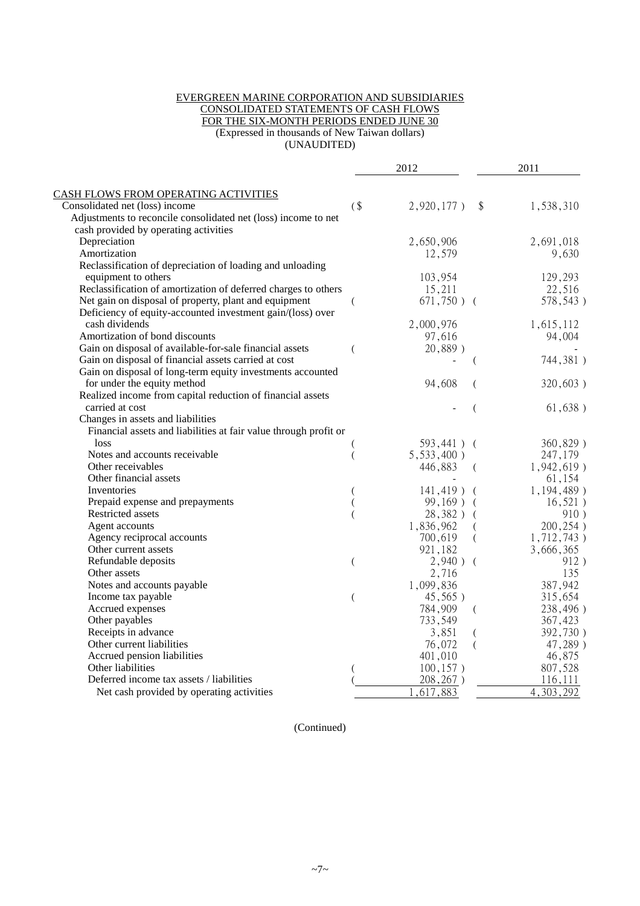#### EVERGREEN MARINE CORPORATION AND SUBSIDIARIES CONSOLIDATED STATEMENTS OF CASH FLOWS FOR THE SIX-MONTH PERIODS ENDED JUNE 30 (Expressed in thousands of New Taiwan dollars) (UNAUDITED)

|                                                                  |        | 2012          |                           | 2011          |
|------------------------------------------------------------------|--------|---------------|---------------------------|---------------|
| <b>CASH FLOWS FROM OPERATING ACTIVITIES</b>                      |        |               |                           |               |
| Consolidated net (loss) income                                   | $($ \$ | $2,920,177$ ) | $\boldsymbol{\mathsf{S}}$ | 1,538,310     |
| Adjustments to reconcile consolidated net (loss) income to net   |        |               |                           |               |
| cash provided by operating activities                            |        |               |                           |               |
| Depreciation                                                     |        | 2,650,906     |                           | 2,691,018     |
| Amortization                                                     |        | 12,579        |                           | 9,630         |
| Reclassification of depreciation of loading and unloading        |        |               |                           |               |
| equipment to others                                              |        | 103,954       |                           | 129,293       |
| Reclassification of amortization of deferred charges to others   |        | 15,211        |                           | 22,516        |
| Net gain on disposal of property, plant and equipment            |        | $671,750$ ) ( |                           | 578,543)      |
| Deficiency of equity-accounted investment gain/(loss) over       |        |               |                           |               |
| cash dividends                                                   |        | 2,000,976     |                           | 1,615,112     |
| Amortization of bond discounts                                   |        | 97,616        |                           | 94,004        |
| Gain on disposal of available-for-sale financial assets          |        | 20,889)       |                           |               |
| Gain on disposal of financial assets carried at cost             |        |               |                           | 744,381)      |
| Gain on disposal of long-term equity investments accounted       |        |               |                           |               |
| for under the equity method                                      |        | 94,608        | (                         | 320,603)      |
| Realized income from capital reduction of financial assets       |        |               |                           |               |
| carried at cost                                                  |        |               | $\overline{(}$            | 61,638)       |
| Changes in assets and liabilities                                |        |               |                           |               |
| Financial assets and liabilities at fair value through profit or |        |               |                           |               |
| loss                                                             |        | 593,441) (    |                           | 360,829)      |
| Notes and accounts receivable                                    |        | $5,533,400$ ) |                           | 247,179       |
| Other receivables                                                |        | 446,883       | $\left($                  | $1,942,619$ ) |
| Other financial assets                                           |        |               |                           | 61,154        |
| Inventories                                                      |        | $141,419$ ) ( |                           | $1,194,489$ ) |
| Prepaid expense and prepayments                                  |        | $99,169$ ) (  |                           | $16,521$ )    |
| Restricted assets                                                |        | $28,382$ ) (  |                           | 910)          |
| Agent accounts                                                   |        | 1,836,962     | $\left($                  | 200,254)      |
| Agency reciprocal accounts                                       |        | 700,619       | $\overline{(}$            | 1,712,743)    |
| Other current assets                                             |        | 921,182       |                           | 3,666,365     |
| Refundable deposits                                              | (      | $2,940$ ) (   |                           | 912)          |
| Other assets                                                     |        | 2,716         |                           | 135           |
| Notes and accounts payable                                       |        | 1,099,836     |                           | 387,942       |
| Income tax payable                                               |        | $45,565$ )    |                           | 315,654       |
| Accrued expenses                                                 |        | 784,909       | $\left($                  | 238,496)      |
| Other payables                                                   |        | 733,549       |                           | 367,423       |
| Receipts in advance                                              |        | 3,851         | $\left($                  | 392,730)      |
| Other current liabilities                                        |        | 76,072        | (                         | 47,289)       |
| Accrued pension liabilities                                      |        | 401,010       |                           | 46,875        |
| Other liabilities                                                |        | 100, 157)     |                           | 807,528       |
| Deferred income tax assets / liabilities                         |        | 208,267)      |                           | 116,111       |
| Net cash provided by operating activities                        |        | ,617,883      |                           | 4,303,292     |

(Continued)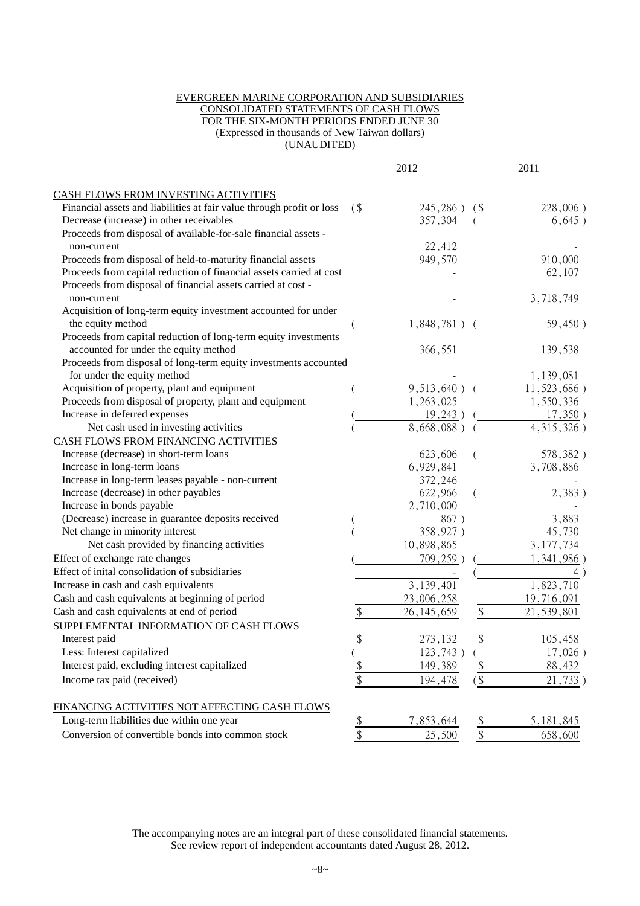#### EVERGREEN MARINE CORPORATION AND SUBSIDIARIES CONSOLIDATED STATEMENTS OF CASH FLOWS FOR THE SIX-MONTH PERIODS ENDED JUNE 30 (Expressed in thousands of New Taiwan dollars) (UNAUDITED)

|                                                                                            |                           | 2012            |                   | 2011               |
|--------------------------------------------------------------------------------------------|---------------------------|-----------------|-------------------|--------------------|
| CASH FLOWS FROM INVESTING ACTIVITIES                                                       |                           |                 |                   |                    |
| Financial assets and liabilities at fair value through profit or loss                      | $\left( \text{S} \right)$ | 245,286) (\$    |                   | 228,006)           |
| Decrease (increase) in other receivables                                                   |                           | 357,304         |                   | 6,645)             |
| Proceeds from disposal of available-for-sale financial assets -                            |                           |                 |                   |                    |
| non-current                                                                                |                           | 22,412          |                   |                    |
| Proceeds from disposal of held-to-maturity financial assets                                |                           | 949,570         |                   | 910,000            |
| Proceeds from capital reduction of financial assets carried at cost                        |                           |                 |                   | 62,107             |
| Proceeds from disposal of financial assets carried at cost -                               |                           |                 |                   |                    |
| non-current                                                                                |                           |                 |                   | 3,718,749          |
| Acquisition of long-term equity investment accounted for under                             |                           |                 |                   |                    |
| the equity method                                                                          |                           | $1,848,781$ ) ( |                   | 59,450)            |
| Proceeds from capital reduction of long-term equity investments                            |                           |                 |                   |                    |
| accounted for under the equity method                                                      |                           | 366,551         |                   | 139,538            |
| Proceeds from disposal of long-term equity investments accounted                           |                           |                 |                   |                    |
| for under the equity method                                                                |                           |                 |                   | 1,139,081          |
| Acquisition of property, plant and equipment                                               |                           | $9,513,640$ ) ( |                   | 11,523,686)        |
| Proceeds from disposal of property, plant and equipment                                    |                           | 1,263,025       |                   | 1,550,336          |
| Increase in deferred expenses                                                              |                           | 19,243)         |                   | $17,350$ )         |
| Net cash used in investing activities                                                      |                           | 8,668,088)      |                   | 4,315,326)         |
| CASH FLOWS FROM FINANCING ACTIVITIES                                                       |                           |                 |                   |                    |
| Increase (decrease) in short-term loans                                                    |                           | 623,606         |                   | 578,382)           |
| Increase in long-term loans                                                                |                           | 6,929,841       |                   | 3,708,886          |
| Increase in long-term leases payable - non-current                                         |                           | 372,246         |                   |                    |
| Increase (decrease) in other payables                                                      |                           | 622,966         |                   | 2,383)             |
| Increase in bonds payable                                                                  |                           | 2,710,000       |                   |                    |
| (Decrease) increase in guarantee deposits received                                         |                           | 867)            |                   | 3,883              |
| Net change in minority interest                                                            |                           | 358,927)        |                   | 45,730             |
| Net cash provided by financing activities                                                  |                           | 10,898,865      |                   | 3, 177, 734        |
| Effect of exchange rate changes                                                            |                           | 709,259)        |                   | 1,341,986          |
| Effect of inital consolidation of subsidiaries                                             |                           |                 |                   | $4^{\circ}$        |
| Increase in cash and cash equivalents                                                      |                           | 3,139,401       |                   | 1,823,710          |
| Cash and cash equivalents at beginning of period                                           |                           | 23,006,258      |                   | 19,716,091         |
| Cash and cash equivalents at end of period                                                 | \$                        | 26, 145, 659    | $\boldsymbol{\$}$ | 21,539,801         |
| SUPPLEMENTAL INFORMATION OF CASH FLOWS                                                     |                           |                 |                   |                    |
| Interest paid                                                                              | \$                        | 273,132         | \$                | 105,458            |
| Less: Interest capitalized                                                                 |                           | 123,743)        |                   | $17,026$ )         |
| Interest paid, excluding interest capitalized                                              | $\frac{1}{2}$             | 149,389         | \$                | 88,432             |
| Income tax paid (received)                                                                 | \$                        | 194,478         | $\frac{1}{2}$     | 21,733)            |
|                                                                                            |                           |                 |                   |                    |
| FINANCING ACTIVITIES NOT AFFECTING CASH FLOWS<br>Long-term liabilities due within one year |                           |                 |                   |                    |
|                                                                                            | $\frac{1}{2}$             | 7,853,644       | \$                | <u>5, 181, 845</u> |
| Conversion of convertible bonds into common stock                                          | \$                        | 25,500          | \$                | 658,600            |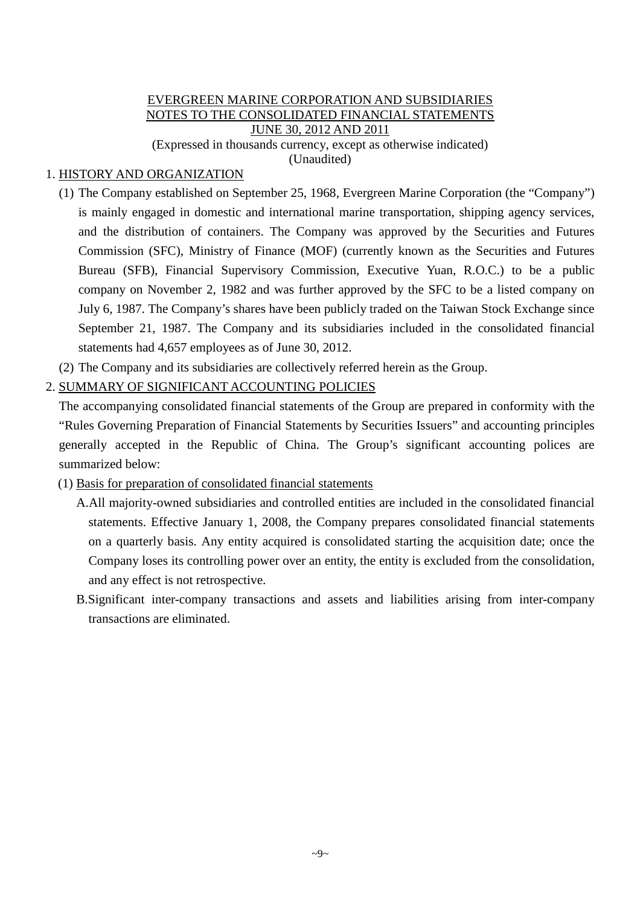# EVERGREEN MARINE CORPORATION AND SUBSIDIARIES NOTES TO THE CONSOLIDATED FINANCIAL STATEMENTS JUNE 30, 2012 AND 2011

(Expressed in thousands currency, except as otherwise indicated)

(Unaudited)

# 1. HISTORY AND ORGANIZATION

- (1) The Company established on September 25, 1968, Evergreen Marine Corporation (the "Company") is mainly engaged in domestic and international marine transportation, shipping agency services, and the distribution of containers. The Company was approved by the Securities and Futures Commission (SFC), Ministry of Finance (MOF) (currently known as the Securities and Futures Bureau (SFB), Financial Supervisory Commission, Executive Yuan, R.O.C.) to be a public company on November 2, 1982 and was further approved by the SFC to be a listed company on July 6, 1987. The Company's shares have been publicly traded on the Taiwan Stock Exchange since September 21, 1987. The Company and its subsidiaries included in the consolidated financial statements had 4,657 employees as of June 30, 2012.
- (2) The Company and its subsidiaries are collectively referred herein as the Group.

# 2. SUMMARY OF SIGNIFICANT ACCOUNTING POLICIES

The accompanying consolidated financial statements of the Group are prepared in conformity with the "Rules Governing Preparation of Financial Statements by Securities Issuers" and accounting principles generally accepted in the Republic of China. The Group's significant accounting polices are summarized below:

- (1) Basis for preparation of consolidated financial statements
	- A.All majority-owned subsidiaries and controlled entities are included in the consolidated financial statements. Effective January 1, 2008, the Company prepares consolidated financial statements on a quarterly basis. Any entity acquired is consolidated starting the acquisition date; once the Company loses its controlling power over an entity, the entity is excluded from the consolidation, and any effect is not retrospective.
	- B.Significant inter-company transactions and assets and liabilities arising from inter-company transactions are eliminated.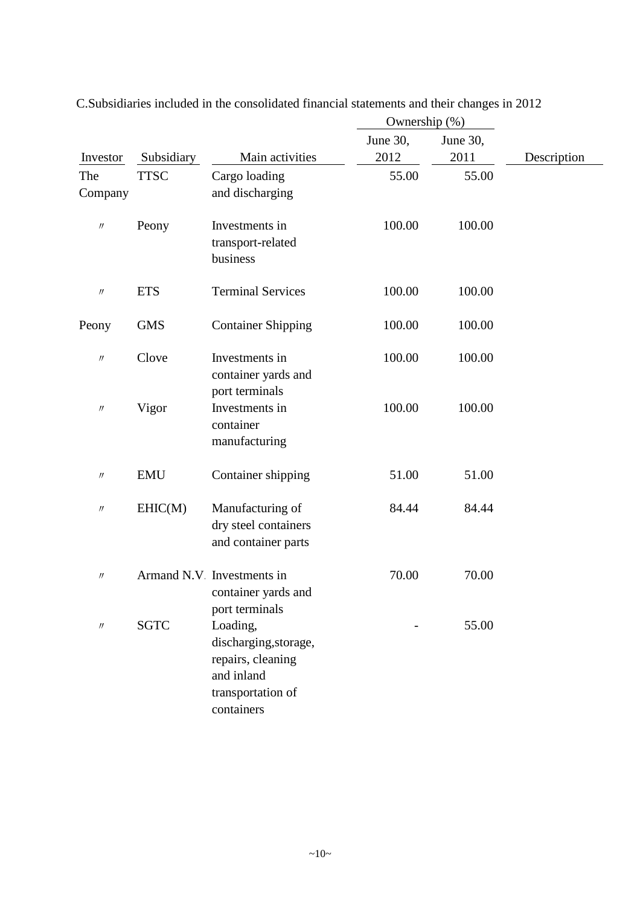|                   |             |                                                                                                         | Ownership (%)    |                  |             |
|-------------------|-------------|---------------------------------------------------------------------------------------------------------|------------------|------------------|-------------|
| Investor          | Subsidiary  | Main activities                                                                                         | June 30,<br>2012 | June 30,<br>2011 | Description |
| The<br>Company    | <b>TTSC</b> | Cargo loading<br>and discharging                                                                        | 55.00            | 55.00            |             |
| $\prime\prime$    | Peony       | Investments in<br>transport-related<br>business                                                         | 100.00           | 100.00           |             |
| $\prime\prime$    | <b>ETS</b>  | <b>Terminal Services</b>                                                                                | 100.00           | 100.00           |             |
| Peony             | <b>GMS</b>  | <b>Container Shipping</b>                                                                               | 100.00           | 100.00           |             |
| $\prime\prime$    | Clove       | Investments in<br>container yards and<br>port terminals                                                 | 100.00           | 100.00           |             |
| $^{\prime\prime}$ | Vigor       | Investments in<br>container<br>manufacturing                                                            | 100.00           | 100.00           |             |
| $^{\prime\prime}$ | <b>EMU</b>  | Container shipping                                                                                      | 51.00            | 51.00            |             |
| $^{\prime\prime}$ | EHIC(M)     | Manufacturing of<br>dry steel containers<br>and container parts                                         | 84.44            | 84.44            |             |
| $\prime$          |             | Armand N.V Investments in<br>container yards and<br>port terminals                                      | 70.00            | 70.00            |             |
| $\prime\prime$    | <b>SGTC</b> | Loading,<br>discharging, storage,<br>repairs, cleaning<br>and inland<br>transportation of<br>containers |                  | 55.00            |             |

C.Subsidiaries included in the consolidated financial statements and their changes in 2012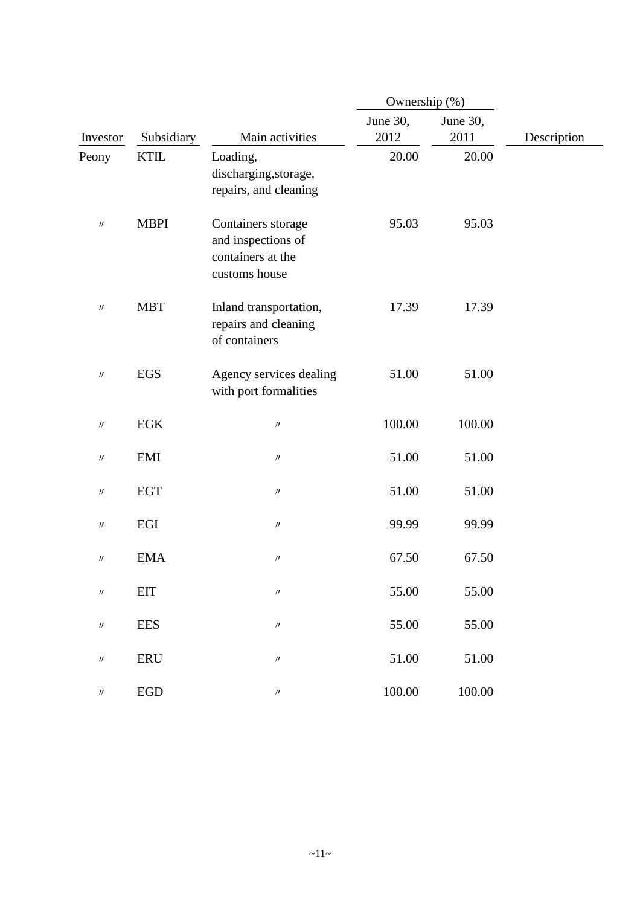|                               |             |                                                                                | Ownership (%) |          |             |
|-------------------------------|-------------|--------------------------------------------------------------------------------|---------------|----------|-------------|
|                               |             |                                                                                | June 30,      | June 30, |             |
| Investor                      | Subsidiary  | Main activities                                                                | 2012          | 2011     | Description |
| Peony                         | <b>KTIL</b> | Loading,<br>discharging, storage,<br>repairs, and cleaning                     | 20.00         | 20.00    |             |
| $\prime\prime$                | <b>MBPI</b> | Containers storage<br>and inspections of<br>containers at the<br>customs house | 95.03         | 95.03    |             |
| $\prime\prime$                | <b>MBT</b>  | Inland transportation,<br>repairs and cleaning<br>of containers                | 17.39         | 17.39    |             |
| $\prime\prime$                | <b>EGS</b>  | Agency services dealing<br>with port formalities                               | 51.00         | 51.00    |             |
| $\prime\prime$                | EGK         | $\ensuremath{\mathnormal{H}}$                                                  | 100.00        | 100.00   |             |
| $\prime\prime$                | <b>EMI</b>  | $\prime\prime$                                                                 | 51.00         | 51.00    |             |
| $^{\prime\prime}$             | <b>EGT</b>  | $\prime\prime$                                                                 | 51.00         | 51.00    |             |
| $\prime\prime$                | EGI         | $\prime\prime$                                                                 | 99.99         | 99.99    |             |
| $\prime\prime$                | <b>EMA</b>  | $\prime\prime$                                                                 | 67.50         | 67.50    |             |
| $\ensuremath{\mathnormal{H}}$ | <b>EIT</b>  | $\boldsymbol{\mathcal{U}}$                                                     | 55.00         | 55.00    |             |
| $\prime\prime$                | <b>EES</b>  | $\ensuremath{\mathnormal{H}}$                                                  | 55.00         | 55.00    |             |
| $\prime\prime$                | <b>ERU</b>  | $\ensuremath{\mathnormal{H}}$                                                  | 51.00         | 51.00    |             |
| $\prime\prime$                | <b>EGD</b>  | $\prime\prime$                                                                 | 100.00        | 100.00   |             |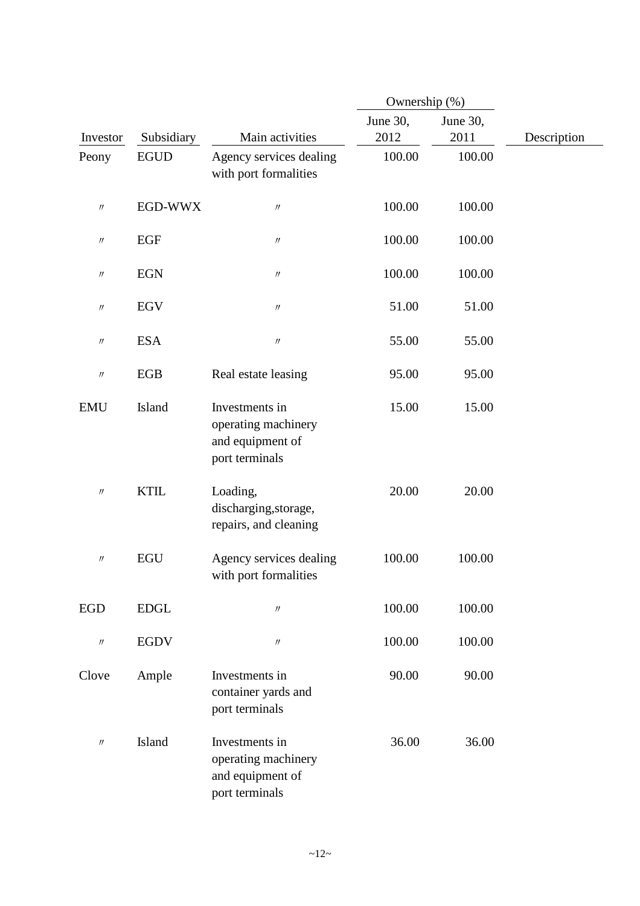|                               |             |                                                                             | Ownership (%)    |                  |             |
|-------------------------------|-------------|-----------------------------------------------------------------------------|------------------|------------------|-------------|
| Investor                      | Subsidiary  | Main activities                                                             | June 30,<br>2012 | June 30,<br>2011 | Description |
| Peony                         | <b>EGUD</b> | Agency services dealing<br>with port formalities                            | 100.00           | 100.00           |             |
| $\prime\prime$                | EGD-WWX     | $\ensuremath{\mathnormal{H}}$                                               | 100.00           | 100.00           |             |
| $\prime\prime$                | EGF         | $\ensuremath{\mathnormal{H}}$                                               | 100.00           | 100.00           |             |
| $^{\prime\prime}$             | <b>EGN</b>  | $\prime\prime$                                                              | 100.00           | 100.00           |             |
| $\prime\prime$                | <b>EGV</b>  | $\boldsymbol{\mathcal{U}}$                                                  | 51.00            | 51.00            |             |
| $\prime\prime$                | <b>ESA</b>  | $\ensuremath{\mathnormal{H}}$                                               | 55.00            | 55.00            |             |
| $\prime\prime$                | EGB         | Real estate leasing                                                         | 95.00            | 95.00            |             |
| <b>EMU</b>                    | Island      | Investments in<br>operating machinery<br>and equipment of<br>port terminals | 15.00            | 15.00            |             |
| $\prime\prime$                | <b>KTIL</b> | Loading,<br>discharging, storage,<br>repairs, and cleaning                  | 20.00            | 20.00            |             |
| $\prime\prime$                | <b>EGU</b>  | Agency services dealing<br>with port formalities                            | 100.00           | 100.00           |             |
| <b>EGD</b>                    | <b>EDGL</b> | $\prime\prime$                                                              | 100.00           | 100.00           |             |
| $\prime\prime$                | <b>EGDV</b> | $\prime\prime$                                                              | 100.00           | 100.00           |             |
| Clove                         | Ample       | Investments in<br>container yards and<br>port terminals                     | 90.00            | 90.00            |             |
| $\ensuremath{\mathnormal{H}}$ | Island      | Investments in<br>operating machinery<br>and equipment of<br>port terminals | 36.00            | 36.00            |             |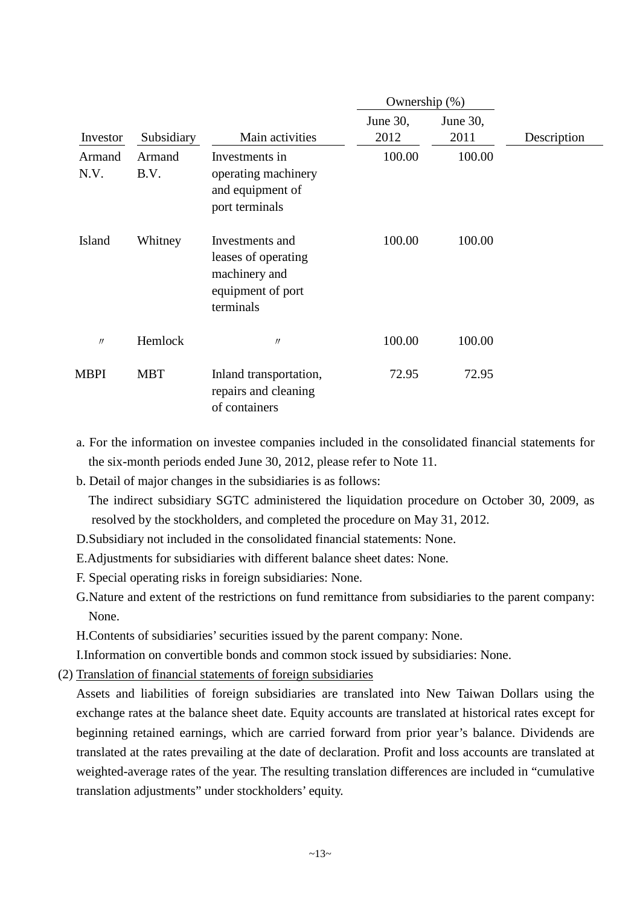|                |                |                                                                                           | Ownership (%)    |                  |             |
|----------------|----------------|-------------------------------------------------------------------------------------------|------------------|------------------|-------------|
| Investor       | Subsidiary     | Main activities                                                                           | June 30,<br>2012 | June 30,<br>2011 | Description |
| Armand<br>N.V. | Armand<br>B.V. | Investments in<br>operating machinery<br>and equipment of<br>port terminals               | 100.00           | 100.00           |             |
| Island         | Whitney        | Investments and<br>leases of operating<br>machinery and<br>equipment of port<br>terminals | 100.00           | 100.00           |             |
| $\prime$       | Hemlock        | $\prime$                                                                                  | 100.00           | 100.00           |             |
| MBPI           | <b>MBT</b>     | Inland transportation,<br>repairs and cleaning<br>of containers                           | 72.95            | 72.95            |             |

- a. For the information on investee companies included in the consolidated financial statements for the six-month periods ended June 30, 2012, please refer to Note 11.
- b. Detail of major changes in the subsidiaries is as follows:

The indirect subsidiary SGTC administered the liquidation procedure on October 30, 2009, as resolved by the stockholders, and completed the procedure on May 31, 2012.

- D.Subsidiary not included in the consolidated financial statements: None.
- E.Adjustments for subsidiaries with different balance sheet dates: None.
- F. Special operating risks in foreign subsidiaries: None.
- G.Nature and extent of the restrictions on fund remittance from subsidiaries to the parent company: None.

H.Contents of subsidiaries' securities issued by the parent company: None.

I.Information on convertible bonds and common stock issued by subsidiaries: None.

(2) Translation of financial statements of foreign subsidiaries

Assets and liabilities of foreign subsidiaries are translated into New Taiwan Dollars using the exchange rates at the balance sheet date. Equity accounts are translated at historical rates except for beginning retained earnings, which are carried forward from prior year's balance. Dividends are translated at the rates prevailing at the date of declaration. Profit and loss accounts are translated at weighted-average rates of the year. The resulting translation differences are included in "cumulative translation adjustments" under stockholders' equity.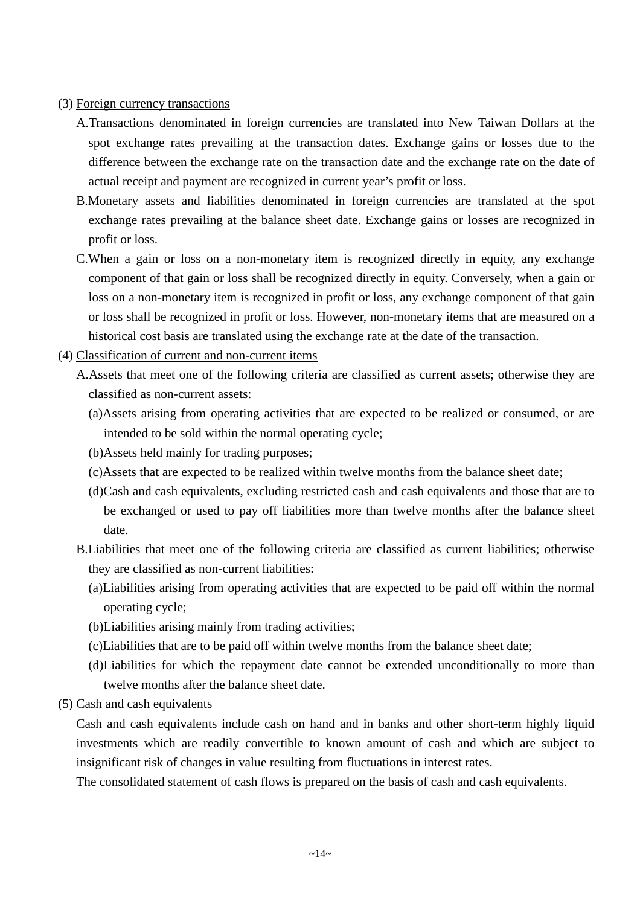# (3) Foreign currency transactions

- A.Transactions denominated in foreign currencies are translated into New Taiwan Dollars at the spot exchange rates prevailing at the transaction dates. Exchange gains or losses due to the difference between the exchange rate on the transaction date and the exchange rate on the date of actual receipt and payment are recognized in current year's profit or loss.
- B.Monetary assets and liabilities denominated in foreign currencies are translated at the spot exchange rates prevailing at the balance sheet date. Exchange gains or losses are recognized in profit or loss.
- C.When a gain or loss on a non-monetary item is recognized directly in equity, any exchange component of that gain or loss shall be recognized directly in equity. Conversely, when a gain or loss on a non-monetary item is recognized in profit or loss, any exchange component of that gain or loss shall be recognized in profit or loss. However, non-monetary items that are measured on a historical cost basis are translated using the exchange rate at the date of the transaction.
- (4) Classification of current and non-current items
	- A.Assets that meet one of the following criteria are classified as current assets; otherwise they are classified as non-current assets:
		- (a)Assets arising from operating activities that are expected to be realized or consumed, or are intended to be sold within the normal operating cycle;
		- (b)Assets held mainly for trading purposes;
		- (c)Assets that are expected to be realized within twelve months from the balance sheet date;
		- (d)Cash and cash equivalents, excluding restricted cash and cash equivalents and those that are to be exchanged or used to pay off liabilities more than twelve months after the balance sheet date.
	- B.Liabilities that meet one of the following criteria are classified as current liabilities; otherwise they are classified as non-current liabilities:
		- (a)Liabilities arising from operating activities that are expected to be paid off within the normal operating cycle;
		- (b)Liabilities arising mainly from trading activities;
		- (c)Liabilities that are to be paid off within twelve months from the balance sheet date;
		- (d)Liabilities for which the repayment date cannot be extended unconditionally to more than twelve months after the balance sheet date.
- (5) Cash and cash equivalents

Cash and cash equivalents include cash on hand and in banks and other short-term highly liquid investments which are readily convertible to known amount of cash and which are subject to insignificant risk of changes in value resulting from fluctuations in interest rates.

The consolidated statement of cash flows is prepared on the basis of cash and cash equivalents.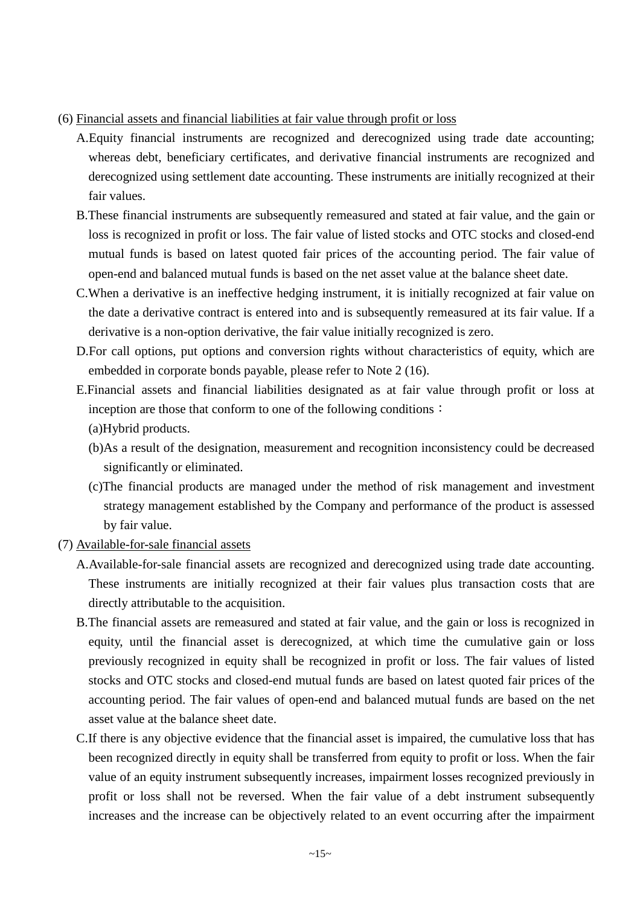#### (6) Financial assets and financial liabilities at fair value through profit or loss

- A.Equity financial instruments are recognized and derecognized using trade date accounting; whereas debt, beneficiary certificates, and derivative financial instruments are recognized and derecognized using settlement date accounting. These instruments are initially recognized at their fair values.
- B.These financial instruments are subsequently remeasured and stated at fair value, and the gain or loss is recognized in profit or loss. The fair value of listed stocks and OTC stocks and closed-end mutual funds is based on latest quoted fair prices of the accounting period. The fair value of open-end and balanced mutual funds is based on the net asset value at the balance sheet date.
- C.When a derivative is an ineffective hedging instrument, it is initially recognized at fair value on the date a derivative contract is entered into and is subsequently remeasured at its fair value. If a derivative is a non-option derivative, the fair value initially recognized is zero.
- D.For call options, put options and conversion rights without characteristics of equity, which are embedded in corporate bonds payable, please refer to Note 2 (16).
- E.Financial assets and financial liabilities designated as at fair value through profit or loss at inception are those that conform to one of the following conditions: (a)Hybrid products.
	- (b)As a result of the designation, measurement and recognition inconsistency could be decreased significantly or eliminated.
	- (c)The financial products are managed under the method of risk management and investment strategy management established by the Company and performance of the product is assessed by fair value.
- (7) Available-for-sale financial assets
	- A.Available-for-sale financial assets are recognized and derecognized using trade date accounting. These instruments are initially recognized at their fair values plus transaction costs that are directly attributable to the acquisition.
	- B.The financial assets are remeasured and stated at fair value, and the gain or loss is recognized in equity, until the financial asset is derecognized, at which time the cumulative gain or loss previously recognized in equity shall be recognized in profit or loss. The fair values of listed stocks and OTC stocks and closed-end mutual funds are based on latest quoted fair prices of the accounting period. The fair values of open-end and balanced mutual funds are based on the net asset value at the balance sheet date.
	- C.If there is any objective evidence that the financial asset is impaired, the cumulative loss that has been recognized directly in equity shall be transferred from equity to profit or loss. When the fair value of an equity instrument subsequently increases, impairment losses recognized previously in profit or loss shall not be reversed. When the fair value of a debt instrument subsequently increases and the increase can be objectively related to an event occurring after the impairment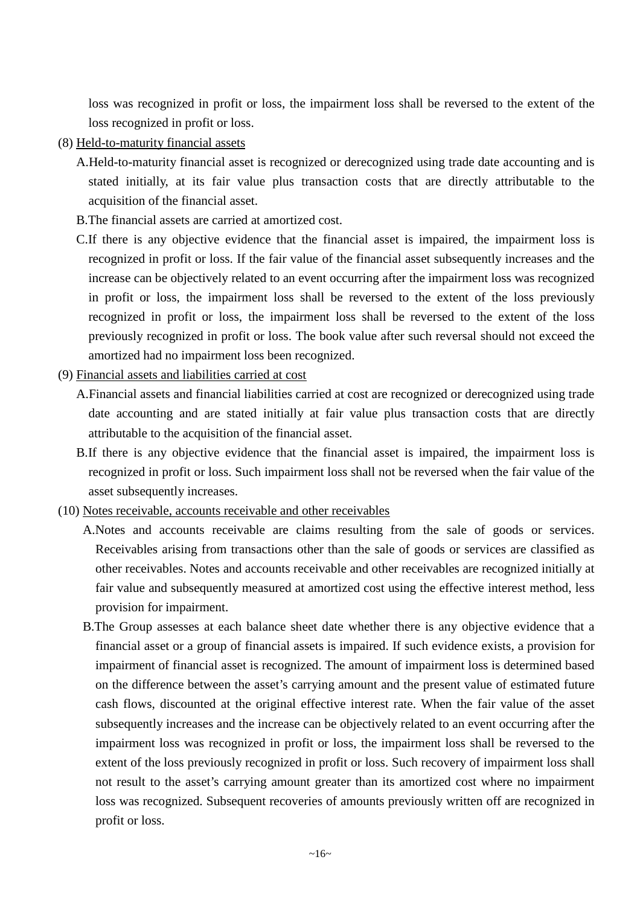loss was recognized in profit or loss, the impairment loss shall be reversed to the extent of the loss recognized in profit or loss.

- (8) Held-to-maturity financial assets
	- A.Held-to-maturity financial asset is recognized or derecognized using trade date accounting and is stated initially, at its fair value plus transaction costs that are directly attributable to the acquisition of the financial asset.
	- B.The financial assets are carried at amortized cost.
	- C.If there is any objective evidence that the financial asset is impaired, the impairment loss is recognized in profit or loss. If the fair value of the financial asset subsequently increases and the increase can be objectively related to an event occurring after the impairment loss was recognized in profit or loss, the impairment loss shall be reversed to the extent of the loss previously recognized in profit or loss, the impairment loss shall be reversed to the extent of the loss previously recognized in profit or loss. The book value after such reversal should not exceed the amortized had no impairment loss been recognized.
- (9) Financial assets and liabilities carried at cost
	- A.Financial assets and financial liabilities carried at cost are recognized or derecognized using trade date accounting and are stated initially at fair value plus transaction costs that are directly attributable to the acquisition of the financial asset.
	- B.If there is any objective evidence that the financial asset is impaired, the impairment loss is recognized in profit or loss. Such impairment loss shall not be reversed when the fair value of the asset subsequently increases.
- (10) Notes receivable, accounts receivable and other receivables
	- A.Notes and accounts receivable are claims resulting from the sale of goods or services. Receivables arising from transactions other than the sale of goods or services are classified as other receivables. Notes and accounts receivable and other receivables are recognized initially at fair value and subsequently measured at amortized cost using the effective interest method, less provision for impairment.
	- B.The Group assesses at each balance sheet date whether there is any objective evidence that a financial asset or a group of financial assets is impaired. If such evidence exists, a provision for impairment of financial asset is recognized. The amount of impairment loss is determined based on the difference between the asset's carrying amount and the present value of estimated future cash flows, discounted at the original effective interest rate. When the fair value of the asset subsequently increases and the increase can be objectively related to an event occurring after the impairment loss was recognized in profit or loss, the impairment loss shall be reversed to the extent of the loss previously recognized in profit or loss. Such recovery of impairment loss shall not result to the asset's carrying amount greater than its amortized cost where no impairment loss was recognized. Subsequent recoveries of amounts previously written off are recognized in profit or loss.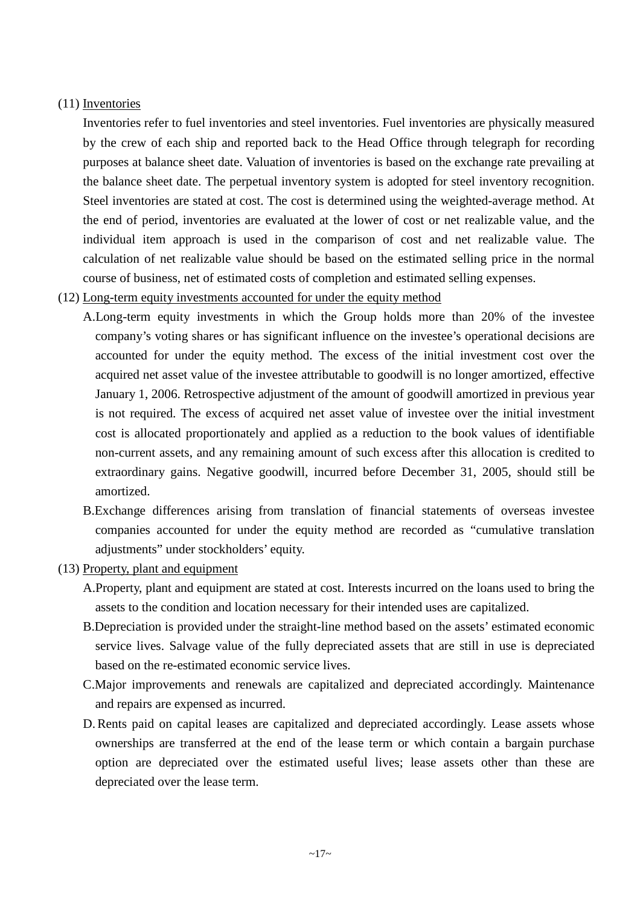# (11) Inventories

Inventories refer to fuel inventories and steel inventories. Fuel inventories are physically measured by the crew of each ship and reported back to the Head Office through telegraph for recording purposes at balance sheet date. Valuation of inventories is based on the exchange rate prevailing at the balance sheet date. The perpetual inventory system is adopted for steel inventory recognition. Steel inventories are stated at cost. The cost is determined using the weighted-average method. At the end of period, inventories are evaluated at the lower of cost or net realizable value, and the individual item approach is used in the comparison of cost and net realizable value. The calculation of net realizable value should be based on the estimated selling price in the normal course of business, net of estimated costs of completion and estimated selling expenses.

# (12) Long-term equity investments accounted for under the equity method

- A.Long-term equity investments in which the Group holds more than 20% of the investee company's voting shares or has significant influence on the investee's operational decisions are accounted for under the equity method. The excess of the initial investment cost over the acquired net asset value of the investee attributable to goodwill is no longer amortized, effective January 1, 2006. Retrospective adjustment of the amount of goodwill amortized in previous year is not required. The excess of acquired net asset value of investee over the initial investment cost is allocated proportionately and applied as a reduction to the book values of identifiable non-current assets, and any remaining amount of such excess after this allocation is credited to extraordinary gains. Negative goodwill, incurred before December 31, 2005, should still be amortized.
- B.Exchange differences arising from translation of financial statements of overseas investee companies accounted for under the equity method are recorded as "cumulative translation adjustments" under stockholders' equity.
- (13) Property, plant and equipment
	- A.Property, plant and equipment are stated at cost. Interests incurred on the loans used to bring the assets to the condition and location necessary for their intended uses are capitalized.
	- B.Depreciation is provided under the straight-line method based on the assets' estimated economic service lives. Salvage value of the fully depreciated assets that are still in use is depreciated based on the re-estimated economic service lives.
	- C.Major improvements and renewals are capitalized and depreciated accordingly. Maintenance and repairs are expensed as incurred.
	- D. Rents paid on capital leases are capitalized and depreciated accordingly. Lease assets whose ownerships are transferred at the end of the lease term or which contain a bargain purchase option are depreciated over the estimated useful lives; lease assets other than these are depreciated over the lease term.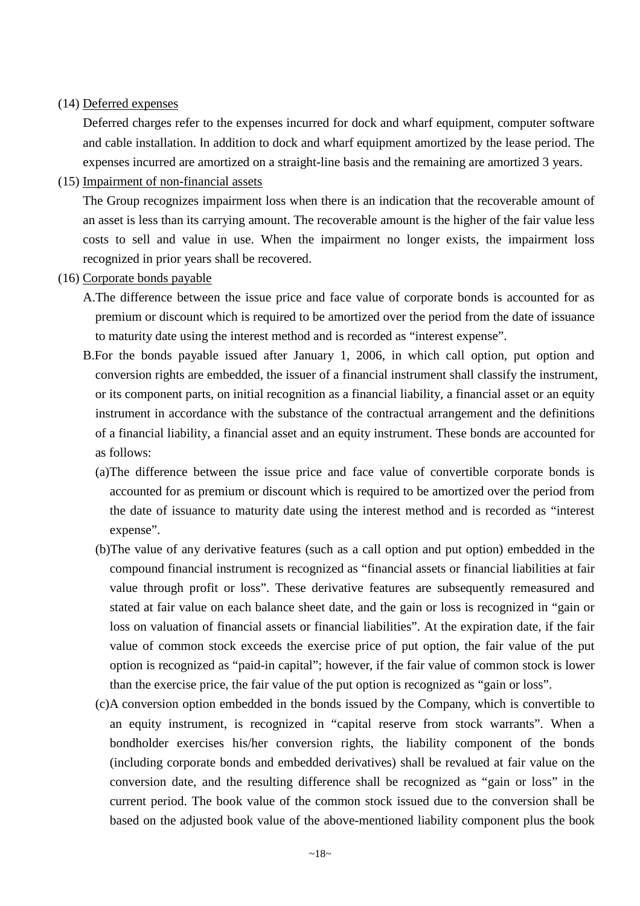### (14) Deferred expenses

Deferred charges refer to the expenses incurred for dock and wharf equipment, computer software and cable installation. In addition to dock and wharf equipment amortized by the lease period. The expenses incurred are amortized on a straight-line basis and the remaining are amortized 3 years.

(15) Impairment of non-financial assets

The Group recognizes impairment loss when there is an indication that the recoverable amount of an asset is less than its carrying amount. The recoverable amount is the higher of the fair value less costs to sell and value in use. When the impairment no longer exists, the impairment loss recognized in prior years shall be recovered.

- (16) Corporate bonds payable
	- A.The difference between the issue price and face value of corporate bonds is accounted for as premium or discount which is required to be amortized over the period from the date of issuance to maturity date using the interest method and is recorded as "interest expense".
	- B.For the bonds payable issued after January 1, 2006, in which call option, put option and conversion rights are embedded, the issuer of a financial instrument shall classify the instrument, or its component parts, on initial recognition as a financial liability, a financial asset or an equity instrument in accordance with the substance of the contractual arrangement and the definitions of a financial liability, a financial asset and an equity instrument. These bonds are accounted for as follows:
		- (a)The difference between the issue price and face value of convertible corporate bonds is accounted for as premium or discount which is required to be amortized over the period from the date of issuance to maturity date using the interest method and is recorded as "interest expense".
		- (b)The value of any derivative features (such as a call option and put option) embedded in the compound financial instrument is recognized as "financial assets or financial liabilities at fair value through profit or loss". These derivative features are subsequently remeasured and stated at fair value on each balance sheet date, and the gain or loss is recognized in "gain or loss on valuation of financial assets or financial liabilities". At the expiration date, if the fair value of common stock exceeds the exercise price of put option, the fair value of the put option is recognized as "paid-in capital"; however, if the fair value of common stock is lower than the exercise price, the fair value of the put option is recognized as "gain or loss".
		- (c)A conversion option embedded in the bonds issued by the Company, which is convertible to an equity instrument, is recognized in "capital reserve from stock warrants". When a bondholder exercises his/her conversion rights, the liability component of the bonds (including corporate bonds and embedded derivatives) shall be revalued at fair value on the conversion date, and the resulting difference shall be recognized as "gain or loss" in the current period. The book value of the common stock issued due to the conversion shall be based on the adjusted book value of the above-mentioned liability component plus the book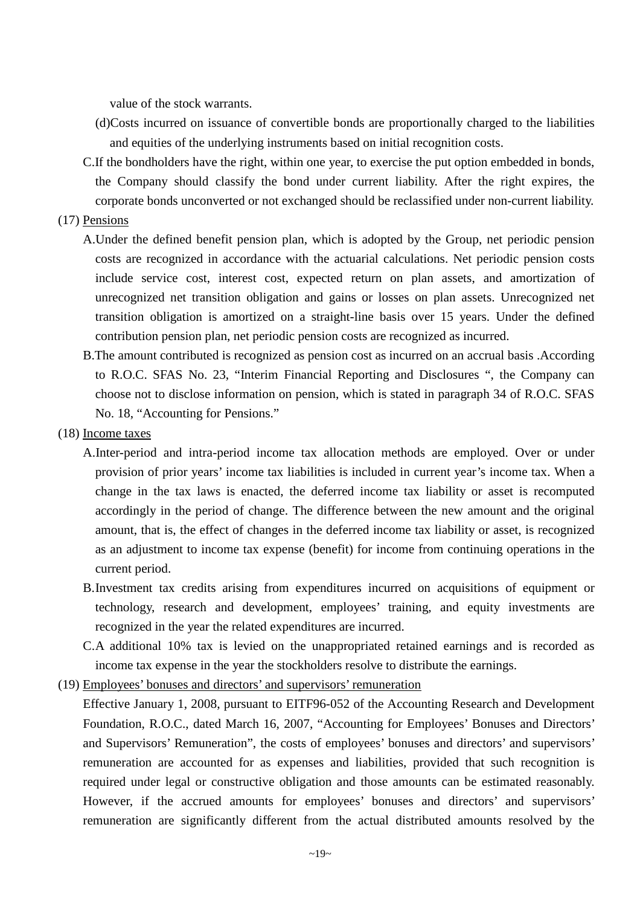value of the stock warrants.

- (d)Costs incurred on issuance of convertible bonds are proportionally charged to the liabilities and equities of the underlying instruments based on initial recognition costs.
- C.If the bondholders have the right, within one year, to exercise the put option embedded in bonds, the Company should classify the bond under current liability. After the right expires, the corporate bonds unconverted or not exchanged should be reclassified under non-current liability.

# (17) Pensions

- A.Under the defined benefit pension plan, which is adopted by the Group, net periodic pension costs are recognized in accordance with the actuarial calculations. Net periodic pension costs include service cost, interest cost, expected return on plan assets, and amortization of unrecognized net transition obligation and gains or losses on plan assets. Unrecognized net transition obligation is amortized on a straight-line basis over 15 years. Under the defined contribution pension plan, net periodic pension costs are recognized as incurred.
- B.The amount contributed is recognized as pension cost as incurred on an accrual basis .According to R.O.C. SFAS No. 23, "Interim Financial Reporting and Disclosures ", the Company can choose not to disclose information on pension, which is stated in paragraph 34 of R.O.C. SFAS No. 18, "Accounting for Pensions."

#### (18) Income taxes

- A.Inter-period and intra-period income tax allocation methods are employed. Over or under provision of prior years' income tax liabilities is included in current year's income tax. When a change in the tax laws is enacted, the deferred income tax liability or asset is recomputed accordingly in the period of change. The difference between the new amount and the original amount, that is, the effect of changes in the deferred income tax liability or asset, is recognized as an adjustment to income tax expense (benefit) for income from continuing operations in the current period.
- B.Investment tax credits arising from expenditures incurred on acquisitions of equipment or technology, research and development, employees' training, and equity investments are recognized in the year the related expenditures are incurred.
- C.A additional 10% tax is levied on the unappropriated retained earnings and is recorded as income tax expense in the year the stockholders resolve to distribute the earnings.
- (19) Employees' bonuses and directors' and supervisors' remuneration
	- Effective January 1, 2008, pursuant to EITF96-052 of the Accounting Research and Development Foundation, R.O.C., dated March 16, 2007, "Accounting for Employees' Bonuses and Directors' and Supervisors' Remuneration", the costs of employees' bonuses and directors' and supervisors' remuneration are accounted for as expenses and liabilities, provided that such recognition is required under legal or constructive obligation and those amounts can be estimated reasonably. However, if the accrued amounts for employees' bonuses and directors' and supervisors' remuneration are significantly different from the actual distributed amounts resolved by the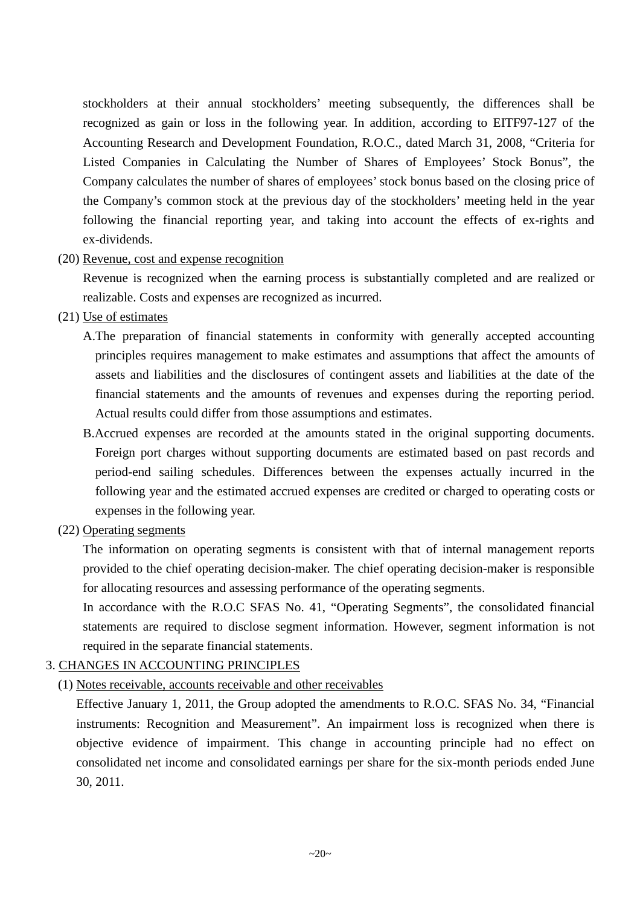stockholders at their annual stockholders' meeting subsequently, the differences shall be recognized as gain or loss in the following year. In addition, according to EITF97-127 of the Accounting Research and Development Foundation, R.O.C., dated March 31, 2008, "Criteria for Listed Companies in Calculating the Number of Shares of Employees' Stock Bonus", the Company calculates the number of shares of employees' stock bonus based on the closing price of the Company's common stock at the previous day of the stockholders' meeting held in the year following the financial reporting year, and taking into account the effects of ex-rights and ex-dividends.

# (20) Revenue, cost and expense recognition

Revenue is recognized when the earning process is substantially completed and are realized or realizable. Costs and expenses are recognized as incurred.

- (21) Use of estimates
	- A.The preparation of financial statements in conformity with generally accepted accounting principles requires management to make estimates and assumptions that affect the amounts of assets and liabilities and the disclosures of contingent assets and liabilities at the date of the financial statements and the amounts of revenues and expenses during the reporting period. Actual results could differ from those assumptions and estimates.
	- B.Accrued expenses are recorded at the amounts stated in the original supporting documents. Foreign port charges without supporting documents are estimated based on past records and period-end sailing schedules. Differences between the expenses actually incurred in the following year and the estimated accrued expenses are credited or charged to operating costs or expenses in the following year.
- (22) Operating segments

The information on operating segments is consistent with that of internal management reports provided to the chief operating decision-maker. The chief operating decision-maker is responsible for allocating resources and assessing performance of the operating segments.

In accordance with the R.O.C SFAS No. 41, "Operating Segments", the consolidated financial statements are required to disclose segment information. However, segment information is not required in the separate financial statements.

# 3. CHANGES IN ACCOUNTING PRINCIPLES

(1) Notes receivable, accounts receivable and other receivables

Effective January 1, 2011, the Group adopted the amendments to R.O.C. SFAS No. 34, "Financial instruments: Recognition and Measurement". An impairment loss is recognized when there is objective evidence of impairment. This change in accounting principle had no effect on consolidated net income and consolidated earnings per share for the six-month periods ended June 30, 2011.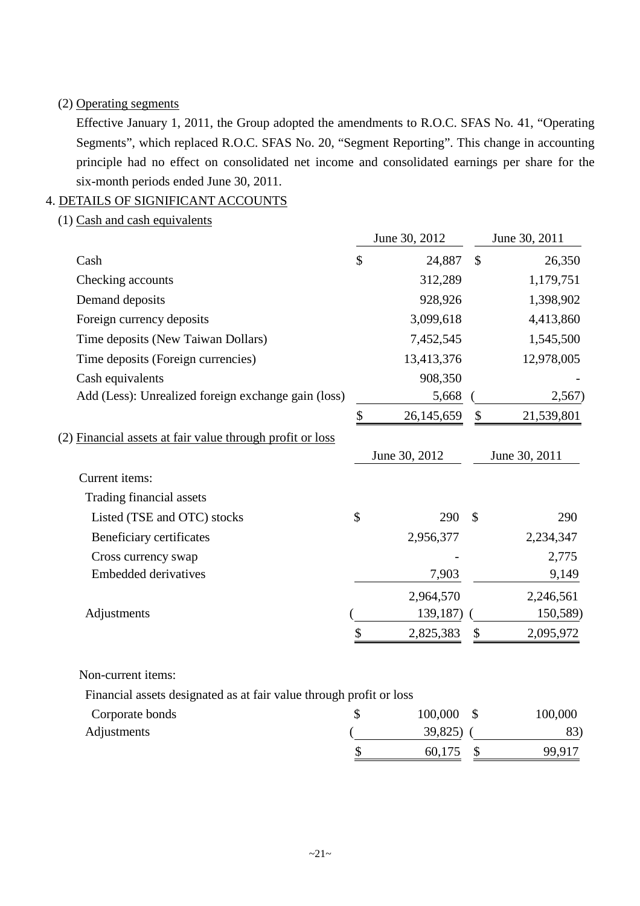# (2) Operating segments

Effective January 1, 2011, the Group adopted the amendments to R.O.C. SFAS No. 41, "Operating Segments", which replaced R.O.C. SFAS No. 20, "Segment Reporting". This change in accounting principle had no effect on consolidated net income and consolidated earnings per share for the six-month periods ended June 30, 2011.

# 4. DETAILS OF SIGNIFICANT ACCOUNTS

(1) Cash and cash equivalents

|                                                           | June 30, 2012    |               | June 30, 2011 |
|-----------------------------------------------------------|------------------|---------------|---------------|
| Cash                                                      | \$<br>24,887     | \$            | 26,350        |
| Checking accounts                                         | 312,289          |               | 1,179,751     |
| Demand deposits                                           | 928,926          |               | 1,398,902     |
| Foreign currency deposits                                 | 3,099,618        |               | 4,413,860     |
| Time deposits (New Taiwan Dollars)                        | 7,452,545        |               | 1,545,500     |
| Time deposits (Foreign currencies)                        | 13,413,376       |               | 12,978,005    |
| Cash equivalents                                          | 908,350          |               |               |
| Add (Less): Unrealized foreign exchange gain (loss)       | 5,668            |               | 2,567)        |
|                                                           | \$<br>26,145,659 | \$            | 21,539,801    |
| (2) Financial assets at fair value through profit or loss |                  |               |               |
|                                                           | June 30, 2012    |               | June 30, 2011 |
| Current items:                                            |                  |               |               |
| Trading financial assets                                  |                  |               |               |
| Listed (TSE and OTC) stocks                               | \$<br>290        | $\mathcal{S}$ | 290           |
| Beneficiary certificates                                  | 2,956,377        |               | 2,234,347     |
| Cross currency swap                                       |                  |               | 2,775         |
| <b>Embedded derivatives</b>                               | 7,903            |               | 9,149         |
|                                                           | 2,964,570        |               | 2,246,561     |
| Adjustments                                               | 139,187)         |               | 150,589)      |
|                                                           | \$<br>2,825,383  | \$            | 2,095,972     |
|                                                           |                  |               |               |

# Non-current items:

Financial assets designated as at fair value through profit or loss

| Corporate bonds | 100,000 | 100,000 |
|-----------------|---------|---------|
| Adjustments     | 39,825) | 83)     |
|                 | 60,175  | 99,917  |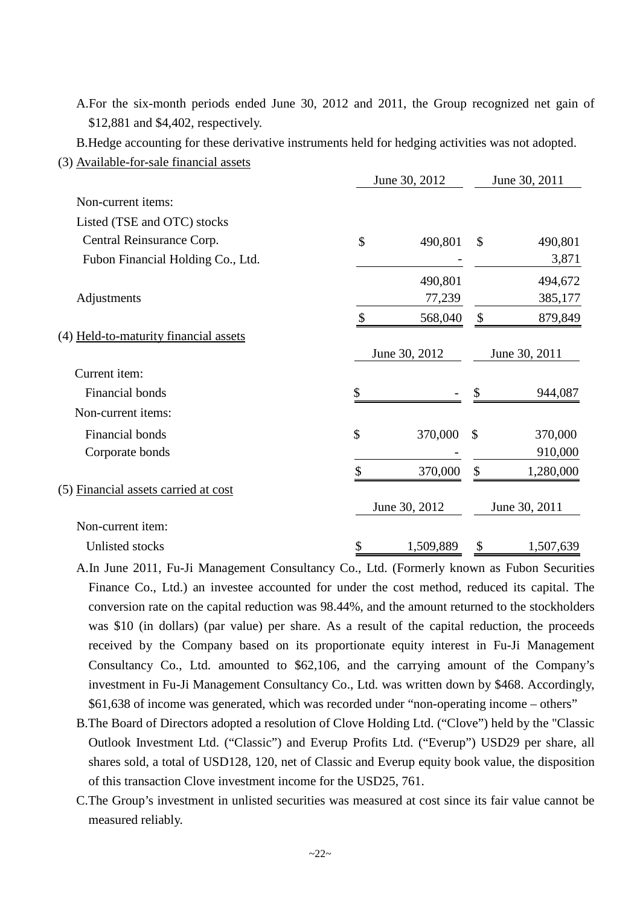A.For the six-month periods ended June 30, 2012 and 2011, the Group recognized net gain of \$12,881 and \$4,402, respectively.

B.Hedge accounting for these derivative instruments held for hedging activities was not adopted.

(3) Available-for-sale financial assets

|                                       | June 30, 2012   |    | June 30, 2011 |  |  |
|---------------------------------------|-----------------|----|---------------|--|--|
| Non-current items:                    |                 |    |               |  |  |
| Listed (TSE and OTC) stocks           |                 |    |               |  |  |
| Central Reinsurance Corp.             | \$<br>490,801   | \$ | 490,801       |  |  |
| Fubon Financial Holding Co., Ltd.     |                 |    | 3,871         |  |  |
|                                       | 490,801         |    | 494,672       |  |  |
| Adjustments                           | 77,239          |    | 385,177       |  |  |
|                                       | \$<br>568,040   | \$ | 879,849       |  |  |
| (4) Held-to-maturity financial assets |                 |    |               |  |  |
|                                       | June 30, 2012   |    | June 30, 2011 |  |  |
| Current item:                         |                 |    |               |  |  |
| Financial bonds                       | \$              |    | 944,087       |  |  |
| Non-current items:                    |                 |    |               |  |  |
| Financial bonds                       | \$<br>370,000   | \$ | 370,000       |  |  |
| Corporate bonds                       |                 |    | 910,000       |  |  |
|                                       | \$<br>370,000   | \$ | 1,280,000     |  |  |
| (5) Financial assets carried at cost  |                 |    |               |  |  |
|                                       | June 30, 2012   |    | June 30, 2011 |  |  |
| Non-current item:                     |                 |    |               |  |  |
| Unlisted stocks                       | \$<br>1,509,889 | \$ | 1,507,639     |  |  |

- A.In June 2011, Fu-Ji Management Consultancy Co., Ltd. (Formerly known as Fubon Securities Finance Co., Ltd.) an investee accounted for under the cost method, reduced its capital. The conversion rate on the capital reduction was 98.44%, and the amount returned to the stockholders was \$10 (in dollars) (par value) per share. As a result of the capital reduction, the proceeds received by the Company based on its proportionate equity interest in Fu-Ji Management Consultancy Co., Ltd. amounted to \$62,106, and the carrying amount of the Company's investment in Fu-Ji Management Consultancy Co., Ltd. was written down by \$468. Accordingly, \$61,638 of income was generated, which was recorded under "non-operating income – others"
- B.The Board of Directors adopted a resolution of Clove Holding Ltd. ("Clove") held by the "Classic Outlook Investment Ltd. ("Classic") and Everup Profits Ltd. ("Everup") USD29 per share, all shares sold, a total of USD128, 120, net of Classic and Everup equity book value, the disposition of this transaction Clove investment income for the USD25, 761.
- C.The Group's investment in unlisted securities was measured at cost since its fair value cannot be measured reliably.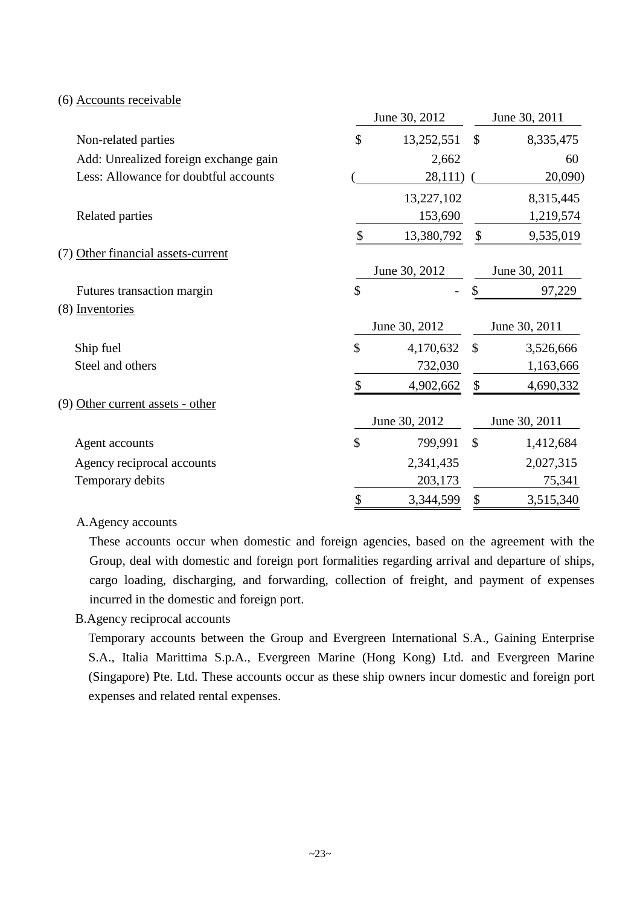## (6) Accounts receivable

|                                       | June 30, 2012    |               | June 30, 2011 |
|---------------------------------------|------------------|---------------|---------------|
| Non-related parties                   | \$<br>13,252,551 | $\mathcal{S}$ | 8,335,475     |
| Add: Unrealized foreign exchange gain | 2,662            |               | 60            |
| Less: Allowance for doubtful accounts | 28,111)          |               | 20,090)       |
|                                       | 13,227,102       |               | 8,315,445     |
| Related parties                       | 153,690          |               | 1,219,574     |
|                                       | \$<br>13,380,792 | \$            | 9,535,019     |
| (7) Other financial assets-current    |                  |               |               |
|                                       | June 30, 2012    |               | June 30, 2011 |
| Futures transaction margin            | \$               |               | 97,229        |
| (8) Inventories                       |                  |               |               |
|                                       | June 30, 2012    |               | June 30, 2011 |
| Ship fuel                             | \$<br>4,170,632  | $\mathcal{S}$ | 3,526,666     |
| Steel and others                      | 732,030          |               | 1,163,666     |
|                                       | 4,902,662        | \$            | 4,690,332     |
| (9) Other current assets - other      |                  |               |               |
|                                       | June 30, 2012    |               | June 30, 2011 |
| Agent accounts                        | \$<br>799,991    | $\mathcal{S}$ | 1,412,684     |
| Agency reciprocal accounts            | 2,341,435        |               | 2,027,315     |
| Temporary debits                      | 203,173          |               | 75,341        |
|                                       | \$<br>3,344,599  | \$            | 3,515,340     |

#### A.Agency accounts

These accounts occur when domestic and foreign agencies, based on the agreement with the Group, deal with domestic and foreign port formalities regarding arrival and departure of ships, cargo loading, discharging, and forwarding, collection of freight, and payment of expenses incurred in the domestic and foreign port.

# B.Agency reciprocal accounts

Temporary accounts between the Group and Evergreen International S.A., Gaining Enterprise S.A., Italia Marittima S.p.A., Evergreen Marine (Hong Kong) Ltd. and Evergreen Marine (Singapore) Pte. Ltd. These accounts occur as these ship owners incur domestic and foreign port expenses and related rental expenses.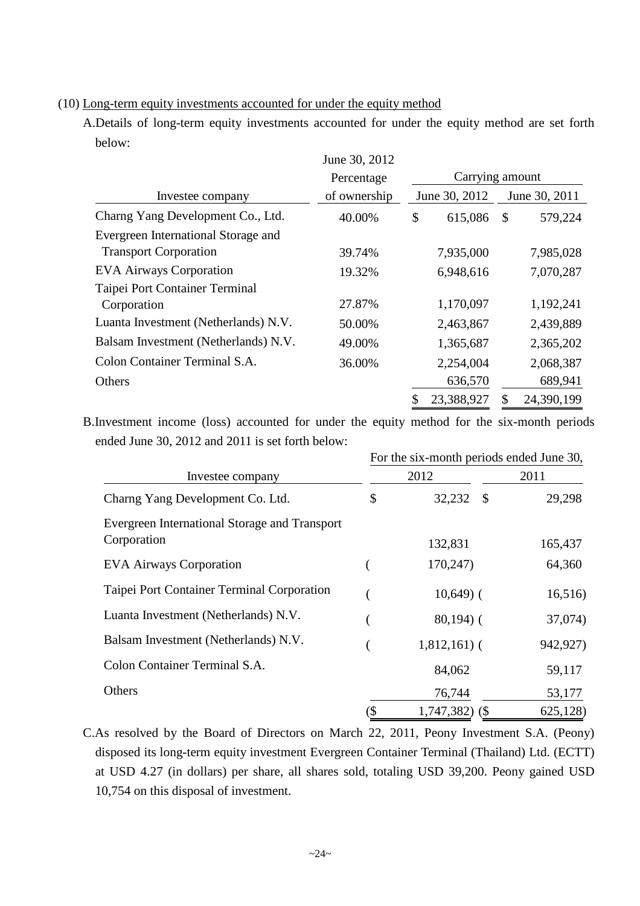(10) Long-term equity investments accounted for under the equity method

A.Details of long-term equity investments accounted for under the equity method are set forth below:

|                                      | June 30, 2012 |                 |      |               |
|--------------------------------------|---------------|-----------------|------|---------------|
|                                      | Percentage    | Carrying amount |      |               |
| Investee company                     | of ownership  | June 30, 2012   |      | June 30, 2011 |
| Charng Yang Development Co., Ltd.    | 40.00%        | \$<br>615,086   | - \$ | 579,224       |
| Evergreen International Storage and  |               |                 |      |               |
| <b>Transport Corporation</b>         | 39.74%        | 7,935,000       |      | 7,985,028     |
| <b>EVA Airways Corporation</b>       | 19.32%        | 6,948,616       |      | 7,070,287     |
| Taipei Port Container Terminal       |               |                 |      |               |
| Corporation                          | 27.87%        | 1,170,097       |      | 1,192,241     |
| Luanta Investment (Netherlands) N.V. | 50.00%        | 2,463,867       |      | 2,439,889     |
| Balsam Investment (Netherlands) N.V. | 49.00%        | 1,365,687       |      | 2,365,202     |
| Colon Container Terminal S.A.        | 36.00%        | 2,254,004       |      | 2,068,387     |
| Others                               |               | 636,570         |      | 689,941       |
|                                      |               | 23,388,927      | \$   | 24,390,199    |

B.Investment income (loss) accounted for under the equity method for the six-month periods ended June 30, 2012 and 2011 is set forth below:

|                                               | For the six-month periods ended June 30, |                        |          |  |  |  |  |  |
|-----------------------------------------------|------------------------------------------|------------------------|----------|--|--|--|--|--|
| Investee company                              |                                          | 2012                   | 2011     |  |  |  |  |  |
| Charng Yang Development Co. Ltd.              | \$                                       | 32,232<br>$\mathbb{S}$ | 29,298   |  |  |  |  |  |
| Evergreen International Storage and Transport |                                          |                        |          |  |  |  |  |  |
| Corporation                                   |                                          | 132,831                | 165,437  |  |  |  |  |  |
| <b>EVA Airways Corporation</b>                |                                          | 170,247)               | 64,360   |  |  |  |  |  |
| Taipei Port Container Terminal Corporation    |                                          | $10,649$ (             | 16,516)  |  |  |  |  |  |
| Luanta Investment (Netherlands) N.V.          |                                          | $80,194$ ) (           | 37,074)  |  |  |  |  |  |
| Balsam Investment (Netherlands) N.V.          |                                          | $1,812,161$ (          | 942,927) |  |  |  |  |  |
| Colon Container Terminal S.A.                 |                                          | 84,062                 | 59,117   |  |  |  |  |  |
| Others                                        |                                          | 76,744                 | 53,177   |  |  |  |  |  |
|                                               | (\$                                      | $1,747,382$ (\$)       | 625,128) |  |  |  |  |  |

C.As resolved by the Board of Directors on March 22, 2011, Peony Investment S.A. (Peony) disposed its long-term equity investment Evergreen Container Terminal (Thailand) Ltd. (ECTT) at USD 4.27 (in dollars) per share, all shares sold, totaling USD 39,200. Peony gained USD 10,754 on this disposal of investment.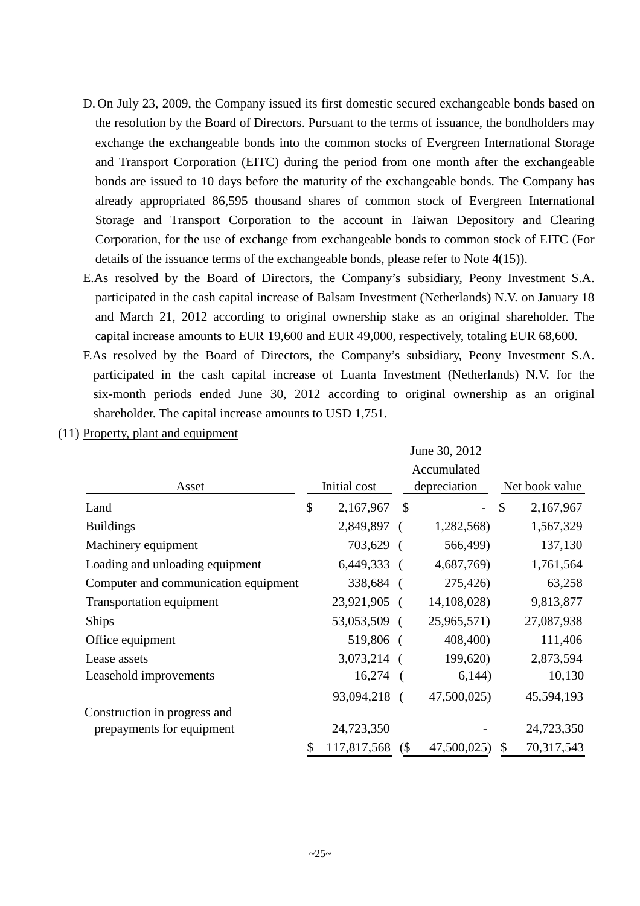- D. On July 23, 2009, the Company issued its first domestic secured exchangeable bonds based on the resolution by the Board of Directors. Pursuant to the terms of issuance, the bondholders may exchange the exchangeable bonds into the common stocks of Evergreen International Storage and Transport Corporation (EITC) during the period from one month after the exchangeable bonds are issued to 10 days before the maturity of the exchangeable bonds. The Company has already appropriated 86,595 thousand shares of common stock of Evergreen International Storage and Transport Corporation to the account in Taiwan Depository and Clearing Corporation, for the use of exchange from exchangeable bonds to common stock of EITC (For details of the issuance terms of the exchangeable bonds, please refer to Note 4(15)).
- E.As resolved by the Board of Directors, the Company's subsidiary, Peony Investment S.A. participated in the cash capital increase of Balsam Investment (Netherlands) N.V. on January 18 and March 21, 2012 according to original ownership stake as an original shareholder. The capital increase amounts to EUR 19,600 and EUR 49,000, respectively, totaling EUR 68,600.
- F.As resolved by the Board of Directors, the Company's subsidiary, Peony Investment S.A. participated in the cash capital increase of Luanta Investment (Netherlands) N.V. for the six-month periods ended June 30, 2012 according to original ownership as an original shareholder. The capital increase amounts to USD 1,751.

| (11) Property, plant and equipment |
|------------------------------------|
|------------------------------------|

|                                      | June 30, 2012 |               |                           |               |                           |                |  |  |
|--------------------------------------|---------------|---------------|---------------------------|---------------|---------------------------|----------------|--|--|
|                                      | Accumulated   |               |                           |               |                           |                |  |  |
| Asset                                |               | Initial cost  |                           | depreciation  |                           | Net book value |  |  |
| Land                                 | \$            | 2,167,967     | $\boldsymbol{\mathsf{S}}$ |               | $\boldsymbol{\mathsf{S}}$ | 2,167,967      |  |  |
| <b>Buildings</b>                     |               | 2,849,897 (   |                           | 1,282,568)    |                           | 1,567,329      |  |  |
| Machinery equipment                  |               | 703,629 (     |                           | 566,499)      |                           | 137,130        |  |  |
| Loading and unloading equipment      |               | $6,449,333$ ( |                           | 4,687,769)    |                           | 1,761,564      |  |  |
| Computer and communication equipment |               | 338,684 (     |                           | 275,426)      |                           | 63,258         |  |  |
| Transportation equipment             |               | 23,921,905 (  |                           | 14, 108, 028) |                           | 9,813,877      |  |  |
| <b>Ships</b>                         |               | 53,053,509 (  |                           | 25,965,571)   |                           | 27,087,938     |  |  |
| Office equipment                     |               | 519,806 (     |                           | 408,400)      |                           | 111,406        |  |  |
| Lease assets                         |               | 3,073,214 (   |                           | 199,620)      |                           | 2,873,594      |  |  |
| Leasehold improvements               |               | 16,274        |                           | 6,144)        |                           | 10,130         |  |  |
|                                      |               | 93,094,218    |                           | 47,500,025)   |                           | 45,594,193     |  |  |
| Construction in progress and         |               |               |                           |               |                           |                |  |  |
| prepayments for equipment            |               | 24,723,350    |                           |               |                           | 24,723,350     |  |  |
|                                      |               | 117,817,568   | (                         | 47,500,025)   | \$                        | 70,317,543     |  |  |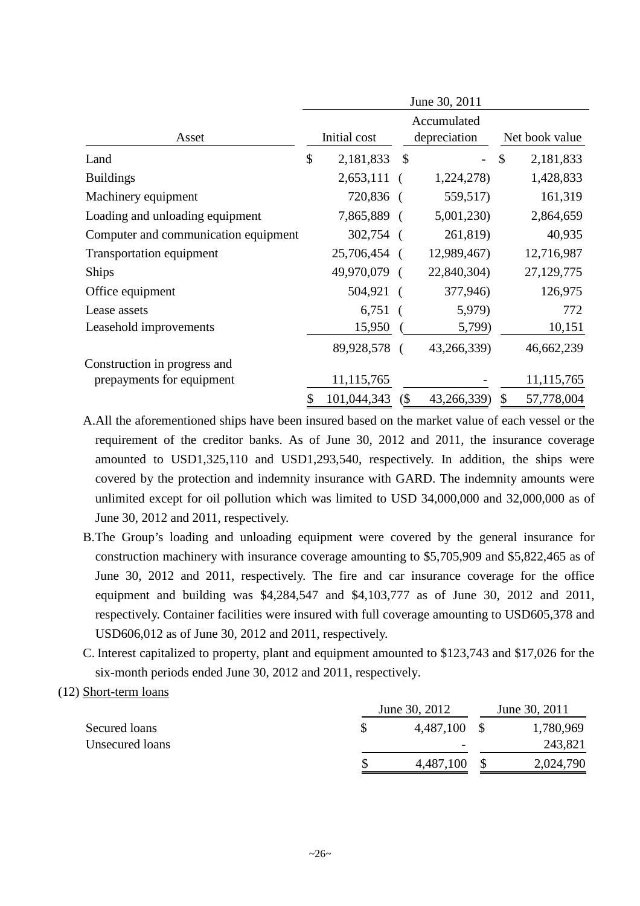| June 30, 2011                        |              |             |               |                          |               |                |  |  |
|--------------------------------------|--------------|-------------|---------------|--------------------------|---------------|----------------|--|--|
|                                      | Accumulated  |             |               |                          |               |                |  |  |
| Asset                                | Initial cost |             |               | depreciation             |               | Net book value |  |  |
| Land                                 | \$           | 2,181,833   | $\mathcal{S}$ | $\overline{\phantom{0}}$ | $\mathcal{S}$ | 2,181,833      |  |  |
| <b>Buildings</b>                     |              | 2,653,111   |               | 1,224,278)               |               | 1,428,833      |  |  |
| Machinery equipment                  |              | 720,836     |               | 559,517)                 |               | 161,319        |  |  |
| Loading and unloading equipment      |              | 7,865,889 ( |               | 5,001,230                |               | 2,864,659      |  |  |
| Computer and communication equipment |              | 302,754     |               | 261,819)                 |               | 40,935         |  |  |
| Transportation equipment             |              | 25,706,454  |               | 12,989,467)              |               | 12,716,987     |  |  |
| <b>Ships</b>                         |              | 49,970,079  |               | 22,840,304)              |               | 27,129,775     |  |  |
| Office equipment                     |              | 504,921     |               | 377,946)                 |               | 126,975        |  |  |
| Lease assets                         |              | 6,751       |               | 5,979)                   |               | 772            |  |  |
| Leasehold improvements               |              | 15,950      |               | 5,799)                   |               | 10,151         |  |  |
|                                      |              | 89,928,578  |               | 43,266,339)              |               | 46,662,239     |  |  |
| Construction in progress and         |              |             |               |                          |               |                |  |  |
| prepayments for equipment            |              | 11,115,765  |               |                          |               | 11,115,765     |  |  |
|                                      | \$           | 101,044,343 | (             | 43,266,339)              | $\mathcal{S}$ | 57,778,004     |  |  |

A.All the aforementioned ships have been insured based on the market value of each vessel or the requirement of the creditor banks. As of June 30, 2012 and 2011, the insurance coverage amounted to USD1,325,110 and USD1,293,540, respectively. In addition, the ships were covered by the protection and indemnity insurance with GARD. The indemnity amounts were unlimited except for oil pollution which was limited to USD 34,000,000 and 32,000,000 as of June 30, 2012 and 2011, respectively.

- B.The Group's loading and unloading equipment were covered by the general insurance for construction machinery with insurance coverage amounting to \$5,705,909 and \$5,822,465 as of June 30, 2012 and 2011, respectively. The fire and car insurance coverage for the office equipment and building was \$4,284,547 and \$4,103,777 as of June 30, 2012 and 2011, respectively. Container facilities were insured with full coverage amounting to USD605,378 and USD606,012 as of June 30, 2012 and 2011, respectively.
- C. Interest capitalized to property, plant and equipment amounted to \$123,743 and \$17,026 for the six-month periods ended June 30, 2012 and 2011, respectively.

# (12) Short-term loans

|                 | June 30, 2012            | June 30, 2011 |
|-----------------|--------------------------|---------------|
| Secured loans   | 4,487,100                | 1,780,969     |
| Unsecured loans | $\overline{\phantom{a}}$ | 243,821       |
|                 | 4,487,100                | 2,024,790     |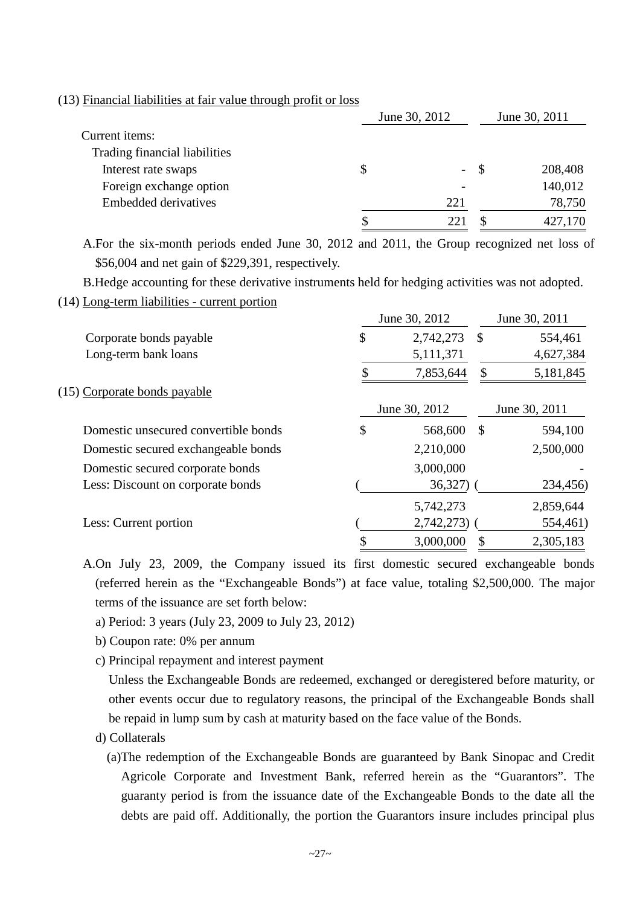### (13) Financial liabilities at fair value through profit or loss

|                               | June 30, 2012 |        |    | June 30, 2011 |
|-------------------------------|---------------|--------|----|---------------|
| Current <i>items</i> :        |               |        |    |               |
| Trading financial liabilities |               |        |    |               |
| Interest rate swaps           | S             | $\sim$ | -S | 208,408       |
| Foreign exchange option       |               |        |    | 140,012       |
| <b>Embedded derivatives</b>   |               | 221    |    | 78,750        |
|                               |               | 22     |    | 427,170       |

A.For the six-month periods ended June 30, 2012 and 2011, the Group recognized net loss of \$56,004 and net gain of \$229,391, respectively.

B.Hedge accounting for these derivative instruments held for hedging activities was not adopted.

(14) Long-term liabilities - current portion

|    |               |               | June 30, 2011        |  |  |
|----|---------------|---------------|----------------------|--|--|
| \$ | 2,742,273     | $\mathcal{S}$ | 554,461              |  |  |
|    | 5,111,371     |               | 4,627,384            |  |  |
|    | 7,853,644     | \$            | 5,181,845            |  |  |
|    |               |               |                      |  |  |
|    | June 30, 2012 |               | June 30, 2011        |  |  |
| \$ | 568,600       | $\mathbb{S}$  | 594,100              |  |  |
|    | 2,210,000     |               | 2,500,000            |  |  |
|    | 3,000,000     |               |                      |  |  |
|    |               |               | 234,456)             |  |  |
|    | 5,742,273     |               | 2,859,644            |  |  |
|    |               |               | 554,461)             |  |  |
|    | 3,000,000     |               | 2,305,183            |  |  |
|    |               | June 30, 2012 | 36,327)<br>2,742,273 |  |  |

A.On July 23, 2009, the Company issued its first domestic secured exchangeable bonds (referred herein as the "Exchangeable Bonds") at face value, totaling \$2,500,000. The major terms of the issuance are set forth below:

- a) Period: 3 years (July 23, 2009 to July 23, 2012)
- b) Coupon rate: 0% per annum
- c) Principal repayment and interest payment

Unless the Exchangeable Bonds are redeemed, exchanged or deregistered before maturity, or other events occur due to regulatory reasons, the principal of the Exchangeable Bonds shall be repaid in lump sum by cash at maturity based on the face value of the Bonds.

- d) Collaterals
	- (a)The redemption of the Exchangeable Bonds are guaranteed by Bank Sinopac and Credit Agricole Corporate and Investment Bank, referred herein as the "Guarantors". The guaranty period is from the issuance date of the Exchangeable Bonds to the date all the debts are paid off. Additionally, the portion the Guarantors insure includes principal plus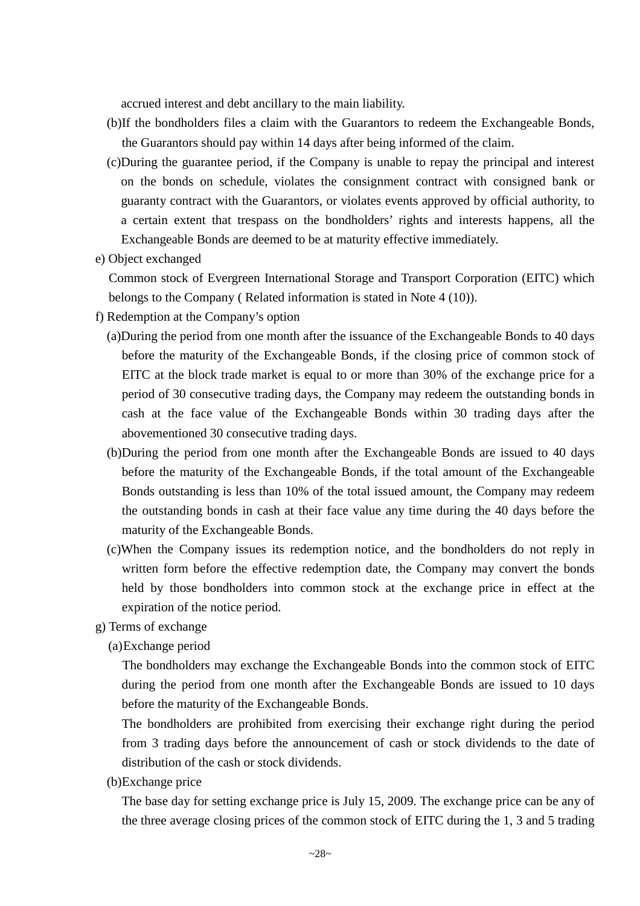accrued interest and debt ancillary to the main liability.

- (b)If the bondholders files a claim with the Guarantors to redeem the Exchangeable Bonds, the Guarantors should pay within 14 days after being informed of the claim.
- (c)During the guarantee period, if the Company is unable to repay the principal and interest on the bonds on schedule, violates the consignment contract with consigned bank or guaranty contract with the Guarantors, or violates events approved by official authority, to a certain extent that trespass on the bondholders' rights and interests happens, all the Exchangeable Bonds are deemed to be at maturity effective immediately.
- e) Object exchanged

Common stock of Evergreen International Storage and Transport Corporation (EITC) which belongs to the Company ( Related information is stated in Note 4 (10)).

- f) Redemption at the Company's option
	- (a)During the period from one month after the issuance of the Exchangeable Bonds to 40 days before the maturity of the Exchangeable Bonds, if the closing price of common stock of EITC at the block trade market is equal to or more than 30% of the exchange price for a period of 30 consecutive trading days, the Company may redeem the outstanding bonds in cash at the face value of the Exchangeable Bonds within 30 trading days after the abovementioned 30 consecutive trading days.
	- (b)During the period from one month after the Exchangeable Bonds are issued to 40 days before the maturity of the Exchangeable Bonds, if the total amount of the Exchangeable Bonds outstanding is less than 10% of the total issued amount, the Company may redeem the outstanding bonds in cash at their face value any time during the 40 days before the maturity of the Exchangeable Bonds.
	- (c)When the Company issues its redemption notice, and the bondholders do not reply in written form before the effective redemption date, the Company may convert the bonds held by those bondholders into common stock at the exchange price in effect at the expiration of the notice period.
- g) Terms of exchange

(a)Exchange period

The bondholders may exchange the Exchangeable Bonds into the common stock of EITC during the period from one month after the Exchangeable Bonds are issued to 10 days before the maturity of the Exchangeable Bonds.

The bondholders are prohibited from exercising their exchange right during the period from 3 trading days before the announcement of cash or stock dividends to the date of distribution of the cash or stock dividends.

(b)Exchange price

The base day for setting exchange price is July 15, 2009. The exchange price can be any of the three average closing prices of the common stock of EITC during the 1, 3 and 5 trading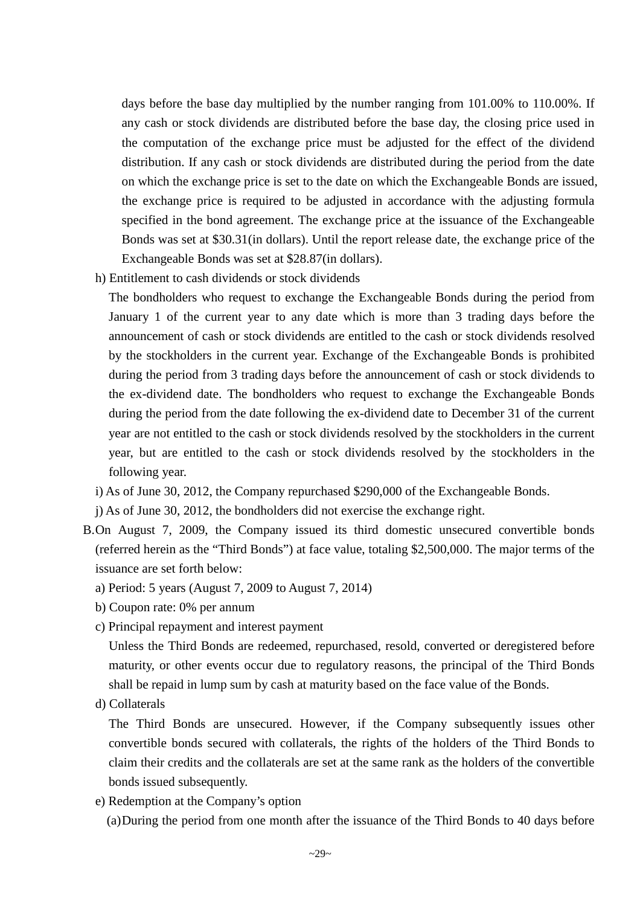days before the base day multiplied by the number ranging from 101.00% to 110.00%. If any cash or stock dividends are distributed before the base day, the closing price used in the computation of the exchange price must be adjusted for the effect of the dividend distribution. If any cash or stock dividends are distributed during the period from the date on which the exchange price is set to the date on which the Exchangeable Bonds are issued, the exchange price is required to be adjusted in accordance with the adjusting formula specified in the bond agreement. The exchange price at the issuance of the Exchangeable Bonds was set at \$30.31(in dollars). Until the report release date, the exchange price of the Exchangeable Bonds was set at \$28.87(in dollars).

h) Entitlement to cash dividends or stock dividends

The bondholders who request to exchange the Exchangeable Bonds during the period from January 1 of the current year to any date which is more than 3 trading days before the announcement of cash or stock dividends are entitled to the cash or stock dividends resolved by the stockholders in the current year. Exchange of the Exchangeable Bonds is prohibited during the period from 3 trading days before the announcement of cash or stock dividends to the ex-dividend date. The bondholders who request to exchange the Exchangeable Bonds during the period from the date following the ex-dividend date to December 31 of the current year are not entitled to the cash or stock dividends resolved by the stockholders in the current year, but are entitled to the cash or stock dividends resolved by the stockholders in the following year.

- i) As of June 30, 2012, the Company repurchased \$290,000 of the Exchangeable Bonds.
- j) As of June 30, 2012, the bondholders did not exercise the exchange right.
- B.On August 7, 2009, the Company issued its third domestic unsecured convertible bonds (referred herein as the "Third Bonds") at face value, totaling \$2,500,000. The major terms of the issuance are set forth below:
	- a) Period: 5 years (August 7, 2009 to August 7, 2014)
	- b) Coupon rate: 0% per annum
	- c) Principal repayment and interest payment

Unless the Third Bonds are redeemed, repurchased, resold, converted or deregistered before maturity, or other events occur due to regulatory reasons, the principal of the Third Bonds shall be repaid in lump sum by cash at maturity based on the face value of the Bonds.

d) Collaterals

The Third Bonds are unsecured. However, if the Company subsequently issues other convertible bonds secured with collaterals, the rights of the holders of the Third Bonds to claim their credits and the collaterals are set at the same rank as the holders of the convertible bonds issued subsequently.

e) Redemption at the Company's option

(a)During the period from one month after the issuance of the Third Bonds to 40 days before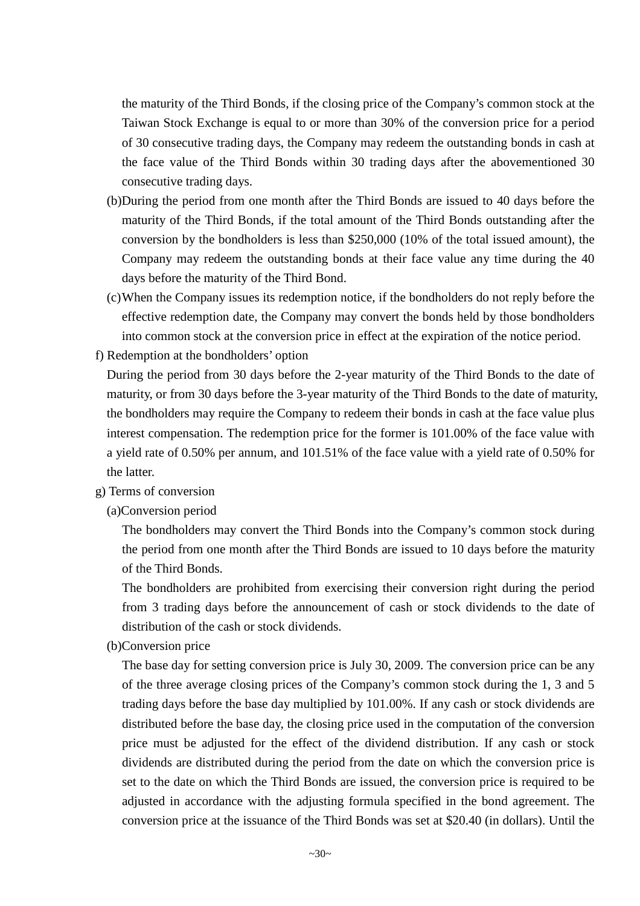the maturity of the Third Bonds, if the closing price of the Company's common stock at the Taiwan Stock Exchange is equal to or more than 30% of the conversion price for a period of 30 consecutive trading days, the Company may redeem the outstanding bonds in cash at the face value of the Third Bonds within 30 trading days after the abovementioned 30 consecutive trading days.

- (b)During the period from one month after the Third Bonds are issued to 40 days before the maturity of the Third Bonds, if the total amount of the Third Bonds outstanding after the conversion by the bondholders is less than \$250,000 (10% of the total issued amount), the Company may redeem the outstanding bonds at their face value any time during the 40 days before the maturity of the Third Bond.
- (c)When the Company issues its redemption notice, if the bondholders do not reply before the effective redemption date, the Company may convert the bonds held by those bondholders into common stock at the conversion price in effect at the expiration of the notice period.
- f) Redemption at the bondholders' option

During the period from 30 days before the 2-year maturity of the Third Bonds to the date of maturity, or from 30 days before the 3-year maturity of the Third Bonds to the date of maturity, the bondholders may require the Company to redeem their bonds in cash at the face value plus interest compensation. The redemption price for the former is 101.00% of the face value with a yield rate of 0.50% per annum, and 101.51% of the face value with a yield rate of 0.50% for the latter.

# g) Terms of conversion

(a)Conversion period

The bondholders may convert the Third Bonds into the Company's common stock during the period from one month after the Third Bonds are issued to 10 days before the maturity of the Third Bonds.

The bondholders are prohibited from exercising their conversion right during the period from 3 trading days before the announcement of cash or stock dividends to the date of distribution of the cash or stock dividends.

(b)Conversion price

The base day for setting conversion price is July 30, 2009. The conversion price can be any of the three average closing prices of the Company's common stock during the 1, 3 and 5 trading days before the base day multiplied by 101.00%. If any cash or stock dividends are distributed before the base day, the closing price used in the computation of the conversion price must be adjusted for the effect of the dividend distribution. If any cash or stock dividends are distributed during the period from the date on which the conversion price is set to the date on which the Third Bonds are issued, the conversion price is required to be adjusted in accordance with the adjusting formula specified in the bond agreement. The conversion price at the issuance of the Third Bonds was set at \$20.40 (in dollars). Until the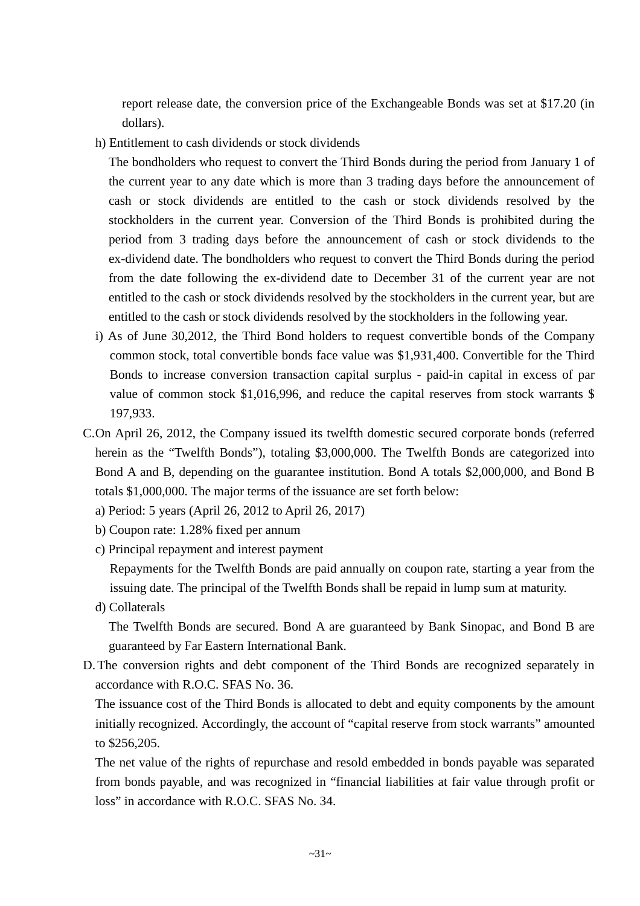report release date, the conversion price of the Exchangeable Bonds was set at \$17.20 (in dollars).

h) Entitlement to cash dividends or stock dividends

The bondholders who request to convert the Third Bonds during the period from January 1 of the current year to any date which is more than 3 trading days before the announcement of cash or stock dividends are entitled to the cash or stock dividends resolved by the stockholders in the current year. Conversion of the Third Bonds is prohibited during the period from 3 trading days before the announcement of cash or stock dividends to the ex-dividend date. The bondholders who request to convert the Third Bonds during the period from the date following the ex-dividend date to December 31 of the current year are not entitled to the cash or stock dividends resolved by the stockholders in the current year, but are entitled to the cash or stock dividends resolved by the stockholders in the following year.

- i) As of June 30,2012, the Third Bond holders to request convertible bonds of the Company common stock, total convertible bonds face value was \$1,931,400. Convertible for the Third Bonds to increase conversion transaction capital surplus - paid-in capital in excess of par value of common stock \$1,016,996, and reduce the capital reserves from stock warrants \$ 197,933.
- C.On April 26, 2012, the Company issued its twelfth domestic secured corporate bonds (referred herein as the "Twelfth Bonds"), totaling \$3,000,000. The Twelfth Bonds are categorized into Bond A and B, depending on the guarantee institution. Bond A totals \$2,000,000, and Bond B totals \$1,000,000. The major terms of the issuance are set forth below:
	- a) Period: 5 years (April 26, 2012 to April 26, 2017)
	- b) Coupon rate: 1.28% fixed per annum
	- c) Principal repayment and interest payment

Repayments for the Twelfth Bonds are paid annually on coupon rate, starting a year from the issuing date. The principal of the Twelfth Bonds shall be repaid in lump sum at maturity.

d) Collaterals

The Twelfth Bonds are secured. Bond A are guaranteed by Bank Sinopac, and Bond B are guaranteed by Far Eastern International Bank.

D. The conversion rights and debt component of the Third Bonds are recognized separately in accordance with R.O.C. SFAS No. 36.

The issuance cost of the Third Bonds is allocated to debt and equity components by the amount initially recognized. Accordingly, the account of "capital reserve from stock warrants" amounted to \$256,205.

The net value of the rights of repurchase and resold embedded in bonds payable was separated from bonds payable, and was recognized in "financial liabilities at fair value through profit or loss" in accordance with R.O.C. SFAS No. 34.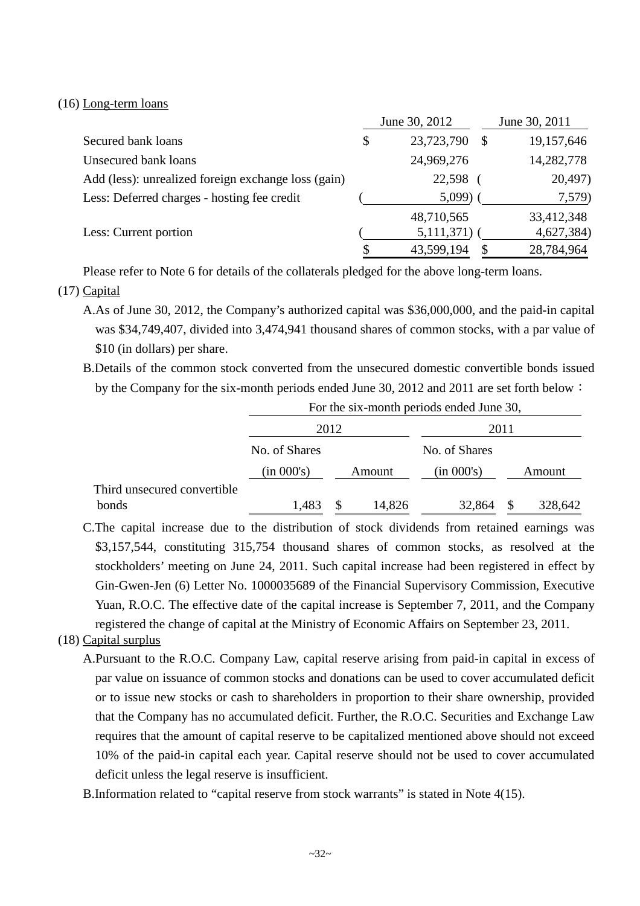#### (16) Long-term loans

|                                                     | June 30, 2012    | June 30, 2011    |
|-----------------------------------------------------|------------------|------------------|
| Secured bank loans                                  | \$<br>23,723,790 | \$<br>19,157,646 |
| Unsecured bank loans                                | 24,969,276       | 14,282,778       |
| Add (less): unrealized foreign exchange loss (gain) | 22,598           | 20,497)          |
| Less: Deferred charges - hosting fee credit         | 5,099            | 7,579)           |
|                                                     | 48,710,565       | 33,412,348       |
| Less: Current portion                               | 5,111,371)       | 4,627,384)       |
|                                                     | 43,599,194       | 28,784,964       |

Please refer to Note 6 for details of the collaterals pledged for the above long-term loans.

# (17) Capital

- A.As of June 30, 2012, the Company's authorized capital was \$36,000,000, and the paid-in capital was \$34,749,407, divided into 3,474,941 thousand shares of common stocks, with a par value of \$10 (in dollars) per share.
- B.Details of the common stock converted from the unsecured domestic convertible bonds issued by the Company for the six-month periods ended June 30, 2012 and 2011 are set forth below:

|                             | For the six-month periods ended June 30, |      |        |               |   |         |  |  |
|-----------------------------|------------------------------------------|------|--------|---------------|---|---------|--|--|
|                             |                                          | 2012 |        | 2011          |   |         |  |  |
|                             | No. of Shares                            |      |        | No. of Shares |   |         |  |  |
|                             | (in 000's)                               |      | Amount | (in 000's)    |   | Amount  |  |  |
| Third unsecured convertible |                                          |      |        |               |   |         |  |  |
| bonds                       | 1,483                                    |      | 14,826 | 32,864        | S | 328,642 |  |  |

C.The capital increase due to the distribution of stock dividends from retained earnings was \$3,157,544, constituting 315,754 thousand shares of common stocks, as resolved at the stockholders' meeting on June 24, 2011. Such capital increase had been registered in effect by Gin-Gwen-Jen (6) Letter No. 1000035689 of the Financial Supervisory Commission, Executive Yuan, R.O.C. The effective date of the capital increase is September 7, 2011, and the Company registered the change of capital at the Ministry of Economic Affairs on September 23, 2011.

### (18) Capital surplus

A.Pursuant to the R.O.C. Company Law, capital reserve arising from paid-in capital in excess of par value on issuance of common stocks and donations can be used to cover accumulated deficit or to issue new stocks or cash to shareholders in proportion to their share ownership, provided that the Company has no accumulated deficit. Further, the R.O.C. Securities and Exchange Law requires that the amount of capital reserve to be capitalized mentioned above should not exceed 10% of the paid-in capital each year. Capital reserve should not be used to cover accumulated deficit unless the legal reserve is insufficient.

B.Information related to "capital reserve from stock warrants" is stated in Note 4(15).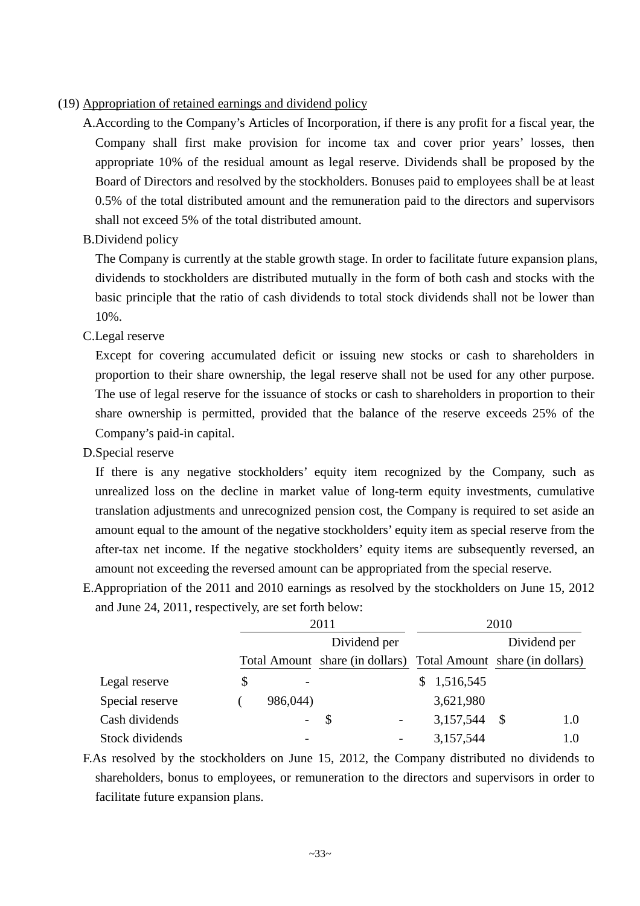# (19) Appropriation of retained earnings and dividend policy

- A.According to the Company's Articles of Incorporation, if there is any profit for a fiscal year, the Company shall first make provision for income tax and cover prior years' losses, then appropriate 10% of the residual amount as legal reserve. Dividends shall be proposed by the Board of Directors and resolved by the stockholders. Bonuses paid to employees shall be at least 0.5% of the total distributed amount and the remuneration paid to the directors and supervisors shall not exceed 5% of the total distributed amount.
- B.Dividend policy

The Company is currently at the stable growth stage. In order to facilitate future expansion plans, dividends to stockholders are distributed mutually in the form of both cash and stocks with the basic principle that the ratio of cash dividends to total stock dividends shall not be lower than 10%.

C.Legal reserve

Except for covering accumulated deficit or issuing new stocks or cash to shareholders in proportion to their share ownership, the legal reserve shall not be used for any other purpose. The use of legal reserve for the issuance of stocks or cash to shareholders in proportion to their share ownership is permitted, provided that the balance of the reserve exceeds 25% of the Company's paid-in capital.

D.Special reserve

If there is any negative stockholders' equity item recognized by the Company, such as unrealized loss on the decline in market value of long-term equity investments, cumulative translation adjustments and unrecognized pension cost, the Company is required to set aside an amount equal to the amount of the negative stockholders' equity item as special reserve from the after-tax net income. If the negative stockholders' equity items are subsequently reversed, an amount not exceeding the reversed amount can be appropriated from the special reserve.

E.Appropriation of the 2011 and 2010 earnings as resolved by the stockholders on June 15, 2012 and June 24, 2011, respectively, are set forth below:

|                 |    |          | 2011                                                            | 2010            |              |  |  |  |
|-----------------|----|----------|-----------------------------------------------------------------|-----------------|--------------|--|--|--|
|                 |    |          | Dividend per                                                    |                 | Dividend per |  |  |  |
|                 |    |          | Total Amount share (in dollars) Total Amount share (in dollars) |                 |              |  |  |  |
| Legal reserve   | \$ |          |                                                                 | 1,516,545<br>S. |              |  |  |  |
| Special reserve |    | 986,044) |                                                                 | 3,621,980       |              |  |  |  |
| Cash dividends  |    | $\sim$   | $\mathcal{S}$                                                   | 3,157,544       | 1.0<br>-S    |  |  |  |
| Stock dividends |    |          |                                                                 | 3,157,544       | 1.0          |  |  |  |

F.As resolved by the stockholders on June 15, 2012, the Company distributed no dividends to shareholders, bonus to employees, or remuneration to the directors and supervisors in order to facilitate future expansion plans.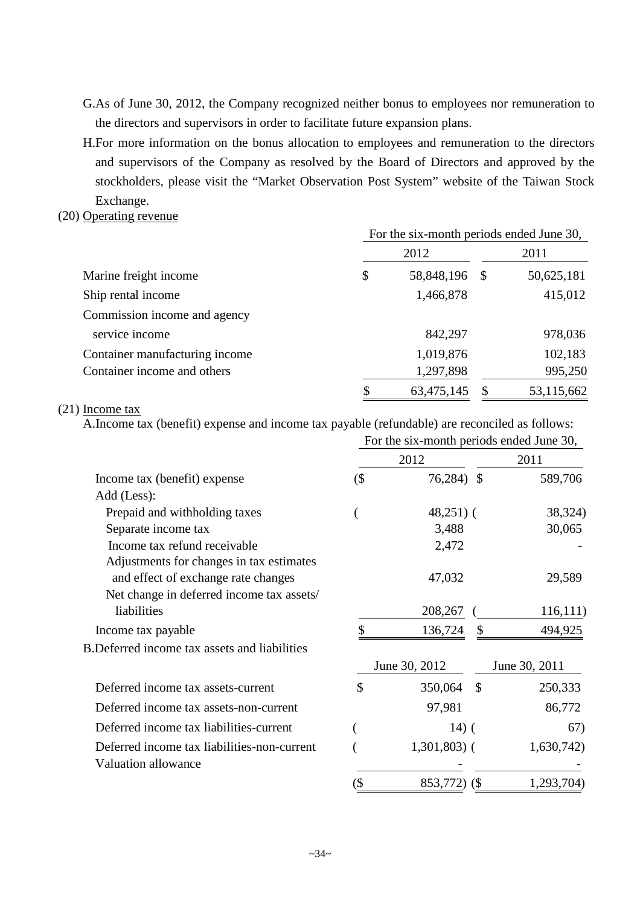- G.As of June 30, 2012, the Company recognized neither bonus to employees nor remuneration to the directors and supervisors in order to facilitate future expansion plans.
- H.For more information on the bonus allocation to employees and remuneration to the directors and supervisors of the Company as resolved by the Board of Directors and approved by the stockholders, please visit the "Market Observation Post System" website of the Taiwan Stock Exchange.

### (20) Operating revenue

|                                | For the six-month periods ended June 30, |            |      |            |  |  |
|--------------------------------|------------------------------------------|------------|------|------------|--|--|
|                                |                                          | 2012       |      | 2011       |  |  |
| Marine freight income          | \$                                       | 58,848,196 | - \$ | 50,625,181 |  |  |
| Ship rental income             |                                          | 1,466,878  |      | 415,012    |  |  |
| Commission income and agency   |                                          |            |      |            |  |  |
| service income                 |                                          | 842,297    |      | 978,036    |  |  |
| Container manufacturing income |                                          | 1,019,876  |      | 102,183    |  |  |
| Container income and others    |                                          | 1,297,898  |      | 995,250    |  |  |
|                                |                                          | 63,475,145 |      | 53,115,662 |  |  |

# (21) Income tax

A.Income tax (benefit) expense and income tax payable (refundable) are reconciled as follows:

|                                                     | For the six-month periods ended June 30, |                          |               |  |  |  |  |
|-----------------------------------------------------|------------------------------------------|--------------------------|---------------|--|--|--|--|
|                                                     |                                          | 2012                     | 2011          |  |  |  |  |
| Income tax (benefit) expense                        | $($ \$                                   | 76,284) \$               | 589,706       |  |  |  |  |
| Add (Less):                                         |                                          |                          |               |  |  |  |  |
| Prepaid and withholding taxes                       |                                          | $48,251$ ) (             | 38,324)       |  |  |  |  |
| Separate income tax                                 |                                          | 3,488                    | 30,065        |  |  |  |  |
| Income tax refund receivable                        |                                          | 2,472                    |               |  |  |  |  |
| Adjustments for changes in tax estimates            |                                          |                          |               |  |  |  |  |
| and effect of exchange rate changes                 |                                          | 47,032                   | 29,589        |  |  |  |  |
| Net change in deferred income tax assets/           |                                          |                          |               |  |  |  |  |
| liabilities                                         |                                          | 208,267                  | 116,111       |  |  |  |  |
| Income tax payable                                  |                                          | 136,724<br>S             | 494,925       |  |  |  |  |
| <b>B.Deferred income tax assets and liabilities</b> |                                          |                          |               |  |  |  |  |
|                                                     |                                          | June 30, 2012            | June 30, 2011 |  |  |  |  |
| Deferred income tax assets-current                  | \$                                       | 350,064<br>$\mathcal{S}$ | 250,333       |  |  |  |  |
| Deferred income tax assets-non-current              |                                          | 97,981                   | 86,772        |  |  |  |  |
| Deferred income tax liabilities-current             |                                          | $14)$ (                  | 67)           |  |  |  |  |
| Deferred income tax liabilities-non-current         |                                          | $1,301,803$ (            | 1,630,742)    |  |  |  |  |
| <b>Valuation allowance</b>                          |                                          |                          |               |  |  |  |  |
|                                                     | (\$                                      | 853,772)<br><b>(\$</b>   | 1,293,704)    |  |  |  |  |
|                                                     |                                          |                          |               |  |  |  |  |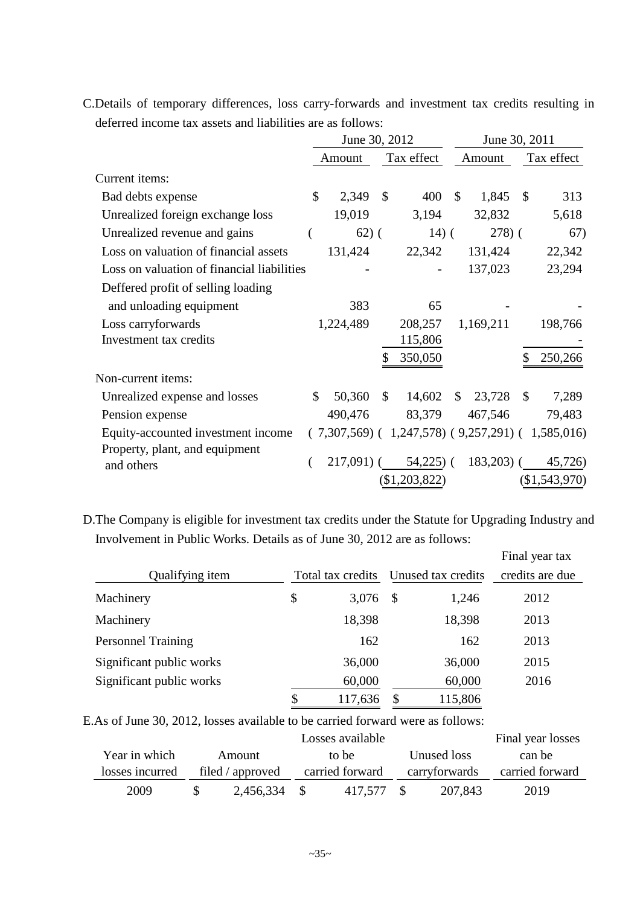C.Details of temporary differences, loss carry-forwards and investment tax credits resulting in deferred income tax assets and liabilities are as follows:

|                                            | June 30, 2012 |             |               |                                                         | June 30, 2011 |             |               |               |
|--------------------------------------------|---------------|-------------|---------------|---------------------------------------------------------|---------------|-------------|---------------|---------------|
|                                            |               | Amount      |               | Tax effect                                              |               | Amount      |               | Tax effect    |
| Current items:                             |               |             |               |                                                         |               |             |               |               |
| Bad debts expense                          | $\mathbb{S}$  | 2,349       | $\mathcal{S}$ | 400                                                     | \$            | 1,845       | $\mathcal{S}$ | 313           |
| Unrealized foreign exchange loss           |               | 19,019      |               | 3,194                                                   |               | 32,832      |               | 5,618         |
| Unrealized revenue and gains               |               | $62)$ (     |               | $14)$ (                                                 |               | $(278)$ (   |               | 67)           |
| Loss on valuation of financial assets      |               | 131,424     |               | 22,342                                                  |               | 131,424     |               | 22,342        |
| Loss on valuation of financial liabilities |               |             |               |                                                         |               | 137,023     |               | 23,294        |
| Deffered profit of selling loading         |               |             |               |                                                         |               |             |               |               |
| and unloading equipment                    |               | 383         |               | 65                                                      |               |             |               |               |
| Loss carryforwards                         |               | 1,224,489   |               | 208,257                                                 |               | 1,169,211   |               | 198,766       |
| Investment tax credits                     |               |             |               | 115,806                                                 |               |             |               |               |
|                                            |               |             | S             | 350,050                                                 |               |             |               | 250,266       |
| Non-current items:                         |               |             |               |                                                         |               |             |               |               |
| Unrealized expense and losses              | \$            | 50,360      | $\mathbb{S}$  | 14,602                                                  | $\mathbb{S}$  | 23,728      | <sup>\$</sup> | 7,289         |
| Pension expense                            |               | 490,476     |               | 83,379                                                  |               | 467,546     |               | 79,483        |
| Equity-accounted investment income         |               |             |               | $(7,307,569)$ $(1,247,578)$ $(9,257,291)$ $(1,585,016)$ |               |             |               |               |
| Property, plant, and equipment             |               |             |               |                                                         |               |             |               |               |
| and others                                 |               | $217,091$ ( |               | $54,225$ ) (                                            |               | $183,203$ ( |               | 45,726)       |
|                                            |               |             |               | (\$1,203,822)                                           |               |             |               | (\$1,543,970) |

D.The Company is eligible for investment tax credits under the Statute for Upgrading Industry and Involvement in Public Works. Details as of June 30, 2012 are as follows:

|                           |    |                   |    |                    | Final year tax  |
|---------------------------|----|-------------------|----|--------------------|-----------------|
| Qualifying item           |    | Total tax credits |    | Unused tax credits | credits are due |
| Machinery                 | \$ | 3,076             | -8 | 1,246              | 2012            |
| Machinery                 |    | 18,398            |    | 18,398             | 2013            |
| <b>Personnel Training</b> |    | 162               |    | 162                | 2013            |
| Significant public works  |    | 36,000            |    | 36,000             | 2015            |
| Significant public works  |    | 60,000            |    | 60,000             | 2016            |
|                           | S  | 117,636           |    | 115,806            |                 |

E.As of June 30, 2012, losses available to be carried forward were as follows:

|                 | Final year losses |                 |               |                 |
|-----------------|-------------------|-----------------|---------------|-----------------|
| Year in which   | Amount            | to be           | Unused loss   | can be          |
| losses incurred | filed / approved  | carried forward | carryforwards | carried forward |
| 2009            | 2,456,334 \$      | 417.577         | 207,843       | 2019            |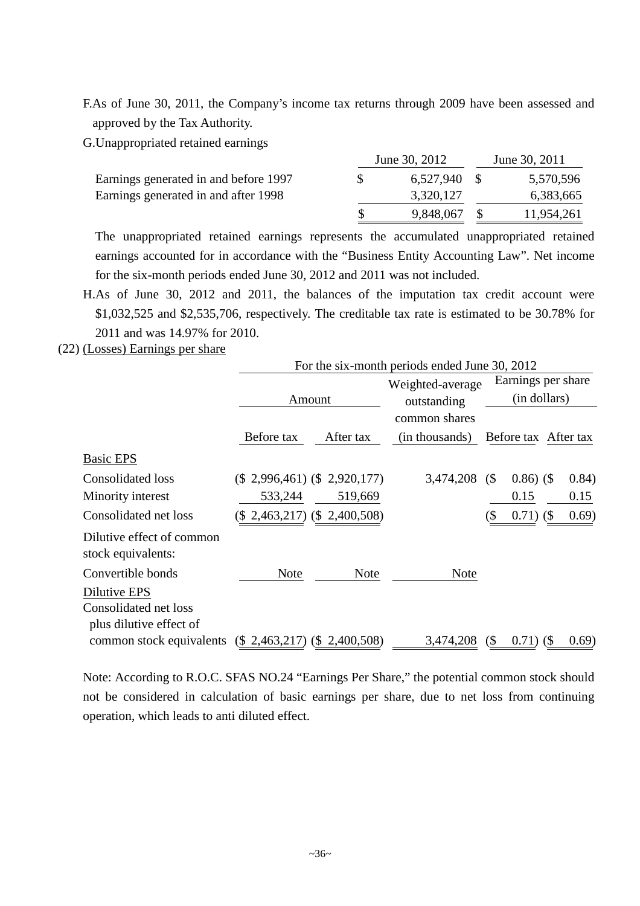F.As of June 30, 2011, the Company's income tax returns through 2009 have been assessed and approved by the Tax Authority.

G.Unappropriated retained earnings

|                                       |   | June 30, 2012 | June 30, 2011 |
|---------------------------------------|---|---------------|---------------|
| Earnings generated in and before 1997 | S | 6,527,940 \$  | 5,570,596     |
| Earnings generated in and after 1998  |   | 3,320,127     | 6,383,665     |
|                                       |   | 9,848,067     | 11,954,261    |

The unappropriated retained earnings represents the accumulated unappropriated retained earnings accounted for in accordance with the "Business Entity Accounting Law". Net income for the six-month periods ended June 30, 2012 and 2011 was not included.

- H.As of June 30, 2012 and 2011, the balances of the imputation tax credit account were \$1,032,525 and \$2,535,706, respectively. The creditable tax rate is estimated to be 30.78% for 2011 and was 14.97% for 2010.
- (22) (Losses) Earnings per share

|                                                 | For the six-month periods ended June 30, 2012 |                             |                  |                            |                                     |        |  |
|-------------------------------------------------|-----------------------------------------------|-----------------------------|------------------|----------------------------|-------------------------------------|--------|--|
|                                                 |                                               |                             | Weighted-average |                            | Earnings per share                  |        |  |
|                                                 |                                               | Amount                      | outstanding      |                            | (in dollars)                        |        |  |
|                                                 |                                               |                             | common shares    |                            |                                     |        |  |
|                                                 | Before tax                                    | After tax                   | (in thousands)   |                            | Before tax After tax                |        |  |
| <b>Basic EPS</b>                                |                                               |                             |                  |                            |                                     |        |  |
| <b>Consolidated loss</b>                        | $(\$$ 2,996,461) $(\$$ 2,920,177)             |                             | 3,474,208        | (S                         | $0.86)$ (\$)                        | (0.84) |  |
| Minority interest                               | 533,244                                       | 519,669                     |                  |                            | 0.15                                | 0.15   |  |
| Consolidated net loss                           |                                               | (\$2,463,217) (\$2,400,508) |                  | S                          | 0.71)<br>$\left( \text{\$} \right)$ | 0.69)  |  |
| Dilutive effect of common<br>stock equivalents: |                                               |                             |                  |                            |                                     |        |  |
| Convertible bonds                               | <b>Note</b>                                   | <b>Note</b>                 | Note             |                            |                                     |        |  |
| Dilutive EPS                                    |                                               |                             |                  |                            |                                     |        |  |
| Consolidated net loss                           |                                               |                             |                  |                            |                                     |        |  |
| plus dilutive effect of                         |                                               |                             |                  |                            |                                     |        |  |
| common stock equivalents                        | $(\$$ 2,463,217) $(\$$ 2,400,508)             |                             | 3,474,208        | $\left( \text{\$} \right)$ | $0.71)$ (\$)                        | (0.69) |  |

Note: According to R.O.C. SFAS NO.24 "Earnings Per Share," the potential common stock should not be considered in calculation of basic earnings per share, due to net loss from continuing operation, which leads to anti diluted effect.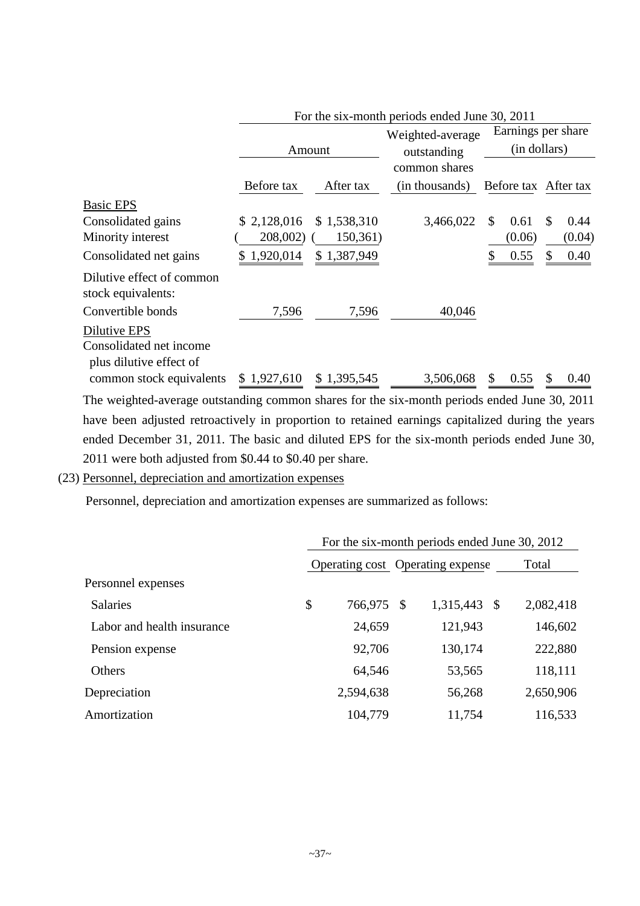|                                                                    | FOI THE SIX-HIGHTH DEFIGAL ENGER JUNE 50, 2011 |             |                  |                      |                       |  |  |
|--------------------------------------------------------------------|------------------------------------------------|-------------|------------------|----------------------|-----------------------|--|--|
|                                                                    |                                                |             | Weighted-average | Earnings per share   |                       |  |  |
|                                                                    |                                                | Amount      | outstanding      | (in dollars)         |                       |  |  |
|                                                                    |                                                |             | common shares    |                      |                       |  |  |
|                                                                    | Before tax                                     | After tax   | (in thousands)   | Before tax After tax |                       |  |  |
| <b>Basic EPS</b>                                                   |                                                |             |                  |                      |                       |  |  |
| Consolidated gains                                                 | \$2,128,016                                    | \$1,538,310 | 3,466,022        | \$<br>0.61           | S<br>0.44             |  |  |
| Minority interest                                                  | 208,002)                                       | 150,361)    |                  | (0.06)               | (0.04)                |  |  |
| Consolidated net gains                                             | 1,920,014                                      | \$1,387,949 |                  | \$<br>0.55           | <sup>\$</sup><br>0.40 |  |  |
| Dilutive effect of common<br>stock equivalents:                    |                                                |             |                  |                      |                       |  |  |
| Convertible bonds                                                  | 7,596                                          | 7,596       | 40,046           |                      |                       |  |  |
| Dilutive EPS<br>Consolidated net income<br>plus dilutive effect of |                                                |             |                  |                      |                       |  |  |
| common stock equivalents                                           | \$1,927,610                                    | \$1,395,545 | 3,506,068        | \$<br>0.55           | \$<br>0.40            |  |  |

The weighted-average outstanding common shares for the six-month periods ended June 30, 2011 have been adjusted retroactively in proportion to retained earnings capitalized during the years ended December 31, 2011. The basic and diluted EPS for the six-month periods ended June 30, 2011 were both adjusted from \$0.44 to \$0.40 per share.

(23) Personnel, depreciation and amortization expenses

Personnel, depreciation and amortization expenses are summarized as follows:

|                            | For the six-month periods ended June 30, 2012 |                                  |    |              |  |           |  |  |
|----------------------------|-----------------------------------------------|----------------------------------|----|--------------|--|-----------|--|--|
|                            |                                               | Operating cost Operating expense |    |              |  | Total     |  |  |
| Personnel expenses         |                                               |                                  |    |              |  |           |  |  |
| <b>Salaries</b>            | \$                                            | 766,975                          | \$ | 1,315,443 \$ |  | 2,082,418 |  |  |
| Labor and health insurance |                                               | 24,659                           |    | 121,943      |  | 146,602   |  |  |
| Pension expense            |                                               | 92,706                           |    | 130,174      |  | 222,880   |  |  |
| Others                     |                                               | 64,546                           |    | 53,565       |  | 118,111   |  |  |
| Depreciation               |                                               | 2,594,638                        |    | 56,268       |  | 2,650,906 |  |  |
| Amortization               |                                               | 104,779                          |    | 11,754       |  | 116,533   |  |  |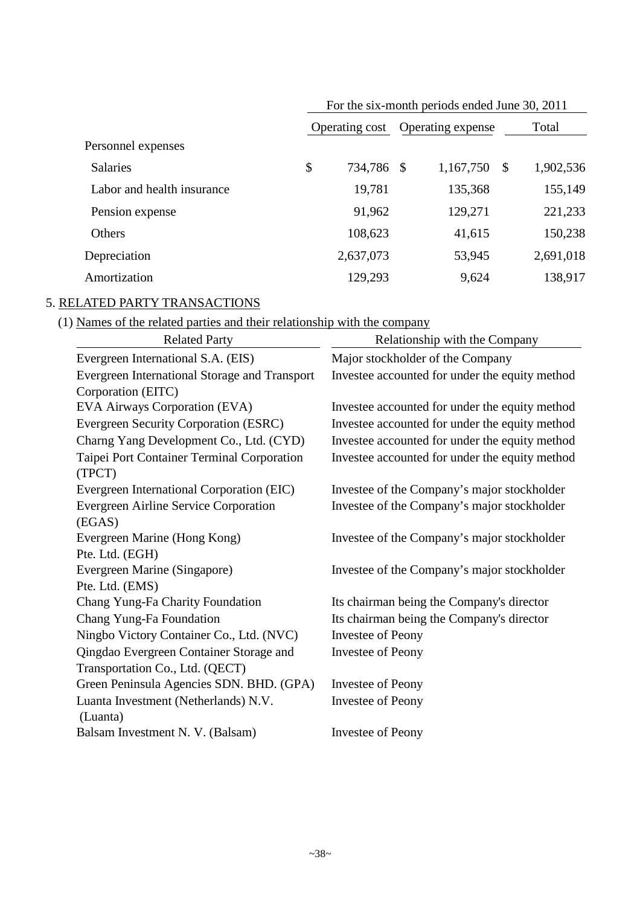|                            | For the six-month periods ended June 30, 2011 |           |                   |           |              |           |  |  |
|----------------------------|-----------------------------------------------|-----------|-------------------|-----------|--------------|-----------|--|--|
|                            | Operating cost                                |           | Operating expense |           | Total        |           |  |  |
| Personnel expenses         |                                               |           |                   |           |              |           |  |  |
| <b>Salaries</b>            | \$                                            | 734,786   | \$                | 1,167,750 | $\mathbb{S}$ | 1,902,536 |  |  |
| Labor and health insurance |                                               | 19,781    |                   | 135,368   |              | 155,149   |  |  |
| Pension expense            |                                               | 91,962    |                   | 129,271   |              | 221,233   |  |  |
| Others                     |                                               | 108,623   |                   | 41,615    |              | 150,238   |  |  |
| Depreciation               |                                               | 2,637,073 |                   | 53,945    |              | 2,691,018 |  |  |
| Amortization               |                                               | 129,293   |                   | 9,624     |              | 138,917   |  |  |

# 5. RELATED PARTY TRANSACTIONS

(1) Names of the related parties and their relationship with the company

| <b>Related Party</b>                                 | Relationship with the Company                  |
|------------------------------------------------------|------------------------------------------------|
| Evergreen International S.A. (EIS)                   | Major stockholder of the Company               |
| Evergreen International Storage and Transport        | Investee accounted for under the equity method |
| Corporation (EITC)                                   |                                                |
| EVA Airways Corporation (EVA)                        | Investee accounted for under the equity method |
| Evergreen Security Corporation (ESRC)                | Investee accounted for under the equity method |
| Charng Yang Development Co., Ltd. (CYD)              | Investee accounted for under the equity method |
| Taipei Port Container Terminal Corporation<br>(TPCT) | Investee accounted for under the equity method |
| Evergreen International Corporation (EIC)            | Investee of the Company's major stockholder    |
| <b>Evergreen Airline Service Corporation</b>         | Investee of the Company's major stockholder    |
| (EGAS)                                               |                                                |
| Evergreen Marine (Hong Kong)                         | Investee of the Company's major stockholder    |
| Pte. Ltd. (EGH)                                      |                                                |
| Evergreen Marine (Singapore)                         | Investee of the Company's major stockholder    |
| Pte. Ltd. (EMS)                                      |                                                |
| Chang Yung-Fa Charity Foundation                     | Its chairman being the Company's director      |
| Chang Yung-Fa Foundation                             | Its chairman being the Company's director      |
| Ningbo Victory Container Co., Ltd. (NVC)             | <b>Investee of Peony</b>                       |
| Qingdao Evergreen Container Storage and              | Investee of Peony                              |
| Transportation Co., Ltd. (QECT)                      |                                                |
| Green Peninsula Agencies SDN. BHD. (GPA)             | <b>Investee of Peony</b>                       |
| Luanta Investment (Netherlands) N.V.                 | Investee of Peony                              |
| (Luanta)                                             |                                                |
| Balsam Investment N. V. (Balsam)                     | <b>Investee of Peony</b>                       |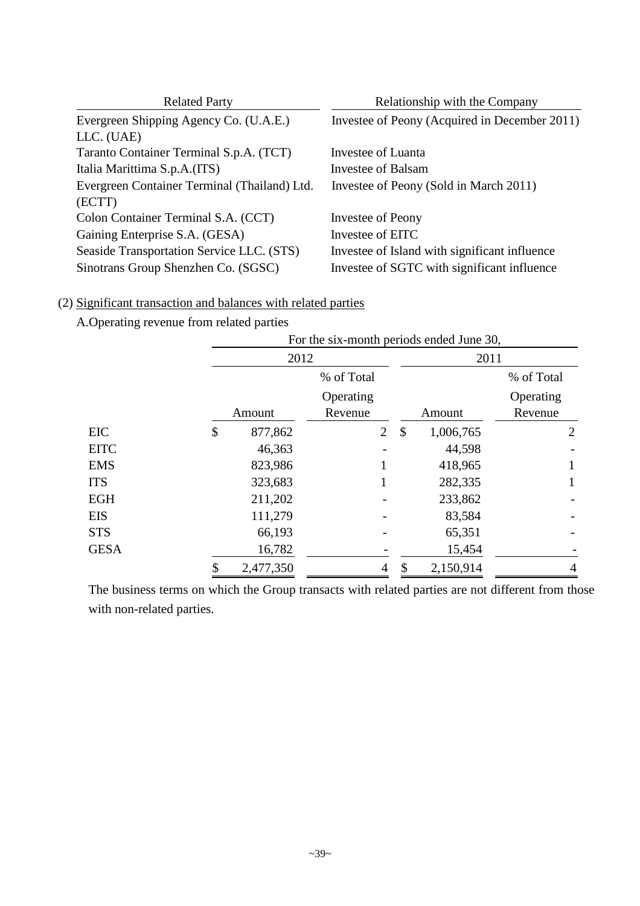| <b>Related Party</b>                         | Relationship with the Company                 |  |  |  |  |  |
|----------------------------------------------|-----------------------------------------------|--|--|--|--|--|
| Evergreen Shipping Agency Co. (U.A.E.)       | Investee of Peony (Acquired in December 2011) |  |  |  |  |  |
| LLC. (UAE)                                   |                                               |  |  |  |  |  |
| Taranto Container Terminal S.p.A. (TCT)      | Investee of Luanta                            |  |  |  |  |  |
| Italia Marittima S.p.A.(ITS)                 | Investee of Balsam                            |  |  |  |  |  |
| Evergreen Container Terminal (Thailand) Ltd. | Investee of Peony (Sold in March 2011)        |  |  |  |  |  |
| (ECTT)                                       |                                               |  |  |  |  |  |
| Colon Container Terminal S.A. (CCT)          | Investee of Peony                             |  |  |  |  |  |
| Gaining Enterprise S.A. (GESA)               | Investee of EITC                              |  |  |  |  |  |
| Seaside Transportation Service LLC. (STS)    | Investee of Island with significant influence |  |  |  |  |  |
| Sinotrans Group Shenzhen Co. (SGSC)          | Investee of SGTC with significant influence   |  |  |  |  |  |

# (2) Significant transaction and balances with related parties

# A.Operating revenue from related parties

|             | For the six-month periods ended June 30, |                      |                |    |           |                      |  |
|-------------|------------------------------------------|----------------------|----------------|----|-----------|----------------------|--|
|             | 2012                                     |                      |                |    | 2011      |                      |  |
|             |                                          | % of Total           |                |    |           | % of Total           |  |
|             | Amount                                   | Operating<br>Revenue |                |    | Amount    | Operating<br>Revenue |  |
| EIC         | \$<br>877,862                            |                      | $\overline{2}$ | \$ | 1,006,765 | $\overline{2}$       |  |
| <b>EITC</b> | 46,363                                   |                      |                |    | 44,598    |                      |  |
| <b>EMS</b>  | 823,986                                  |                      |                |    | 418,965   |                      |  |
| <b>ITS</b>  | 323,683                                  |                      |                |    | 282,335   |                      |  |
| <b>EGH</b>  | 211,202                                  |                      |                |    | 233,862   |                      |  |
| <b>EIS</b>  | 111,279                                  |                      |                |    | 83,584    |                      |  |
| <b>STS</b>  | 66,193                                   |                      |                |    | 65,351    |                      |  |
| <b>GESA</b> | 16,782                                   |                      |                |    | 15,454    |                      |  |
|             | 2,477,350                                |                      | 4              |    | 2,150,914 |                      |  |

The business terms on which the Group transacts with related parties are not different from those with non-related parties.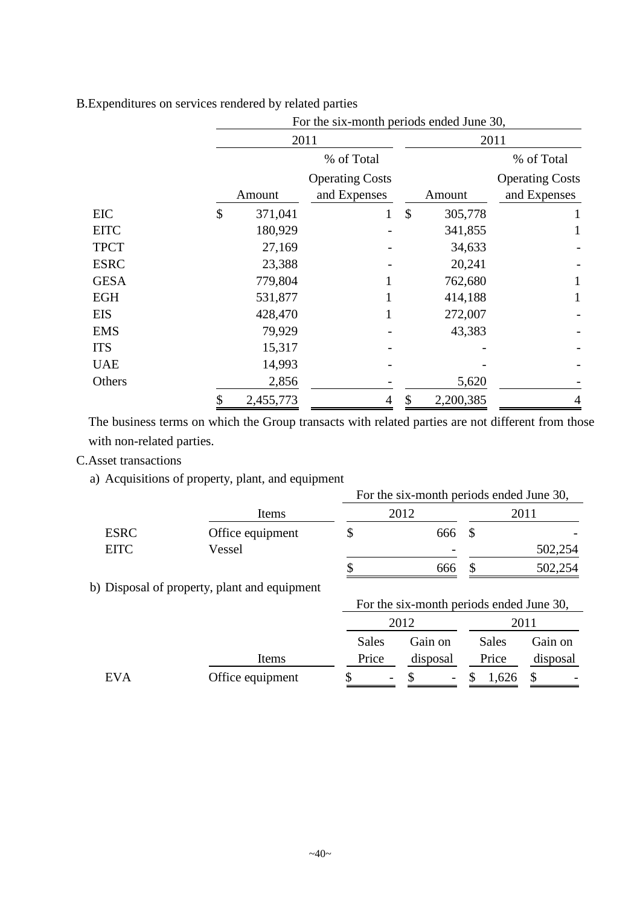|             | For the six-month periods ended June 30, |           |                                        |    |           |                                        |  |  |  |
|-------------|------------------------------------------|-----------|----------------------------------------|----|-----------|----------------------------------------|--|--|--|
|             |                                          |           | 2011                                   |    | 2011      |                                        |  |  |  |
|             |                                          |           | % of Total                             |    |           | % of Total                             |  |  |  |
|             |                                          | Amount    | <b>Operating Costs</b><br>and Expenses |    | Amount    | <b>Operating Costs</b><br>and Expenses |  |  |  |
| EIC         | \$                                       | 371,041   | 1                                      | \$ | 305,778   |                                        |  |  |  |
| <b>EITC</b> |                                          | 180,929   |                                        |    | 341,855   |                                        |  |  |  |
| <b>TPCT</b> |                                          | 27,169    |                                        |    | 34,633    |                                        |  |  |  |
| <b>ESRC</b> |                                          | 23,388    |                                        |    | 20,241    |                                        |  |  |  |
| <b>GESA</b> |                                          | 779,804   |                                        |    | 762,680   |                                        |  |  |  |
| <b>EGH</b>  |                                          | 531,877   |                                        |    | 414,188   |                                        |  |  |  |
| <b>EIS</b>  |                                          | 428,470   |                                        |    | 272,007   |                                        |  |  |  |
| <b>EMS</b>  |                                          | 79,929    |                                        |    | 43,383    |                                        |  |  |  |
| <b>ITS</b>  |                                          | 15,317    |                                        |    |           |                                        |  |  |  |
| <b>UAE</b>  |                                          | 14,993    |                                        |    |           |                                        |  |  |  |
| Others      |                                          | 2,856     |                                        |    | 5,620     |                                        |  |  |  |
|             | \$                                       | 2,455,773 | 4                                      | \$ | 2,200,385 | 4                                      |  |  |  |

B.Expenditures on services rendered by related parties

The business terms on which the Group transacts with related parties are not different from those with non-related parties.

C.Asset transactions

a) Acquisitions of property, plant, and equipment

|             |                  |  | For the six-month periods ended June 30, |  |         |
|-------------|------------------|--|------------------------------------------|--|---------|
|             | Items            |  | 2012                                     |  |         |
| <b>ESRC</b> | Office equipment |  | 666                                      |  |         |
| <b>EITC</b> | Vessel           |  | -                                        |  | 502,254 |
|             |                  |  | 666                                      |  | 502,254 |

0 b) Disposal of property, plant and equipment

|     |                  |                          | For the six-month periods ended June 30, |              |          |  |  |  |
|-----|------------------|--------------------------|------------------------------------------|--------------|----------|--|--|--|
|     |                  |                          | 2012                                     | 2011         |          |  |  |  |
|     |                  | Sales                    | Gain on                                  | Sales        | Gain on  |  |  |  |
|     | Items            | Price                    | disposal                                 | Price        | disposal |  |  |  |
| EVA | Office equipment | $\overline{\phantom{a}}$ | $\overline{\phantom{a}}$                 | 1,626<br>- D | -        |  |  |  |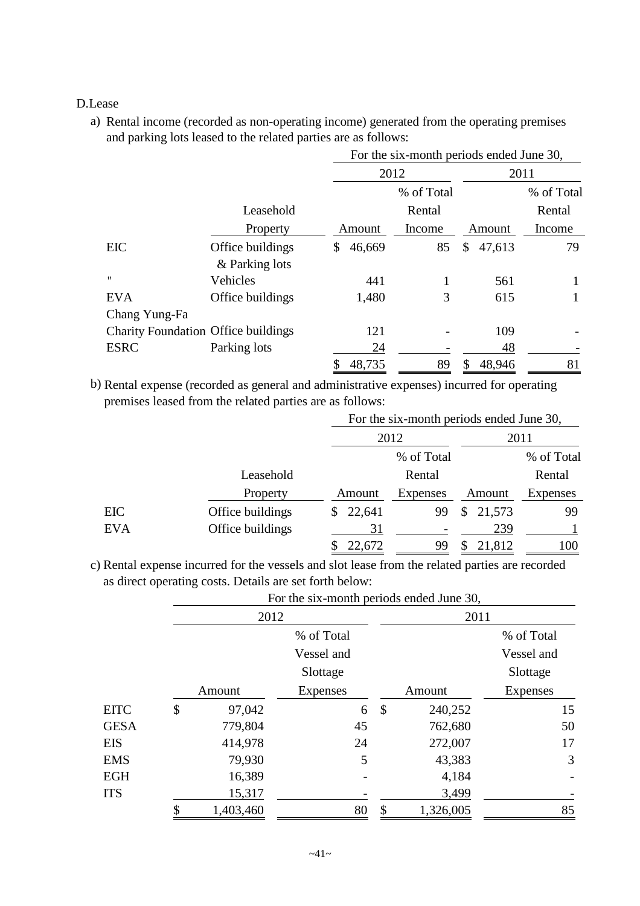### D.Lease

a) Rental income (recorded as non-operating income) generated from the operating premises and parking lots leased to the related parties are as follows:

|                                            |                  | For the six-month periods ended June 30, |        |            |    |        |            |  |
|--------------------------------------------|------------------|------------------------------------------|--------|------------|----|--------|------------|--|
|                                            |                  |                                          | 2012   |            |    | 2011   |            |  |
|                                            |                  |                                          |        | % of Total |    |        | % of Total |  |
|                                            | Leasehold        |                                          |        | Rental     |    |        | Rental     |  |
|                                            | Property         |                                          | Amount | Income     |    | Amount | Income     |  |
| EIC                                        | Office buildings | \$                                       | 46,669 | 85         | \$ | 47,613 | 79         |  |
|                                            | & Parking lots   |                                          |        |            |    |        |            |  |
| $^{\prime}$                                | Vehicles         |                                          | 441    |            |    | 561    |            |  |
| <b>EVA</b>                                 | Office buildings |                                          | 1,480  | 3          |    | 615    |            |  |
| Chang Yung-Fa                              |                  |                                          |        |            |    |        |            |  |
| <b>Charity Foundation Office buildings</b> |                  |                                          | 121    |            |    | 109    |            |  |
| <b>ESRC</b>                                | Parking lots     |                                          | 24     |            |    | 48     |            |  |
|                                            |                  |                                          | 48,735 | 89         | S  | 48,946 | 81         |  |

b) Rental expense (recorded as general and administrative expenses) incurred for operating premises leased from the related parties are as follows:

|            |                  |              |                 | For the six-month periods ended June 30, |            |  |  |
|------------|------------------|--------------|-----------------|------------------------------------------|------------|--|--|
|            |                  |              | 2012            |                                          | 2011       |  |  |
|            |                  |              | % of Total      |                                          | % of Total |  |  |
|            | Leasehold        |              | Rental          |                                          | Rental     |  |  |
|            | Property         | Amount       | <b>Expenses</b> | Amount                                   | Expenses   |  |  |
| EIC        | Office buildings | 22,641<br>S. | 99              | 21,573<br>S.                             | 99         |  |  |
| <b>EVA</b> | Office buildings | 31           |                 | 239                                      |            |  |  |
|            |                  | 22,672       | 99              | 21,812                                   | 100        |  |  |

c) Rental expense incurred for the vessels and slot lease from the related parties are recorded as direct operating costs. Details are set forth below:

For the six-month periods ended June 30,

|             | 2012            |                 |    | 2011      |                 |  |  |
|-------------|-----------------|-----------------|----|-----------|-----------------|--|--|
|             |                 | % of Total      |    |           | % of Total      |  |  |
|             |                 | Vessel and      |    |           | Vessel and      |  |  |
|             |                 | Slottage        |    |           | Slottage        |  |  |
|             | Amount          | <b>Expenses</b> |    | Amount    | <b>Expenses</b> |  |  |
| <b>EITC</b> | \$<br>97,042    | 6               | \$ | 240,252   | 15              |  |  |
| <b>GESA</b> | 779,804         | 45              |    | 762,680   | 50              |  |  |
| EIS         | 414,978         | 24              |    | 272,007   | 17              |  |  |
| <b>EMS</b>  | 79,930          | 5               |    | 43,383    | 3               |  |  |
| EGH         | 16,389          |                 |    | 4,184     |                 |  |  |
| <b>ITS</b>  | 15,317          |                 |    | 3,499     |                 |  |  |
|             | \$<br>1,403,460 | 80              | \$ | 1,326,005 | 85              |  |  |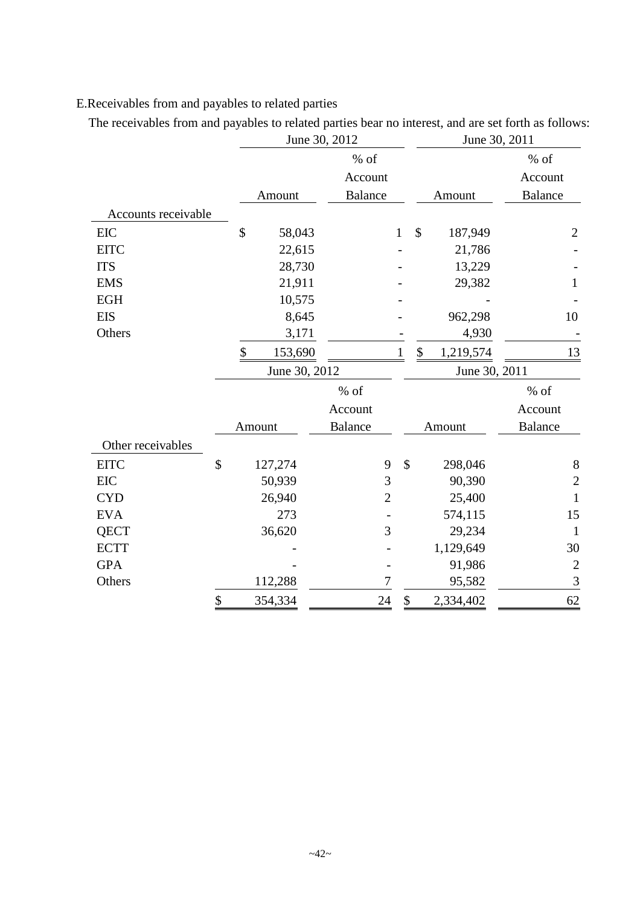# E.Receivables from and payables to related parties

The receivables from and payables to related parties bear no interest, and are set forth as follows:

|                     |                           |               | June 30, 2012  |              | June 30, 2011   |                |
|---------------------|---------------------------|---------------|----------------|--------------|-----------------|----------------|
|                     |                           |               | $%$ of         |              |                 | $%$ of         |
|                     |                           |               | Account        |              |                 | Account        |
|                     |                           | Amount        | <b>Balance</b> |              | Amount          | <b>Balance</b> |
| Accounts receivable |                           |               |                |              |                 |                |
| EIC                 |                           | \$<br>58,043  |                | $\mathbf{1}$ | \$<br>187,949   | $\overline{2}$ |
| <b>EITC</b>         |                           | 22,615        |                |              | 21,786          |                |
| <b>ITS</b>          |                           | 28,730        |                |              | 13,229          |                |
| <b>EMS</b>          |                           | 21,911        |                |              | 29,382          | $\mathbf{1}$   |
| <b>EGH</b>          |                           | 10,575        |                |              |                 |                |
| <b>EIS</b>          |                           | 8,645         |                |              | 962,298         | 10             |
| Others              |                           | 3,171         |                |              | 4,930           |                |
|                     |                           | \$<br>153,690 |                | 1            | \$<br>1,219,574 | 13             |
|                     |                           | June 30, 2012 |                |              | June 30, 2011   |                |
|                     |                           |               | $%$ of         |              |                 | $%$ of         |
|                     |                           |               | Account        |              |                 | Account        |
|                     |                           | Amount        | <b>Balance</b> |              | Amount          | <b>Balance</b> |
| Other receivables   |                           |               |                |              |                 |                |
| <b>EITC</b>         | $\boldsymbol{\mathsf{S}}$ | 127,274       | 9              | \$           | 298,046         | $8\,$          |
| <b>EIC</b>          |                           | 50,939        | 3              |              | 90,390          | $\overline{2}$ |
| <b>CYD</b>          |                           | 26,940        | $\overline{2}$ |              | 25,400          | $\mathbf{1}$   |
| <b>EVA</b>          |                           | 273           |                |              | 574,115         | 15             |
| <b>QECT</b>         |                           | 36,620        | 3              |              | 29,234          | $\mathbf{1}$   |
| <b>ECTT</b>         |                           |               |                |              | 1,129,649       | 30             |
| <b>GPA</b>          |                           |               |                |              | 91,986          | $\overline{c}$ |
| Others              |                           | 112,288       | 7              |              | 95,582          | 3              |
|                     | \$                        | 354,334       | 24             | \$           | 2,334,402       | 62             |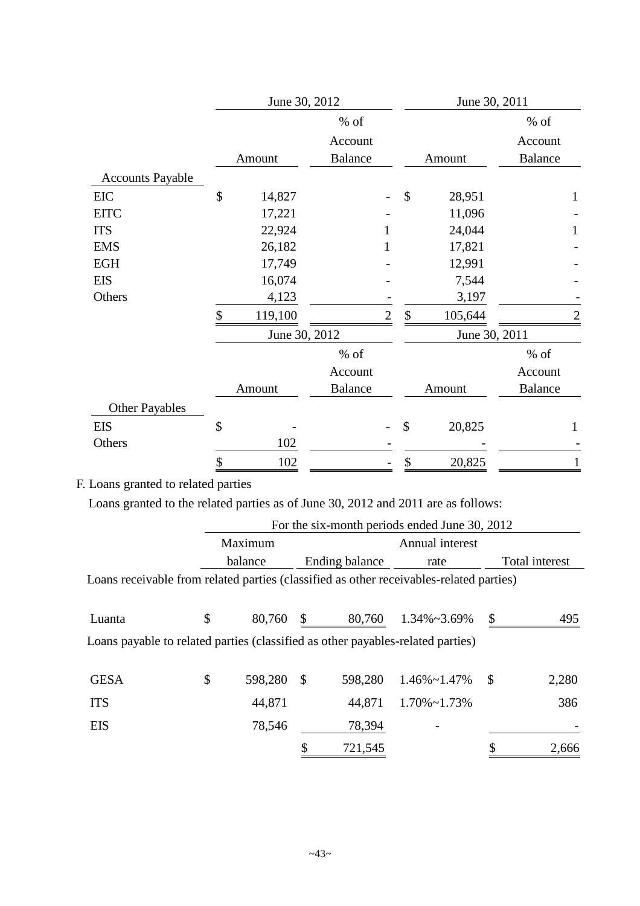|                         | June 30, 2012 |                |   | June 30, 2011             |               |                |  |
|-------------------------|---------------|----------------|---|---------------------------|---------------|----------------|--|
|                         |               | $%$ of         |   |                           |               | $%$ of         |  |
|                         |               | Account        |   |                           |               | Account        |  |
|                         | Amount        | <b>Balance</b> |   |                           | Amount        | <b>Balance</b> |  |
| <b>Accounts Payable</b> |               |                |   |                           |               |                |  |
| EIC                     | \$<br>14,827  |                |   | $\boldsymbol{\mathsf{S}}$ | 28,951        | 1              |  |
| <b>EITC</b>             | 17,221        |                |   |                           | 11,096        |                |  |
| <b>ITS</b>              | 22,924        |                |   |                           | 24,044        |                |  |
| <b>EMS</b>              | 26,182        |                | 1 |                           | 17,821        |                |  |
| EGH                     | 17,749        |                |   |                           | 12,991        |                |  |
| <b>EIS</b>              | 16,074        |                |   |                           | 7,544         |                |  |
| Others                  | 4,123         |                |   |                           | 3,197         |                |  |
|                         | \$<br>119,100 |                | 2 | \$                        | 105,644       |                |  |
|                         | June 30, 2012 |                |   |                           | June 30, 2011 |                |  |
|                         |               | $%$ of         |   |                           |               | % of           |  |
|                         |               | Account        |   |                           |               | Account        |  |
|                         | Amount        | <b>Balance</b> |   |                           | Amount        | <b>Balance</b> |  |
| <b>Other Payables</b>   |               |                |   |                           |               |                |  |
| <b>EIS</b>              | \$            |                |   | \$                        | 20,825        | 1              |  |
| Others                  | 102           |                |   |                           |               |                |  |
|                         | \$<br>102     |                |   | $\boldsymbol{\$}$         | 20,825        | 1              |  |

# F. Loans granted to related parties

Loans granted to the related parties as of June 30, 2012 and 2011 are as follows:

|                                                                                         | For the six-month periods ended June 30, 2012 |               |                |                      |    |                |  |
|-----------------------------------------------------------------------------------------|-----------------------------------------------|---------------|----------------|----------------------|----|----------------|--|
|                                                                                         | Maximum                                       |               |                | Annual interest      |    |                |  |
|                                                                                         | balance                                       |               | Ending balance | rate                 |    | Total interest |  |
| Loans receivable from related parties (classified as other receivables-related parties) |                                               |               |                |                      |    |                |  |
|                                                                                         |                                               |               |                |                      |    |                |  |
| Luanta                                                                                  | \$<br>80,760                                  |               | 80,760         | $1.34\% \sim 3.69\%$ | \$ | 495            |  |
| Loans payable to related parties (classified as other payables-related parties)         |                                               |               |                |                      |    |                |  |
|                                                                                         |                                               |               |                |                      |    |                |  |
| <b>GESA</b>                                                                             | \$<br>598,280                                 | $\mathcal{S}$ | 598,280        | $1.46\% \sim 1.47\%$ | \$ | 2,280          |  |
| <b>ITS</b>                                                                              | 44,871                                        |               | 44,871         | $1.70\% \sim 1.73\%$ |    | 386            |  |
| <b>EIS</b>                                                                              | 78,546                                        |               | 78,394         |                      |    |                |  |
|                                                                                         |                                               |               | 721,545        |                      |    | 2,666          |  |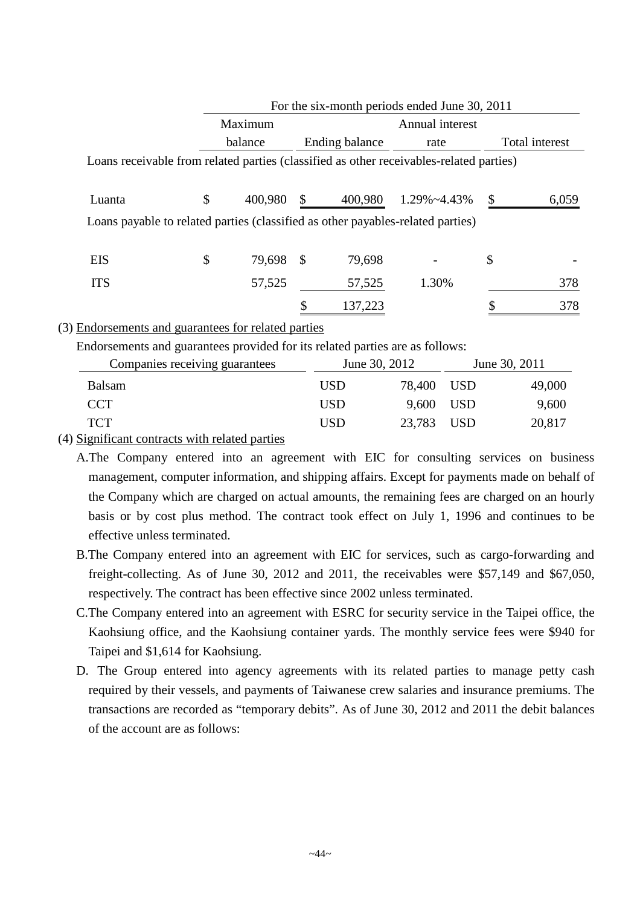|                                                 |               |     |                | For the six-month periods ended June 30, 2011                                           |                |
|-------------------------------------------------|---------------|-----|----------------|-----------------------------------------------------------------------------------------|----------------|
|                                                 | Maximum       |     |                | Annual interest                                                                         |                |
|                                                 | balance       |     | Ending balance | rate                                                                                    | Total interest |
|                                                 |               |     |                | Loans receivable from related parties (classified as other receivables-related parties) |                |
|                                                 |               |     |                |                                                                                         |                |
| Luanta                                          | \$<br>400,980 | \$  | 400,980        | 1.29%~4.43%                                                                             | 6,059          |
|                                                 |               |     |                | Loans payable to related parties (classified as other payables-related parties)         |                |
|                                                 |               |     |                |                                                                                         |                |
| <b>EIS</b>                                      | \$<br>79,698  | -\$ | 79,698         |                                                                                         | \$             |
| <b>ITS</b>                                      | 57,525        |     | 57,525         | 1.30%                                                                                   | 378            |
|                                                 |               |     | 137,223        |                                                                                         | 378            |
| Endorsements and quarantees for related parties |               |     |                |                                                                                         |                |

### (3) Endorsements and guarantees for related parties

Endorsements and guarantees provided for its related parties are as follows:

| Companies receiving guarantees |            | June 30, 2012 | June 30, 2011 |        |
|--------------------------------|------------|---------------|---------------|--------|
| <b>Balsam</b>                  | <b>USD</b> | 78,400 USD    |               | 49,000 |
| <b>CCT</b>                     | <b>USD</b> | 9,600 USD     |               | 9,600  |
| <b>TCT</b>                     | <b>USD</b> | 23,783 USD    |               | 20,817 |
| $\cdots$                       |            |               |               |        |

#### (4) Significant contracts with related parties

 $\mathbb{R}$ 

- B.The Company entered into an agreement with EIC for services, such as cargo-forwarding and freight-collecting. As of June 30, 2012 and 2011, the receivables were \$57,149 and \$67,050, respectively. The contract has been effective since 2002 unless terminated.
- C.The Company entered into an agreement with ESRC for security service in the Taipei office, the Kaohsiung office, and the Kaohsiung container yards. The monthly service fees were \$940 for Taipei and \$1,614 for Kaohsiung.
- D. The Group entered into agency agreements with its related parties to manage petty cash required by their vessels, and payments of Taiwanese crew salaries and insurance premiums. The transactions are recorded as "temporary debits". As of June 30, 2012 and 2011 the debit balances of the account are as follows:

A.The Company entered into an agreement with EIC for consulting services on business management, computer information, and shipping affairs. Except for payments made on behalf of the Company which are charged on actual amounts, the remaining fees are charged on an hourly basis or by cost plus method. The contract took effect on July 1, 1996 and continues to be effective unless terminated.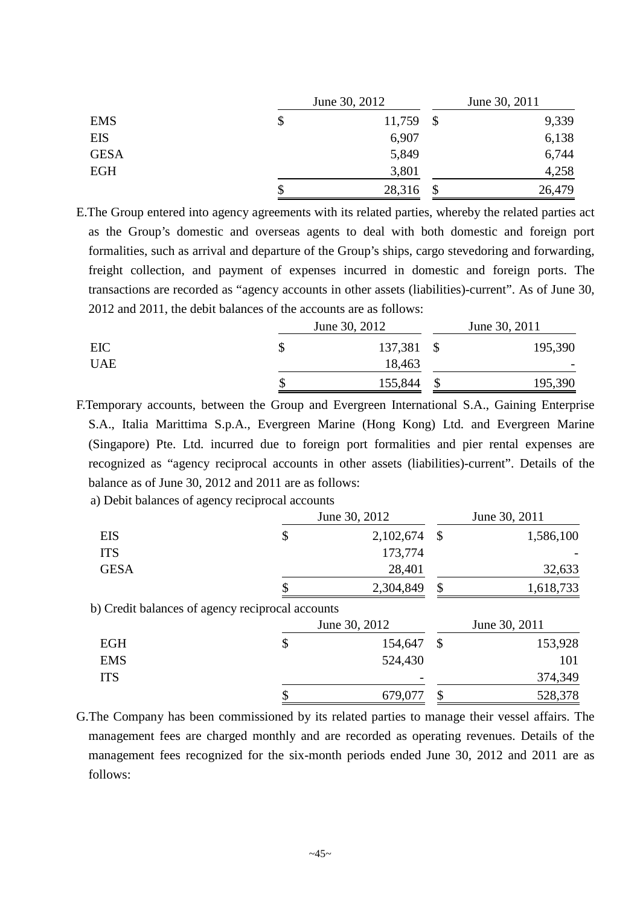|             | June 30, 2012 |        |  | June 30, 2011 |  |  |
|-------------|---------------|--------|--|---------------|--|--|
| <b>EMS</b>  | \$            | 11,759 |  | 9,339         |  |  |
| EIS         |               | 6,907  |  | 6,138         |  |  |
| <b>GESA</b> |               | 5,849  |  | 6,744         |  |  |
| <b>EGH</b>  |               | 3,801  |  | 4,258         |  |  |
|             | S             | 28,316 |  | 26,479        |  |  |

E.The Group entered into agency agreements with its related parties, whereby the related parties act as the Group's domestic and overseas agents to deal with both domestic and foreign port formalities, such as arrival and departure of the Group's ships, cargo stevedoring and forwarding, freight collection, and payment of expenses incurred in domestic and foreign ports. The transactions are recorded as "agency accounts in other assets (liabilities)-current". As of June 30, 2012 and 2011, the debit balances of the accounts are as follows:

|            | June 30, 2012 | June 30, 2011 |         |  |
|------------|---------------|---------------|---------|--|
| EIC        | 137,381 \$    |               | 195,390 |  |
| <b>UAE</b> | 18,463        |               |         |  |
|            | 155,844       |               | 195,390 |  |

F.Temporary accounts, between the Group and Evergreen International S.A., Gaining Enterprise S.A., Italia Marittima S.p.A., Evergreen Marine (Hong Kong) Ltd. and Evergreen Marine (Singapore) Pte. Ltd. incurred due to foreign port formalities and pier rental expenses are recognized as "agency reciprocal accounts in other assets (liabilities)-current". Details of the balance as of June 30, 2012 and 2011 are as follows:

a) Debit balances of agency reciprocal accounts

|             |                                                  | June 30, 2012 |                           | June 30, 2011 |
|-------------|--------------------------------------------------|---------------|---------------------------|---------------|
| <b>EIS</b>  | \$                                               | 2,102,674     | $\boldsymbol{\mathsf{S}}$ | 1,586,100     |
| <b>ITS</b>  |                                                  | 173,774       |                           |               |
| <b>GESA</b> |                                                  | 28,401        |                           | 32,633        |
|             |                                                  | 2,304,849     | \$                        | 1,618,733     |
|             | b) Credit balances of agency reciprocal accounts |               |                           |               |
|             |                                                  | June 30, 2012 |                           | June 30, 2011 |
| <b>EGH</b>  | \$                                               | 154,647       | $\boldsymbol{\mathsf{S}}$ | 153,928       |
| <b>EMS</b>  |                                                  | 524,430       |                           | 101           |
| <b>ITS</b>  |                                                  |               |                           | 374,349       |
|             |                                                  | 679,077       | \$                        | 528,378       |
|             |                                                  |               |                           |               |

G.The Company has been commissioned by its related parties to manage their vessel affairs. The management fees are charged monthly and are recorded as operating revenues. Details of the management fees recognized for the six-month periods ended June 30, 2012 and 2011 are as follows: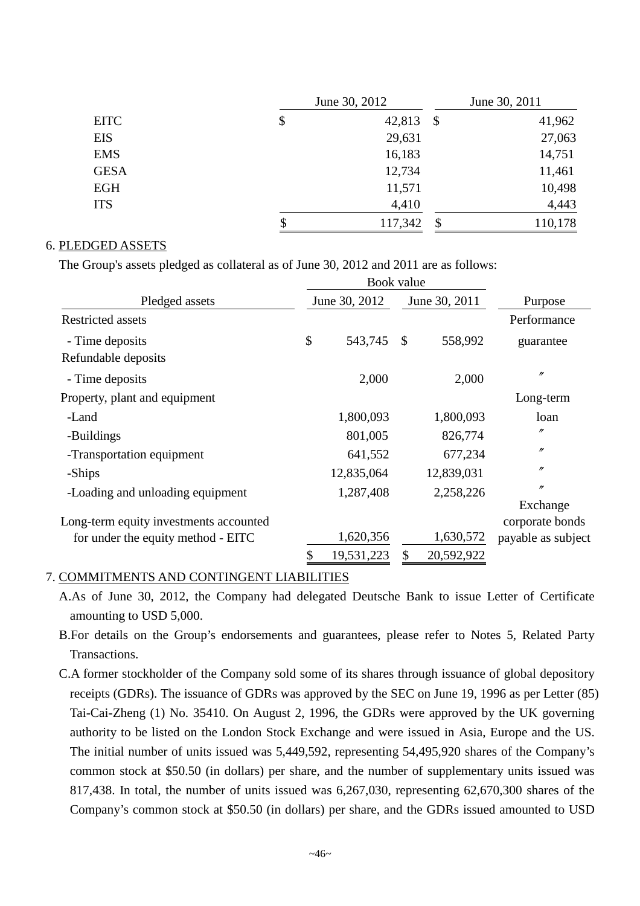|             | June 30, 2012                              | June 30, 2011 |  |  |
|-------------|--------------------------------------------|---------------|--|--|
| <b>EITC</b> | \$<br>42,813<br>\$                         | 41,962        |  |  |
| <b>EIS</b>  | 29,631                                     | 27,063        |  |  |
| <b>EMS</b>  | 16,183                                     | 14,751        |  |  |
| <b>GESA</b> | 12,734                                     | 11,461        |  |  |
| <b>EGH</b>  | 11,571                                     | 10,498        |  |  |
| <b>ITS</b>  | 4,410                                      | 4,443         |  |  |
|             | \$<br>117,342<br>$\boldsymbol{\mathsf{S}}$ | 110,178       |  |  |

#### 6. PLEDGED ASSETS

The Group's assets pledged as collateral as of June 30, 2012 and 2011 are as follows:

|                                        |    | Book value    |               |            |                    |  |
|----------------------------------------|----|---------------|---------------|------------|--------------------|--|
| Pledged assets                         |    | June 30, 2012 | June 30, 2011 |            | Purpose            |  |
| <b>Restricted assets</b>               |    |               |               |            | Performance        |  |
| - Time deposits                        | \$ | 543,745       | $\mathcal{S}$ | 558,992    | guarantee          |  |
| Refundable deposits                    |    |               |               |            |                    |  |
| - Time deposits                        |    | 2,000         |               | 2,000      | $^{\prime\prime}$  |  |
| Property, plant and equipment          |    |               |               |            | Long-term          |  |
| -Land                                  |    | 1,800,093     |               | 1,800,093  | loan               |  |
| -Buildings                             |    | 801,005       |               | 826,774    | $^{\prime\prime}$  |  |
| -Transportation equipment              |    | 641,552       |               | 677,234    | $^{\prime\prime}$  |  |
| -Ships                                 |    | 12,835,064    |               | 12,839,031 | $^{\prime\prime}$  |  |
| -Loading and unloading equipment       |    | 1,287,408     |               | 2,258,226  | $^{\prime\prime}$  |  |
|                                        |    |               |               |            | Exchange           |  |
| Long-term equity investments accounted |    |               |               |            | corporate bonds    |  |
| for under the equity method - EITC     |    | 1,620,356     |               | 1,630,572  | payable as subject |  |
|                                        |    | 19,531,223    |               | 20,592,922 |                    |  |

#### 7. COMMITMENTS AND CONTINGENT LIABILITIES

A.As of June 30, 2012, the Company had delegated Deutsche Bank to issue Letter of Certificate amounting to USD 5,000.

- B.For details on the Group's endorsements and guarantees, please refer to Notes 5, Related Party Transactions.
- C.A former stockholder of the Company sold some of its shares through issuance of global depository receipts (GDRs). The issuance of GDRs was approved by the SEC on June 19, 1996 as per Letter (85) Tai-Cai-Zheng (1) No. 35410. On August 2, 1996, the GDRs were approved by the UK governing authority to be listed on the London Stock Exchange and were issued in Asia, Europe and the US. The initial number of units issued was 5,449,592, representing 54,495,920 shares of the Company's common stock at \$50.50 (in dollars) per share, and the number of supplementary units issued was 817,438. In total, the number of units issued was 6,267,030, representing 62,670,300 shares of the Company's common stock at \$50.50 (in dollars) per share, and the GDRs issued amounted to USD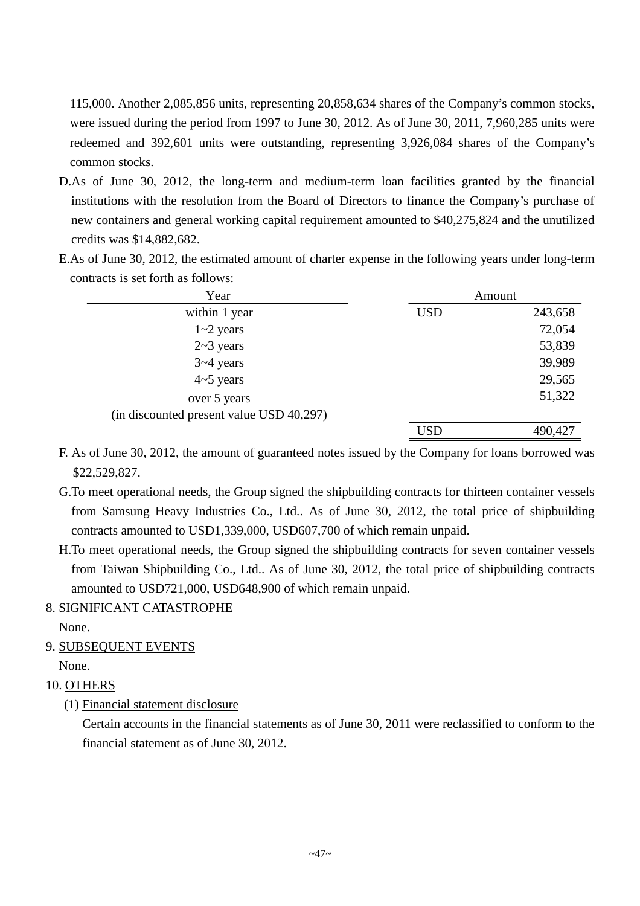115,000. Another 2,085,856 units, representing 20,858,634 shares of the Company's common stocks, were issued during the period from 1997 to June 30, 2012. As of June 30, 2011, 7,960,285 units were redeemed and 392,601 units were outstanding, representing 3,926,084 shares of the Company's common stocks.

- D.As of June 30, 2012, the long-term and medium-term loan facilities granted by the financial institutions with the resolution from the Board of Directors to finance the Company's purchase of new containers and general working capital requirement amounted to \$40,275,824 and the unutilized credits was \$14,882,682.
- E.As of June 30, 2012, the estimated amount of charter expense in the following years under long-term contracts is set forth as follows:

| Year                                     |            | Amount  |
|------------------------------------------|------------|---------|
| within 1 year                            | <b>USD</b> | 243,658 |
| $1 - 2$ years                            |            | 72,054  |
| $2-3$ years                              |            | 53,839  |
| $3 - 4$ years                            |            | 39,989  |
| $4 \sim 5$ years                         |            | 29,565  |
| over 5 years                             |            | 51,322  |
| (in discounted present value USD 40,297) |            |         |
|                                          | <b>USD</b> | 490,427 |

- F. As of June 30, 2012, the amount of guaranteed notes issued by the Company for loans borrowed was \$22,529,827.
- G.To meet operational needs, the Group signed the shipbuilding contracts for thirteen container vessels from Samsung Heavy Industries Co., Ltd.. As of June 30, 2012, the total price of shipbuilding contracts amounted to USD1,339,000, USD607,700 of which remain unpaid.
- H.To meet operational needs, the Group signed the shipbuilding contracts for seven container vessels from Taiwan Shipbuilding Co., Ltd.. As of June 30, 2012, the total price of shipbuilding contracts amounted to USD721,000, USD648,900 of which remain unpaid.
- 8. SIGNIFICANT CATASTROPHE

None.

9. SUBSEQUENT EVENTS

None.

- 10. OTHERS
	- (1) Financial statement disclosure

Certain accounts in the financial statements as of June 30, 2011 were reclassified to conform to the financial statement as of June 30, 2012.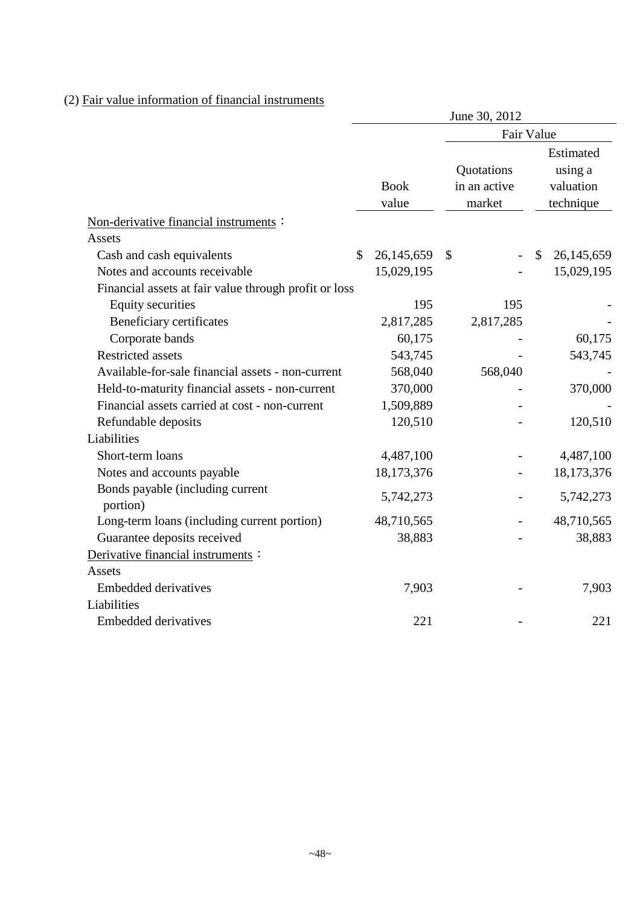# (2) Fair value information of financial instruments

|                                                       | June 30, 2012 |             |                            |               |                                   |  |
|-------------------------------------------------------|---------------|-------------|----------------------------|---------------|-----------------------------------|--|
|                                                       |               |             | Fair Value                 |               |                                   |  |
|                                                       |               | <b>Book</b> | Quotations<br>in an active |               | Estimated<br>using a<br>valuation |  |
|                                                       |               | value       | market                     |               | technique                         |  |
| Non-derivative financial instruments:                 |               |             |                            |               |                                   |  |
| Assets                                                |               |             |                            |               |                                   |  |
| Cash and cash equivalents                             | \$            | 26,145,659  | \$                         | $\mathcal{S}$ | 26,145,659                        |  |
| Notes and accounts receivable                         |               | 15,029,195  |                            |               | 15,029,195                        |  |
| Financial assets at fair value through profit or loss |               |             |                            |               |                                   |  |
| <b>Equity securities</b>                              |               | 195         | 195                        |               |                                   |  |
| Beneficiary certificates                              |               | 2,817,285   | 2,817,285                  |               |                                   |  |
| Corporate bands                                       |               | 60,175      |                            |               | 60,175                            |  |
| <b>Restricted assets</b>                              |               | 543,745     |                            |               | 543,745                           |  |
| Available-for-sale financial assets - non-current     |               | 568,040     | 568,040                    |               |                                   |  |
| Held-to-maturity financial assets - non-current       |               | 370,000     |                            |               | 370,000                           |  |
| Financial assets carried at cost - non-current        |               | 1,509,889   |                            |               |                                   |  |
| Refundable deposits                                   |               | 120,510     |                            |               | 120,510                           |  |
| Liabilities                                           |               |             |                            |               |                                   |  |
| Short-term loans                                      |               | 4,487,100   |                            |               | 4,487,100                         |  |
| Notes and accounts payable                            |               | 18,173,376  |                            |               | 18,173,376                        |  |
| Bonds payable (including current<br>portion)          |               | 5,742,273   |                            |               | 5,742,273                         |  |
| Long-term loans (including current portion)           |               | 48,710,565  |                            |               | 48,710,565                        |  |
| Guarantee deposits received                           |               | 38,883      |                            |               | 38,883                            |  |
| Derivative financial instruments :                    |               |             |                            |               |                                   |  |
| Assets                                                |               |             |                            |               |                                   |  |
| <b>Embedded derivatives</b>                           |               | 7,903       |                            |               | 7,903                             |  |
| Liabilities                                           |               |             |                            |               |                                   |  |
| <b>Embedded derivatives</b>                           |               | 221         |                            |               | 221                               |  |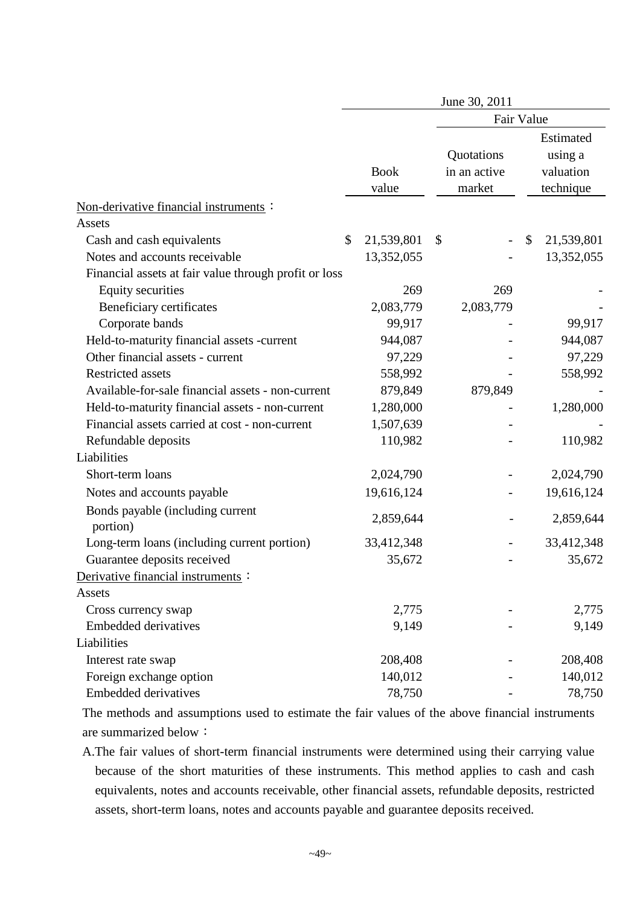|                                                       |                      | June 30, 2011                        |                                                |
|-------------------------------------------------------|----------------------|--------------------------------------|------------------------------------------------|
|                                                       |                      | Fair Value                           |                                                |
|                                                       | <b>Book</b><br>value | Quotations<br>in an active<br>market | Estimated<br>using a<br>valuation<br>technique |
| Non-derivative financial instruments :                |                      |                                      |                                                |
| Assets                                                |                      |                                      |                                                |
| Cash and cash equivalents                             | \$<br>21,539,801     | \$                                   | \$<br>21,539,801                               |
| Notes and accounts receivable                         | 13,352,055           |                                      | 13,352,055                                     |
| Financial assets at fair value through profit or loss |                      |                                      |                                                |
| <b>Equity securities</b>                              | 269                  | 269                                  |                                                |
| Beneficiary certificates                              | 2,083,779            | 2,083,779                            |                                                |
| Corporate bands                                       | 99,917               |                                      | 99,917                                         |
| Held-to-maturity financial assets -current            | 944,087              |                                      | 944,087                                        |
| Other financial assets - current                      | 97,229               |                                      | 97,229                                         |
| <b>Restricted assets</b>                              | 558,992              |                                      | 558,992                                        |
| Available-for-sale financial assets - non-current     | 879,849              | 879,849                              |                                                |
| Held-to-maturity financial assets - non-current       | 1,280,000            |                                      | 1,280,000                                      |
| Financial assets carried at cost - non-current        | 1,507,639            |                                      |                                                |
| Refundable deposits                                   | 110,982              |                                      | 110,982                                        |
| Liabilities                                           |                      |                                      |                                                |
| Short-term loans                                      | 2,024,790            |                                      | 2,024,790                                      |
| Notes and accounts payable                            | 19,616,124           |                                      | 19,616,124                                     |
| Bonds payable (including current<br>portion)          | 2,859,644            |                                      | 2,859,644                                      |
| Long-term loans (including current portion)           | 33,412,348           |                                      | 33,412,348                                     |
| Guarantee deposits received                           | 35,672               |                                      | 35,672                                         |
| Derivative financial instruments :                    |                      |                                      |                                                |
| Assets                                                |                      |                                      |                                                |
| Cross currency swap                                   | 2,775                |                                      | 2,775                                          |
| <b>Embedded derivatives</b>                           | 9,149                |                                      | 9,149                                          |
| Liabilities                                           |                      |                                      |                                                |
| Interest rate swap                                    | 208,408              |                                      | 208,408                                        |
| Foreign exchange option                               | 140,012              |                                      | 140,012                                        |
| <b>Embedded derivatives</b>                           | 78,750               |                                      | 78,750                                         |

The methods and assumptions used to estimate the fair values of the above financial instruments are summarized below:

A.The fair values of short-term financial instruments were determined using their carrying value because of the short maturities of these instruments. This method applies to cash and cash equivalents, notes and accounts receivable, other financial assets, refundable deposits, restricted assets, short-term loans, notes and accounts payable and guarantee deposits received.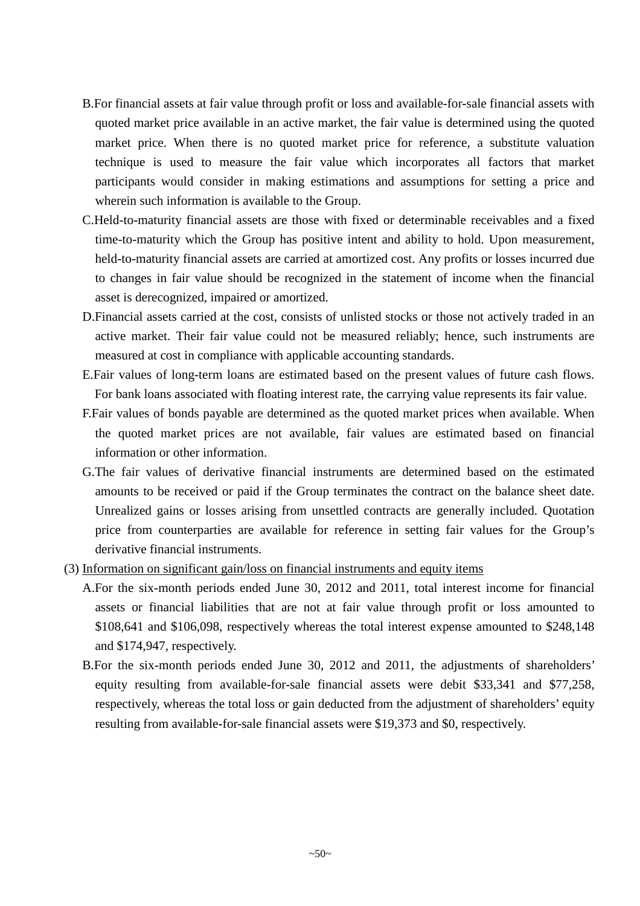- B.For financial assets at fair value through profit or loss and available-for-sale financial assets with quoted market price available in an active market, the fair value is determined using the quoted market price. When there is no quoted market price for reference, a substitute valuation technique is used to measure the fair value which incorporates all factors that market participants would consider in making estimations and assumptions for setting a price and wherein such information is available to the Group.
- C.Held-to-maturity financial assets are those with fixed or determinable receivables and a fixed time-to-maturity which the Group has positive intent and ability to hold. Upon measurement, held-to-maturity financial assets are carried at amortized cost. Any profits or losses incurred due to changes in fair value should be recognized in the statement of income when the financial asset is derecognized, impaired or amortized.
- D.Financial assets carried at the cost, consists of unlisted stocks or those not actively traded in an active market. Their fair value could not be measured reliably; hence, such instruments are measured at cost in compliance with applicable accounting standards.
- E.Fair values of long-term loans are estimated based on the present values of future cash flows. For bank loans associated with floating interest rate, the carrying value represents its fair value.
- F.Fair values of bonds payable are determined as the quoted market prices when available. When the quoted market prices are not available, fair values are estimated based on financial information or other information.
- G.The fair values of derivative financial instruments are determined based on the estimated amounts to be received or paid if the Group terminates the contract on the balance sheet date. Unrealized gains or losses arising from unsettled contracts are generally included. Quotation price from counterparties are available for reference in setting fair values for the Group's derivative financial instruments.
- (3) Information on significant gain/loss on financial instruments and equity items
	- A.For the six-month periods ended June 30, 2012 and 2011, total interest income for financial assets or financial liabilities that are not at fair value through profit or loss amounted to \$108,641 and \$106,098, respectively whereas the total interest expense amounted to \$248,148 and \$174,947, respectively.
	- B.For the six-month periods ended June 30, 2012 and 2011, the adjustments of shareholders' equity resulting from available-for-sale financial assets were debit \$33,341 and \$77,258, respectively, whereas the total loss or gain deducted from the adjustment of shareholders' equity resulting from available-for-sale financial assets were \$19,373 and \$0, respectively.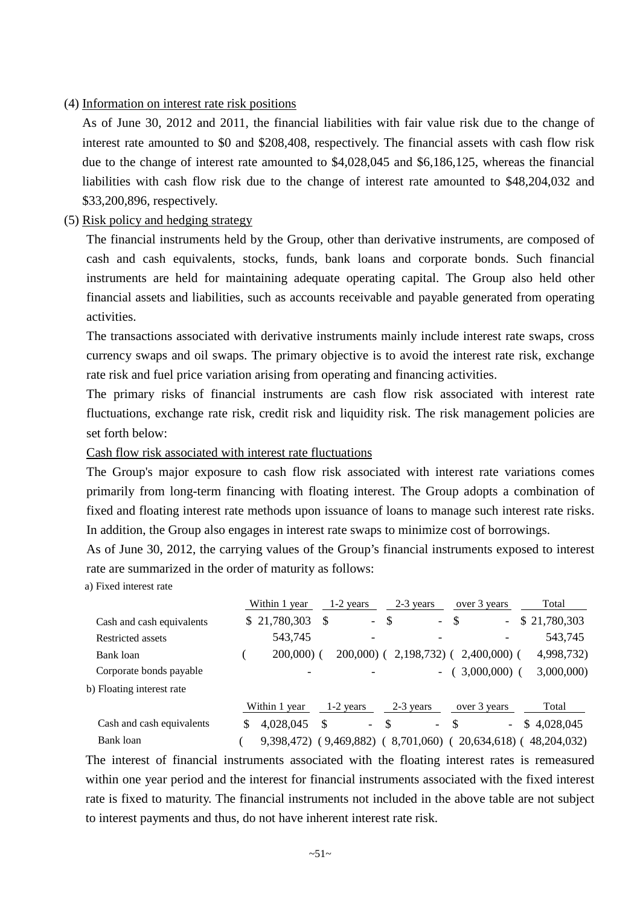#### (4) Information on interest rate risk positions

As of June 30, 2012 and 2011, the financial liabilities with fair value risk due to the change of interest rate amounted to \$0 and \$208,408, respectively. The financial assets with cash flow risk due to the change of interest rate amounted to \$4,028,045 and \$6,186,125, whereas the financial liabilities with cash flow risk due to the change of interest rate amounted to \$48,204,032 and \$33,200,896, respectively.

#### (5) Risk policy and hedging strategy

The financial instruments held by the Group, other than derivative instruments, are composed of cash and cash equivalents, stocks, funds, bank loans and corporate bonds. Such financial instruments are held for maintaining adequate operating capital. The Group also held other financial assets and liabilities, such as accounts receivable and payable generated from operating activities.

The transactions associated with derivative instruments mainly include interest rate swaps, cross currency swaps and oil swaps. The primary objective is to avoid the interest rate risk, exchange rate risk and fuel price variation arising from operating and financing activities.

The primary risks of financial instruments are cash flow risk associated with interest rate fluctuations, exchange rate risk, credit risk and liquidity risk. The risk management policies are set forth below:

Cash flow risk associated with interest rate fluctuations

The Group's major exposure to cash flow risk associated with interest rate variations comes primarily from long-term financing with floating interest. The Group adopts a combination of fixed and floating interest rate methods upon issuance of loans to manage such interest rate risks. In addition, the Group also engages in interest rate swaps to minimize cost of borrowings.

As of June 30, 2012, the carrying values of the Group's financial instruments exposed to interest rate are summarized in the order of maturity as follows:

a) Fixed interest rate

|                           | Within 1 year   |    | 1-2 years                |              | 2-3 years                | over 3 years   |                          | Total         |  |
|---------------------------|-----------------|----|--------------------------|--------------|--------------------------|----------------|--------------------------|---------------|--|
| Cash and cash equivalents | \$21,780,303    | S  | $\overline{\phantom{a}}$ | $\mathbb{S}$ | $\blacksquare$           | \$             | $\overline{\phantom{0}}$ | \$21,780,303  |  |
| Restricted assets         | 543,745         |    | $\overline{\phantom{a}}$ |              | $\overline{\phantom{a}}$ |                | -                        | 543,745       |  |
| Bank loan                 | $200,000$ (     |    | $200,000$ (              |              | $2,198,732$ (            | $2,400,000$ (  |                          | 4,998,732)    |  |
| Corporate bonds payable   |                 |    |                          |              | $\overline{\phantom{a}}$ | $3,000,000$ (  |                          | 3,000,000     |  |
| b) Floating interest rate |                 |    |                          |              |                          |                |                          |               |  |
|                           | Within 1 year   |    | $1-2$ years              |              | $2-3$ years              | over 3 years   |                          | Total         |  |
| Cash and cash equivalents | \$<br>4,028,045 | \$ | $\sim$                   | \$           | $\overline{\phantom{0}}$ | S              | $\overline{\phantom{0}}$ | \$4,028,045   |  |
| Bank loan                 | 9,398,472)      |    | (9,469,882)              |              | 8,701,060)               | $20,634,618$ ( |                          | 48, 204, 032) |  |

The interest of financial instruments associated with the floating interest rates is remeasured within one year period and the interest for financial instruments associated with the fixed interest rate is fixed to maturity. The financial instruments not included in the above table are not subject to interest payments and thus, do not have inherent interest rate risk.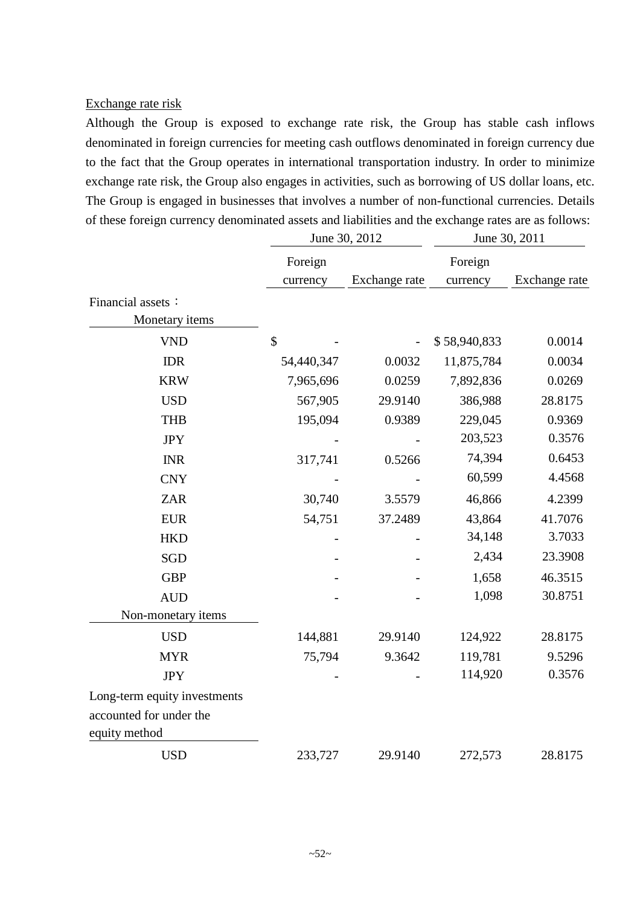#### Exchange rate risk

Although the Group is exposed to exchange rate risk, the Group has stable cash inflows denominated in foreign currencies for meeting cash outflows denominated in foreign currency due to the fact that the Group operates in international transportation industry. In order to minimize exchange rate risk, the Group also engages in activities, such as borrowing of US dollar loans, etc. The Group is engaged in businesses that involves a number of non-functional currencies. Details of these foreign currency denominated assets and liabilities and the exchange rates are as follows:

|                              |            | June 30, 2012 | June 30, 2011 |               |  |
|------------------------------|------------|---------------|---------------|---------------|--|
|                              | Foreign    |               | Foreign       |               |  |
|                              | currency   | Exchange rate | currency      | Exchange rate |  |
| Financial assets:            |            |               |               |               |  |
| Monetary items               |            |               |               |               |  |
| <b>VND</b>                   | \$         |               | \$58,940,833  | 0.0014        |  |
| <b>IDR</b>                   | 54,440,347 | 0.0032        | 11,875,784    | 0.0034        |  |
| <b>KRW</b>                   | 7,965,696  | 0.0259        | 7,892,836     | 0.0269        |  |
| <b>USD</b>                   | 567,905    | 29.9140       | 386,988       | 28.8175       |  |
| <b>THB</b>                   | 195,094    | 0.9389        | 229,045       | 0.9369        |  |
| <b>JPY</b>                   |            |               | 203,523       | 0.3576        |  |
| <b>INR</b>                   | 317,741    | 0.5266        | 74,394        | 0.6453        |  |
| <b>CNY</b>                   |            |               | 60,599        | 4.4568        |  |
| <b>ZAR</b>                   | 30,740     | 3.5579        | 46,866        | 4.2399        |  |
| <b>EUR</b>                   | 54,751     | 37.2489       | 43,864        | 41.7076       |  |
| <b>HKD</b>                   |            |               | 34,148        | 3.7033        |  |
| <b>SGD</b>                   |            |               | 2,434         | 23.3908       |  |
| <b>GBP</b>                   |            |               | 1,658         | 46.3515       |  |
| <b>AUD</b>                   |            |               | 1,098         | 30.8751       |  |
| Non-monetary items           |            |               |               |               |  |
| <b>USD</b>                   | 144,881    | 29.9140       | 124,922       | 28.8175       |  |
| <b>MYR</b>                   | 75,794     | 9.3642        | 119,781       | 9.5296        |  |
| <b>JPY</b>                   |            |               | 114,920       | 0.3576        |  |
| Long-term equity investments |            |               |               |               |  |
| accounted for under the      |            |               |               |               |  |
| equity method                |            |               |               |               |  |
| <b>USD</b>                   | 233,727    | 29.9140       | 272,573       | 28.8175       |  |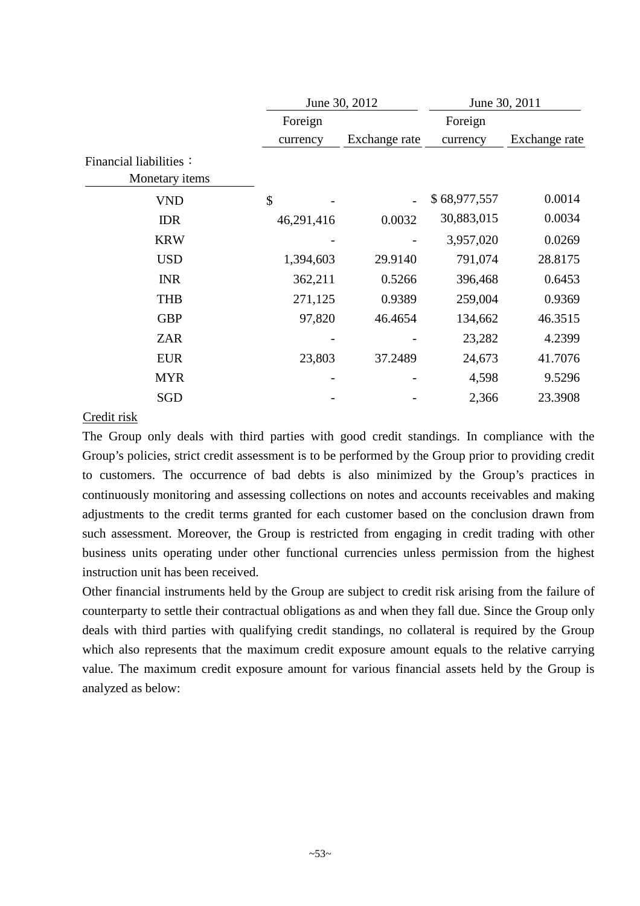|                                          |            | June 30, 2012 | June 30, 2011 |               |  |  |
|------------------------------------------|------------|---------------|---------------|---------------|--|--|
|                                          | Foreign    |               | Foreign       |               |  |  |
|                                          | currency   | Exchange rate | currency      | Exchange rate |  |  |
| Financial liabilities:<br>Monetary items |            |               |               |               |  |  |
| <b>VND</b>                               | \$         |               | \$68,977,557  | 0.0014        |  |  |
| <b>IDR</b>                               | 46,291,416 | 0.0032        | 30,883,015    | 0.0034        |  |  |
| <b>KRW</b>                               |            |               | 3,957,020     | 0.0269        |  |  |
| <b>USD</b>                               | 1,394,603  | 29.9140       | 791,074       | 28.8175       |  |  |
| <b>INR</b>                               | 362,211    | 0.5266        | 396,468       | 0.6453        |  |  |
| <b>THB</b>                               | 271,125    | 0.9389        | 259,004       | 0.9369        |  |  |
| <b>GBP</b>                               | 97,820     | 46.4654       | 134,662       | 46.3515       |  |  |
| <b>ZAR</b>                               |            |               | 23,282        | 4.2399        |  |  |
| <b>EUR</b>                               | 23,803     | 37.2489       | 24,673        | 41.7076       |  |  |
| <b>MYR</b>                               |            |               | 4,598         | 9.5296        |  |  |
| SGD                                      |            |               | 2,366         | 23.3908       |  |  |
|                                          |            |               |               |               |  |  |

### Credit risk

The Group only deals with third parties with good credit standings. In compliance with the Group's policies, strict credit assessment is to be performed by the Group prior to providing credit to customers. The occurrence of bad debts is also minimized by the Group's practices in continuously monitoring and assessing collections on notes and accounts receivables and making adjustments to the credit terms granted for each customer based on the conclusion drawn from such assessment. Moreover, the Group is restricted from engaging in credit trading with other business units operating under other functional currencies unless permission from the highest instruction unit has been received.

Other financial instruments held by the Group are subject to credit risk arising from the failure of counterparty to settle their contractual obligations as and when they fall due. Since the Group only deals with third parties with qualifying credit standings, no collateral is required by the Group which also represents that the maximum credit exposure amount equals to the relative carrying value. The maximum credit exposure amount for various financial assets held by the Group is analyzed as below: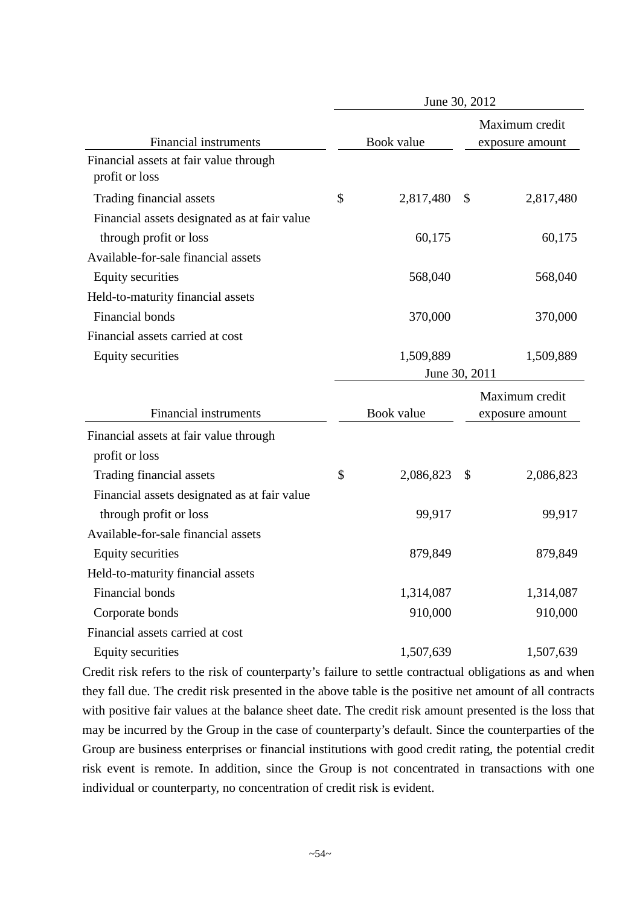|                                              | June 30, 2012 |            |               |                 |  |  |  |
|----------------------------------------------|---------------|------------|---------------|-----------------|--|--|--|
|                                              |               |            |               | Maximum credit  |  |  |  |
| <b>Financial instruments</b>                 |               | Book value |               | exposure amount |  |  |  |
| Financial assets at fair value through       |               |            |               |                 |  |  |  |
| profit or loss                               |               |            |               |                 |  |  |  |
| Trading financial assets                     | \$            | 2,817,480  | \$            | 2,817,480       |  |  |  |
| Financial assets designated as at fair value |               |            |               |                 |  |  |  |
| through profit or loss                       |               | 60,175     |               | 60,175          |  |  |  |
| Available-for-sale financial assets          |               |            |               |                 |  |  |  |
| <b>Equity securities</b>                     |               | 568,040    |               | 568,040         |  |  |  |
| Held-to-maturity financial assets            |               |            |               |                 |  |  |  |
| Financial bonds                              |               | 370,000    |               | 370,000         |  |  |  |
| Financial assets carried at cost             |               |            |               |                 |  |  |  |
| <b>Equity securities</b>                     |               | 1,509,889  |               | 1,509,889       |  |  |  |
|                                              |               |            | June 30, 2011 |                 |  |  |  |
|                                              |               |            |               | Maximum credit  |  |  |  |
| <b>Financial instruments</b>                 |               | Book value |               | exposure amount |  |  |  |
| Financial assets at fair value through       |               |            |               |                 |  |  |  |
| profit or loss                               |               |            |               |                 |  |  |  |
| Trading financial assets                     | \$            | 2,086,823  | \$            | 2,086,823       |  |  |  |
| Financial assets designated as at fair value |               |            |               |                 |  |  |  |
| through profit or loss                       |               | 99,917     |               | 99,917          |  |  |  |
| Available-for-sale financial assets          |               |            |               |                 |  |  |  |
| <b>Equity securities</b>                     |               | 879,849    |               | 879,849         |  |  |  |
| Held-to-maturity financial assets            |               |            |               |                 |  |  |  |
| Financial bonds                              |               | 1,314,087  |               | 1,314,087       |  |  |  |
| Corporate bonds                              |               | 910,000    |               | 910,000         |  |  |  |
| Financial assets carried at cost             |               |            |               |                 |  |  |  |
| <b>Equity securities</b>                     |               | 1,507,639  |               | 1,507,639       |  |  |  |

Credit risk refers to the risk of counterparty's failure to settle contractual obligations as and when they fall due. The credit risk presented in the above table is the positive net amount of all contracts with positive fair values at the balance sheet date. The credit risk amount presented is the loss that may be incurred by the Group in the case of counterparty's default. Since the counterparties of the Group are business enterprises or financial institutions with good credit rating, the potential credit risk event is remote. In addition, since the Group is not concentrated in transactions with one individual or counterparty, no concentration of credit risk is evident.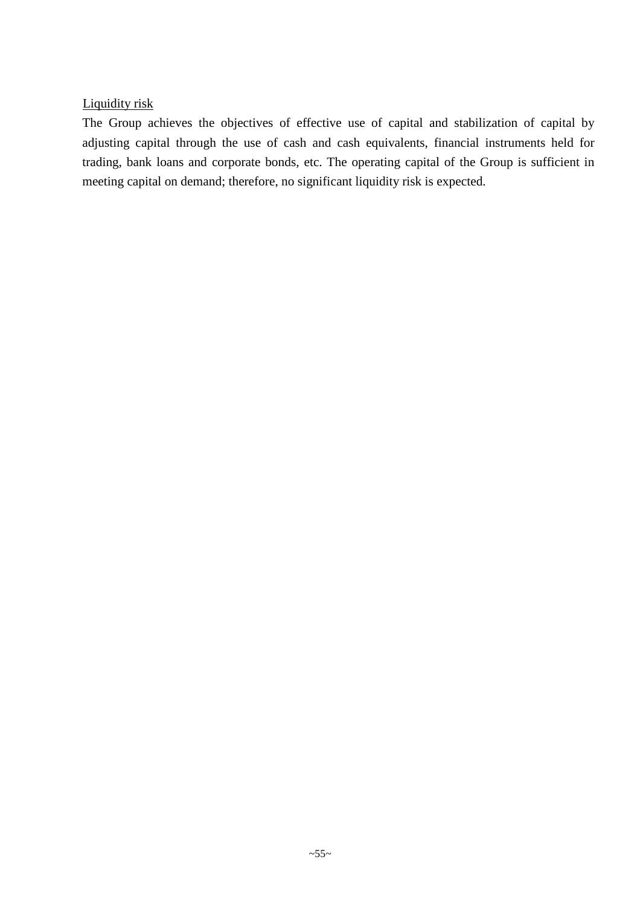## Liquidity risk

The Group achieves the objectives of effective use of capital and stabilization of capital by adjusting capital through the use of cash and cash equivalents, financial instruments held for trading, bank loans and corporate bonds, etc. The operating capital of the Group is sufficient in meeting capital on demand; therefore, no significant liquidity risk is expected.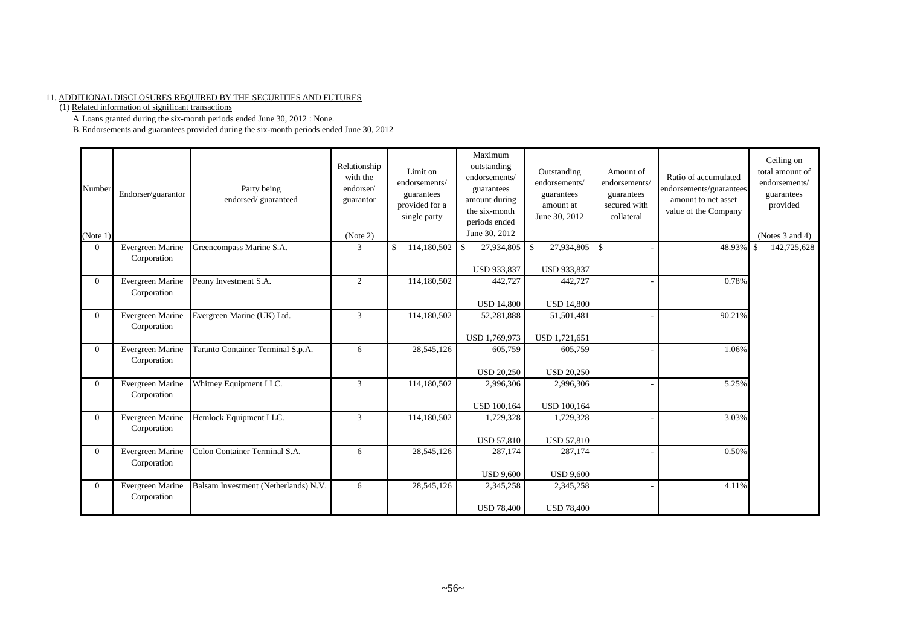#### 11. ADDITIONAL DISCLOSURES REQUIRED BY THE SECURITIES AND FUTURES

(1) Related information of significant transactions

A.Loans granted during the six-month periods ended June 30, 2012 : None.

B.Endorsements and guarantees provided during the six-month periods ended June 30, 2012

| Number<br>(Note 1) | Endorser/guarantor              | Party being<br>endorsed/guaranteed   | Relationship<br>with the<br>endorser/<br>guarantor<br>(Note 2) | Limit on<br>endorsements/<br>guarantees<br>provided for a<br>single party | Maximum<br>outstanding<br>endorsements/<br>guarantees<br>amount during<br>the six-month<br>periods ended<br>June 30, 2012 | Outstanding<br>endorsements/<br>guarantees<br>amount at<br>June 30, 2012 | Amount of<br>endorsements/<br>guarantees<br>secured with<br>collateral | Ratio of accumulated<br>endorsements/guarantees<br>amount to net asset<br>value of the Company | Ceiling on<br>total amount of<br>endorsements/<br>guarantees<br>provided<br>(Notes 3 and 4) |
|--------------------|---------------------------------|--------------------------------------|----------------------------------------------------------------|---------------------------------------------------------------------------|---------------------------------------------------------------------------------------------------------------------------|--------------------------------------------------------------------------|------------------------------------------------------------------------|------------------------------------------------------------------------------------------------|---------------------------------------------------------------------------------------------|
| $\Omega$           | Evergreen Marine<br>Corporation | Greencompass Marine S.A.             | 3                                                              | $\mathcal{S}$<br>114,180,502                                              | 27,934,805<br>\$<br><b>USD 933,837</b>                                                                                    | 27,934,805<br>-\$<br><b>USD 933,837</b>                                  | $\mathcal{S}$                                                          | 48.93%                                                                                         | 142,725,628                                                                                 |
| $\Omega$           | Evergreen Marine<br>Corporation | Peony Investment S.A.                | 2                                                              | 114,180,502                                                               | 442,727<br><b>USD 14,800</b>                                                                                              | 442,727<br><b>USD 14,800</b>                                             |                                                                        | 0.78%                                                                                          |                                                                                             |
| $\Omega$           | Evergreen Marine<br>Corporation | Evergreen Marine (UK) Ltd.           | 3                                                              | 114,180,502                                                               | 52,281,888<br>USD 1,769,973                                                                                               | 51,501,481<br>USD 1,721,651                                              |                                                                        | 90.21%                                                                                         |                                                                                             |
| $\Omega$           | Evergreen Marine<br>Corporation | Taranto Container Terminal S.p.A.    | 6                                                              | 28,545,126                                                                | 605,759<br><b>USD 20,250</b>                                                                                              | 605,759<br><b>USD 20,250</b>                                             |                                                                        | 1.06%                                                                                          |                                                                                             |
| $\Omega$           | Evergreen Marine<br>Corporation | Whitney Equipment LLC.               | 3                                                              | 114,180,502                                                               | 2,996,306<br><b>USD 100,164</b>                                                                                           | 2,996,306<br><b>USD 100,164</b>                                          |                                                                        | 5.25%                                                                                          |                                                                                             |
| $\Omega$           | Evergreen Marine<br>Corporation | Hemlock Equipment LLC.               | 3                                                              | 114,180,502                                                               | 1,729,328<br><b>USD 57,810</b>                                                                                            | 1,729,328<br><b>USD 57,810</b>                                           |                                                                        | 3.03%                                                                                          |                                                                                             |
| $\overline{0}$     | Evergreen Marine<br>Corporation | Colon Container Terminal S.A.        | 6                                                              | 28,545,126                                                                | 287,174<br><b>USD 9,600</b>                                                                                               | 287,174<br><b>USD 9,600</b>                                              |                                                                        | 0.50%                                                                                          |                                                                                             |
| $\Omega$           | Evergreen Marine<br>Corporation | Balsam Investment (Netherlands) N.V. | 6                                                              | 28,545,126                                                                | 2,345,258<br><b>USD 78,400</b>                                                                                            | 2,345,258<br><b>USD 78,400</b>                                           |                                                                        | 4.11%                                                                                          |                                                                                             |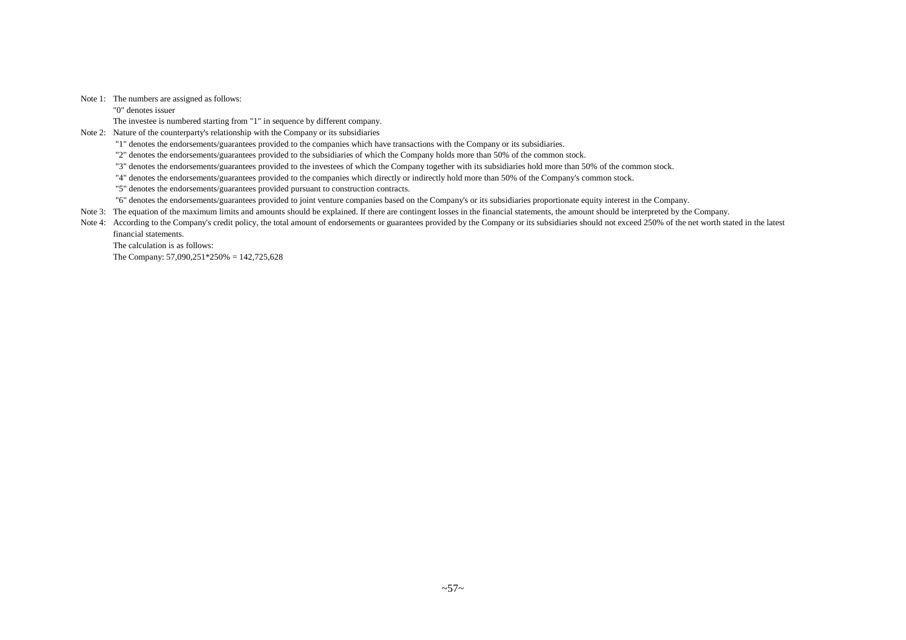Note 1: The numbers are assigned as follows:

"0" denotes issuer

The investee is numbered starting from "1" in sequence by different company.

Note 2: Nature of the counterparty's relationship with the Company or its subsidiaries

"1" denotes the endorsements/guarantees provided to the companies which have transactions with the Company or its subsidiaries.

"2" denotes the endorsements/guarantees provided to the subsidiaries of which the Company holds more than 50% of the common stock.

"3" denotes the endorsements/guarantees provided to the investees of which the Company together with its subsidiaries hold more than 50% of the common stock.

"4" denotes the endorsements/guarantees provided to the companies which directly or indirectly hold more than 50% of the Company's common stock.

"5" denotes the endorsements/guarantees provided pursuant to construction contracts.

"6" denotes the endorsements/guarantees provided to joint venture companies based on the Company's or its subsidiaries proportionate equity interest in the Company.

Note 3: The equation of the maximum limits and amounts should be explained. If there are contingent losses in the financial statements, the amount should be interpreted by the Company.

Note 4: According to the Company's credit policy, the total amount of endorsements or guarantees provided by the Company or its subsidiaries should not exceed 250% of the net worth stated in the latest financial statements.

The calculation is as follows:

The Company: 57,090,251\*250% = 142,725,628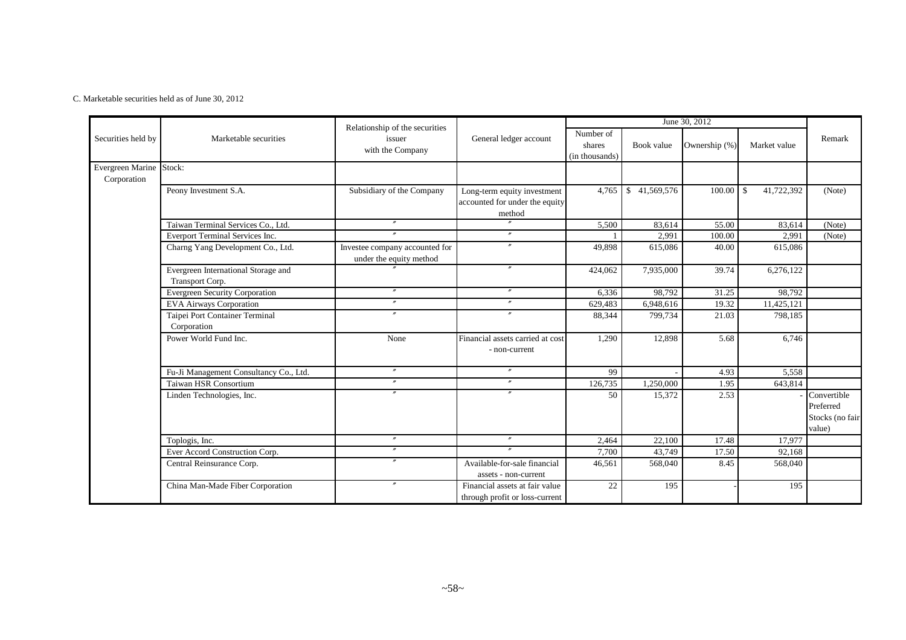C. Marketable securities held as of June 30, 2012

|                                        |                                                        | Relationship of the securities                            |                                                                         |                                       |                             | June 30, 2012 |                   |                                                       |
|----------------------------------------|--------------------------------------------------------|-----------------------------------------------------------|-------------------------------------------------------------------------|---------------------------------------|-----------------------------|---------------|-------------------|-------------------------------------------------------|
| Securities held by                     | Marketable securities                                  | issuer<br>with the Company                                | General ledger account                                                  | Number of<br>shares<br>(in thousands) | Book value                  | Ownership (%) | Market value      | Remark                                                |
| Evergreen Marine Stock:<br>Corporation |                                                        |                                                           |                                                                         |                                       |                             |               |                   |                                                       |
|                                        | Peony Investment S.A.                                  | Subsidiary of the Company                                 | Long-term equity investment<br>accounted for under the equity<br>method | 4.765                                 | 41,569,576<br><sup>\$</sup> | 100.00        | 41,722,392<br>-\$ | (Note)                                                |
|                                        | Taiwan Terminal Services Co., Ltd.                     | $^{\prime\prime}$                                         | $\overline{''}$                                                         | 5,500                                 | 83,614                      | 55.00         | 83,614            | (Note)                                                |
|                                        | Everport Terminal Services Inc.                        |                                                           | $\mathbf{r}$                                                            |                                       | 2,991                       | 100.00        | 2,991             | (Note)                                                |
|                                        | Charng Yang Development Co., Ltd.                      | Investee company accounted for<br>under the equity method | $\prime$                                                                | 49,898                                | 615,086                     | 40.00         | 615,086           |                                                       |
|                                        | Evergreen International Storage and<br>Transport Corp. |                                                           | $^{\prime\prime}$                                                       | 424,062                               | 7,935,000                   | 39.74         | 6,276,122         |                                                       |
|                                        | <b>Evergreen Security Corporation</b>                  | $\prime\prime$                                            | $\prime\prime$                                                          | 6,336                                 | 98,792                      | 31.25         | 98,792            |                                                       |
|                                        | <b>EVA Airways Corporation</b>                         | $^{\prime\prime}$                                         | $^{\prime\prime}$                                                       | 629,483                               | 6,948,616                   | 19.32         | 11,425,121        |                                                       |
|                                        | Taipei Port Container Terminal<br>Corporation          | $\prime$                                                  | $\prime\prime$                                                          | 88,344                                | 799,734                     | 21.03         | 798,185           |                                                       |
|                                        | Power World Fund Inc.                                  | None                                                      | Financial assets carried at cost<br>- non-current                       | 1.290                                 | 12,898                      | 5.68          | 6.746             |                                                       |
|                                        | Fu-Ji Management Consultancy Co., Ltd.                 | $\prime\prime$                                            | $\prime\prime$                                                          | 99                                    |                             | 4.93          | 5,558             |                                                       |
|                                        | <b>Taiwan HSR Consortium</b>                           | $^{\prime\prime}$                                         | $^{\prime\prime}$                                                       | 126,735                               | 1,250,000                   | 1.95          | 643,814           |                                                       |
|                                        | Linden Technologies, Inc.                              | $\overline{u}$                                            | $\boldsymbol{''}$                                                       | 50                                    | 15,372                      | 2.53          |                   | Convertible<br>Preferred<br>Stocks (no fair<br>value) |
|                                        | Toplogis, Inc.                                         | $\prime\prime$                                            | $^{\prime\prime}$                                                       | 2,464                                 | 22,100                      | 17.48         | 17,977            |                                                       |
|                                        | Ever Accord Construction Corp.                         | $^{\prime\prime}$                                         |                                                                         | 7,700                                 | 43,749                      | 17.50         | 92,168            |                                                       |
|                                        | Central Reinsurance Corp.                              | $\boldsymbol{''}$                                         | Available-for-sale financial<br>assets - non-current                    | 46,561                                | 568,040                     | 8.45          | 568,040           |                                                       |
|                                        | China Man-Made Fiber Corporation                       | $^{\prime\prime}$                                         | Financial assets at fair value<br>through profit or loss-current        | 22                                    | 195                         |               | 195               |                                                       |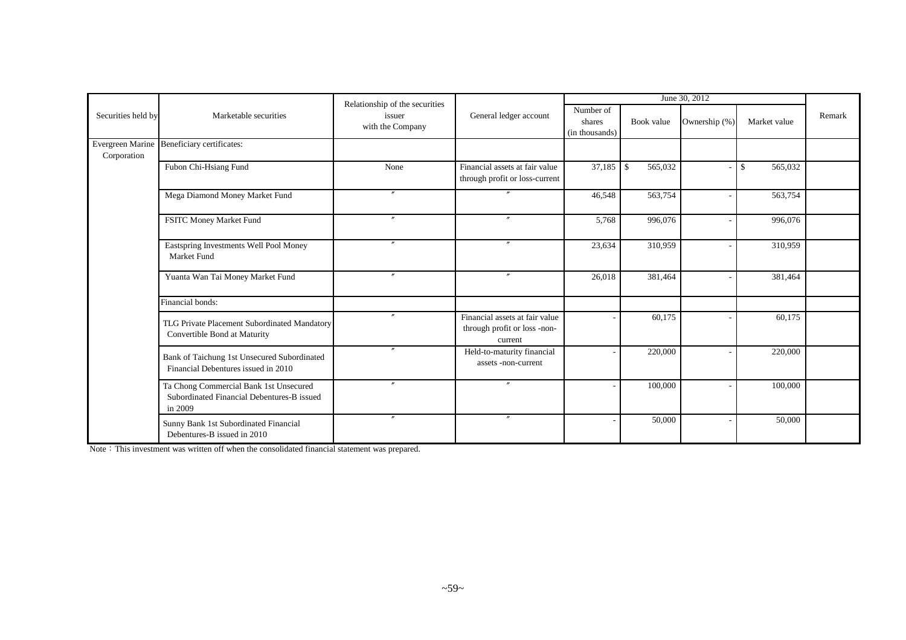|                    |                                                                                                 | Relationship of the securities |                                                                           |                                       |               | June 30, 2012 |               |        |
|--------------------|-------------------------------------------------------------------------------------------------|--------------------------------|---------------------------------------------------------------------------|---------------------------------------|---------------|---------------|---------------|--------|
| Securities held by | Marketable securities                                                                           | issuer<br>with the Company     | General ledger account                                                    | Number of<br>shares<br>(in thousands) | Book value    | Ownership (%) | Market value  | Remark |
| Corporation        | Evergreen Marine Beneficiary certificates:                                                      |                                |                                                                           |                                       |               |               |               |        |
|                    | Fubon Chi-Hsiang Fund                                                                           | None                           | Financial assets at fair value<br>through profit or loss-current          | 37,185                                | 565,032<br>\$ |               | 565,032<br>\$ |        |
|                    | Mega Diamond Money Market Fund                                                                  | $^{\prime\prime}$              | $\prime\prime$                                                            | 46,548                                | 563,754       |               | 563,754       |        |
|                    | FSITC Money Market Fund                                                                         |                                | $^{\prime\prime}$                                                         | 5,768                                 | 996,076       |               | 996,076       |        |
|                    | Eastspring Investments Well Pool Money<br>Market Fund                                           | $\overline{v}$                 | $^{\prime\prime}$                                                         | 23,634                                | 310,959       |               | 310,959       |        |
|                    | Yuanta Wan Tai Money Market Fund                                                                | $\mathbf{v}$                   | $\prime\prime$                                                            | 26,018                                | 381,464       |               | 381,464       |        |
|                    | Financial bonds:                                                                                |                                |                                                                           |                                       |               |               |               |        |
|                    | TLG Private Placement Subordinated Mandatory<br>Convertible Bond at Maturity                    | $\prime\prime$                 | Financial assets at fair value<br>through profit or loss -non-<br>current |                                       | 60,175        |               | 60,175        |        |
|                    | Bank of Taichung 1st Unsecured Subordinated<br>Financial Debentures issued in 2010              |                                | Held-to-maturity financial<br>assets -non-current                         |                                       | 220,000       |               | 220,000       |        |
|                    | Ta Chong Commercial Bank 1st Unsecured<br>Subordinated Financial Debentures-B issued<br>in 2009 | $\overline{''}$                | $^{\prime\prime}$                                                         |                                       | 100,000       |               | 100,000       |        |
|                    | Sunny Bank 1st Subordinated Financial<br>Debentures-B issued in 2010                            | $\prime\prime$                 | $^{\prime\prime}$                                                         |                                       | 50,000        |               | 50,000        |        |

Note: This investment was written off when the consolidated financial statement was prepared.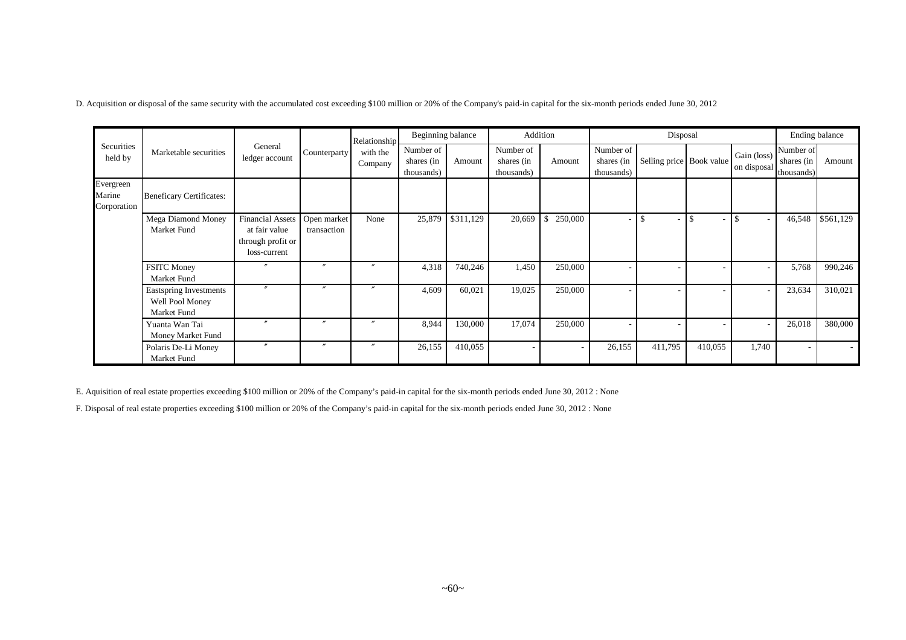D. Acquisition or disposal of the same security with the accumulated cost exceeding \$100 million or 20% of the Company's paid-in capital for the six-month periods ended June 30, 2012

|                                    |                                                          |                                                                                      |                          | Relationship        | Beginning balance                     |           |                                       | Addition                |                                       | Disposal                 |         |                            | Ending balance                          |           |
|------------------------------------|----------------------------------------------------------|--------------------------------------------------------------------------------------|--------------------------|---------------------|---------------------------------------|-----------|---------------------------------------|-------------------------|---------------------------------------|--------------------------|---------|----------------------------|-----------------------------------------|-----------|
| Securities<br>held by              | Marketable securities                                    | General<br>ledger account                                                            | Counterparty             | with the<br>Company | Number of<br>shares (in<br>thousands) | Amount    | Number of<br>shares (in<br>thousands) | Amount                  | Number of<br>shares (in<br>thousands) | Selling price Book value |         | Gain (loss)<br>on disposal | Number of<br>shares $(in$<br>thousands) | Amount    |
| Evergreen<br>Marine<br>Corporation | <b>Beneficary Certificates:</b>                          |                                                                                      |                          |                     |                                       |           |                                       |                         |                                       |                          |         |                            |                                         |           |
|                                    | Mega Diamond Money<br>Market Fund                        | Financial Assets   Open market<br>at fair value<br>through profit or<br>loss-current | transaction              | None                | 25,879                                | \$311,129 | 20,669                                | $\mathbb{S}$<br>250,000 |                                       |                          |         |                            | 46,548                                  | \$561,129 |
|                                    | <b>FSITC Money</b><br>Market Fund                        | $\prime\prime$                                                                       | $\overline{\phantom{a}}$ |                     | 4,318                                 | 740,246   | 1,450                                 | 250,000                 |                                       |                          |         |                            | 5,768                                   | 990,246   |
|                                    | Eastspring Investments<br>Well Pool Money<br>Market Fund | $\boldsymbol{''}$                                                                    | $\boldsymbol{r}$         |                     | 4,609                                 | 60,021    | 19,025                                | 250,000                 |                                       |                          |         |                            | 23,634                                  | 310,021   |
|                                    | Yuanta Wan Tai<br>Money Market Fund                      | $\prime\prime$                                                                       | $\boldsymbol{''}$        |                     | 8,944                                 | 130,000   | 17,074                                | 250,000                 |                                       |                          |         |                            | 26,018                                  | 380,000   |
|                                    | Polaris De-Li Money<br>Market Fund                       | $^{\prime\prime}$                                                                    | $\boldsymbol{''}$        |                     | 26,155                                | 410,055   |                                       |                         | 26,155                                | 411,795                  | 410,055 | 1,740                      |                                         |           |

E. Aquisition of real estate properties exceeding \$100 million or 20% of the Company's paid-in capital for the six-month periods ended June 30, 2012 : None

F. Disposal of real estate properties exceeding \$100 million or 20% of the Company's paid-in capital for the six-month periods ended June 30, 2012 : None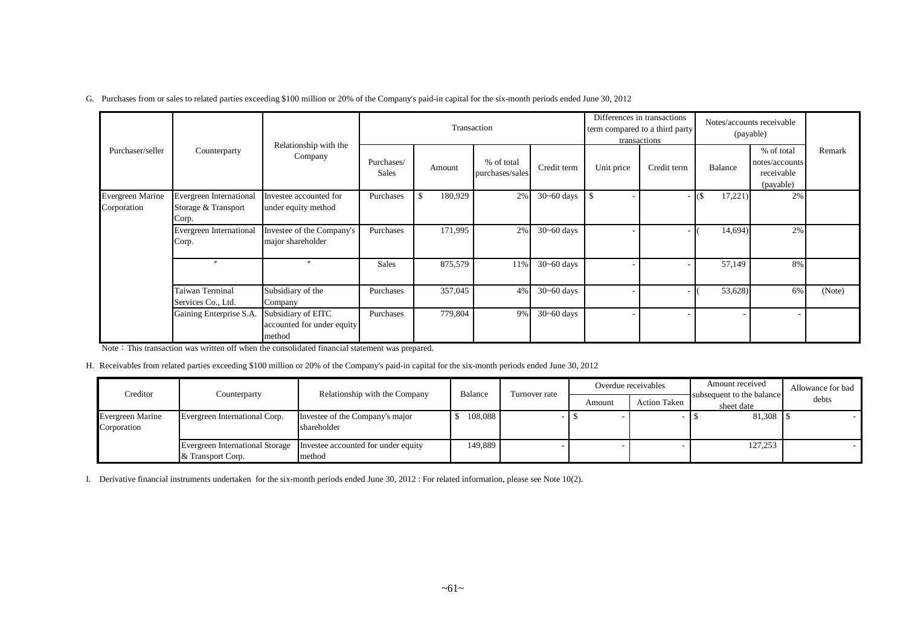|  |  |  |  | G. Purchases from or sales to related parties exceeding \$100 million or 20% of the Company's paid-in capital for the six-month periods ended June 30, 2012 |
|--|--|--|--|-------------------------------------------------------------------------------------------------------------------------------------------------------------|
|--|--|--|--|-------------------------------------------------------------------------------------------------------------------------------------------------------------|

|                                 |                                                         |                                                            |                            |               | Transaction                   |                |            | Differences in transactions<br>term compared to a third party<br>transactions |                  | Notes/accounts receivable<br>(payable)                  |        |
|---------------------------------|---------------------------------------------------------|------------------------------------------------------------|----------------------------|---------------|-------------------------------|----------------|------------|-------------------------------------------------------------------------------|------------------|---------------------------------------------------------|--------|
| Purchaser/seller                | Counterparty                                            | Relationship with the<br>Company                           | Purchases/<br><b>Sales</b> | Amount        | % of total<br>purchases/sales | Credit term    | Unit price | Credit term                                                                   | Balance          | % of total<br>notes/accounts<br>receivable<br>(payable) | Remark |
| Evergreen Marine<br>Corporation | Evergreen International<br>Storage & Transport<br>Corp. | Investee accounted for<br>under equity method              | Purchases                  | 180,929<br>\$ | 2%                            | $30 - 60$ days |            |                                                                               | 17,221<br>$($ \$ | 2%                                                      |        |
|                                 | Evergreen International<br>Corp.                        | Investee of the Company's<br>major shareholder             | Purchases                  | 171,995       | 2%                            | $30 - 60$ days |            |                                                                               | 14,694)          | 2%                                                      |        |
|                                 | $\theta$                                                | $^{\prime\prime}$                                          | <b>Sales</b>               | 875,579       | 11%                           | $30 - 60$ days |            |                                                                               | 57,149           | 8%                                                      |        |
|                                 | Taiwan Terminal<br>Services Co., Ltd.                   | Subsidiary of the<br>Company                               | Purchases                  | 357,045       | 4%                            | $30 - 60$ days |            |                                                                               | 53,628)          | 6%                                                      | (Note) |
|                                 | Gaining Enterprise S.A.                                 | Subsidiary of EITC<br>accounted for under equity<br>method | Purchases                  | 779,804       | 9%                            | $30 - 60$ days |            |                                                                               |                  |                                                         |        |

Note: This transaction was written off when the consolidated financial statement was prepared.

H. Receivables from related parties exceeding \$100 million or 20% of the Company's paid-in capital for the six-month periods ended June 30, 2012

| Creditor                               | Counterparty                                         | Relationship with the Company                  | Balance | Turnover rate |        | Overdue receivables | Amount received                         | Allowance for bad |
|----------------------------------------|------------------------------------------------------|------------------------------------------------|---------|---------------|--------|---------------------|-----------------------------------------|-------------------|
|                                        |                                                      |                                                |         |               | Amount | <b>Action Taken</b> | subsequent to the balance<br>sheet date | debts             |
| <b>Evergreen Marine</b><br>Corporation | Evergreen International Corp.                        | Investee of the Company's major<br>shareholder | 108,088 |               |        |                     | 81,308                                  |                   |
|                                        | Evergreen International Storage<br>& Transport Corp. | Investee accounted for under equity<br>method  | 149,889 |               |        |                     | 127,253                                 |                   |

I. Derivative financial instruments undertaken for the six-month periods ended June 30, 2012 : For related information, please see Note 10(2).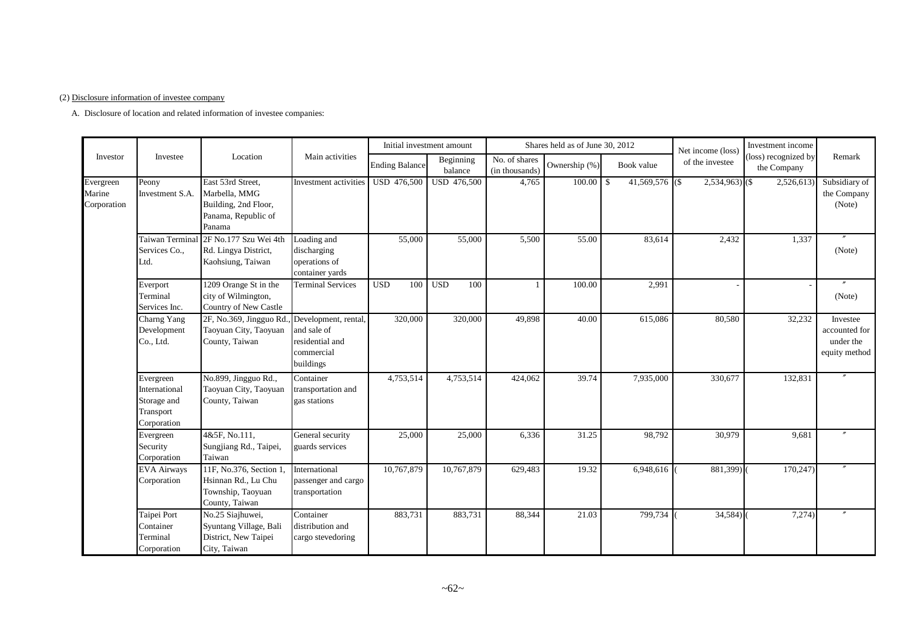#### (2) Disclosure information of investee company

A. Disclosure of location and related information of investee companies:

|                                    |                                                                       |                                                                                             |                                                                                   |                         | Initial investment amount |                                 | Shares held as of June 30, 2012 |                       | Net income (loss) | Investment income                   |                                                         |
|------------------------------------|-----------------------------------------------------------------------|---------------------------------------------------------------------------------------------|-----------------------------------------------------------------------------------|-------------------------|---------------------------|---------------------------------|---------------------------------|-----------------------|-------------------|-------------------------------------|---------------------------------------------------------|
| Investor                           | Investee                                                              | Location                                                                                    | Main activities                                                                   | <b>Ending Balance</b>   | Beginning<br>balance      | No. of shares<br>(in thousands) | Ownership (%)                   | Book value            | of the investee   | (loss) recognized by<br>the Company | Remark                                                  |
| Evergreen<br>Marine<br>Corporation | Peony<br>Investment S.A.                                              | East 53rd Street,<br>Marbella, MMG<br>Building, 2nd Floor,<br>Panama, Republic of<br>Panama | Investment activities                                                             | <b>USD 476,500</b>      | <b>USD 476,500</b>        | 4,765                           | 100.00                          | \$<br>41,569,576 (\$) | $2,534,963$ (\$)  | 2,526,613                           | Subsidiary of<br>the Company<br>(Note)                  |
|                                    | Taiwan Terminal<br>Services Co.,<br>Ltd.                              | 2F No.177 Szu Wei 4th<br>Rd. Lingya District,<br>Kaohsiung, Taiwan                          | Loading and<br>discharging<br>operations of<br>container yards                    | 55,000                  | 55,000                    | 5,500                           | 55.00                           | 83,614                | 2,432             | 1,337                               | (Note)                                                  |
|                                    | Everport<br>Terminal<br>Services Inc.                                 | 1209 Orange St in the<br>city of Wilmington,<br>Country of New Castle                       | <b>Terminal Services</b>                                                          | $\overline{USD}$<br>100 | $\overline{USD}$<br>100   | $\overline{1}$                  | 100.00                          | 2,991                 |                   |                                     | (Note)                                                  |
|                                    | Charng Yang<br>Development<br>Co., Ltd.                               | 2F, No.369, Jingguo Rd.,<br>Taoyuan City, Taoyuan<br>County, Taiwan                         | Development, rental,<br>and sale of<br>residential and<br>commercial<br>buildings | 320,000                 | 320,000                   | 49,898                          | 40.00                           | 615,086               | 80,580            | 32,232                              | Investee<br>accounted for<br>under the<br>equity method |
|                                    | Evergreen<br>International<br>Storage and<br>Transport<br>Corporation | No.899, Jingguo Rd.,<br>Taoyuan City, Taoyuan<br>County, Taiwan                             | Container<br>transportation and<br>gas stations                                   | 4,753,514               | 4,753,514                 | 424,062                         | 39.74                           | 7,935,000             | 330,677           | 132,831                             |                                                         |
|                                    | Evergreen<br>Security<br>Corporation                                  | 4&5F, No.111.<br>Sungjiang Rd., Taipei,<br>Taiwan                                           | General security<br>guards services                                               | 25,000                  | 25,000                    | 6,336                           | 31.25                           | 98,792                | 30,979            | 9,681                               |                                                         |
|                                    | <b>EVA Airways</b><br>Corporation                                     | 11F, No.376, Section 1.<br>Hsinnan Rd., Lu Chu<br>Township, Taoyuan<br>County, Taiwan       | International<br>passenger and cargo<br>transportation                            | 10,767,879              | 10,767,879                | 629,483                         | 19.32                           | 6,948,616             | 881,399)          | 170,247)                            |                                                         |
|                                    | Taipei Port<br>Container<br>Terminal<br>Corporation                   | No.25 Siajhuwei,<br>Syuntang Village, Bali<br>District, New Taipei<br>City, Taiwan          | Container<br>distribution and<br>cargo stevedoring                                | 883,731                 | 883,731                   | 88,344                          | 21.03                           | 799,734               | $34,584$ )        | 7,274)                              |                                                         |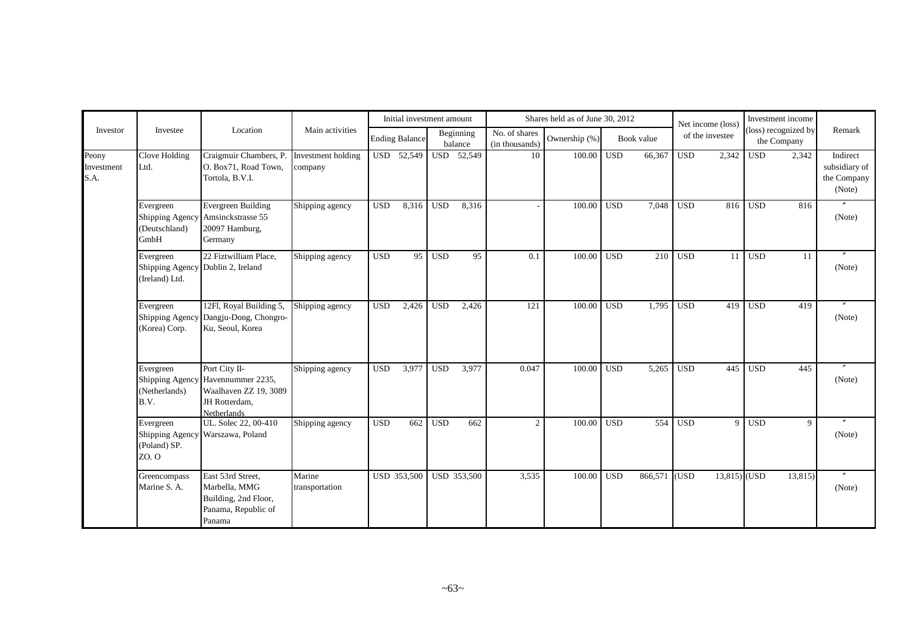|                             |                                                                  |                                                                                                                    |                               |              | Initial investment amount |            |                      |                                 | Shares held as of June 30, 2012 |            |            |              | Net income (loss) |              | Investment income                   |                                                    |
|-----------------------------|------------------------------------------------------------------|--------------------------------------------------------------------------------------------------------------------|-------------------------------|--------------|---------------------------|------------|----------------------|---------------------------------|---------------------------------|------------|------------|--------------|-------------------|--------------|-------------------------------------|----------------------------------------------------|
| Investor                    | Investee                                                         | Location                                                                                                           | Main activities               |              | <b>Ending Balance</b>     |            | Beginning<br>balance | No. of shares<br>(in thousands) | Ownership (%)                   |            | Book value |              | of the investee   |              | (loss) recognized by<br>the Company | Remark                                             |
| Peony<br>Investment<br>S.A. | Clove Holding<br>Ltd.                                            | Craigmuir Chambers, P.<br>O. Box71, Road Town,<br>Tortola, B.V.I.                                                  | Investment holding<br>company |              | USD 52,549                |            | USD 52,549           | 10                              | 100.00                          | <b>USD</b> | 66,367     | $_{\rm USD}$ | 2,342             | <b>USD</b>   | 2,342                               | Indirect<br>subsidiary of<br>the Company<br>(Note) |
|                             | Evergreen<br>(Deutschland)<br>GmbH                               | Evergreen Building<br>Shipping Agency Amsinckstrasse 55<br>20097 Hamburg,<br>Germany                               | Shipping agency               | $_{\rm USD}$ | 8,316                     | <b>USD</b> | 8,316                |                                 | 100.00                          | <b>USD</b> | 7,048      | $_{\rm USD}$ | 816               | $_{\rm USD}$ | 816                                 | (Note)                                             |
|                             | Evergreen<br>Shipping Agency Dublin 2, Ireland<br>(Ireland) Ltd. | 22 Fiztwilliam Place.                                                                                              | Shipping agency               | <b>USD</b>   | 95                        | <b>USD</b> | 95                   | 0.1                             | 100.00                          | <b>USD</b> | 210        | <b>USD</b>   | 11                | <b>USD</b>   | -11                                 | (Note)                                             |
|                             | Evergreen<br><b>Shipping Agency</b><br>(Korea) Corp.             | 12Fl, Royal Building 5,<br>Dangju-Dong, Chongro-<br>Ku, Seoul, Korea                                               | Shipping agency               | <b>USD</b>   | 2,426                     | <b>USD</b> | 2,426                | 121                             | 100.00                          | <b>USD</b> | 1,795      | $_{\rm USD}$ | 419               | <b>USD</b>   | 419                                 | (Note)                                             |
|                             | Evergreen<br>(Netherlands)<br>B.V.                               | Port City II-<br>Shipping Agency Havennummer 2235,<br>Waalhaven ZZ 19, 3089<br>JH Rotterdam,<br><b>Netherlands</b> | Shipping agency               | <b>USD</b>   | 3,977                     | <b>USD</b> | 3,977                | 0.047                           | 100.00                          | <b>USD</b> | 5,265      | <b>USD</b>   | 445               | <b>USD</b>   | 445                                 | (Note)                                             |
|                             | Evergreen<br>(Poland) SP.<br>ZO. O                               | UL. Solec 22, 00-410<br>Shipping Agency Warszawa, Poland                                                           | Shipping agency               | <b>USD</b>   | 662                       | <b>USD</b> | 662                  | $\mathfrak{2}$                  | 100.00                          | <b>USD</b> | 554        | <b>USD</b>   | $\overline{9}$    | <b>USD</b>   | 9                                   | (Note)                                             |
|                             | Greencompass<br>Marine S. A.                                     | East 53rd Street,<br>Marbella, MMG<br>Building, 2nd Floor,<br>Panama, Republic of<br>Panama                        | Marine<br>transportation      |              | USD 353,500               |            | <b>USD 353,500</b>   | 3,535                           | 100.00                          | <b>USD</b> | 866,571    | (USD)        | $13,815$ (USD     |              | 13,815                              | (Note)                                             |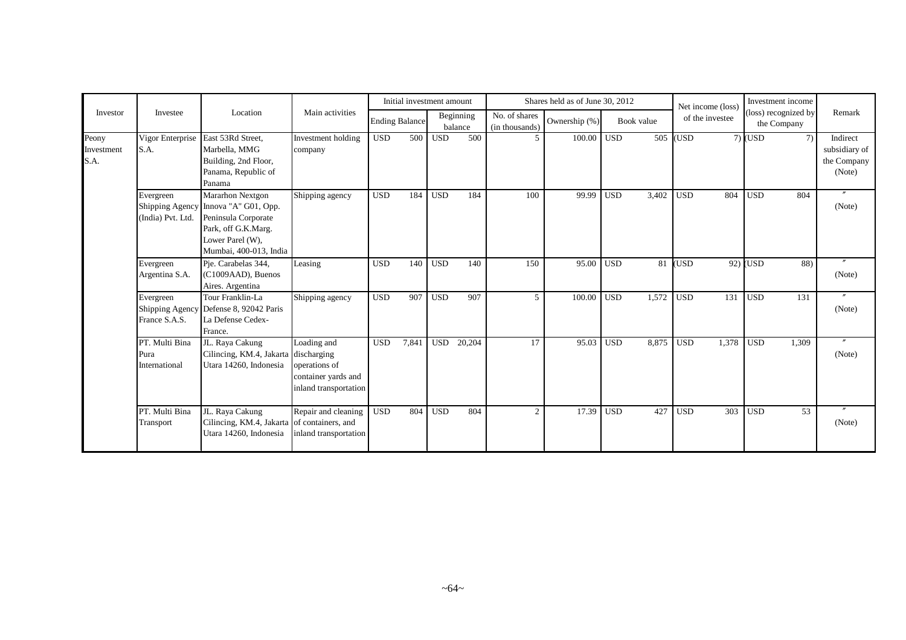|                             |                                         |                                                                                                                                                      |                                                                              |                       | Initial investment amount |            |                      |                                 | Shares held as of June 30, 2012 |            |            | Net income (loss) |                 |            | Investment income                   |                                                    |
|-----------------------------|-----------------------------------------|------------------------------------------------------------------------------------------------------------------------------------------------------|------------------------------------------------------------------------------|-----------------------|---------------------------|------------|----------------------|---------------------------------|---------------------------------|------------|------------|-------------------|-----------------|------------|-------------------------------------|----------------------------------------------------|
| Investor                    | Investee                                | Location                                                                                                                                             | Main activities                                                              | <b>Ending Balance</b> |                           |            | Beginning<br>balance | No. of shares<br>(in thousands) | Ownership (%)                   |            | Book value |                   | of the investee |            | (loss) recognized by<br>the Company | Remark                                             |
| Peony<br>Investment<br>S.A. | S.A.                                    | Vigor Enterprise East 53Rd Street,<br>Marbella, MMG<br>Building, 2nd Floor,<br>Panama, Republic of<br>Panama                                         | Investment holding<br>company                                                | <b>USD</b>            | 500                       | <b>USD</b> | 500                  | 5                               | 100.00                          | <b>USD</b> | 505        | USD <sub>.</sub>  |                 | $7)$ (USD  | 7)                                  | Indirect<br>subsidiary of<br>the Company<br>(Note) |
|                             | Evergreen<br>(India) Pvt. Ltd.          | Mararhon Nextgon<br>Shipping Agency Innova "A" G01, Opp.<br>Peninsula Corporate<br>Park, off G.K.Marg.<br>Lower Parel (W),<br>Mumbai, 400-013, India | Shipping agency                                                              | <b>USD</b>            | 184                       | <b>USD</b> | 184                  | 100                             | 99.99                           | <b>USD</b> | 3,402      | <b>USD</b>        | 804             | <b>USD</b> | 804                                 | (Note)                                             |
|                             | Evergreen<br>Argentina S.A.             | Pje. Carabelas 344,<br>(C1009AAD), Buenos<br>Aires. Argentina                                                                                        | Leasing                                                                      | <b>USD</b>            | 140                       | <b>USD</b> | 140                  | 150                             | 95.00                           | <b>USD</b> | 81         | <b>USD</b>        |                 | $92)$ (USD | 88)                                 | (Note)                                             |
|                             | Evergreen<br>France S.A.S.              | Tour Franklin-La<br>Shipping Agency Defense 8, 92042 Paris<br>La Defense Cedex-<br>France.                                                           | Shipping agency                                                              | <b>USD</b>            | 907                       | <b>USD</b> | 907                  | 5                               | 100.00                          | <b>USD</b> | 1,572      | <b>USD</b>        | 131             | <b>USD</b> | 131                                 | $^{\prime\prime}$<br>(Note)                        |
|                             | PT. Multi Bina<br>Pura<br>International | JL. Raya Cakung<br>Cilincing, KM.4, Jakarta discharging<br>Utara 14260, Indonesia                                                                    | Loading and<br>operations of<br>container yards and<br>inland transportation | <b>USD</b>            | 7,841                     | <b>USD</b> | 20,204               | 17                              | 95.03                           | <b>USD</b> | 8,875      | <b>USD</b>        | 1,378           | <b>USD</b> | 1.309                               | $\prime\prime$<br>(Note)                           |
|                             | PT. Multi Bina<br>Transport             | JL. Raya Cakung<br>Cilincing, KM.4, Jakarta of containers, and<br>Utara 14260, Indonesia                                                             | Repair and cleaning<br>inland transportation                                 | <b>USD</b>            | 804                       | <b>USD</b> | 804                  | $\overline{2}$                  | 17.39                           | <b>USD</b> | 427        | <b>USD</b>        | 303             | <b>USD</b> | 53                                  | (Note)                                             |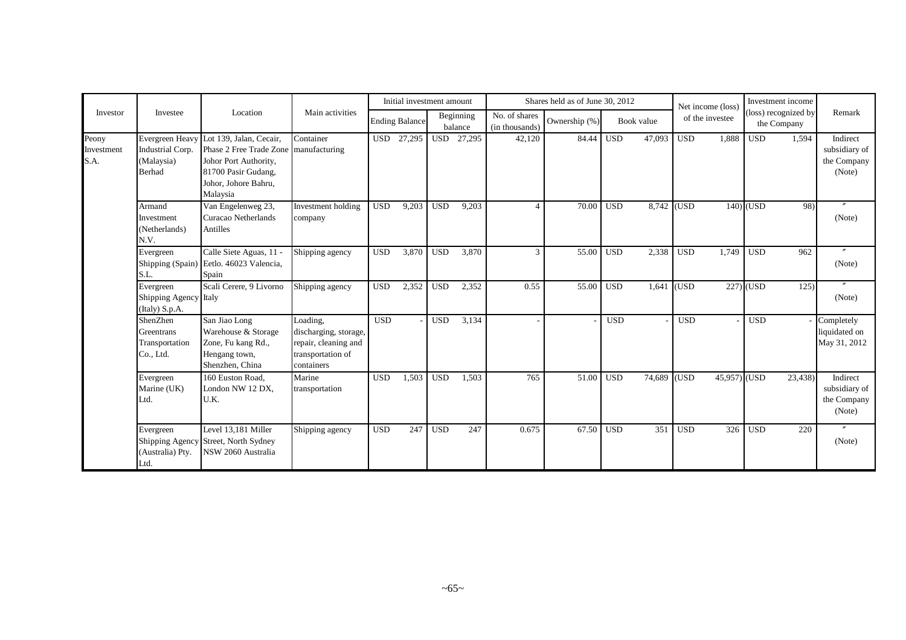|                             |                                                             |                                                                                                                                                      |                                                                                              |            | Initial investment amount |            |                      |                                 | Shares held as of June 30, 2012 |                  |             |            | Net income (loss) |             | Investment income                   |                                                    |
|-----------------------------|-------------------------------------------------------------|------------------------------------------------------------------------------------------------------------------------------------------------------|----------------------------------------------------------------------------------------------|------------|---------------------------|------------|----------------------|---------------------------------|---------------------------------|------------------|-------------|------------|-------------------|-------------|-------------------------------------|----------------------------------------------------|
| Investor                    | Investee                                                    | Location                                                                                                                                             | Main activities                                                                              |            | <b>Ending Balance</b>     |            | Beginning<br>balance | No. of shares<br>(in thousands) | Ownership (%)                   |                  | Book value  |            | of the investee   |             | (loss) recognized by<br>the Company | Remark                                             |
| Peony<br>Investment<br>S.A. | Evergreen Heavy<br>Industrial Corp.<br>(Malaysia)<br>Berhad | Lot 139, Jalan, Cecair,<br>Phase 2 Free Trade Zone manufacturing<br>Johor Port Authority,<br>81700 Pasir Gudang,<br>Johor, Johore Bahru,<br>Malaysia | Container                                                                                    |            | USD 27,295                |            | USD 27,295           | 42,120                          | 84.44                           | USD <sub>1</sub> | 47,093      | <b>USD</b> | 1,888             | <b>USD</b>  | 1,594                               | Indirect<br>subsidiary of<br>the Company<br>(Note) |
|                             | Armand<br>Investment<br>(Netherlands)<br>N.V.               | Van Engelenweg 23,<br>Curacao Netherlands<br>Antilles                                                                                                | Investment holding<br>company                                                                | <b>USD</b> | 9,203                     | <b>USD</b> | 9,203                | $\boldsymbol{\varDelta}$        | 70.00                           | <b>USD</b>       | 8,742 (USD) |            |                   | $140$ (USD  | 98)                                 | (Note)                                             |
|                             | Evergreen<br>Shipping (Spain)<br>S.L.                       | Calle Siete Aguas, 11 -<br>Eetlo. 46023 Valencia,<br>Spain                                                                                           | Shipping agency                                                                              | <b>USD</b> | 3,870                     | <b>USD</b> | 3,870                | 3                               | 55.00                           | <b>USD</b>       | 2,338       | <b>USD</b> | 1,749             | <b>USD</b>  | 962                                 | (Note)                                             |
|                             | Evergreen<br>Shipping Agency Italy<br>(Italy) S.p.A.        | Scali Cerere, 9 Livorno                                                                                                                              | Shipping agency                                                                              | <b>USD</b> | 2,352                     | <b>USD</b> | 2,352                | 0.55                            | 55.00                           | <b>USD</b>       | 1,641       | (USD)      |                   | $227)$ (USD | 125                                 | (Note)                                             |
|                             | ShenZhen<br>Greentrans<br>Transportation<br>Co., Ltd.       | San Jiao Long<br>Warehouse & Storage<br>Zone, Fu kang Rd.,<br>Hengang town,<br>Shenzhen, China                                                       | Loading,<br>discharging, storage,<br>repair, cleaning and<br>transportation of<br>containers | <b>USD</b> |                           | <b>USD</b> | 3,134                |                                 |                                 | <b>USD</b>       |             | <b>USD</b> |                   | <b>USD</b>  |                                     | Completely<br>liquidated on<br>May 31, 2012        |
|                             | Evergreen<br>Marine (UK)<br>Ltd.                            | 160 Euston Road,<br>London NW 12 DX,<br>U.K.                                                                                                         | Marine<br>transportation                                                                     | <b>USD</b> | 1,503                     | <b>USD</b> | 1,503                | 765                             | 51.00                           | <b>USD</b>       | 74,689 (USD |            | $45,957$ (USD     |             | 23,438)                             | Indirect<br>subsidiary of<br>the Company<br>(Note) |
|                             | Evergreen<br>Shipping Agency<br>(Australia) Pty.<br>Ltd.    | Level 13.181 Miller<br>Street, North Sydney<br>NSW 2060 Australia                                                                                    | Shipping agency                                                                              | <b>USD</b> | 247                       | <b>USD</b> | 247                  | 0.675                           | 67.50                           | <b>USD</b>       | 351         | <b>USD</b> | 326               | <b>USD</b>  | 220                                 | $\prime\prime$<br>(Note)                           |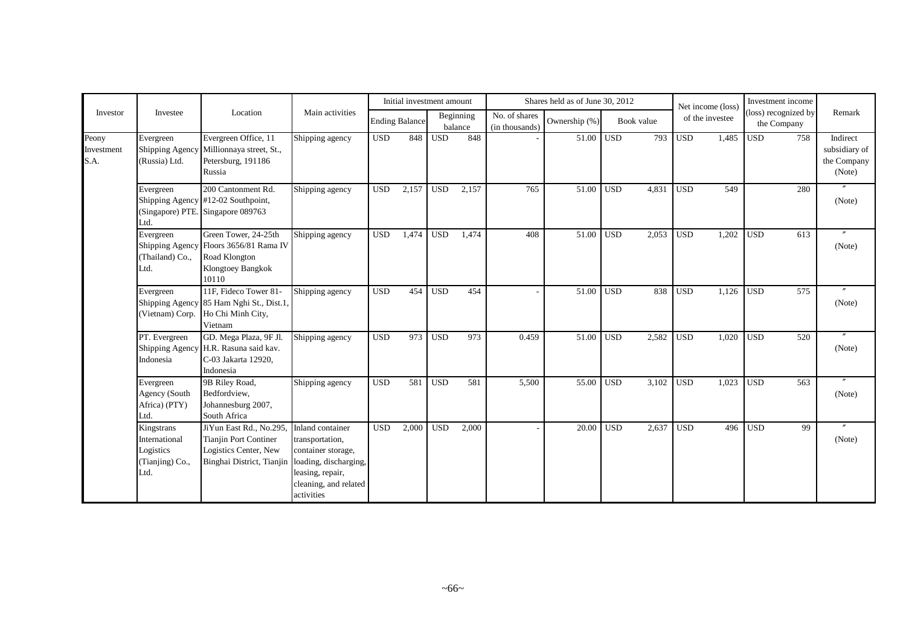|                             |                                                                     |                                                                                                                             |                                                                                                                      |            | Initial investment amount |            |                      |                                 | Shares held as of June 30, 2012 |            |            |              | Net income (loss) |            | Investment income                   |                                                    |
|-----------------------------|---------------------------------------------------------------------|-----------------------------------------------------------------------------------------------------------------------------|----------------------------------------------------------------------------------------------------------------------|------------|---------------------------|------------|----------------------|---------------------------------|---------------------------------|------------|------------|--------------|-------------------|------------|-------------------------------------|----------------------------------------------------|
| Investor                    | Investee                                                            | Location                                                                                                                    | Main activities                                                                                                      |            | <b>Ending Balance</b>     |            | Beginning<br>balance | No. of shares<br>(in thousands) | Ownership (%)                   |            | Book value |              | of the investee   |            | (loss) recognized by<br>the Company | Remark                                             |
| Peony<br>Investment<br>S.A. | Evergreen<br>Shipping Agency<br>(Russia) Ltd.                       | Evergreen Office, 11<br>Millionnaya street, St.,<br>Petersburg, 191186<br>Russia                                            | Shipping agency                                                                                                      | <b>USD</b> | 848                       | <b>USD</b> | 848                  |                                 | 51.00                           | <b>USD</b> | 793        | $_{\rm USD}$ | 1,485             | <b>USD</b> | 758                                 | Indirect<br>subsidiary of<br>the Company<br>(Note) |
|                             | Evergreen<br>Ltd.                                                   | 200 Cantonment Rd.<br>Shipping Agency #12-02 Southpoint,<br>(Singapore) PTE. Singapore 089763                               | Shipping agency                                                                                                      | <b>USD</b> | 2,157                     | <b>USD</b> | 2,157                | 765                             | 51.00                           | <b>USD</b> | 4,831      | <b>USD</b>   | 549               |            | 280                                 | (Note)                                             |
|                             | Evergreen<br>(Thailand) Co.,<br>Ltd.                                | Green Tower, 24-25th<br>Shipping Agency Floors 3656/81 Rama IV<br>Road Klongton<br>Klongtoey Bangkok<br>10110               | Shipping agency                                                                                                      | <b>USD</b> | 1.474                     | <b>USD</b> | 1,474                | 408                             | 51.00                           | <b>USD</b> | 2,053      | <b>USD</b>   | 1,202             | <b>USD</b> | 613                                 | (Note)                                             |
|                             | Evergreen<br>(Vietnam) Corp.                                        | 11F. Fideco Tower 81-<br>Shipping Agency 85 Ham Nghi St., Dist.1,<br>Ho Chi Minh City,<br>Vietnam                           | Shipping agency                                                                                                      | <b>USD</b> | 454                       | <b>USD</b> | 454                  |                                 | 51.00                           | <b>USD</b> | 838        | <b>USD</b>   | 1.126             | <b>USD</b> | 575                                 | (Note)                                             |
|                             | PT. Evergreen<br>Indonesia                                          | GD. Mega Plaza, 9F Jl.<br>Shipping Agency H.R. Rasuna said kav.<br>C-03 Jakarta 12920,<br>Indonesia                         | Shipping agency                                                                                                      | <b>USD</b> | 973                       | <b>USD</b> | 973                  | 0.459                           | 51.00                           | <b>USD</b> | 2,582      | <b>USD</b>   | 1,020             | <b>USD</b> | 520                                 | (Note)                                             |
|                             | Evergreen<br>Agency (South<br>Africa) (PTY)<br>Ltd.                 | 9B Riley Road,<br>Bedfordview,<br>Johannesburg 2007,<br>South Africa                                                        | Shipping agency                                                                                                      | <b>USD</b> | 581                       | <b>USD</b> | 581                  | 5,500                           | 55.00                           | <b>USD</b> | 3,102      | <b>USD</b>   | 1,023             | <b>USD</b> | 563                                 | (Note)                                             |
|                             | Kingstrans<br>International<br>Logistics<br>(Tianjing) Co.,<br>Ltd. | JiYun East Rd., No.295<br>Tianjin Port Continer<br>Logistics Center, New<br>Binghai District, Tianjin loading, discharging, | Inland container<br>transportation,<br>container storage,<br>leasing, repair,<br>cleaning, and related<br>activities | <b>USD</b> | 2,000                     | <b>USD</b> | 2,000                |                                 | 20.00                           | <b>USD</b> | 2,637      | <b>USD</b>   | 496               | <b>USD</b> | 99                                  | (Note)                                             |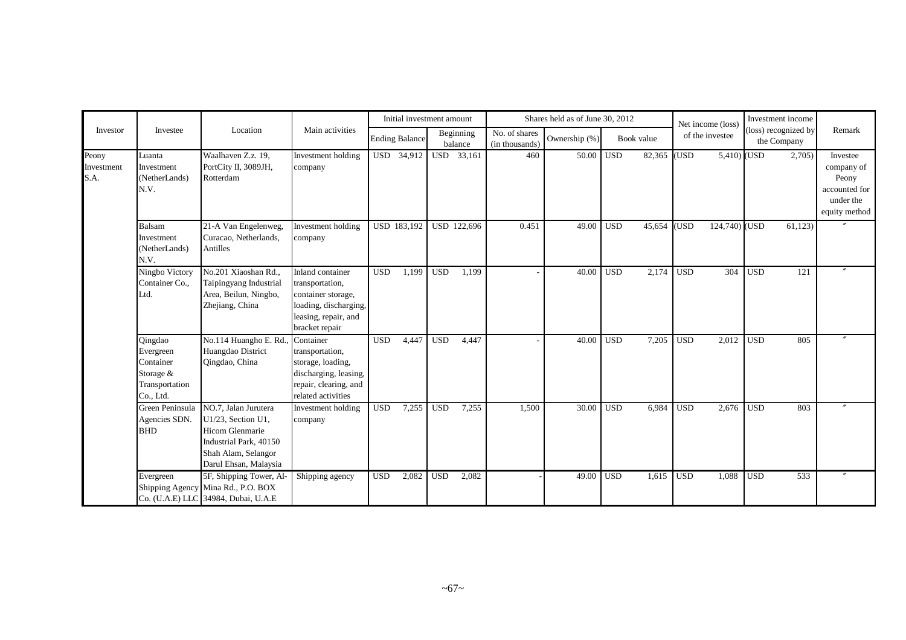|                             |                                                                               |                                                                                                                                                |                                                                                                                                     |            | Initial investment amount |            |                      |                                 | Shares held as of June 30, 2012 |            |            |                  | Net income (loss) |            | Investment income                   |                                                                                |
|-----------------------------|-------------------------------------------------------------------------------|------------------------------------------------------------------------------------------------------------------------------------------------|-------------------------------------------------------------------------------------------------------------------------------------|------------|---------------------------|------------|----------------------|---------------------------------|---------------------------------|------------|------------|------------------|-------------------|------------|-------------------------------------|--------------------------------------------------------------------------------|
| Investor                    | Investee                                                                      | Location                                                                                                                                       | Main activities                                                                                                                     |            | <b>Ending Balance</b>     |            | Beginning<br>balance | No. of shares<br>(in thousands) | Ownership (%)                   |            | Book value |                  | of the investee   |            | (loss) recognized by<br>the Company | Remark                                                                         |
| Peony<br>Investment<br>S.A. | Luanta<br>Investment<br>(NetherLands)<br>N.V.                                 | Waalhaven Z.z. 19,<br>PortCity II, 3089JH,<br>Rotterdam                                                                                        | Investment holding<br>company                                                                                                       | <b>USD</b> | 34,912                    |            | USD 33,161           | 460                             | 50.00                           | <b>USD</b> | 82,365     | (USD             | $5,410)$ (USD     |            | 2,705                               | Investee<br>company of<br>Peony<br>accounted for<br>under the<br>equity method |
|                             | <b>Balsam</b><br>Investment<br>(NetherLands)<br>N.V.                          | 21-A Van Engelenweg,<br>Curacao, Netherlands,<br>Antilles                                                                                      | Investment holding<br>company                                                                                                       |            | USD 183,192               |            | USD 122,696          | 0.451                           | 49.00                           | <b>USD</b> | 45,654     | (USD)            | 124,740) (USD     |            | 61,123                              |                                                                                |
|                             | Ningbo Victory<br>Container Co.,<br>Ltd.                                      | No.201 Xiaoshan Rd.,<br>Taipingyang Industrial<br>Area, Beilun, Ningbo,<br>Zhejiang, China                                                     | <b>Inland</b> container<br>transportation,<br>container storage,<br>loading, discharging,<br>leasing, repair, and<br>bracket repair | <b>USD</b> | 1.199                     | <b>USD</b> | 1,199                |                                 | 40.00                           | <b>USD</b> | 2,174      | <b>USD</b>       | 304               | <b>USD</b> | 121                                 |                                                                                |
|                             | Qingdao<br>Evergreen<br>Container<br>Storage &<br>Transportation<br>Co., Ltd. | No.114 Huangho E. Rd.<br>Huangdao District<br>Qingdao, China                                                                                   | Container<br>transportation,<br>storage, loading,<br>discharging, leasing,<br>repair, clearing, and<br>related activities           | <b>USD</b> | 4,447                     | <b>USD</b> | 4,447                |                                 | 40.00                           | <b>USD</b> | 7,205      | <b>USD</b>       | 2,012             | <b>USD</b> | 805                                 |                                                                                |
|                             | Green Peninsula<br>Agencies SDN.<br><b>BHD</b>                                | NO.7, Jalan Jurutera<br>U1/23, Section U1,<br><b>Hicom Glenmarie</b><br>Industrial Park, 40150<br>Shah Alam, Selangor<br>Darul Ehsan, Malaysia | Investment holding<br>company                                                                                                       | <b>USD</b> | 7,255                     | <b>USD</b> | 7,255                | 1,500                           | 30.00                           | <b>USD</b> | 6,984      | <b>USD</b>       | 2,676             | <b>USD</b> | 803                                 |                                                                                |
|                             | Evergreen                                                                     | 5F, Shipping Tower, Al-<br>Shipping Agency Mina Rd., P.O. BOX<br>Co. (U.A.E) LLC 34984, Dubai, U.A.E                                           | Shipping agency                                                                                                                     | <b>USD</b> | 2,082                     | <b>USD</b> | 2,082                |                                 | 49.00                           | <b>USD</b> | 1,615      | USD <sub>1</sub> | 1,088             | <b>USD</b> | 533                                 |                                                                                |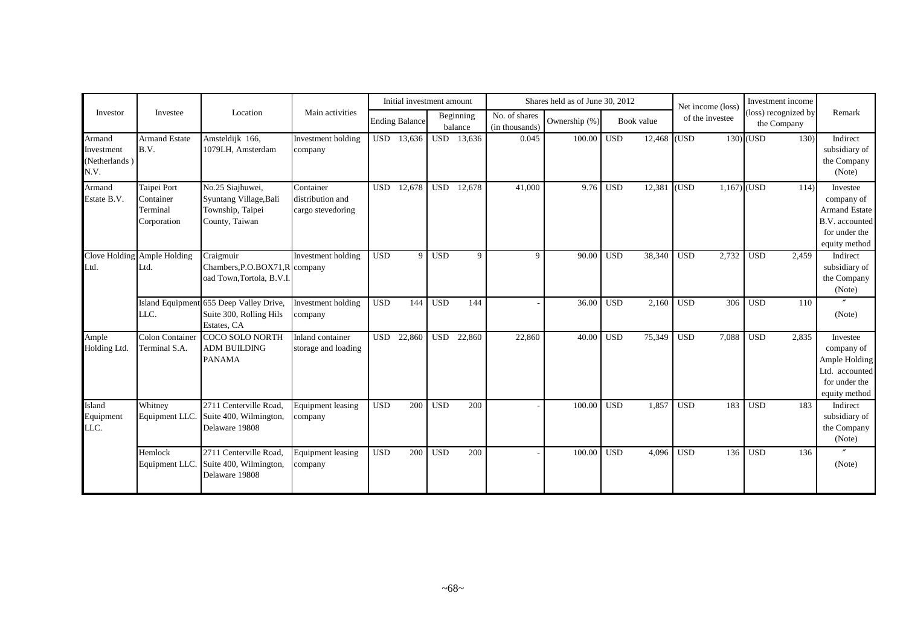|                                               |                                                     |                                                                                   |                                                    |            | Initial investment amount |            |                      |                                 | Shares held as of June 30, 2012 |            |               | Net income (loss)   |     | Investment income                   |                                                                                                           |
|-----------------------------------------------|-----------------------------------------------------|-----------------------------------------------------------------------------------|----------------------------------------------------|------------|---------------------------|------------|----------------------|---------------------------------|---------------------------------|------------|---------------|---------------------|-----|-------------------------------------|-----------------------------------------------------------------------------------------------------------|
| Investor                                      | Investee                                            | Location                                                                          | Main activities                                    |            | <b>Ending Balance</b>     |            | Beginning<br>balance | No. of shares<br>(in thousands) | Ownership (%)                   | Book value |               | of the investee     |     | (loss) recognized by<br>the Company | Remark                                                                                                    |
| Armand<br>Investment<br>(Netherlands)<br>N.V. | <b>Armand Estate</b><br>B.V.                        | Amsteldijk 166,<br>1079LH, Amsterdam                                              | Investment holding<br>company                      | <b>USD</b> | 13,636                    | USD        | 13,636               | 0.045                           | 100.00                          | <b>USD</b> | $12,468$ (USD |                     |     | $130)$ (USD                         | 130)<br>Indirect<br>subsidiary of<br>the Company<br>(Note)                                                |
| Armand<br>Estate B.V.                         | Taipei Port<br>Container<br>Terminal<br>Corporation | No.25 Siajhuwei,<br>Syuntang Village, Bali<br>Township, Taipei<br>County, Taiwan  | Container<br>distribution and<br>cargo stevedoring | <b>USD</b> | 12,678                    | <b>USD</b> | 12,678               | 41,000                          | 9.76                            | <b>USD</b> | 12,381        | (USD)               |     | $1,167)$ (USD                       | 114<br>Investee<br>company of<br><b>Armand Estate</b><br>B.V. accounted<br>for under the<br>equity method |
| Ltd.                                          | Clove Holding Ample Holding<br>Ltd.                 | Craigmuir<br>Chambers, P.O.BOX71, R company<br>oad Town, Tortola, B.V.I.          | Investment holding                                 | <b>USD</b> | $\mathbf{Q}$              | <b>USD</b> | 9                    | 9                               | 90.00                           | <b>USD</b> | 38,340        | <b>USD</b><br>2,732 |     | 2,459<br><b>USD</b>                 | Indirect<br>subsidiary of<br>the Company<br>(Note)                                                        |
|                                               | LLC.                                                | Island Equipment 655 Deep Valley Drive,<br>Suite 300, Rolling Hils<br>Estates, CA | Investment holding<br>company                      | <b>USD</b> | 144                       | <b>USD</b> | 144                  |                                 | 36.00                           | <b>USD</b> | 2,160         | <b>USD</b>          | 306 | <b>USD</b><br>110                   | (Note)                                                                                                    |
| Ample<br>Holding Ltd.                         | Colon Container<br>Terminal S.A.                    | COCO SOLO NORTH<br><b>ADM BUILDING</b><br><b>PANAMA</b>                           | Inland container<br>storage and loading            | <b>USD</b> | 22,860                    | <b>USD</b> | 22,860               | 22,860                          | 40.00                           | <b>USD</b> | 75,349        | <b>USD</b><br>7,088 |     | <b>USD</b><br>2,835                 | Investee<br>company of<br>Ample Holding<br>Ltd. accounted<br>for under the<br>equity method               |
| Island<br>Equipment<br>LLC.                   | Whitney<br>Equipment LLC.                           | 2711 Centerville Road,<br>Suite 400, Wilmington,<br>Delaware 19808                | <b>Equipment leasing</b><br>company                | <b>USD</b> | 200                       | <b>USD</b> | 200                  |                                 | 100.00                          | <b>USD</b> | 1,857         | <b>USD</b>          | 183 | <b>USD</b><br>183                   | Indirect<br>subsidiary of<br>the Company<br>(Note)                                                        |
|                                               | Hemlock<br>Equipment LLC.                           | 2711 Centerville Road.<br>Suite 400, Wilmington,<br>Delaware 19808                | <b>Equipment leasing</b><br>company                | <b>USD</b> | 200                       | <b>USD</b> | 200                  |                                 | 100.00                          | <b>USD</b> | 4,096         | <b>USD</b>          | 136 | <b>USD</b><br>136                   | (Note)                                                                                                    |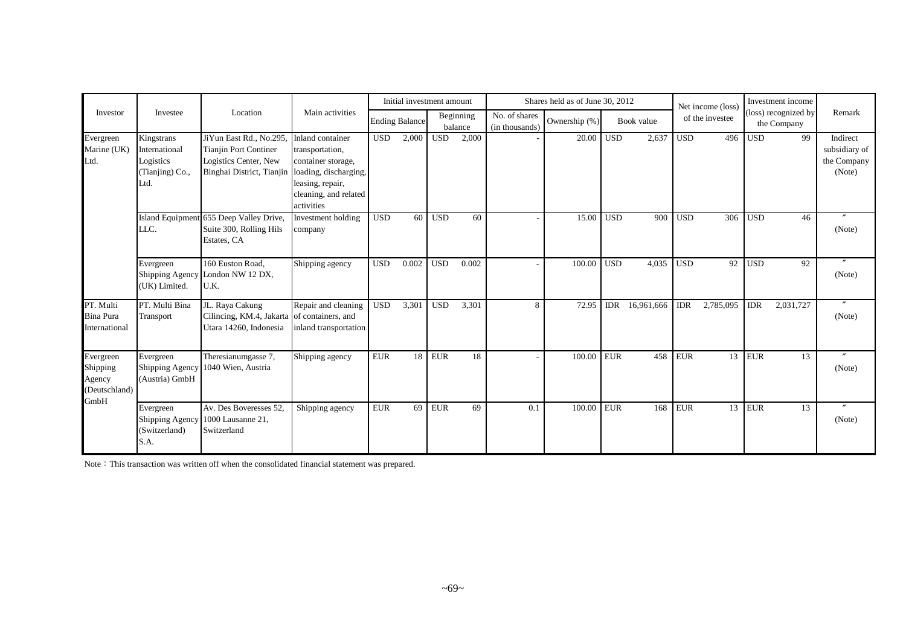|                                                  |                                                                     |                                                                                                              |                                                                                                                                               |            | Initial investment amount |            |                      |                                 | Shares held as of June 30, 2012 |            |            |            | Net income (loss) |            | Investment income                   |                                                    |
|--------------------------------------------------|---------------------------------------------------------------------|--------------------------------------------------------------------------------------------------------------|-----------------------------------------------------------------------------------------------------------------------------------------------|------------|---------------------------|------------|----------------------|---------------------------------|---------------------------------|------------|------------|------------|-------------------|------------|-------------------------------------|----------------------------------------------------|
| Investor                                         | Investee                                                            | Location                                                                                                     | Main activities                                                                                                                               |            | <b>Ending Balance</b>     |            | Beginning<br>balance | No. of shares<br>(in thousands) | Ownership (%)                   |            | Book value |            | of the investee   |            | (loss) recognized by<br>the Company | Remark                                             |
| Evergreen<br>Marine (UK)<br>Ltd.                 | Kingstrans<br>International<br>Logistics<br>(Tianjing) Co.,<br>Ltd. | JiYun East Rd., No.295<br><b>Tianjin Port Continer</b><br>Logistics Center, New<br>Binghai District, Tianjin | Inland container<br>transportation,<br>container storage,<br>loading, discharging,<br>leasing, repair,<br>cleaning, and related<br>activities | <b>USD</b> | 2,000                     | <b>USD</b> | 2,000                |                                 | 20.00                           | <b>USD</b> | 2,637      | <b>USD</b> | 496               | <b>USD</b> | 99                                  | Indirect<br>subsidiary of<br>the Company<br>(Note) |
|                                                  | LLC.                                                                | Island Equipment 655 Deep Valley Drive,<br>Suite 300, Rolling Hils<br>Estates, CA                            | Investment holding<br>company                                                                                                                 | <b>USD</b> | 60                        | <b>USD</b> | 60                   |                                 | 15.00                           | <b>USD</b> | 900        | <b>USD</b> | 306               | <b>USD</b> | 46                                  | (Note)                                             |
|                                                  | Evergreen<br>(UK) Limited.                                          | 160 Euston Road,<br>Shipping Agency London NW 12 DX,<br>U.K.                                                 | Shipping agency                                                                                                                               | <b>USD</b> | 0.002                     | <b>USD</b> | 0.002                |                                 | 100.00                          | <b>USD</b> | 4,035      | <b>USD</b> | 92                | <b>USD</b> | 92                                  | $^{\prime\prime}$<br>(Note)                        |
| PT. Multi<br><b>Bina Pura</b><br>International   | PT. Multi Bina<br>Transport                                         | JL. Raya Cakung<br>Cilincing, KM.4, Jakarta of containers, and<br>Utara 14260, Indonesia                     | Repair and cleaning<br>inland transportation                                                                                                  | <b>USD</b> | 3,301                     | <b>USD</b> | 3,301                | 8                               | 72.95                           | <b>IDR</b> | 16,961,666 | <b>IDR</b> | 2,785,095         | <b>IDR</b> | 2,031,727                           | (Note)                                             |
| Evergreen<br>Shipping<br>Agency<br>(Deutschland) | Evergreen<br><b>Shipping Agency</b><br>(Austria) GmbH               | Theresianumgasse 7,<br>1040 Wien, Austria                                                                    | Shipping agency                                                                                                                               | <b>EUR</b> | 18                        | <b>EUR</b> | 18                   |                                 | 100.00                          | <b>EUR</b> | 458        | <b>EUR</b> |                   | $13$ EUR   | 13                                  | $^{\prime\prime}$<br>(Note)                        |
| GmbH                                             | Evergreen<br>Shipping Agency<br>(Switzerland)<br>S.A.               | Av. Des Boveresses 52,<br>1000 Lausanne 21,<br>Switzerland                                                   | Shipping agency                                                                                                                               | <b>EUR</b> | 69                        | <b>EUR</b> | 69                   | 0.1                             | 100.00                          | <b>EUR</b> | 168        | <b>EUR</b> | 13                | <b>EUR</b> | 13                                  | (Note)                                             |

Note: This transaction was written off when the consolidated financial statement was prepared.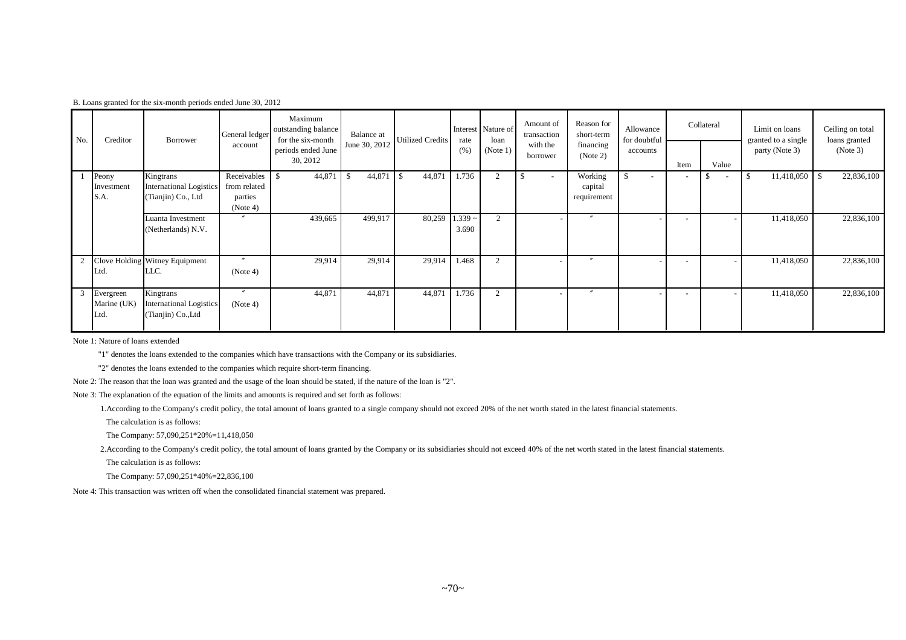|  |  |  |  | B. Loans granted for the six-month periods ended June 30, 2012 |  |  |  |  |
|--|--|--|--|----------------------------------------------------------------|--|--|--|--|
|--|--|--|--|----------------------------------------------------------------|--|--|--|--|

| No. | Creditor                         | Borrower                                                          | General ledger                                     | Maximum<br>outstanding balance<br>for the six-month | Balance at    | <b>Utilized Credits</b>    | rate               | Interest Nature of<br>loan | Amount of<br>transaction | Reason for<br>short-term          | Allowance<br>for doubtful |                          | Collateral               | Limit on loans<br>granted to a single | Ceiling on total<br>loans granted |
|-----|----------------------------------|-------------------------------------------------------------------|----------------------------------------------------|-----------------------------------------------------|---------------|----------------------------|--------------------|----------------------------|--------------------------|-----------------------------------|---------------------------|--------------------------|--------------------------|---------------------------------------|-----------------------------------|
|     |                                  |                                                                   | account                                            | periods ended June<br>30, 2012                      | June 30, 2012 |                            | (% )               | (Note 1)                   | with the<br>borrower     | financing<br>(Note 2)             | accounts                  | Item                     | Value                    | party (Note 3)                        | (Note 3)                          |
|     | Peony<br>Investment<br>S.A.      | Kingtrans<br><b>International Logistics</b><br>(Tianjin) Co., Ltd | Receivables<br>from related<br>parties<br>(Note 4) | 44,871<br>\$                                        | 44,871<br>-\$ | $\overline{1}$ s<br>44,871 | 1.736              | $\overline{c}$             | $\sim$                   | Working<br>capital<br>requirement | $\mathbf{\hat{S}}$        | $\overline{\phantom{a}}$ | $\overline{\phantom{a}}$ | 11,418,050<br>-\$                     | 22,836,100<br>-S                  |
|     |                                  | Luanta Investment<br>(Netherlands) N.V.                           | $\prime\prime$                                     | 439,665                                             | 499,917       | 80,259                     | $1.339 -$<br>3.690 | $\sim$                     |                          | $^{\prime\prime}$                 |                           |                          |                          | 11,418,050                            | 22,836,100                        |
|     | Ltd.                             | Clove Holding Witney Equipment<br>LLC.                            | $\prime\prime$<br>(Note 4)                         | 29,914                                              | 29,914        | 29,914                     | 1.468              | $\overline{2}$             |                          | $\boldsymbol{''}$                 |                           |                          |                          | 11,418,050                            | 22,836,100                        |
| 3   | Evergreen<br>Marine (UK)<br>Ltd. | Kingtrans<br><b>International Logistics</b><br>(Tianjin) Co., Ltd | $\prime\prime$<br>(Note 4)                         | 44,871                                              | 44,871        | 44,871                     | 1.736              | $\mathcal{D}$              |                          | $\overline{\phantom{a}}$          |                           |                          |                          | 11,418,050                            | 22,836,100                        |

Note 1: Nature of loans extended

"1" denotes the loans extended to the companies which have transactions with the Company or its subsidiaries.

"2" denotes the loans extended to the companies which require short-term financing.

Note 2: The reason that the loan was granted and the usage of the loan should be stated, if the nature of the loan is "2".

Note 3: The explanation of the equation of the limits and amounts is required and set forth as follows:

1.According to the Company's credit policy, the total amount of loans granted to a single company should not exceed 20% of the net worth stated in the latest financial statements.

The calculation is as follows:

The Company: 57,090,251\*20%=11,418,050

2.According to the Company's credit policy, the total amount of loans granted by the Company or its subsidiaries should not exceed 40% of the net worth stated in the latest financial statements.

The calculation is as follows:

The Company: 57,090,251\*40%=22,836,100

Note 4: This transaction was written off when the consolidated financial statement was prepared.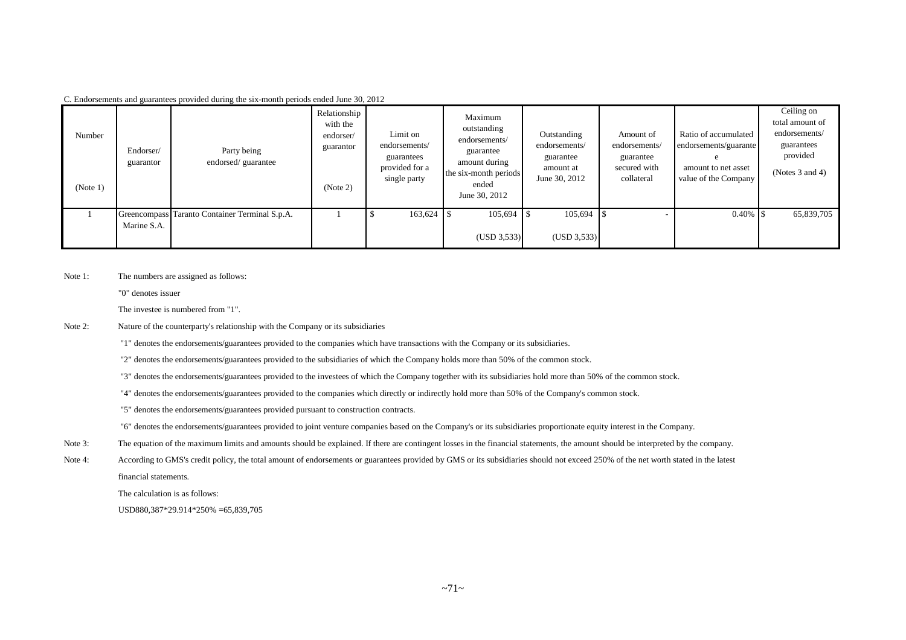| Number<br>(Note 1) | Endorser/<br>guarantor | Party being<br>endorsed/guarantee              | Relationship<br>with the<br>endorser/<br>guarantor<br>(Note 2) | Limit on<br>endorsements/<br>guarantees<br>provided for a<br>single party | Maximum<br>outstanding<br>endorsements/<br>guarantee<br>amount during<br>the six-month periods<br>ended<br>June 30, 2012 | Outstanding<br>endorsements/<br>guarantee<br>amount at<br>June 30, 2012 | Amount of<br>endorsements/<br>guarantee<br>secured with<br>collateral | Ratio of accumulated<br>endorsements/guarante<br>amount to net asset<br>value of the Company | Ceiling on<br>total amount of<br>endorsements/<br>guarantees<br>provided<br>(Notes $3$ and $4$ ) |
|--------------------|------------------------|------------------------------------------------|----------------------------------------------------------------|---------------------------------------------------------------------------|--------------------------------------------------------------------------------------------------------------------------|-------------------------------------------------------------------------|-----------------------------------------------------------------------|----------------------------------------------------------------------------------------------|--------------------------------------------------------------------------------------------------|
|                    | Marine S.A.            | Greencompass Taranto Container Terminal S.p.A. |                                                                | 163,624                                                                   | 105,694<br>(USD 3,533)                                                                                                   | 105,694<br>(USD 3, 533)                                                 |                                                                       |                                                                                              | 65,839,705                                                                                       |

C. Endorsements and guarantees provided during the six-month periods ended June 30, 2012

Note 1: The numbers are assigned as follows:

"0" denotes issuer

The investee is numbered from "1".

Note 2: Nature of the counterparty's relationship with the Company or its subsidiaries

"1" denotes the endorsements/guarantees provided to the companies which have transactions with the Company or its subsidiaries.

"2" denotes the endorsements/guarantees provided to the subsidiaries of which the Company holds more than 50% of the common stock.

"3" denotes the endorsements/guarantees provided to the investees of which the Company together with its subsidiaries hold more than 50% of the common stock.

- "4" denotes the endorsements/guarantees provided to the companies which directly or indirectly hold more than 50% of the Company's common stock.
- "5" denotes the endorsements/guarantees provided pursuant to construction contracts.

"6" denotes the endorsements/guarantees provided to joint venture companies based on the Company's or its subsidiaries proportionate equity interest in the Company.

- Note 3: The equation of the maximum limits and amounts should be explained. If there are contingent losses in the financial statements, the amount should be interpreted by the company.
- Note 4: According to GMS's credit policy, the total amount of endorsements or guarantees provided by GMS or its subsidiaries should not exceed 250% of the net worth stated in the latest financial statements.

The calculation is as follows:

USD880,387\*29.914\*250% =65,839,705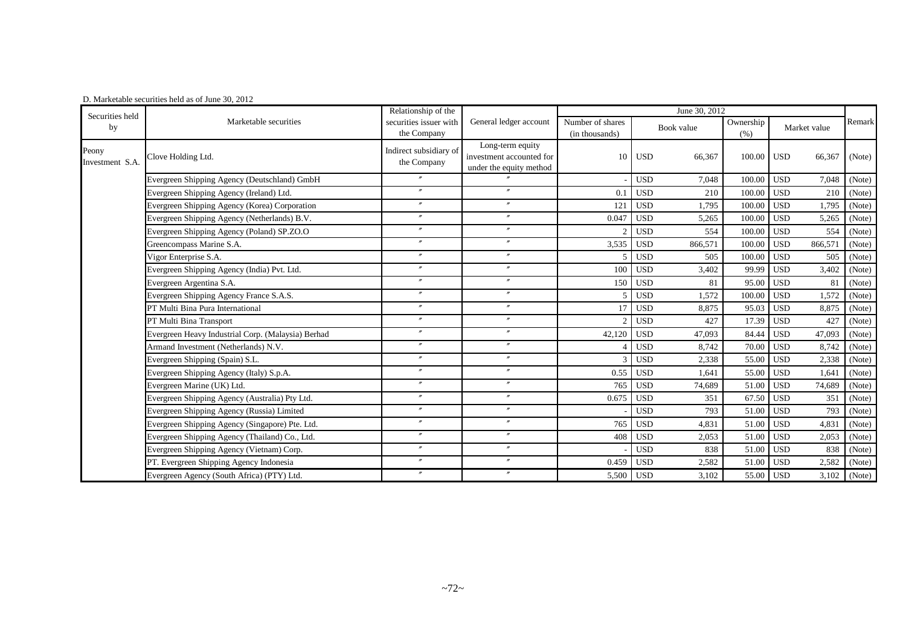| Securities held          |                                                    | Relationship of the                   |                                                                         | June 30, 2012                      |                       |                   |                       |        |
|--------------------------|----------------------------------------------------|---------------------------------------|-------------------------------------------------------------------------|------------------------------------|-----------------------|-------------------|-----------------------|--------|
| by                       | Marketable securities                              | securities issuer with<br>the Company | General ledger account                                                  | Number of shares<br>(in thousands) | Book value            | Ownership<br>(% ) | Market value          | Remark |
| Peony<br>Investment S.A. | Clove Holding Ltd.                                 | Indirect subsidiary of<br>the Company | Long-term equity<br>investment accounted for<br>under the equity method | 10                                 | <b>USD</b><br>66,367  | 100.00            | <b>USD</b><br>66,367  | (Note) |
|                          | Evergreen Shipping Agency (Deutschland) GmbH       |                                       |                                                                         |                                    | <b>USD</b><br>7,048   | 100.00            | <b>USD</b><br>7,048   | (Note) |
|                          | Evergreen Shipping Agency (Ireland) Ltd.           | $^{\prime\prime}$                     | $^{\prime\prime}$                                                       | 0.1                                | <b>USD</b><br>210     | 100.00            | <b>USD</b><br>210     | (Note) |
|                          | Evergreen Shipping Agency (Korea) Corporation      | $\prime\prime$                        | $\mathbf{v}$                                                            | 121                                | <b>USD</b><br>1,795   | 100.00            | 1,795<br><b>USD</b>   | (Note) |
|                          | Evergreen Shipping Agency (Netherlands) B.V.       | $\prime\prime$                        | $^{\prime\prime}$                                                       | 0.047                              | <b>USD</b><br>5,265   | 100.00            | 5,265<br><b>USD</b>   | (Note) |
|                          | Evergreen Shipping Agency (Poland) SP.ZO.O         | $^{\prime\prime}$                     | $\prime$                                                                |                                    | <b>USD</b><br>554     | 100.00            | <b>USD</b><br>554     | (Note) |
|                          | Greencompass Marine S.A.                           | $^{\prime\prime}$                     | $^{\prime\prime}$                                                       | 3,535                              | <b>USD</b><br>866,571 | 100.00            | <b>USD</b><br>866,571 | (Note) |
|                          | Vigor Enterprise S.A.                              | $^{\prime\prime}$                     | $^{\prime\prime}$                                                       |                                    | <b>USD</b><br>505     | 100.00            | <b>USD</b><br>505     | (Note) |
|                          | Evergreen Shipping Agency (India) Pvt. Ltd.        | $^{\prime\prime}$                     | $^{\prime\prime}$                                                       | 100                                | <b>USD</b><br>3,402   | 99.99             | <b>USD</b><br>3,402   | (Note) |
|                          | Evergreen Argentina S.A.                           | $^{\prime\prime}$                     | $^{\prime\prime}$                                                       | 150                                | <b>USD</b><br>81      | 95.00             | <b>USD</b><br>81      | (Note) |
|                          | Evergreen Shipping Agency France S.A.S.            | $\prime\prime$                        | $^{\prime\prime}$                                                       |                                    | <b>USD</b><br>1,572   | 100.00            | <b>USD</b><br>1,572   | (Note) |
|                          | PT Multi Bina Pura International                   | $^{\prime\prime}$                     | $^{\prime\prime}$                                                       |                                    | <b>USD</b><br>8,875   | 95.03             | 8,875<br><b>USD</b>   | (Note) |
|                          | PT Multi Bina Transport                            | $\prime\prime$                        | $\mathbf{v}$                                                            |                                    | <b>USD</b><br>427     | 17.39             | <b>USD</b><br>427     | (Note) |
|                          | Evergreen Heavy Industrial Corp. (Malaysia) Berhad | $^{\prime\prime}$                     | $\mathbf{v}$                                                            | 42,120                             | <b>USD</b><br>47,093  | 84.44             | 47,093<br><b>USD</b>  | (Note) |
|                          | Armand Investment (Netherlands) N.V.               | $^{\prime\prime}$                     | $^{\prime\prime}$                                                       |                                    | <b>USD</b><br>8,742   | 70.00             | <b>USD</b><br>8,742   | (Note) |
|                          | Evergreen Shipping (Spain) S.L.                    | $\overline{v}$                        | $\mathbf{v}$                                                            |                                    | <b>USD</b><br>2,338   | 55.00             | 2,338<br><b>USD</b>   | (Note) |
|                          | Evergreen Shipping Agency (Italy) S.p.A.           | $^{\prime\prime}$                     | $^{\prime\prime}$                                                       | 0.55                               | <b>USD</b><br>1.641   | 55.00             | <b>USD</b><br>1,641   | (Note) |
|                          | Evergreen Marine (UK) Ltd.                         | $^{\prime\prime}$                     | $^{\prime\prime}$                                                       | 765                                | <b>USD</b><br>74,689  | 51.00             | <b>USD</b><br>74,689  | (Note) |
|                          | Evergreen Shipping Agency (Australia) Pty Ltd.     | $^{\prime\prime}$                     | $^{\prime\prime}$                                                       | 0.675                              | <b>USD</b><br>351     | 67.50             | <b>USD</b><br>351     | (Note) |
|                          | Evergreen Shipping Agency (Russia) Limited         | $^{\prime\prime}$                     | $^{\prime\prime}$                                                       |                                    | <b>USD</b><br>793     | 51.00             | 793<br><b>USD</b>     | (Note) |
|                          | Evergreen Shipping Agency (Singapore) Pte. Ltd.    | $^{\prime\prime}$                     | $^{\prime\prime}$                                                       | 765                                | <b>USD</b><br>4.831   | 51.00             | 4,831<br><b>USD</b>   | (Note) |
|                          | Evergreen Shipping Agency (Thailand) Co., Ltd.     | $^{\prime\prime}$                     | $\prime\prime$                                                          | 408                                | <b>USD</b><br>2,053   | 51.00             | 2,053<br><b>USD</b>   | (Note) |
|                          | Evergreen Shipping Agency (Vietnam) Corp.          | $^{\prime\prime}$                     | $^{\prime\prime}$                                                       |                                    | <b>USD</b><br>838     | 51.00             | <b>USD</b><br>838     | (Note) |
|                          | PT. Evergreen Shipping Agency Indonesia            | $^{\prime\prime}$                     | $\mathbf{v}$                                                            | 0.459                              | <b>USD</b><br>2,582   | 51.00             | <b>USD</b><br>2,582   | (Note) |
|                          | Evergreen Agency (South Africa) (PTY) Ltd.         | $\overline{v}$                        | $\prime\prime$                                                          | 5,500                              | <b>USD</b><br>3,102   | 55.00             | <b>USD</b><br>3,102   | (Note) |

#### D. Marketable securities held as of June 30, 2012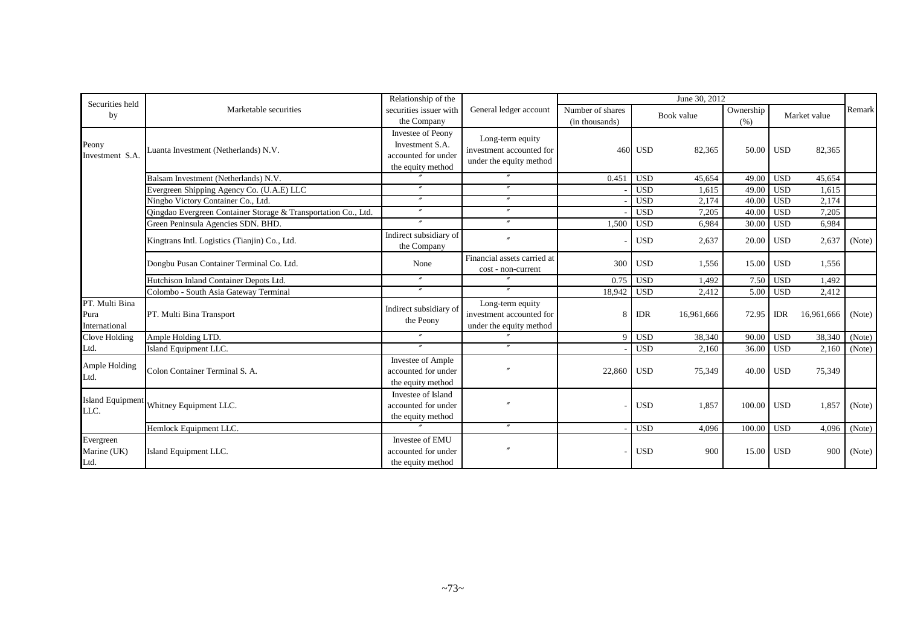| Securities held                         |                                                                | Relationship of the                                                              |                                                                         |                                    |            | June 30, 2012 |                   |            |               |        |
|-----------------------------------------|----------------------------------------------------------------|----------------------------------------------------------------------------------|-------------------------------------------------------------------------|------------------------------------|------------|---------------|-------------------|------------|---------------|--------|
| by                                      | Marketable securities                                          | securities issuer with<br>the Company                                            | General ledger account                                                  | Number of shares<br>(in thousands) |            | Book value    | Ownership<br>(% ) |            | Market value  | Remark |
| Peony<br>Investment S.A.                | Luanta Investment (Netherlands) N.V.                           | Investee of Peony<br>Investment S.A.<br>accounted for under<br>the equity method | Long-term equity<br>investment accounted for<br>under the equity method | 460                                | <b>USD</b> | 82,365        | 50.00 USD         |            | 82,365        |        |
|                                         | Balsam Investment (Netherlands) N.V.                           |                                                                                  | $\prime\prime$                                                          | 0.451                              | <b>USD</b> | 45,654        | 49.00             | <b>USD</b> | 45,654        |        |
|                                         | Evergreen Shipping Agency Co. (U.A.E) LLC                      | $\overline{''}$                                                                  | $^{\prime\prime}$                                                       |                                    | <b>USD</b> | 1.615         | 49.00             | <b>USD</b> | 1.615         |        |
|                                         | Ningbo Victory Container Co., Ltd.                             | $\prime\prime$                                                                   | $\prime\prime$                                                          |                                    | <b>USD</b> | 2,174         | 40.00             | <b>USD</b> | 2,174         |        |
|                                         | Qingdao Evergreen Container Storage & Transportation Co., Ltd. | $\prime\prime$                                                                   | $^{\prime\prime}$                                                       |                                    | <b>USD</b> | 7,205         | 40.00             | <b>USD</b> | 7,205         |        |
|                                         | Green Peninsula Agencies SDN. BHD.                             | $\mathbf{r}$                                                                     | $^{\prime\prime}$                                                       | 1,500                              | <b>USD</b> | 6,984         | 30.00             | <b>USD</b> | 6,984         |        |
|                                         | Kingtrans Intl. Logistics (Tianjin) Co., Ltd.                  | Indirect subsidiary of<br>the Company                                            | $\prime$                                                                |                                    | <b>USD</b> | 2,637         | 20.00 USD         |            | 2,637         | (Note) |
|                                         | Dongbu Pusan Container Terminal Co. Ltd.                       | None                                                                             | Financial assets carried at<br>cost - non-current                       | 300                                | <b>USD</b> | 1,556         | $15.00$ USD       |            | 1,556         |        |
|                                         | Hutchison Inland Container Depots Ltd.                         | $\prime\prime$                                                                   |                                                                         | 0.75                               | <b>USD</b> | 1.492         |                   | 7.50 USD   | 1,492         |        |
|                                         | Colombo - South Asia Gateway Terminal                          | $\boldsymbol{''}$                                                                | $^{\prime\prime}$                                                       | 18,942                             | <b>USD</b> | 2,412         | 5.00              | <b>USD</b> | 2,412         |        |
| PT. Multi Bina<br>Pura<br>International | PT. Multi Bina Transport                                       | Indirect subsidiary of<br>the Peony                                              | Long-term equity<br>investment accounted for<br>under the equity method | 8                                  | <b>IDR</b> | 16,961,666    | 72.95             | <b>IDR</b> | 16,961,666    | (Note) |
| Clove Holding                           | Ample Holding LTD.                                             | $^{\prime\prime}$                                                                | $^{\prime\prime}$                                                       |                                    | <b>USD</b> | 38,340        | 90.00             | <b>USD</b> | 38,340 (Note) |        |
| Ltd.                                    | Island Equipment LLC.                                          | $^{\prime\prime}$                                                                | $\prime\prime$                                                          |                                    | <b>USD</b> | 2.160         | 36.00             | <b>USD</b> | 2,160         | (Note) |
| Ample Holding<br>Ltd.                   | Colon Container Terminal S. A.                                 | Investee of Ample<br>accounted for under<br>the equity method                    |                                                                         | 22,860                             | <b>USD</b> | 75,349        | 40.00 USD         |            | 75,349        |        |
| <b>Island Equipment</b><br>LLC.         | Whitney Equipment LLC.                                         | Investee of Island<br>accounted for under<br>the equity method                   | $^{\prime\prime}$                                                       |                                    | <b>USD</b> | 1,857         | $100.00$ USD      |            | 1,857         | (Note) |
|                                         | Hemlock Equipment LLC.                                         |                                                                                  | $^{\prime\prime}$                                                       |                                    | <b>USD</b> | 4.096         | 100.00            | <b>USD</b> | 4,096         | (Note) |
| Evergreen<br>Marine (UK)<br>Ltd.        | Island Equipment LLC.                                          | Investee of EMU<br>accounted for under<br>the equity method                      | $^{\prime\prime}$                                                       |                                    | <b>USD</b> | 900           | 15.00 USD         |            | 900           | (Note) |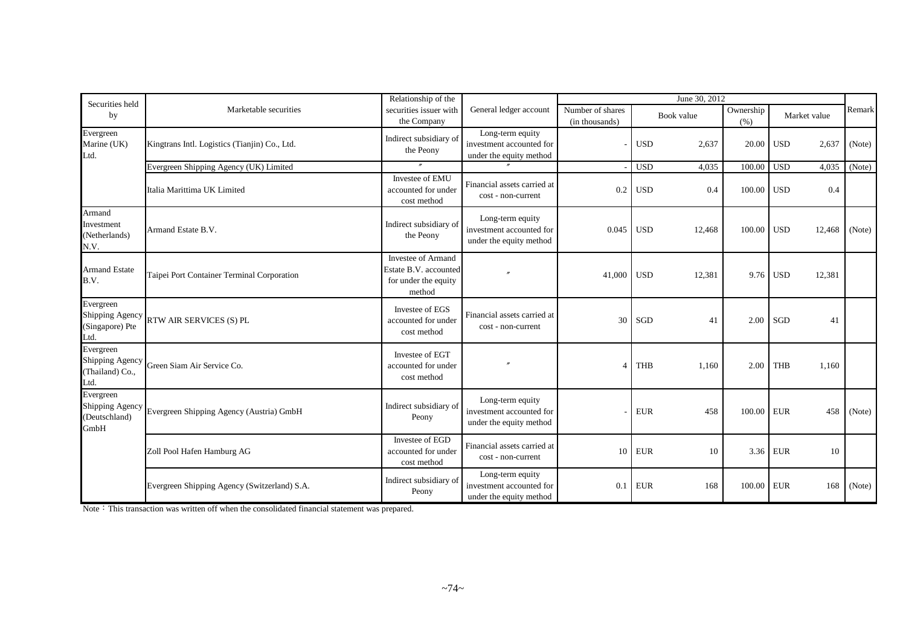| Relationship of the<br>June 30, 2012<br>Securities held |                                                          |                                                                               |                                                                         |                                    |                      |                   |                      |        |
|---------------------------------------------------------|----------------------------------------------------------|-------------------------------------------------------------------------------|-------------------------------------------------------------------------|------------------------------------|----------------------|-------------------|----------------------|--------|
| by                                                      | Marketable securities                                    | securities issuer with<br>the Company                                         | General ledger account                                                  | Number of shares<br>(in thousands) | Book value           | Ownership<br>(% ) | Market value         | Remark |
| Evergreen<br>Marine (UK)<br>Ltd.                        | Kingtrans Intl. Logistics (Tianjin) Co., Ltd.            | Indirect subsidiary of<br>the Peony                                           | Long-term equity<br>investment accounted for<br>under the equity method |                                    | <b>USD</b><br>2,637  | 20.00             | <b>USD</b><br>2,637  | (Note) |
|                                                         | Evergreen Shipping Agency (UK) Limited                   |                                                                               |                                                                         |                                    | <b>USD</b><br>4,035  | 100.00            | <b>USD</b><br>4,035  | (Note) |
|                                                         | Italia Marittima UK Limited                              | Investee of EMU<br>accounted for under<br>cost method                         | Financial assets carried at<br>cost - non-current                       | 0.2                                | <b>USD</b><br>0.4    | 100.00            | <b>USD</b><br>0.4    |        |
| Armand<br>nvestment<br>Netherlands)<br>N.V.             | Armand Estate B.V.                                       | Indirect subsidiary of<br>the Peony                                           | Long-term equity<br>investment accounted for<br>under the equity method | 0.045                              | <b>USD</b><br>12,468 | 100.00            | <b>USD</b><br>12,468 | (Note) |
| <b>Armand Estate</b><br>B.V.                            | Taipei Port Container Terminal Corporation               | Investee of Armand<br>Estate B.V. accounted<br>for under the equity<br>method |                                                                         | 41,000                             | <b>USD</b><br>12,381 | 9.76              | <b>USD</b><br>12,381 |        |
| Evergreen<br>(Singapore) Pte<br>Ltd.                    | Shipping Agency RTW AIR SERVICES (S) PL                  | Investee of EGS<br>accounted for under<br>cost method                         | Financial assets carried at<br>cost - non-current                       | 30                                 | SGD<br>41            | 2.00              | SGD<br>41            |        |
| Evergreen<br>Shipping Agency<br>(Thailand) Co.,<br>Ltd. | Green Siam Air Service Co.                               | Investee of EGT<br>accounted for under<br>cost method                         |                                                                         | $\boldsymbol{\varDelta}$           | <b>THB</b><br>1,160  | 2.00              | <b>THB</b><br>1,160  |        |
| Evergreen<br>(Deutschland)<br>GmbH                      | Shipping Agency Evergreen Shipping Agency (Austria) GmbH | Indirect subsidiary of<br>Peony                                               | Long-term equity<br>investment accounted for<br>under the equity method |                                    | <b>EUR</b><br>458    | 100.00            | <b>EUR</b><br>458    | (Note) |
|                                                         | Zoll Pool Hafen Hamburg AG                               | Investee of EGD<br>accounted for under<br>cost method                         | Financial assets carried at<br>cost - non-current                       | 10                                 | <b>EUR</b><br>10     | 3.36              | <b>EUR</b><br>10     |        |
|                                                         | Evergreen Shipping Agency (Switzerland) S.A.             | Indirect subsidiary of<br>Peony                                               | Long-term equity<br>investment accounted for<br>under the equity method | 0.1                                | <b>EUR</b><br>168    | 100.00            | <b>EUR</b><br>168    | (Note) |

Note: This transaction was written off when the consolidated financial statement was prepared.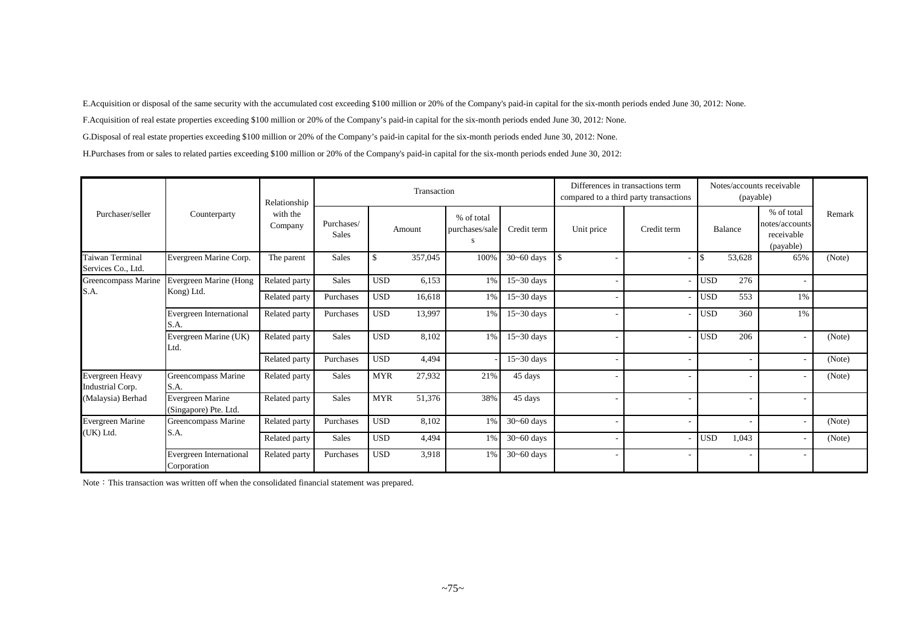E.Acquisition or disposal of the same security with the accumulated cost exceeding \$100 million or 20% of the Company's paid-in capital for the six-month periods ended June 30, 2012: None.

F.Acquisition of real estate properties exceeding \$100 million or 20% of the Company's paid-in capital for the six-month periods ended June 30, 2012: None.

G.Disposal of real estate properties exceeding \$100 million or 20% of the Company's paid-in capital for the six-month periods ended June 30, 2012: None.

H.Purchases from or sales to related parties exceeding \$100 million or 20% of the Company's paid-in capital for the six-month periods ended June 30, 2012:

|                                       |                                           | Relationship        |                            |            | Transaction |                                   |                |            | Differences in transactions term<br>compared to a third party transactions |            | (payable) | Notes/accounts receivable                               |        |
|---------------------------------------|-------------------------------------------|---------------------|----------------------------|------------|-------------|-----------------------------------|----------------|------------|----------------------------------------------------------------------------|------------|-----------|---------------------------------------------------------|--------|
| Purchaser/seller                      | Counterparty                              | with the<br>Company | Purchases/<br><b>Sales</b> |            | Amount      | % of total<br>purchases/sale<br>S | Credit term    | Unit price | Credit term                                                                |            | Balance   | % of total<br>notes/accounts<br>receivable<br>(payable) | Remark |
| Taiwan Terminal<br>Services Co., Ltd. | Evergreen Marine Corp.                    | The parent          | <b>Sales</b>               | \$         | 357,045     | 100%                              | $30 - 60$ days |            |                                                                            |            | 53,628    | 65%                                                     | (Note) |
| Greencompass Marine                   | Evergreen Marine (Hong                    | Related party       | <b>Sales</b>               | <b>USD</b> | 6,153       | 1%                                | $15 - 30$ days |            |                                                                            | <b>USD</b> | 276       |                                                         |        |
| S.A.                                  | Kong) Ltd.                                | Related party       | Purchases                  | <b>USD</b> | 16,618      | 1%                                | $15 - 30$ days |            |                                                                            | <b>USD</b> | 553       | 1%                                                      |        |
|                                       | Evergreen International<br>S.A.           | Related party       | Purchases                  | <b>USD</b> | 13,997      | 1%                                | $15 - 30$ days |            |                                                                            | <b>USD</b> | 360       | 1%                                                      |        |
|                                       | Evergreen Marine (UK)<br>Ltd.             | Related party       | <b>Sales</b>               | <b>USD</b> | 8,102       | 1%                                | $15 - 30$ days |            |                                                                            | <b>USD</b> | 206       |                                                         | (Note) |
|                                       |                                           | Related party       | Purchases                  | <b>USD</b> | 4,494       |                                   | $15 - 30$ days |            |                                                                            |            |           |                                                         | (Note) |
| Evergreen Heavy<br>Industrial Corp.   | Greencompass Marine<br>S.A.               | Related party       | <b>Sales</b>               | <b>MYR</b> | 27,932      | 21%                               | 45 days        |            |                                                                            |            |           |                                                         | (Note) |
| (Malaysia) Berhad                     | Evergreen Marine<br>(Singapore) Pte. Ltd. | Related party       | <b>Sales</b>               | <b>MYR</b> | 51,376      | 38%                               | 45 days        |            |                                                                            |            |           |                                                         |        |
| Evergreen Marine                      | Greencompass Marine                       | Related party       | Purchases                  | <b>USD</b> | 8,102       | 1%                                | $30 - 60$ days |            |                                                                            |            |           |                                                         | (Note) |
| (UK) Ltd.                             | S.A.                                      | Related party       | Sales                      | <b>USD</b> | 4,494       | 1%                                | $30 - 60$ days |            |                                                                            | USD        | 1,043     |                                                         | (Note) |
|                                       | Evergreen International<br>Corporation    | Related party       | Purchases                  | <b>USD</b> | 3,918       | 1%                                | $30 - 60$ days |            |                                                                            |            |           | ٠                                                       |        |

Note: This transaction was written off when the consolidated financial statement was prepared.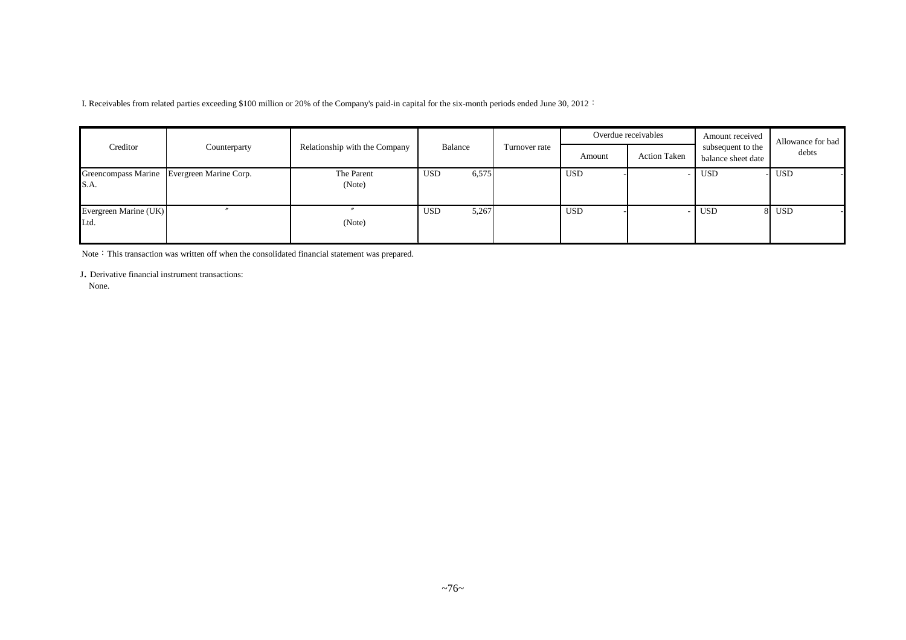I. Receivables from related parties exceeding \$100 million or 20% of the Company's paid-in capital for the six-month periods ended June 30, 2012:

|                               |                                            |                               |              |               |            | Overdue receivables | Amount received                         | Allowance for bad |
|-------------------------------|--------------------------------------------|-------------------------------|--------------|---------------|------------|---------------------|-----------------------------------------|-------------------|
| Creditor                      | Counterparty                               | Relationship with the Company | Balance      | Turnover rate | Amount     | <b>Action Taken</b> | subsequent to the<br>balance sheet date | debts             |
| S.A.                          | Greencompass Marine Evergreen Marine Corp. | The Parent<br>(Note)          | 6,575<br>USD |               | <b>USD</b> |                     | <b>USD</b>                              | <b>USD</b>        |
| Evergreen Marine (UK)<br>Ltd. |                                            | (Note)                        | USD<br>5,267 |               | <b>USD</b> |                     | <b>USD</b>                              | 8 USD             |

Note: This transaction was written off when the consolidated financial statement was prepared.

<sup>J</sup>. Derivative financial instrument transactions:

None.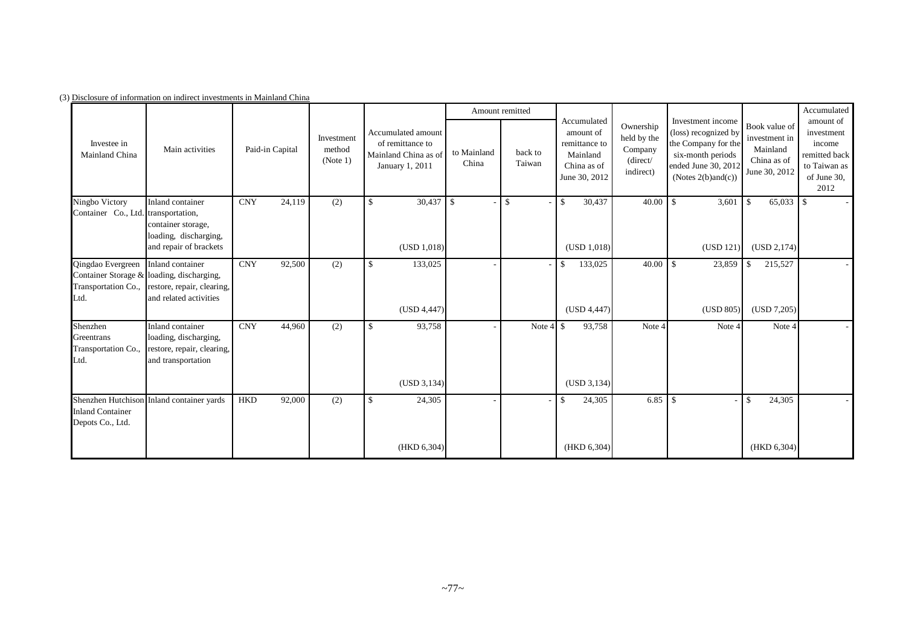|                                                       |                                                                                                                                           |                 |        |                                                                                                                       |              |              | Amount remitted                           |              |                                                                                       |                                                              |                                                                                                                                           |                                                                            | Accumulated                                                                               |
|-------------------------------------------------------|-------------------------------------------------------------------------------------------------------------------------------------------|-----------------|--------|-----------------------------------------------------------------------------------------------------------------------|--------------|--------------|-------------------------------------------|--------------|---------------------------------------------------------------------------------------|--------------------------------------------------------------|-------------------------------------------------------------------------------------------------------------------------------------------|----------------------------------------------------------------------------|-------------------------------------------------------------------------------------------|
| Investee in<br>Mainland China                         | Main activities                                                                                                                           | Paid-in Capital |        | Accumulated amount<br>Investment<br>of remittance to<br>method<br>Mainland China as of<br>(Note 1)<br>January 1, 2011 |              |              | to Mainland<br>back to<br>China<br>Taiwan |              | Accumulated<br>amount of<br>remittance to<br>Mainland<br>China as of<br>June 30, 2012 | Ownership<br>held by the<br>Company<br>(direct/<br>indirect) | Investment income<br>(loss) recognized by<br>the Company for the<br>six-month periods<br>ended June 30, 2012<br>(Notes $2(b)$ and $(c)$ ) | Book value of<br>investment in<br>Mainland<br>China as of<br>June 30, 2012 | amount of<br>investment<br>income<br>remitted back<br>to Taiwan as<br>of June 30,<br>2012 |
| Ningbo Victory<br>Container Co., Ltd. transportation, | Inland container                                                                                                                          | <b>CNY</b>      | 24,119 | (2)                                                                                                                   | $\mathbf{s}$ | $30,437$ \$  |                                           | $\mathbb{S}$ | 30,437<br>$\mathcal{S}$                                                               | 40.00                                                        | 3,601<br>-S                                                                                                                               | $65,033$ \$<br>$\mathcal{S}$                                               |                                                                                           |
|                                                       | container storage,<br>loading, discharging,                                                                                               |                 |        |                                                                                                                       |              |              |                                           |              |                                                                                       |                                                              |                                                                                                                                           |                                                                            |                                                                                           |
|                                                       | and repair of brackets                                                                                                                    |                 |        |                                                                                                                       |              | (USD 1,018)  |                                           |              | (USD 1.018)                                                                           |                                                              | (USD 121)                                                                                                                                 | (USD 2, 174)                                                               |                                                                                           |
| Qingdao Evergreen<br>Ltd.                             | Inland container<br>Container Storage & loading, discharging,<br>Transportation Co., restore, repair, clearing,<br>and related activities | <b>CNY</b>      | 92,500 | (2)                                                                                                                   | \$           | 133,025      |                                           |              | 133,025<br>\$                                                                         |                                                              | 23,859                                                                                                                                    | 215,527<br>- \$                                                            |                                                                                           |
|                                                       |                                                                                                                                           |                 |        |                                                                                                                       |              | (USD 4,447)  |                                           |              | (USD 4,447)                                                                           |                                                              | (USD 805)                                                                                                                                 | (USD 7,205)                                                                |                                                                                           |
| Shenzhen<br>Greentrans<br>Transportation Co.,<br>Ltd. | Inland container<br>loading, discharging,<br>restore, repair, clearing,<br>and transportation                                             | <b>CNY</b>      | 44,960 | (2)                                                                                                                   | $\mathbf{s}$ | 93,758       |                                           | Note 4       | 93,758<br>$\mathbf{s}$                                                                | Note 4                                                       | Note 4                                                                                                                                    | Note 4                                                                     |                                                                                           |
|                                                       |                                                                                                                                           |                 |        |                                                                                                                       |              | (USD 3, 134) |                                           |              | (USD 3, 134)                                                                          |                                                              |                                                                                                                                           |                                                                            |                                                                                           |
| <b>Inland Container</b><br>Depots Co., Ltd.           | Shenzhen Hutchison Inland container yards                                                                                                 | <b>HKD</b>      | 92,000 | (2)                                                                                                                   | $\mathbb{S}$ | 24,305       |                                           |              | 24,305<br>\$.                                                                         | 6.85                                                         | -\$                                                                                                                                       | 24,305<br>-\$                                                              |                                                                                           |
|                                                       |                                                                                                                                           |                 |        |                                                                                                                       |              | (HKD 6, 304) |                                           |              | (HKD 6,304)                                                                           |                                                              |                                                                                                                                           | (HKD 6,304)                                                                |                                                                                           |

(3) Disclosure of information on indirect investments in Mainland China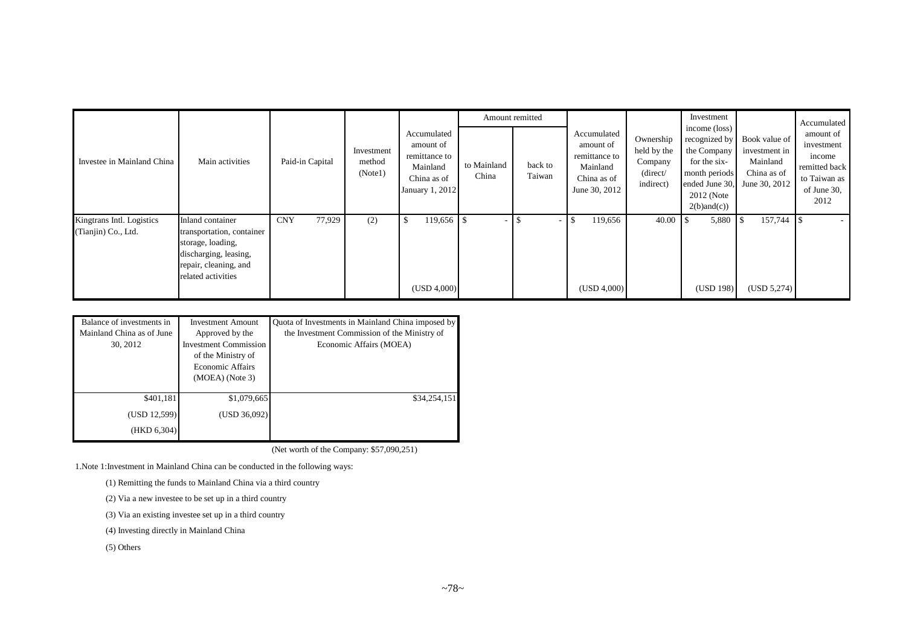|                                                  |                                                                                                                                            |                      |                                 |                                                                                         |                      | Amount remitted   |                                                                                       |                                                              | Investment                                                                                                       |                                                                                           | Accumulated                                                                               |
|--------------------------------------------------|--------------------------------------------------------------------------------------------------------------------------------------------|----------------------|---------------------------------|-----------------------------------------------------------------------------------------|----------------------|-------------------|---------------------------------------------------------------------------------------|--------------------------------------------------------------|------------------------------------------------------------------------------------------------------------------|-------------------------------------------------------------------------------------------|-------------------------------------------------------------------------------------------|
| Investee in Mainland China                       | Main activities                                                                                                                            | Paid-in Capital      | Investment<br>method<br>(Note1) | Accumulated<br>amount of<br>remittance to<br>Mainland<br>China as of<br>January 1, 2012 | to Mainland<br>China | back to<br>Taiwan | Accumulated<br>amount of<br>remittance to<br>Mainland<br>China as of<br>June 30, 2012 | Ownership<br>held by the<br>Company<br>(direct/<br>indirect) | income (loss)<br>recognized by<br>the Company<br>for the six-<br>month periods<br>2012 (Note<br>$2(b)$ and $(c)$ | Book value of<br>investment in<br>Mainland<br>China as of<br>ended June 30, June 30, 2012 | amount of<br>investment<br>income<br>remitted back<br>to Taiwan as<br>of June 30,<br>2012 |
| Kingtrans Intl. Logistics<br>(Tianjin) Co., Ltd. | Inland container<br>transportation, container<br>storage, loading,<br>discharging, leasing,<br>repair, cleaning, and<br>related activities | 77,929<br><b>CNY</b> | (2)                             | $119,656$ \$<br>(USD 4,000)                                                             |                      |                   | 119,656<br>-S<br>(USD 4,000)                                                          | 40.00                                                        | 5,880<br>(USD 198)                                                                                               | 157,744<br>(USD 5,274)                                                                    |                                                                                           |

| Balance of investments in<br>Mainland China as of June<br>30, 2012 | <b>Investment Amount</b><br>Approved by the<br><b>Investment Commission</b><br>of the Ministry of<br><b>Economic Affairs</b><br>$(MOEA)$ (Note 3) | Quota of Investments in Mainland China imposed by<br>the Investment Commission of the Ministry of<br>Economic Affairs (MOEA) |
|--------------------------------------------------------------------|---------------------------------------------------------------------------------------------------------------------------------------------------|------------------------------------------------------------------------------------------------------------------------------|
| \$401,181                                                          | \$1,079,665                                                                                                                                       | \$34,254,151                                                                                                                 |
| (USD 12,599)                                                       | (USD 36,092)                                                                                                                                      |                                                                                                                              |
| (HKD 6,304)                                                        |                                                                                                                                                   |                                                                                                                              |

(Net worth of the Company: \$57,090,251)

1.Note 1:Investment in Mainland China can be conducted in the following ways:

(1) Remitting the funds to Mainland China via a third country

(2) Via a new investee to be set up in a third country

(3) Via an existing investee set up in a third country

(4) Investing directly in Mainland China

(5) Others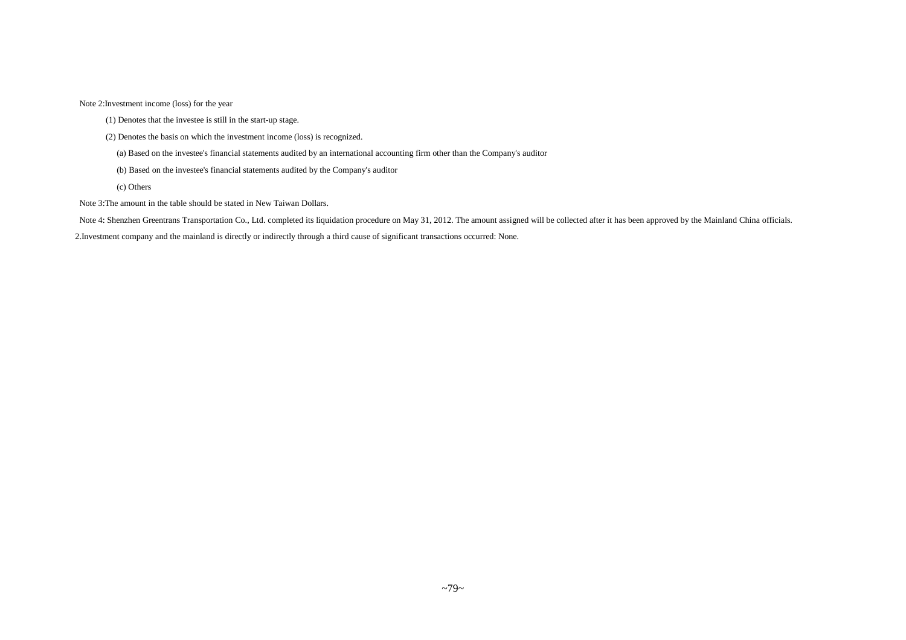Note 2:Investment income (loss) for the year

- (1) Denotes that the investee is still in the start-up stage.
- (2) Denotes the basis on which the investment income (loss) is recognized.
	- (a) Based on the investee's financial statements audited by an international accounting firm other than the Company's auditor
	- (b) Based on the investee's financial statements audited by the Company's auditor
	- (c) Others
- Note 3:The amount in the table should be stated in New Taiwan Dollars.
- Note 4: Shenzhen Greentrans Transportation Co., Ltd. completed its liquidation procedure on May 31, 2012. The amount assigned will be collected after it has been approved by the Mainland China officials.

2.Investment company and the mainland is directly or indirectly through a third cause of significant transactions occurred: None.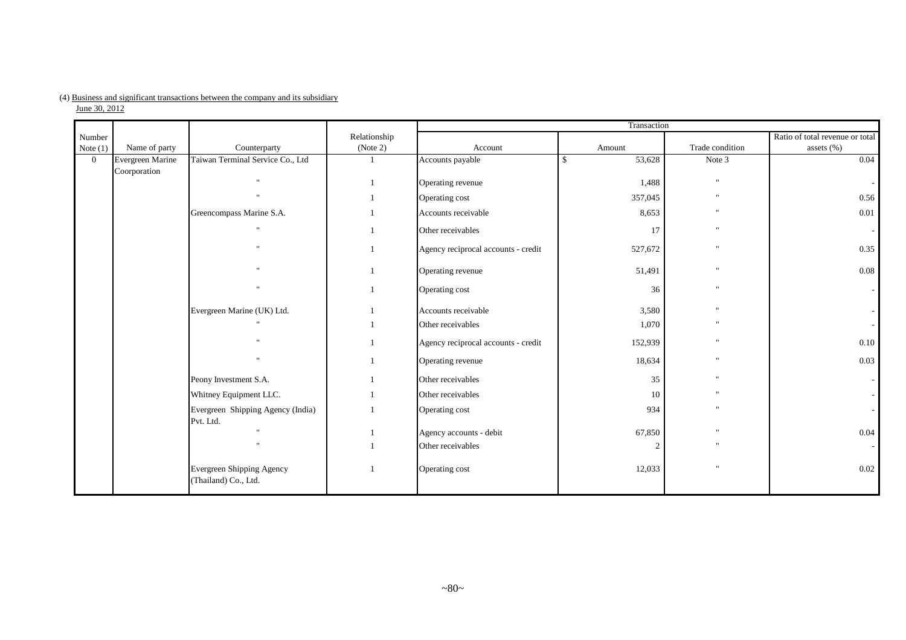# (4) Business and significant transactions between the company and its subsidiary

|  | June 30, 2012 |  |
|--|---------------|--|
|  |               |  |

|                      |                                  |                                                   |                          |                                     | Transaction  |                 |                                               |
|----------------------|----------------------------------|---------------------------------------------------|--------------------------|-------------------------------------|--------------|-----------------|-----------------------------------------------|
| Number<br>Note $(1)$ | Name of party                    | Counterparty                                      | Relationship<br>(Note 2) | Account                             | Amount       | Trade condition | Ratio of total revenue or total<br>assets (%) |
| $\overline{0}$       | Evergreen Marine<br>Coorporation | Taiwan Terminal Service Co., Ltd                  | $\mathbf{1}$             | Accounts payable                    | \$<br>53,628 | Note 3          | 0.04                                          |
|                      |                                  | $\mathbf{u}$                                      |                          | Operating revenue                   | 1,488        | $\mathbf{u}$    |                                               |
|                      |                                  | $\mathbf{u}$                                      |                          | Operating cost                      | 357,045      |                 | 0.56                                          |
|                      |                                  | Greencompass Marine S.A.                          |                          | Accounts receivable                 | 8,653        | $\cdots$        | 0.01                                          |
|                      |                                  |                                                   |                          | Other receivables                   | 17           |                 |                                               |
|                      |                                  |                                                   |                          | Agency reciprocal accounts - credit | 527,672      |                 | 0.35                                          |
|                      |                                  |                                                   |                          | Operating revenue                   | 51,491       |                 | 0.08                                          |
|                      |                                  |                                                   |                          | Operating cost                      | 36           | $\mathbf{u}$    |                                               |
|                      |                                  | Evergreen Marine (UK) Ltd.                        |                          | Accounts receivable                 | 3,580        |                 |                                               |
|                      |                                  |                                                   |                          | Other receivables                   | 1,070        |                 |                                               |
|                      |                                  |                                                   |                          | Agency reciprocal accounts - credit | 152,939      |                 | 0.10                                          |
|                      |                                  |                                                   |                          | Operating revenue                   | 18,634       |                 | 0.03                                          |
|                      |                                  | Peony Investment S.A.                             |                          | Other receivables                   | 35           | $\mathbf{u}$    |                                               |
|                      |                                  | Whitney Equipment LLC.                            |                          | Other receivables                   | 10           |                 |                                               |
|                      |                                  | Evergreen Shipping Agency (India)<br>Pvt. Ltd.    |                          | Operating cost                      | 934          |                 |                                               |
|                      |                                  |                                                   |                          | Agency accounts - debit             | 67,850       |                 | 0.04                                          |
|                      |                                  |                                                   |                          | Other receivables                   |              |                 |                                               |
|                      |                                  | Evergreen Shipping Agency<br>(Thailand) Co., Ltd. |                          | Operating cost                      | 12,033       |                 | 0.02                                          |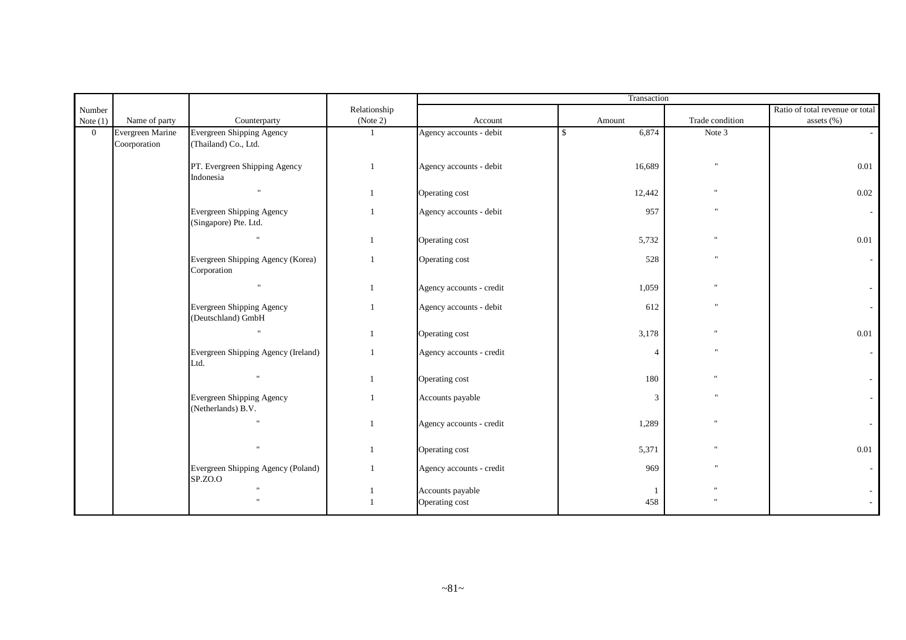| Name of party                    | Counterparty                                             | Relationship<br>(Note 2) | Account                  | Amount           | Trade condition         | Ratio of total revenue or total<br>assets (%) |
|----------------------------------|----------------------------------------------------------|--------------------------|--------------------------|------------------|-------------------------|-----------------------------------------------|
| Evergreen Marine<br>Coorporation | <b>Evergreen Shipping Agency</b><br>(Thailand) Co., Ltd. | $\mathbf{1}$             | Agency accounts - debit  | 6,874<br>\$      | Note 3                  |                                               |
|                                  | PT. Evergreen Shipping Agency<br>Indonesia               | $\mathbf{1}$             | Agency accounts - debit  | 16,689           | $^{\prime\prime}$       | 0.01                                          |
|                                  | $\mathbf{u}$                                             | $\mathbf{1}$             | Operating cost           | 12,442           |                         | 0.02                                          |
|                                  | Evergreen Shipping Agency<br>(Singapore) Pte. Ltd.       | $\mathbf{1}$             | Agency accounts - debit  | 957              | $^{\prime\prime}$       |                                               |
|                                  |                                                          | $\overline{1}$           | Operating cost           | 5,732            |                         | 0.01                                          |
|                                  | Evergreen Shipping Agency (Korea)<br>Corporation         | $\overline{1}$           | Operating cost           | 528              | $\overline{\mathbf{u}}$ |                                               |
|                                  | $\mathbf{u}$                                             |                          | Agency accounts - credit | 1,059            |                         |                                               |
|                                  | Evergreen Shipping Agency<br>(Deutschland) GmbH          | $\overline{1}$           | Agency accounts - debit  | 612              | $^{\prime}$             |                                               |
|                                  | $\mathbf{u}$                                             | $\mathbf{1}$             | Operating cost           | 3,178            |                         | $0.01\,$                                      |
|                                  | Evergreen Shipping Agency (Ireland)<br>Ltd.              | $\mathbf{1}$             | Agency accounts - credit | 4                |                         |                                               |
|                                  | $\mathbf{H}$                                             | $\mathbf{1}$             | Operating cost           | 180              |                         |                                               |
|                                  | <b>Evergreen Shipping Agency</b><br>(Netherlands) B.V.   | 1                        | Accounts payable         | 3                | $\overline{\mathbf{u}}$ |                                               |
|                                  |                                                          | $\overline{1}$           | Agency accounts - credit | 1,289            |                         |                                               |
|                                  |                                                          | $\mathbf{1}$             | Operating cost           | 5,371            |                         | 0.01                                          |
|                                  | Evergreen Shipping Agency (Poland)<br>SP.ZO.O            | -1                       | Agency accounts - credit | 969              | $^{\prime\prime}$       |                                               |
|                                  |                                                          |                          | Operating cost           | 458              |                         |                                               |
|                                  |                                                          |                          |                          | Accounts payable |                         | Transaction                                   |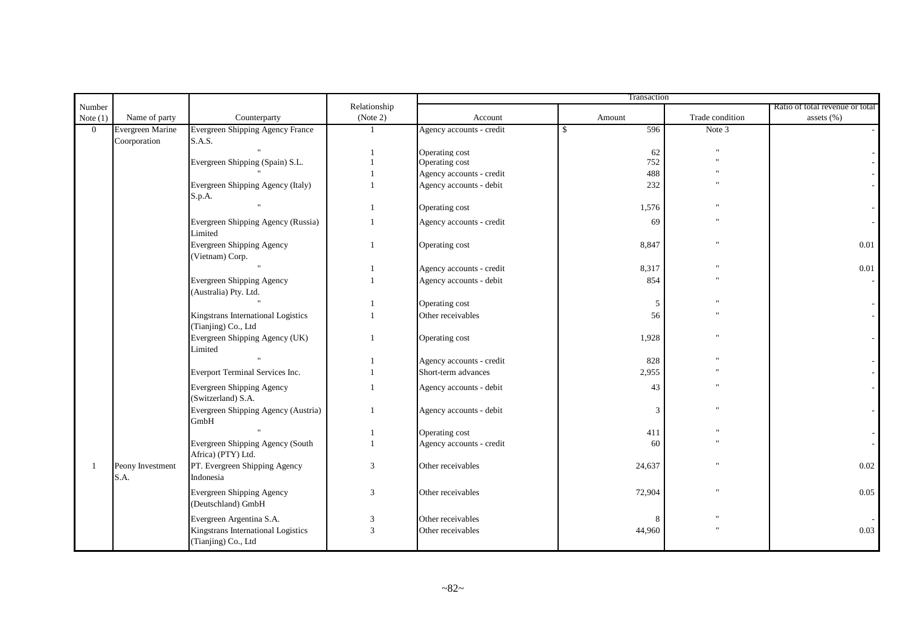|                |                  |                                                           |                | Transaction              |                      |                         |                                 |  |  |
|----------------|------------------|-----------------------------------------------------------|----------------|--------------------------|----------------------|-------------------------|---------------------------------|--|--|
| Number         |                  |                                                           | Relationship   |                          |                      |                         | Ratio of total revenue or total |  |  |
| Note $(1)$     | Name of party    | Counterparty                                              | (Note 2)       | Account                  | Amount               | Trade condition         | assets (%)                      |  |  |
| $\overline{0}$ | Evergreen Marine | <b>Evergreen Shipping Agency France</b>                   | $\mathbf{1}$   | Agency accounts - credit | 596<br><sup>\$</sup> | Note 3                  |                                 |  |  |
|                | Coorporation     | S.A.S.                                                    |                |                          |                      |                         |                                 |  |  |
|                |                  |                                                           |                | Operating cost           | 62                   |                         |                                 |  |  |
|                |                  | Evergreen Shipping (Spain) S.L.                           |                | Operating cost           | 752                  | $^{\rm{u}}$             |                                 |  |  |
|                |                  |                                                           |                | Agency accounts - credit | 488                  |                         |                                 |  |  |
|                |                  | Evergreen Shipping Agency (Italy)                         |                | Agency accounts - debit  | 232                  |                         |                                 |  |  |
|                |                  | S.p.A.                                                    |                |                          |                      |                         |                                 |  |  |
|                |                  |                                                           |                | Operating cost           | 1,576                |                         |                                 |  |  |
|                |                  | Evergreen Shipping Agency (Russia)<br>Limited             |                | Agency accounts - credit | 69                   |                         |                                 |  |  |
|                |                  | Evergreen Shipping Agency<br>(Vietnam) Corp.              | $\overline{1}$ | Operating cost           | 8,847                | $\overline{\mathbf{u}}$ | 0.01                            |  |  |
|                |                  |                                                           |                | Agency accounts - credit | 8,317                | $^{\prime}$             | 0.01                            |  |  |
|                |                  | <b>Evergreen Shipping Agency</b>                          |                | Agency accounts - debit  | 854                  |                         |                                 |  |  |
|                |                  | (Australia) Pty. Ltd.                                     |                |                          |                      |                         |                                 |  |  |
|                |                  |                                                           |                | Operating cost           | 5                    |                         |                                 |  |  |
|                |                  | Kingstrans International Logistics                        |                | Other receivables        | 56                   |                         |                                 |  |  |
|                |                  | (Tianjing) Co., Ltd                                       |                |                          |                      |                         |                                 |  |  |
|                |                  | Evergreen Shipping Agency (UK)<br>Limited                 |                | Operating cost           | 1,928                |                         |                                 |  |  |
|                |                  |                                                           |                | Agency accounts - credit | 828                  |                         |                                 |  |  |
|                |                  | Everport Terminal Services Inc.                           |                | Short-term advances      | 2,955                |                         |                                 |  |  |
|                |                  | Evergreen Shipping Agency<br>(Switzerland) S.A.           |                | Agency accounts - debit  | 43                   |                         |                                 |  |  |
|                |                  | Evergreen Shipping Agency (Austria)<br>GmbH               |                | Agency accounts - debit  | 3                    |                         |                                 |  |  |
|                |                  |                                                           |                | Operating cost           | 411                  |                         |                                 |  |  |
|                |                  | Evergreen Shipping Agency (South<br>Africa) (PTY) Ltd.    |                | Agency accounts - credit | 60                   |                         |                                 |  |  |
|                | Peony Investment | PT. Evergreen Shipping Agency                             | 3              | Other receivables        | 24,637               | $\overline{\mathbf{u}}$ | 0.02                            |  |  |
|                | S.A.             | Indonesia                                                 |                |                          |                      |                         |                                 |  |  |
|                |                  | Evergreen Shipping Agency<br>(Deutschland) GmbH           | 3              | Other receivables        | 72,904               | $^{\prime}$             | 0.05                            |  |  |
|                |                  | Evergreen Argentina S.A.                                  | 3              | Other receivables        | 8                    |                         |                                 |  |  |
|                |                  | Kingstrans International Logistics<br>(Tianjing) Co., Ltd | $\overline{3}$ | Other receivables        | 44,960               |                         | 0.03                            |  |  |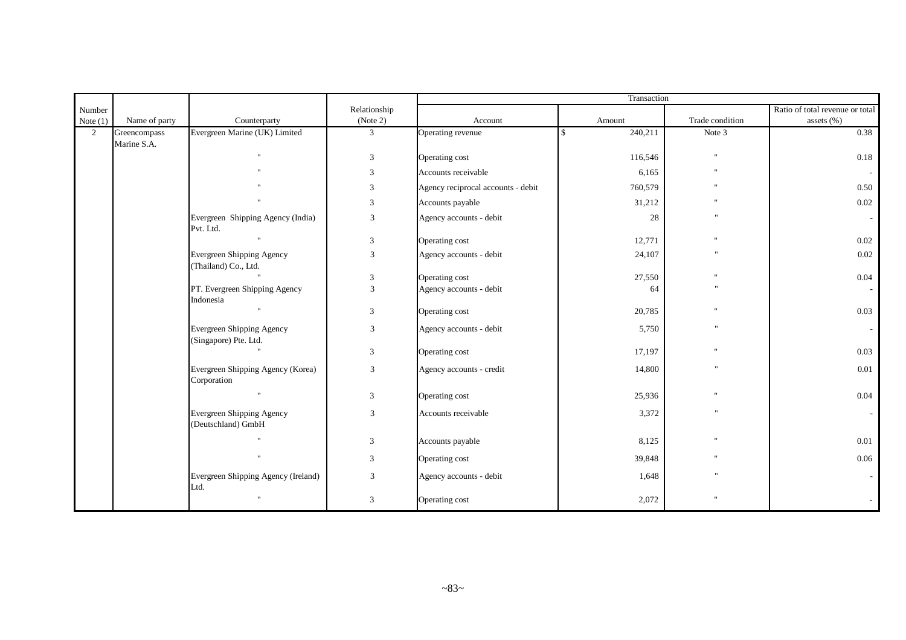| Number<br>Note $(1)$ | Name of party               | Counterparty                                              | Relationship<br>(Note 2) | Account                            | Amount        | Trade condition         | Ratio of total revenue or total<br>assets (%) |
|----------------------|-----------------------------|-----------------------------------------------------------|--------------------------|------------------------------------|---------------|-------------------------|-----------------------------------------------|
| 2                    | Greencompass<br>Marine S.A. | Evergreen Marine (UK) Limited                             | $\mathbf{3}$             | Operating revenue                  | 240,211<br>-8 | Note 3                  | 0.38                                          |
|                      |                             | $\mathbf{u}$                                              | $\mathbf{3}$             | Operating cost                     | 116,546       | $^{\prime}$             | 0.18                                          |
|                      |                             |                                                           | 3                        | Accounts receivable                | 6,165         |                         |                                               |
|                      |                             |                                                           | 3                        | Agency reciprocal accounts - debit | 760,579       |                         | 0.50                                          |
|                      |                             |                                                           | 3                        | Accounts payable                   | 31,212        |                         | 0.02                                          |
|                      |                             | Evergreen Shipping Agency (India)<br>Pvt. Ltd.            | $\mathfrak{Z}$           | Agency accounts - debit            | 28            |                         |                                               |
|                      |                             |                                                           | $\mathbf{3}$             | Operating cost                     | 12,771        |                         | 0.02                                          |
|                      |                             | Evergreen Shipping Agency<br>(Thailand) Co., Ltd.         | 3                        | Agency accounts - debit            | 24,107        | n                       | 0.02                                          |
|                      |                             |                                                           | $\sqrt{3}$               | Operating cost                     | 27,550        |                         | 0.04                                          |
|                      |                             | PT. Evergreen Shipping Agency<br>Indonesia                | 3                        | Agency accounts - debit            | 64            | $\overline{\mathbf{u}}$ |                                               |
|                      |                             | $\mathbf{u}$                                              | $\mathbf{3}$             | Operating cost                     | 20,785        |                         | 0.03                                          |
|                      |                             | <b>Evergreen Shipping Agency</b><br>(Singapore) Pte. Ltd. | 3                        | Agency accounts - debit            | 5,750         | $^{\prime\prime}$       |                                               |
|                      |                             |                                                           | $\mathbf{3}$             | Operating cost                     | 17,197        | Ħ                       | 0.03                                          |
|                      |                             | Evergreen Shipping Agency (Korea)<br>Corporation          | 3                        | Agency accounts - credit           | 14,800        | $^{\prime}$             | 0.01                                          |
|                      |                             | $\mathbf{u}$                                              | $\mathbf{3}$             | Operating cost                     | 25,936        |                         | 0.04                                          |
|                      |                             | Evergreen Shipping Agency<br>(Deutschland) GmbH           | 3                        | Accounts receivable                | 3,372         | $^{\prime\prime}$       |                                               |
|                      |                             |                                                           | $\mathbf{3}$             | Accounts payable                   | 8,125         |                         | 0.01                                          |
|                      |                             | $\mathbf{u}$                                              | $\mathbf{3}$             | Operating cost                     | 39,848        | $\blacksquare$          | 0.06                                          |
|                      |                             | Evergreen Shipping Agency (Ireland)<br>Ltd.               | $\mathfrak{Z}$           | Agency accounts - debit            | 1,648         |                         |                                               |
|                      |                             | Ħ.                                                        | 3                        | Operating cost                     | 2,072         |                         |                                               |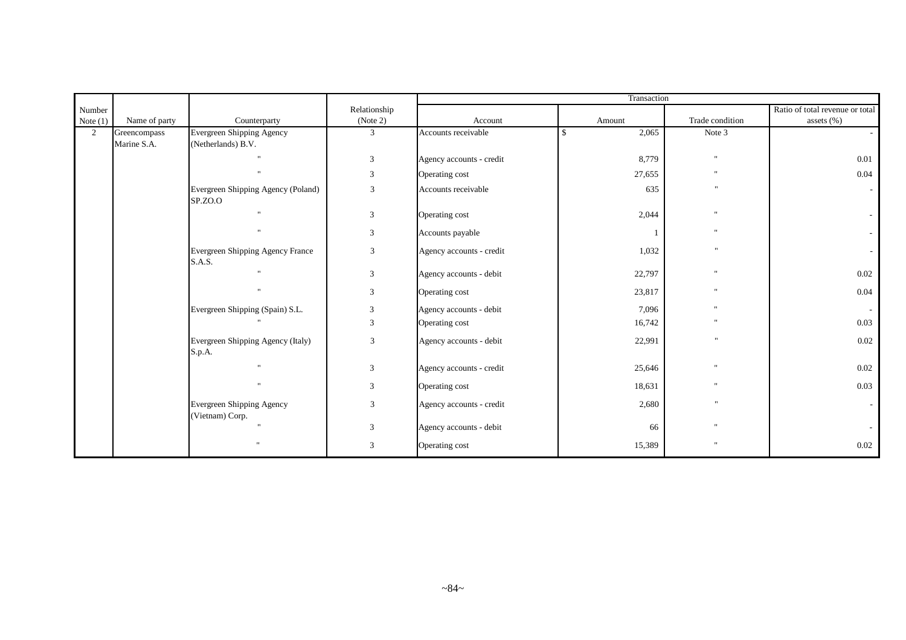|            |                             |                                                   |                | Transaction              |                        |                         |                                 |  |  |
|------------|-----------------------------|---------------------------------------------------|----------------|--------------------------|------------------------|-------------------------|---------------------------------|--|--|
| Number     |                             |                                                   | Relationship   |                          |                        |                         | Ratio of total revenue or total |  |  |
| Note $(1)$ | Name of party               | Counterparty                                      | (Note 2)       | Account                  | Amount                 | Trade condition         | assets (%)                      |  |  |
| 2          | Greencompass<br>Marine S.A. | Evergreen Shipping Agency<br>(Netherlands) B.V.   | 3              | Accounts receivable      | 2,065<br><sup>\$</sup> | Note 3                  |                                 |  |  |
|            |                             |                                                   | $\mathbf{3}$   | Agency accounts - credit | 8,779                  | $^{\prime}$             | 0.01                            |  |  |
|            |                             | $\mathbf{u}$                                      | 3              | Operating cost           | 27,655                 | $^{\prime}$             | 0.04                            |  |  |
|            |                             | Evergreen Shipping Agency (Poland)<br>SP.ZO.O     | 3              | Accounts receivable      | 635                    | $^{\prime}$             |                                 |  |  |
|            |                             | $\mathbf{u}$                                      | 3              | Operating cost           | 2,044                  | $^{\prime}$             |                                 |  |  |
|            |                             | $\mathbf{u}$                                      | $\mathfrak{Z}$ | Accounts payable         |                        |                         |                                 |  |  |
|            |                             | Evergreen Shipping Agency France<br><b>S.A.S.</b> | 3              | Agency accounts - credit | 1,032                  | $\overline{\mathbf{u}}$ |                                 |  |  |
|            |                             |                                                   | 3              | Agency accounts - debit  | 22,797                 | $^{\prime\prime}$       | 0.02                            |  |  |
|            |                             | $\mathbf{u}$                                      | 3              | Operating cost           | 23,817                 | $^{\prime}$             | 0.04                            |  |  |
|            |                             | Evergreen Shipping (Spain) S.L.                   | 3              | Agency accounts - debit  | 7,096                  | $^{\prime}$             |                                 |  |  |
|            |                             |                                                   | 3              | Operating cost           | 16,742                 |                         | 0.03                            |  |  |
|            |                             | Evergreen Shipping Agency (Italy)<br>S.p.A.       | 3              | Agency accounts - debit  | 22,991                 | $\overline{\mathbf{u}}$ | 0.02                            |  |  |
|            |                             |                                                   | 3              | Agency accounts - credit | 25,646                 | $^{\prime}$             | 0.02                            |  |  |
|            |                             |                                                   | 3              | Operating cost           | 18,631                 | $^{\prime}$             | 0.03                            |  |  |
|            |                             | Evergreen Shipping Agency<br>(Vietnam) Corp.      | 3              | Agency accounts - credit | 2,680                  |                         |                                 |  |  |
|            |                             |                                                   | 3              | Agency accounts - debit  | 66                     |                         |                                 |  |  |
|            |                             | $^{\prime}$                                       | 3              | Operating cost           | 15,389                 | $^{\prime}$             | 0.02                            |  |  |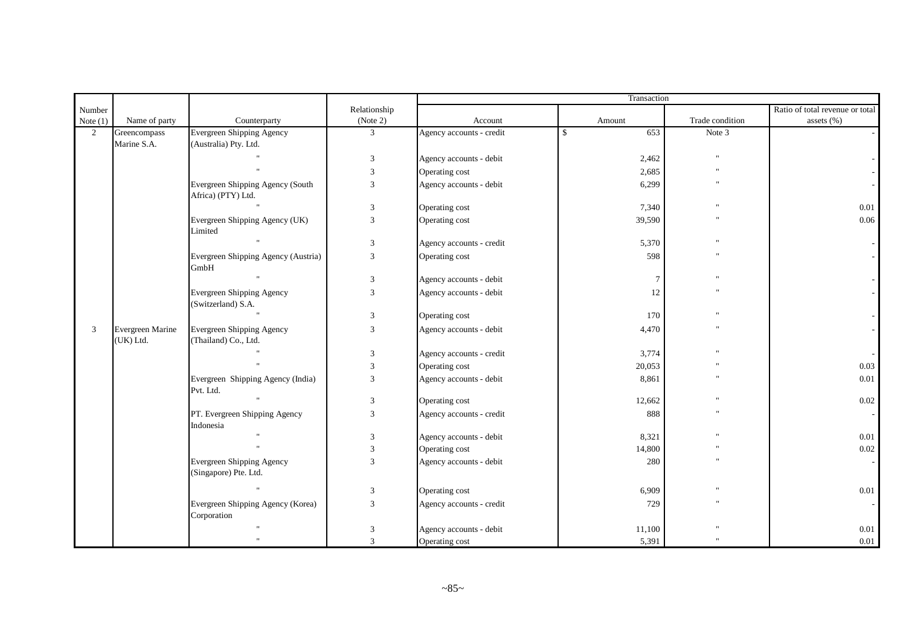|             |                               |                                                        |                |                          | Transaction         |                 |                                 |  |  |
|-------------|-------------------------------|--------------------------------------------------------|----------------|--------------------------|---------------------|-----------------|---------------------------------|--|--|
| Number      |                               |                                                        | Relationship   |                          |                     |                 | Ratio of total revenue or total |  |  |
| Note $(1)$  | Name of party                 | Counterparty                                           | (Note 2)       | Account                  | Amount              | Trade condition | assets (%)                      |  |  |
| $2^{\circ}$ | Greencompass                  | <b>Evergreen Shipping Agency</b>                       | 3              | Agency accounts - credit | $\mathbb{S}$<br>653 | Note 3          |                                 |  |  |
|             | Marine S.A.                   | (Australia) Pty. Ltd.                                  |                |                          |                     |                 |                                 |  |  |
|             |                               |                                                        | 3              | Agency accounts - debit  | 2,462               |                 |                                 |  |  |
|             |                               |                                                        | 3              | Operating cost           | 2,685               |                 |                                 |  |  |
|             |                               | Evergreen Shipping Agency (South<br>Africa) (PTY) Ltd. | 3              | Agency accounts - debit  | 6,299               |                 |                                 |  |  |
|             |                               |                                                        | 3              | Operating cost           | 7,340               |                 | 0.01                            |  |  |
|             |                               | Evergreen Shipping Agency (UK)<br>Limited              | $\overline{3}$ | Operating cost           | 39,590              |                 | 0.06                            |  |  |
|             |                               |                                                        | 3              | Agency accounts - credit | 5,370               |                 |                                 |  |  |
|             |                               | Evergreen Shipping Agency (Austria)<br>GmbH            | 3              | Operating cost           | 598                 |                 |                                 |  |  |
|             |                               |                                                        | 3              | Agency accounts - debit  | $7\phantom{.0}$     |                 |                                 |  |  |
|             |                               | Evergreen Shipping Agency<br>(Switzerland) S.A.        | 3              | Agency accounts - debit  | 12                  |                 |                                 |  |  |
|             |                               |                                                        | 3              | Operating cost           | 170                 |                 |                                 |  |  |
| 3           | Evergreen Marine<br>(UK) Ltd. | Evergreen Shipping Agency<br>(Thailand) Co., Ltd.      | 3              | Agency accounts - debit  | 4,470               |                 |                                 |  |  |
|             |                               |                                                        | 3              | Agency accounts - credit | 3,774               |                 |                                 |  |  |
|             |                               |                                                        | 3              | Operating cost           | 20,053              |                 | 0.03                            |  |  |
|             |                               | Evergreen Shipping Agency (India)<br>Pvt. Ltd.         | 3              | Agency accounts - debit  | 8,861               |                 | 0.01                            |  |  |
|             |                               |                                                        | 3              | Operating cost           | 12,662              |                 | 0.02                            |  |  |
|             |                               | PT. Evergreen Shipping Agency<br>Indonesia             | 3              | Agency accounts - credit | 888                 |                 |                                 |  |  |
|             |                               |                                                        | $\mathfrak{Z}$ | Agency accounts - debit  | 8,321               |                 | $0.01\,$                        |  |  |
|             |                               |                                                        | $\mathfrak{Z}$ | Operating cost           | 14,800              |                 | $0.02\,$                        |  |  |
|             |                               | Evergreen Shipping Agency<br>(Singapore) Pte. Ltd.     | 3              | Agency accounts - debit  | 280                 |                 |                                 |  |  |
|             |                               |                                                        | 3              | Operating cost           | 6,909               |                 | 0.01                            |  |  |
|             |                               | Evergreen Shipping Agency (Korea)<br>Corporation       | 3              | Agency accounts - credit | 729                 |                 |                                 |  |  |
|             |                               |                                                        | 3              | Agency accounts - debit  | 11,100              |                 | 0.01                            |  |  |
|             |                               |                                                        | $\mathbf{3}$   | Operating cost           | 5,391               |                 | 0.01                            |  |  |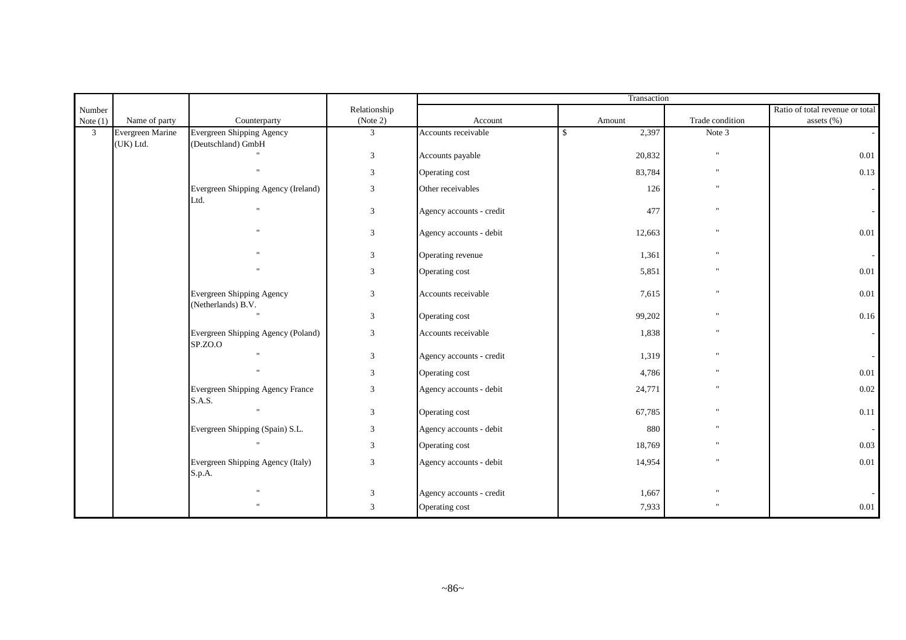| Number         |                  |                                                   | Relationship   |                          |                       |                           | Ratio of total revenue or total |
|----------------|------------------|---------------------------------------------------|----------------|--------------------------|-----------------------|---------------------------|---------------------------------|
| Note $(1)$     | Name of party    | Counterparty                                      | (Note 2)       | Account                  | Amount                | Trade condition           | assets (%)                      |
| $\overline{3}$ | Evergreen Marine | <b>Evergreen Shipping Agency</b>                  | 3              | Accounts receivable      | 2,397<br>$\mathbb{S}$ | Note 3                    |                                 |
|                | (UK) Ltd.        | (Deutschland) GmbH                                |                |                          |                       | $\boldsymbol{\mathsf{u}}$ |                                 |
|                |                  |                                                   | 3              | Accounts payable         | 20,832                |                           | 0.01                            |
|                |                  |                                                   | 3              | Operating cost           | 83,784                | $\mathbf{u}$              | 0.13                            |
|                |                  | Evergreen Shipping Agency (Ireland)<br>Ltd.       | $\mathfrak{Z}$ | Other receivables        | 126                   | $\mathbf{u}$              |                                 |
|                |                  | $\mathbf{u}$                                      | $\sqrt{3}$     | Agency accounts - credit | 477                   | $\mathbf{u}$              |                                 |
|                |                  |                                                   | $\mathfrak{Z}$ | Agency accounts - debit  | 12,663                | $^{\prime}$               | 0.01                            |
|                |                  |                                                   | 3              | Operating revenue        | 1,361                 |                           |                                 |
|                |                  |                                                   | 3              | Operating cost           | 5,851                 | $\blacksquare$            | 0.01                            |
|                |                  | Evergreen Shipping Agency<br>(Netherlands) B.V.   | $\mathfrak{Z}$ | Accounts receivable      | 7,615                 | $\mathbf{u}$              | 0.01                            |
|                |                  |                                                   | $\mathfrak{Z}$ | Operating cost           | 99,202                | H.                        | 0.16                            |
|                |                  | Evergreen Shipping Agency (Poland)<br>SP.ZO.O     | 3              | Accounts receivable      | 1,838                 | $\blacksquare$            |                                 |
|                |                  | $\ddot{\phantom{a}}$                              | $\mathbf{3}$   | Agency accounts - credit | 1,319                 | $\ddot{\phantom{a}}$      |                                 |
|                |                  | $\ddot{\phantom{0}}$                              | 3              | Operating cost           | 4,786                 | $\mathbf{u}$              | 0.01                            |
|                |                  | Evergreen Shipping Agency France<br><b>S.A.S.</b> | 3              | Agency accounts - debit  | 24,771                | $\blacksquare$            | 0.02                            |
|                |                  |                                                   | $\mathfrak{Z}$ | Operating cost           | 67,785                | $\ddot{\phantom{a}}$      | 0.11                            |
|                |                  | Evergreen Shipping (Spain) S.L.                   | 3              | Agency accounts - debit  | 880                   | $^{\prime}$               |                                 |
|                |                  |                                                   | 3              | Operating cost           | 18,769                |                           | 0.03                            |
|                |                  | Evergreen Shipping Agency (Italy)<br>S.p.A.       | 3              | Agency accounts - debit  | 14,954                |                           | 0.01                            |
|                |                  |                                                   | 3              | Agency accounts - credit | 1,667                 |                           |                                 |
|                |                  |                                                   | 3              | Operating cost           | 7,933                 |                           | 0.01                            |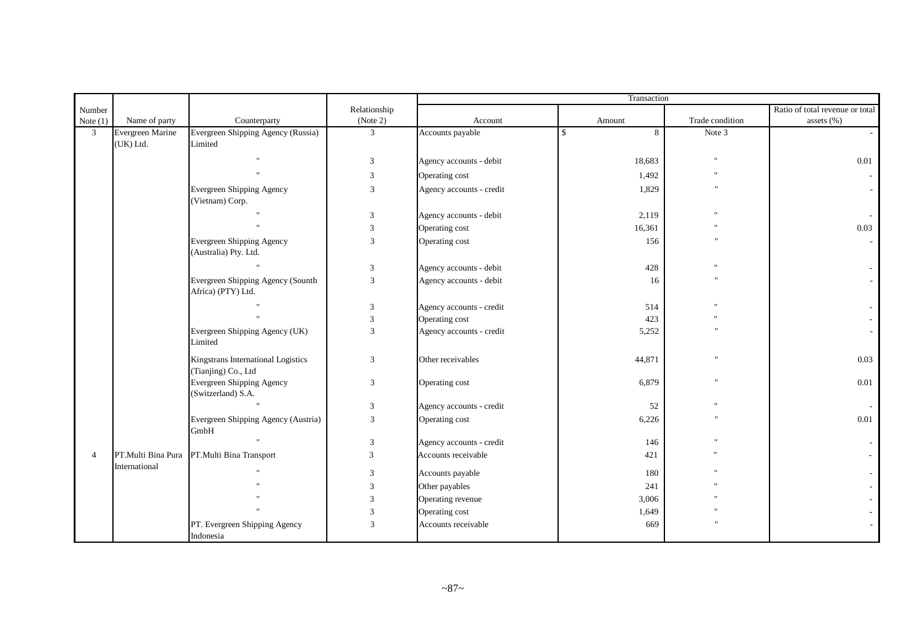| Number         |                               |                                                           | Relationship   |                          |                   |                 | Ratio of total revenue or total |
|----------------|-------------------------------|-----------------------------------------------------------|----------------|--------------------------|-------------------|-----------------|---------------------------------|
| Note $(1)$     | Name of party                 | Counterparty                                              | (Note 2)       | Account                  | Amount            | Trade condition | assets (%)                      |
| $\mathfrak{Z}$ | Evergreen Marine<br>(UK) Ltd. | Evergreen Shipping Agency (Russia)<br>Limited             | $\mathfrak{Z}$ | Accounts payable         | $\mathbf{s}$<br>8 | Note 3          |                                 |
|                |                               |                                                           | 3              | Agency accounts - debit  | 18,683            |                 | 0.01                            |
|                |                               |                                                           | 3              | Operating cost           | 1,492             |                 |                                 |
|                |                               | Evergreen Shipping Agency<br>(Vietnam) Corp.              | 3              | Agency accounts - credit | 1,829             |                 |                                 |
|                |                               |                                                           | 3              | Agency accounts - debit  | 2,119             |                 |                                 |
|                |                               |                                                           | $\overline{3}$ | Operating cost           | 16,361            |                 | 0.03                            |
|                |                               | <b>Evergreen Shipping Agency</b><br>(Australia) Pty. Ltd. | 3              | Operating cost           | 156               |                 |                                 |
|                |                               |                                                           | 3              | Agency accounts - debit  | 428               |                 |                                 |
|                |                               | Evergreen Shipping Agency (Sounth<br>Africa) (PTY) Ltd.   | 3              | Agency accounts - debit  | 16                |                 |                                 |
|                |                               |                                                           | 3              | Agency accounts - credit | 514               |                 |                                 |
|                |                               |                                                           | $\overline{3}$ | Operating cost           | 423               |                 |                                 |
|                |                               | Evergreen Shipping Agency (UK)<br>Limited                 | 3              | Agency accounts - credit | 5,252             |                 |                                 |
|                |                               | Kingstrans International Logistics<br>(Tianjing) Co., Ltd | 3              | Other receivables        | 44,871            |                 | 0.03                            |
|                |                               | Evergreen Shipping Agency<br>(Switzerland) S.A.           | 3              | Operating cost           | 6,879             |                 | 0.01                            |
|                |                               |                                                           | 3              | Agency accounts - credit | 52                |                 |                                 |
|                |                               | Evergreen Shipping Agency (Austria)<br>GmbH               | 3              | Operating cost           | 6,226             |                 | 0.01                            |
|                |                               |                                                           | $\sqrt{3}$     | Agency accounts - credit | 146               |                 |                                 |
| $\overline{4}$ | PT.Multi Bina Pura            | PT.Multi Bina Transport                                   | 3              | Accounts receivable      | 421               |                 |                                 |
|                | International                 |                                                           | 3              | Accounts payable         | 180               |                 |                                 |
|                |                               |                                                           | 3              | Other payables           | 241               |                 |                                 |
|                |                               |                                                           | 3              | Operating revenue        | 3,006             |                 |                                 |
|                |                               |                                                           | 3              | Operating cost           | 1,649             |                 |                                 |
|                |                               | PT. Evergreen Shipping Agency<br>Indonesia                | $\overline{3}$ | Accounts receivable      | 669               |                 |                                 |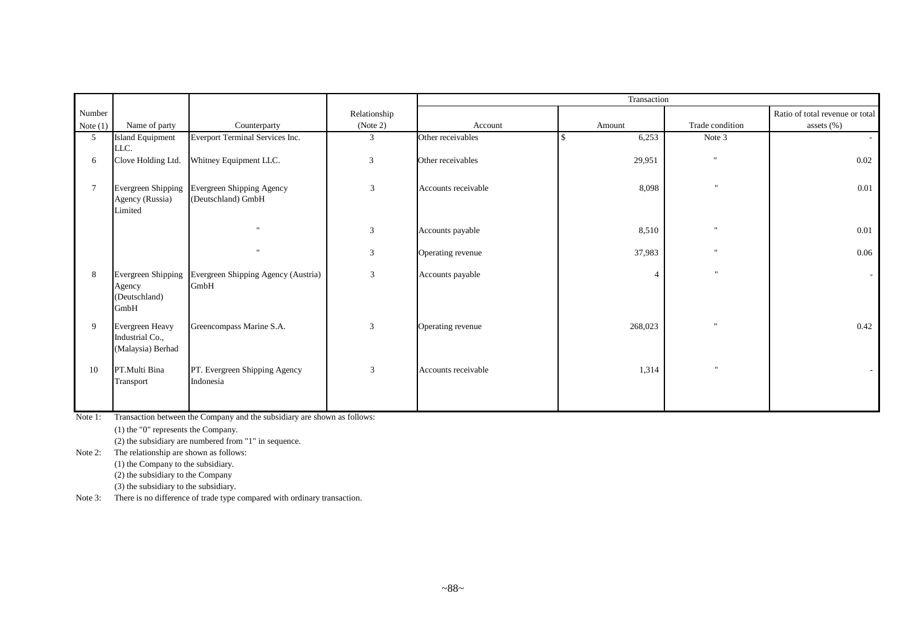|                 |                                                         |                                                 |                | Transaction         |         |                      |                                 |  |  |  |
|-----------------|---------------------------------------------------------|-------------------------------------------------|----------------|---------------------|---------|----------------------|---------------------------------|--|--|--|
| Number          |                                                         |                                                 | Relationship   |                     |         |                      | Ratio of total revenue or total |  |  |  |
| Note $(1)$      | Name of party                                           | Counterparty                                    | (Note 2)       | Account             | Amount  | Trade condition      | assets (%)                      |  |  |  |
| 5 <sup>5</sup>  | Island Equipment<br>LLC.                                | Everport Terminal Services Inc.                 | 3              | Other receivables   | 6,253   | Note 3               |                                 |  |  |  |
| 6               | Clove Holding Ltd.                                      | Whitney Equipment LLC.                          | 3              | Other receivables   | 29,951  | $\mathbf{u}$         | $0.02\,$                        |  |  |  |
| $7\phantom{.0}$ | Evergreen Shipping<br>Agency (Russia)<br>Limited        | Evergreen Shipping Agency<br>(Deutschland) GmbH | 3              | Accounts receivable | 8,098   | $\mathbf{u}$         | 0.01                            |  |  |  |
|                 |                                                         |                                                 | 3              | Accounts payable    | 8,510   | $\ddot{\phantom{0}}$ | 0.01                            |  |  |  |
|                 |                                                         | $\mathbf{u}$                                    | 3              | Operating revenue   | 37,983  | $\ddot{\phantom{a}}$ | 0.06                            |  |  |  |
| 8               | Evergreen Shipping<br>Agency<br>(Deutschland)<br>GmbH   | Evergreen Shipping Agency (Austria)<br>GmbH     | 3              | Accounts payable    | 4       | $\mathbf{u}$         |                                 |  |  |  |
| 9               | Evergreen Heavy<br>Industrial Co.,<br>(Malaysia) Berhad | Greencompass Marine S.A.                        | $\overline{3}$ | Operating revenue   | 268,023 | $\mathbf{u}$         | 0.42                            |  |  |  |
| 10              | PT.Multi Bina<br>Transport                              | PT. Evergreen Shipping Agency<br>Indonesia      | 3              | Accounts receivable | 1,314   | $\mathbf{u}$         |                                 |  |  |  |

Note 1: Transaction between the Company and the subsidiary are shown as follows:

(1) the "0" represents the Company.

(2) the subsidiary are numbered from "1" in sequence.

Note 2: The relationship are shown as follows:

(1) the Company to the subsidiary.

(2) the subsidiary to the Company

(3) the subsidiary to the subsidiary.

Note 3: There is no difference of trade type compared with ordinary transaction.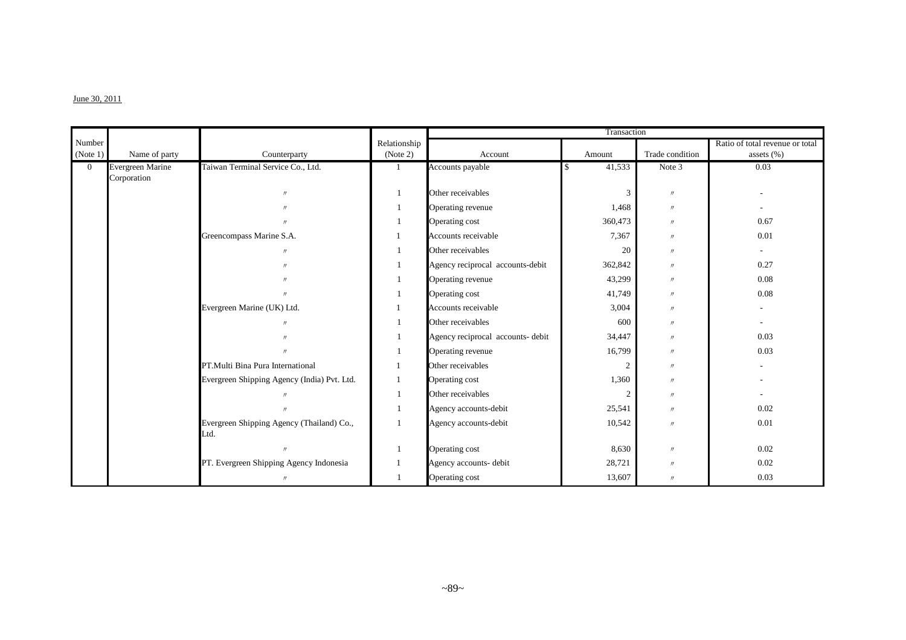#### $J$ une 30, 2011

|                |                         |                                                   |              |                                   | Transaction    |                   |                                 |
|----------------|-------------------------|---------------------------------------------------|--------------|-----------------------------------|----------------|-------------------|---------------------------------|
| Number         |                         |                                                   | Relationship |                                   |                |                   | Ratio of total revenue or total |
| (Note 1)       | Name of party           | Counterparty                                      | (Note 2)     | Account                           | Amount         | Trade condition   | assets $(\%)$                   |
| $\overline{0}$ | <b>Evergreen Marine</b> | Taiwan Terminal Service Co., Ltd.                 |              | Accounts payable                  | 41,533         | Note 3            | 0.03                            |
|                | Corporation             |                                                   |              |                                   |                |                   |                                 |
|                |                         | $^{\prime\prime}$                                 | 1            | Other receivables                 | $\mathbf{3}$   | $^{\prime\prime}$ |                                 |
|                |                         | $^{\prime\prime}$                                 | 1            | Operating revenue                 | 1,468          | $^{\prime\prime}$ |                                 |
|                |                         | $^{\prime\prime}$                                 | 1            | Operating cost                    | 360,473        | $^{\prime\prime}$ | 0.67                            |
|                |                         | Greencompass Marine S.A.                          |              | Accounts receivable               | 7,367          | $^{\prime\prime}$ | 0.01                            |
|                |                         | $\prime$                                          |              | Other receivables                 | 20             | $^{\prime\prime}$ |                                 |
|                |                         | $\prime$                                          |              | Agency reciprocal accounts-debit  | 362,842        | $^{\prime\prime}$ | 0.27                            |
|                |                         | $^{\prime\prime}$                                 | 1            | Operating revenue                 | 43,299         | $^{\prime\prime}$ | 0.08                            |
|                |                         | $^{\prime\prime}$                                 |              | Operating cost                    | 41,749         | $^{\prime\prime}$ | 0.08                            |
|                |                         | Evergreen Marine (UK) Ltd.                        |              | Accounts receivable               | 3,004          | $\prime\prime$    |                                 |
|                |                         | $^{\prime}$                                       |              | Other receivables                 | 600            | $\prime\prime$    |                                 |
|                |                         | $^{\prime}$                                       |              | Agency reciprocal accounts- debit | 34,447         | $\prime\prime$    | 0.03                            |
|                |                         | $^{\prime\prime}$                                 |              | Operating revenue                 | 16,799         | $\prime\prime$    | 0.03                            |
|                |                         | PT.Multi Bina Pura International                  |              | Other receivables                 | 2              | $^{\prime\prime}$ |                                 |
|                |                         | Evergreen Shipping Agency (India) Pvt. Ltd.       |              | Operating cost                    | 1,360          | $^{\prime\prime}$ |                                 |
|                |                         | $^{\prime\prime}$                                 | 1            | Other receivables                 | $\overline{c}$ | $^{\prime\prime}$ |                                 |
|                |                         | $\overline{u}$                                    | 1            | Agency accounts-debit             | 25,541         | $^{\prime\prime}$ | 0.02                            |
|                |                         | Evergreen Shipping Agency (Thailand) Co.,<br>Ltd. |              | Agency accounts-debit             | 10,542         | $\prime$          | 0.01                            |
|                |                         |                                                   | 1            | Operating cost                    | 8,630          | $^{\prime\prime}$ | 0.02                            |
|                |                         | PT. Evergreen Shipping Agency Indonesia           | 1            | Agency accounts- debit            | 28,721         | $^{\prime\prime}$ | 0.02                            |
|                |                         | $\overline{H}$                                    |              | Operating cost                    | 13,607         | $^{\prime\prime}$ | 0.03                            |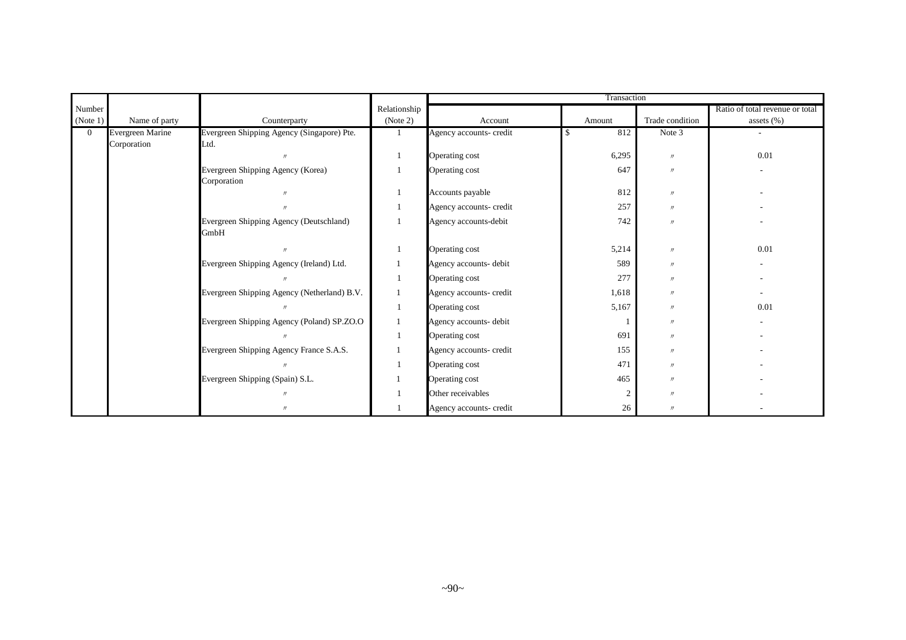|          |                                 |                                                    |              |                         | Transaction |                   |                                 |
|----------|---------------------------------|----------------------------------------------------|--------------|-------------------------|-------------|-------------------|---------------------------------|
| Number   |                                 |                                                    | Relationship |                         |             |                   | Ratio of total revenue or total |
| (Note 1) | Name of party                   | Counterparty                                       | (Note 2)     | Account                 | Amount      | Trade condition   | assets $(\% )$                  |
| $\Omega$ | Evergreen Marine<br>Corporation | Evergreen Shipping Agency (Singapore) Pte.<br>Ltd. |              | Agency accounts- credit | 812         | Note 3            |                                 |
|          |                                 |                                                    |              | Operating cost          | 6,295       | $^{\prime\prime}$ | 0.01                            |
|          |                                 | Evergreen Shipping Agency (Korea)<br>Corporation   |              | Operating cost          | 647         | $^{\prime\prime}$ |                                 |
|          |                                 |                                                    |              | Accounts payable        | 812         | $^{\prime\prime}$ |                                 |
|          |                                 |                                                    |              | Agency accounts- credit | 257         | $^{\prime\prime}$ |                                 |
|          |                                 | Evergreen Shipping Agency (Deutschland)<br>GmbH    |              | Agency accounts-debit   | 742         | $^{\prime\prime}$ |                                 |
|          |                                 |                                                    |              | Operating cost          | 5,214       | $^{\prime\prime}$ | 0.01                            |
|          |                                 | Evergreen Shipping Agency (Ireland) Ltd.           |              | Agency accounts- debit  | 589         | $^{\prime\prime}$ |                                 |
|          |                                 |                                                    |              | Operating cost          | 277         | $^{\prime\prime}$ |                                 |
|          |                                 | Evergreen Shipping Agency (Netherland) B.V.        |              | Agency accounts- credit | 1,618       | $^{\prime\prime}$ |                                 |
|          |                                 |                                                    |              | Operating cost          | 5,167       | $^{\prime\prime}$ | 0.01                            |
|          |                                 | Evergreen Shipping Agency (Poland) SP.ZO.O         |              | Agency accounts- debit  |             | $^{\prime\prime}$ |                                 |
|          |                                 |                                                    |              | Operating cost          | 691         | $^{\prime\prime}$ |                                 |
|          |                                 | Evergreen Shipping Agency France S.A.S.            |              | Agency accounts- credit | 155         | $^{\prime\prime}$ |                                 |
|          |                                 |                                                    |              | Operating cost          | 471         | $^{\prime\prime}$ |                                 |
|          |                                 | Evergreen Shipping (Spain) S.L.                    |              | Operating cost          | 465         | $^{\prime\prime}$ |                                 |
|          |                                 |                                                    |              | Other receivables       |             | $^{\prime\prime}$ |                                 |
|          |                                 | $\prime$                                           |              | Agency accounts- credit | 26          | $\prime$          |                                 |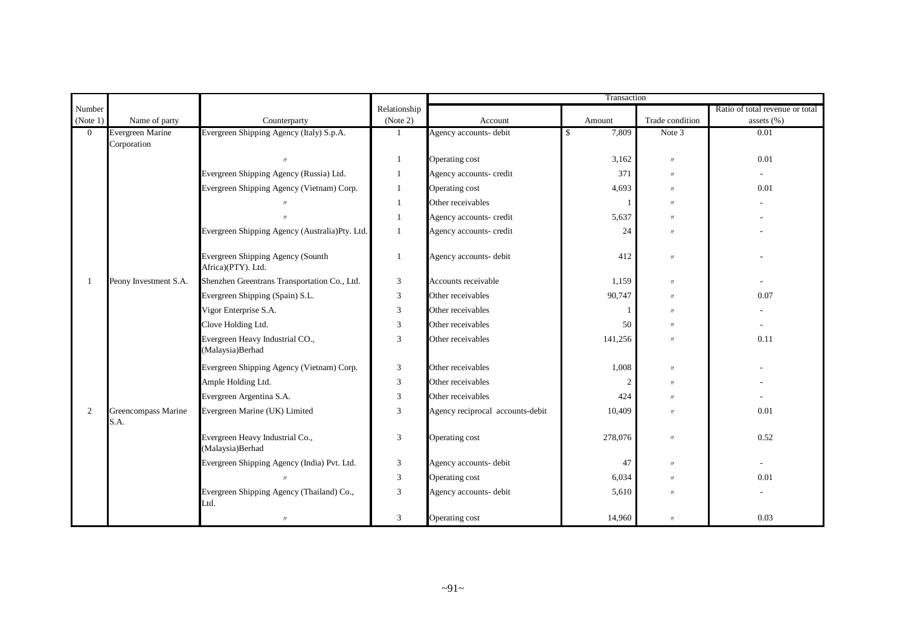|                |                                        |                                                         |              |                                  | Transaction    |                   |                                 |
|----------------|----------------------------------------|---------------------------------------------------------|--------------|----------------------------------|----------------|-------------------|---------------------------------|
| Number         |                                        |                                                         | Relationship |                                  |                |                   | Ratio of total revenue or total |
| (Note 1)       | Name of party                          | Counterparty                                            | (Note 2)     | Account                          | Amount         | Trade condition   | assets $(\%)$                   |
| $\overline{0}$ | <b>Evergreen Marine</b><br>Corporation | Evergreen Shipping Agency (Italy) S.p.A.                |              | Agency accounts- debit           | 7,809<br>\$    | Note 3            | 0.01                            |
|                |                                        |                                                         | -1           | Operating cost                   | 3,162          | $\prime\prime$    | 0.01                            |
|                |                                        | Evergreen Shipping Agency (Russia) Ltd.                 | 1            | Agency accounts- credit          | 371            | $\prime\prime$    |                                 |
|                |                                        | Evergreen Shipping Agency (Vietnam) Corp.               | -1           | Operating cost                   | 4,693          | $\prime$          | 0.01                            |
|                |                                        |                                                         | 1            | Other receivables                |                | $\prime$          |                                 |
|                |                                        |                                                         | -1           | Agency accounts- credit          | 5,637          | $\prime$          |                                 |
|                |                                        | Evergreen Shipping Agency (Australia)Pty. Ltd.          | 1            | Agency accounts- credit          | 24             | $^{\prime\prime}$ |                                 |
|                |                                        | Evergreen Shipping Agency (Sounth<br>Africa)(PTY). Ltd. | $\mathbf{1}$ | Agency accounts- debit           | 412            | $\prime\prime$    |                                 |
| 1              | Peony Investment S.A.                  | Shenzhen Greentrans Transportation Co., Ltd.            | 3            | Accounts receivable              | 1,159          | $\prime\prime$    |                                 |
|                |                                        | Evergreen Shipping (Spain) S.L.                         | 3            | Other receivables                | 90,747         | $^{\prime\prime}$ | 0.07                            |
|                |                                        | Vigor Enterprise S.A.                                   | 3            | Other receivables                |                | $^{\prime\prime}$ |                                 |
|                |                                        | Clove Holding Ltd.                                      | 3            | Other receivables                | 50             | $\prime\prime$    |                                 |
|                |                                        | Evergreen Heavy Industrial CO.,<br>(Malaysia)Berhad     | 3            | Other receivables                | 141,256        | $^{\prime\prime}$ | 0.11                            |
|                |                                        | Evergreen Shipping Agency (Vietnam) Corp.               | 3            | Other receivables                | 1,008          | $\prime\prime$    |                                 |
|                |                                        | Ample Holding Ltd.                                      | 3            | Other receivables                | $\overline{2}$ | $\prime\prime$    |                                 |
|                |                                        | Evergreen Argentina S.A.                                | 3            | Other receivables                | 424            | $^{\prime\prime}$ |                                 |
| $\overline{2}$ | Greencompass Marine<br>S.A.            | Evergreen Marine (UK) Limited                           | 3            | Agency reciprocal accounts-debit | 10,409         | $\prime$          | 0.01                            |
|                |                                        | Evergreen Heavy Industrial Co.,<br>(Malaysia)Berhad     | 3            | Operating cost                   | 278,076        | $\prime\prime$    | 0.52                            |
|                |                                        | Evergreen Shipping Agency (India) Pvt. Ltd.             | 3            | Agency accounts- debit           | 47             | $\prime\prime$    |                                 |
|                |                                        |                                                         | 3            | Operating cost                   | 6,034          | $^{\prime\prime}$ | 0.01                            |
|                |                                        | Evergreen Shipping Agency (Thailand) Co.,<br>Ltd.       | 3            | Agency accounts- debit           | 5,610          | $\prime$          |                                 |
|                |                                        | $\prime$                                                | 3            | Operating cost                   | 14,960         | $\prime\prime$    | 0.03                            |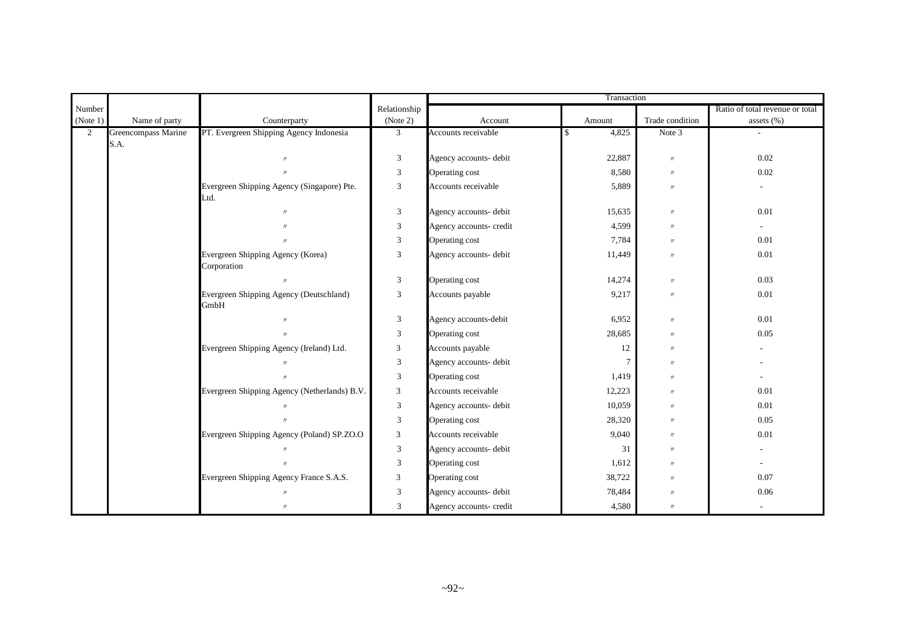|                |                             |                                                    |                |                         | Transaction    |                   |                                 |
|----------------|-----------------------------|----------------------------------------------------|----------------|-------------------------|----------------|-------------------|---------------------------------|
| Number         |                             |                                                    | Relationship   |                         |                |                   | Ratio of total revenue or total |
| (Note 1)       | Name of party               | Counterparty                                       | (Note 2)       | Account                 | Amount         | Trade condition   | assets (%)                      |
| $\overline{2}$ | Greencompass Marine<br>S.A. | PT. Evergreen Shipping Agency Indonesia            | 3 <sup>1</sup> | Accounts receivable     | 4,825          | Note 3            |                                 |
|                |                             | $^{\prime\prime}$                                  | 3              | Agency accounts- debit  | 22,887         | $\prime\prime$    | 0.02                            |
|                |                             | $\overline{u}$                                     | $\mathfrak{Z}$ | Operating cost          | 8,580          | $\prime\prime$    | 0.02                            |
|                |                             | Evergreen Shipping Agency (Singapore) Pte.<br>Ltd. | 3              | Accounts receivable     | 5,889          | $\prime\prime$    |                                 |
|                |                             | $^{\prime\prime}$                                  | $\mathfrak{Z}$ | Agency accounts- debit  | 15,635         | $\prime\prime$    | 0.01                            |
|                |                             | $^{\prime\prime}$                                  | $\mathfrak{Z}$ | Agency accounts- credit | 4,599          | $\prime\prime$    |                                 |
|                |                             |                                                    | $\mathfrak{Z}$ | Operating cost          | 7,784          | $\prime\prime$    | 0.01                            |
|                |                             | Evergreen Shipping Agency (Korea)<br>Corporation   | 3              | Agency accounts- debit  | 11,449         | $\prime\prime$    | 0.01                            |
|                |                             |                                                    | 3              | Operating cost          | 14,274         | $\prime\prime$    | 0.03                            |
|                |                             | Evergreen Shipping Agency (Deutschland)<br>GmbH    | 3              | Accounts payable        | 9,217          | $\prime\prime$    | 0.01                            |
|                |                             | $^{\prime\prime}$                                  | $\mathfrak{Z}$ | Agency accounts-debit   | 6,952          | $\prime\prime$    | 0.01                            |
|                |                             | $^{\prime\prime}$                                  | 3              | Operating cost          | 28,685         | $\prime\prime$    | 0.05                            |
|                |                             | Evergreen Shipping Agency (Ireland) Ltd.           | 3              | Accounts payable        | 12             | $\prime\prime$    |                                 |
|                |                             |                                                    | 3              | Agency accounts- debit  | $\overline{7}$ | $\prime$          |                                 |
|                |                             |                                                    | $\mathfrak{Z}$ | Operating cost          | 1,419          | $^{\prime\prime}$ |                                 |
|                |                             | Evergreen Shipping Agency (Netherlands) B.V.       | 3              | Accounts receivable     | 12,223         | $\prime\prime$    | 0.01                            |
|                |                             |                                                    | 3              | Agency accounts- debit  | 10,059         | $\prime\prime$    | 0.01                            |
|                |                             | $^{\prime\prime}$                                  | $\mathfrak{Z}$ | Operating cost          | 28,320         | $\prime\prime$    | 0.05                            |
|                |                             | Evergreen Shipping Agency (Poland) SP.ZO.O         | $\mathfrak{Z}$ | Accounts receivable     | 9,040          | $\prime\prime$    | 0.01                            |
|                |                             |                                                    | $\mathfrak{Z}$ | Agency accounts- debit  | 31             | $\prime$          |                                 |
|                |                             |                                                    | $\mathfrak{Z}$ | Operating cost          | 1,612          | $\prime\prime$    |                                 |
|                |                             | Evergreen Shipping Agency France S.A.S.            | $\mathfrak{Z}$ | Operating cost          | 38,722         | $\prime\prime$    | 0.07                            |
|                |                             |                                                    | $\mathfrak{Z}$ | Agency accounts- debit  | 78,484         | $\prime\prime$    | $0.06\,$                        |
|                |                             | $\prime$                                           | 3              | Agency accounts- credit | 4,580          | $\prime\prime$    |                                 |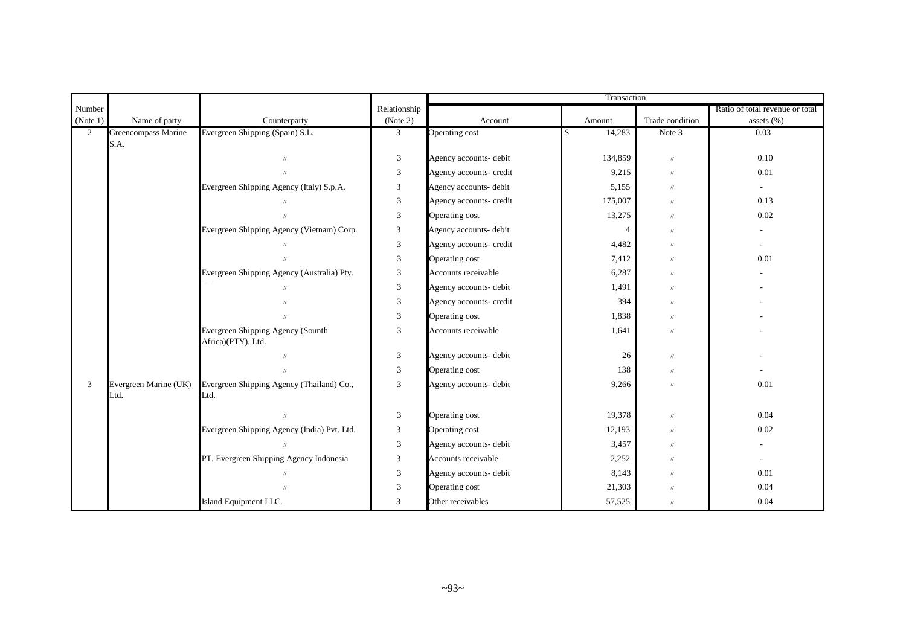|                |                               |                                                         |                |                         | Transaction    |                   |                                 |
|----------------|-------------------------------|---------------------------------------------------------|----------------|-------------------------|----------------|-------------------|---------------------------------|
| Number         |                               |                                                         | Relationship   |                         |                |                   | Ratio of total revenue or total |
| (Note 1)       | Name of party                 | Counterparty                                            | (Note 2)       | Account                 | Amount         | Trade condition   | assets (%)                      |
| $\overline{2}$ | Greencompass Marine<br>S.A.   | Evergreen Shipping (Spain) S.L.                         | 3              | <b>Operating cost</b>   | 14,283         | Note 3            | 0.03                            |
|                |                               | $^{\prime\prime}$                                       | 3              | Agency accounts- debit  | 134,859        | $\prime\prime$    | 0.10                            |
|                |                               | $^{\prime\prime}$                                       | $\mathfrak{Z}$ | Agency accounts- credit | 9,215          | $\prime$          | $0.01\,$                        |
|                |                               | Evergreen Shipping Agency (Italy) S.p.A.                | 3              | Agency accounts- debit  | 5,155          | $\prime\prime$    |                                 |
|                |                               |                                                         | $\mathfrak{Z}$ | Agency accounts- credit | 175,007        | $\prime$          | 0.13                            |
|                |                               |                                                         | 3              | Operating cost          | 13,275         | $\prime$          | 0.02                            |
|                |                               | Evergreen Shipping Agency (Vietnam) Corp.               | 3              | Agency accounts- debit  | $\overline{4}$ | $\prime$          |                                 |
|                |                               |                                                         | 3              | Agency accounts- credit | 4,482          | $^{\prime\prime}$ |                                 |
|                |                               |                                                         | 3              | Operating cost          | 7,412          | $\prime$          | 0.01                            |
|                |                               | Evergreen Shipping Agency (Australia) Pty.              | 3              | Accounts receivable     | 6,287          | $\prime$          |                                 |
|                |                               |                                                         | 3              | Agency accounts- debit  | 1,491          | $\prime$          |                                 |
|                |                               |                                                         | $\mathfrak{Z}$ | Agency accounts- credit | 394            | $\prime$          |                                 |
|                |                               | $^{\prime\prime}$                                       | 3              | Operating cost          | 1,838          | $\prime$          |                                 |
|                |                               | Evergreen Shipping Agency (Sounth<br>Africa)(PTY). Ltd. | 3              | Accounts receivable     | 1,641          | $\prime$          |                                 |
|                |                               |                                                         | $\mathfrak{Z}$ | Agency accounts- debit  | 26             | $\prime\prime$    |                                 |
|                |                               |                                                         | $\mathfrak{Z}$ | Operating cost          | 138            | $\prime\prime$    |                                 |
| 3              | Evergreen Marine (UK)<br>Ltd. | Evergreen Shipping Agency (Thailand) Co.,<br>Ltd.       | 3              | Agency accounts- debit  | 9,266          | $^{\prime\prime}$ | 0.01                            |
|                |                               | $\mathcal{U}$                                           | 3              | Operating cost          | 19,378         | $\prime\prime$    | 0.04                            |
|                |                               | Evergreen Shipping Agency (India) Pvt. Ltd.             | 3              | Operating cost          | 12,193         | $\prime$          | 0.02                            |
|                |                               |                                                         | 3              | Agency accounts- debit  | 3,457          | $\prime$          |                                 |
|                |                               | PT. Evergreen Shipping Agency Indonesia                 | 3              | Accounts receivable     | 2,252          | $\prime$          |                                 |
|                |                               | $^{\prime\prime}$                                       | 3              | Agency accounts- debit  | 8,143          | $\prime$          | 0.01                            |
|                |                               |                                                         | 3              | Operating cost          | 21,303         | $\prime$          | 0.04                            |
|                |                               | Island Equipment LLC.                                   | 3              | Other receivables       | 57,525         | $\prime\prime$    | 0.04                            |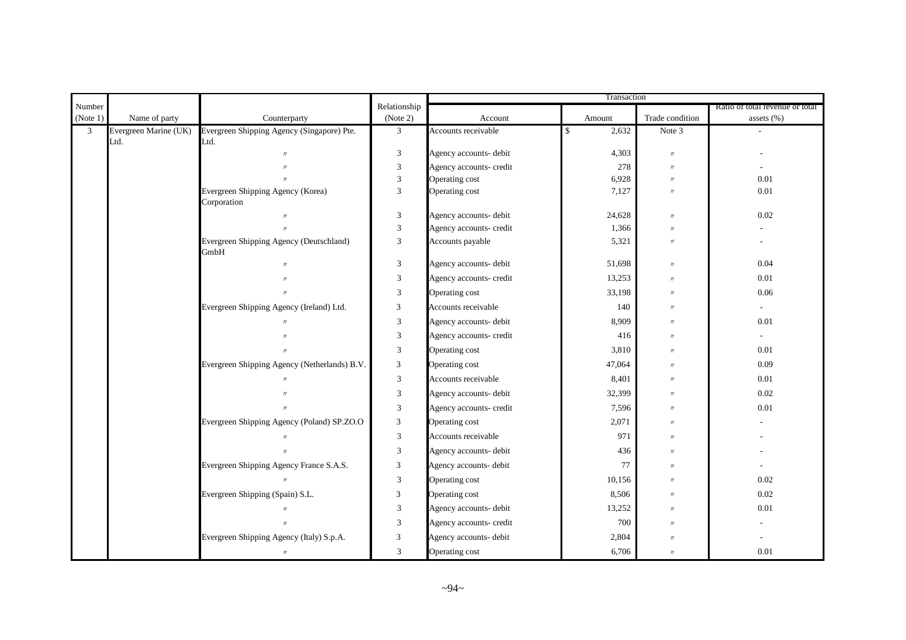|                |                       |                                                 |                                                            |                                  | Transaction  |                                     |                                 |
|----------------|-----------------------|-------------------------------------------------|------------------------------------------------------------|----------------------------------|--------------|-------------------------------------|---------------------------------|
| Number         |                       |                                                 | Relationship                                               |                                  |              |                                     | Ratio of total revenue or total |
| (Note 1)       | Name of party         | Counterparty                                    | (Note 2)                                                   | Account                          | Amount       | Trade condition                     | assets $(\%)$                   |
| $\mathfrak{Z}$ | Evergreen Marine (UK) | Evergreen Shipping Agency (Singapore) Pte.      | $\mathfrak{Z}$                                             | Accounts receivable              | 2,632<br>\$  | Note 3                              |                                 |
|                | Ltd.                  | Ltd.<br>$^{\prime\prime}$                       | 3                                                          |                                  |              | $\mathcal{U}$                       |                                 |
|                |                       |                                                 |                                                            | Agency accounts- debit           | 4,303        |                                     |                                 |
|                |                       | $^{\prime\prime}$                               | $\ensuremath{\mathfrak{Z}}$<br>$\ensuremath{\mathfrak{Z}}$ | Agency accounts- credit          | 278<br>6,928 | $^{\prime\prime}$                   | 0.01                            |
|                |                       | Evergreen Shipping Agency (Korea)               | 3                                                          | Operating cost<br>Operating cost | 7,127        | $\prime\prime$<br>$^{\prime\prime}$ | 0.01                            |
|                |                       | Corporation                                     |                                                            |                                  |              |                                     |                                 |
|                |                       | $\prime$                                        | $\mathfrak{Z}$                                             | Agency accounts- debit           | 24,628       | $\mathcal{U}$                       | 0.02                            |
|                |                       | $\overline{u}$                                  | $\mathfrak{Z}$                                             | Agency accounts- credit          | 1,366        | $\mathcal{U}$                       |                                 |
|                |                       | Evergreen Shipping Agency (Deutschland)<br>GmbH | 3                                                          | Accounts payable                 | 5,321        | $^{\prime\prime}$                   |                                 |
|                |                       | $^{\prime\prime}$                               | $\mathfrak{Z}$                                             | Agency accounts- debit           | 51,698       | $\prime\prime$                      | 0.04                            |
|                |                       | $^{\prime\prime}$                               | 3                                                          | Agency accounts- credit          | 13,253       | $\prime\prime$                      | 0.01                            |
|                |                       | $^{\prime\prime}$                               | 3                                                          | Operating cost                   | 33,198       | $^{\prime\prime}$                   | 0.06                            |
|                |                       | Evergreen Shipping Agency (Ireland) Ltd.        | 3                                                          | Accounts receivable              | 140          | $^{\prime\prime}$                   | $\overline{\phantom{a}}$        |
|                |                       |                                                 | $\ensuremath{\mathfrak{Z}}$                                | Agency accounts- debit           | 8,909        | $^{\prime\prime}$                   | 0.01                            |
|                |                       | $\prime$                                        | $\mathfrak{Z}$                                             | Agency accounts- credit          | 416          | $\mathcal{U}$                       |                                 |
|                |                       | $^{\prime\prime}$                               | $\mathfrak{Z}$                                             | Operating cost                   | 3,810        | $\prime\prime$                      | 0.01                            |
|                |                       | Evergreen Shipping Agency (Netherlands) B.V.    | 3                                                          | Operating cost                   | 47,064       | $\prime\prime$                      | 0.09                            |
|                |                       | $^{\prime\prime}$                               | $\mathfrak{Z}$                                             | Accounts receivable              | 8,401        | $\prime\prime$                      | 0.01                            |
|                |                       | $^{\prime\prime}$                               | $\mathfrak{Z}$                                             | Agency accounts- debit           | 32,399       | $^{\prime\prime}$                   | 0.02                            |
|                |                       |                                                 | $\mathfrak{Z}$                                             | Agency accounts- credit          | 7,596        | $^{\prime\prime}$                   | 0.01                            |
|                |                       | Evergreen Shipping Agency (Poland) SP.ZO.O      | 3                                                          | Operating cost                   | 2,071        | $^{\prime\prime}$                   |                                 |
|                |                       |                                                 | $\mathfrak{Z}$                                             | Accounts receivable              | 971          | $\mathcal{U}$                       |                                 |
|                |                       |                                                 | 3                                                          | Agency accounts- debit           | 436          | $\mathcal{U}$                       |                                 |
|                |                       | Evergreen Shipping Agency France S.A.S.         | 3                                                          | Agency accounts- debit           | 77           | $^{\prime\prime}$                   |                                 |
|                |                       | $\prime\prime$                                  | $\mathfrak{Z}$                                             | Operating cost                   | 10,156       | $^{\prime\prime}$                   | 0.02                            |
|                |                       | Evergreen Shipping (Spain) S.L.                 | $\mathfrak{Z}$                                             | Operating cost                   | 8,506        | $^{\prime\prime}$                   | 0.02                            |
|                |                       | $\prime$                                        | $\mathfrak{Z}$                                             | Agency accounts- debit           | 13,252       | $\prime\prime$                      | 0.01                            |
|                |                       | $\overline{u}$                                  | $\mathfrak{Z}$                                             | Agency accounts- credit          | 700          | $\prime\prime$                      |                                 |
|                |                       | Evergreen Shipping Agency (Italy) S.p.A.        | 3                                                          | Agency accounts- debit           | 2,804        | $\mathcal{U}$                       |                                 |
|                |                       | $^{\prime\prime}$                               | $\mathfrak{Z}$                                             | Operating cost                   | 6,706        | $\prime$                            | 0.01                            |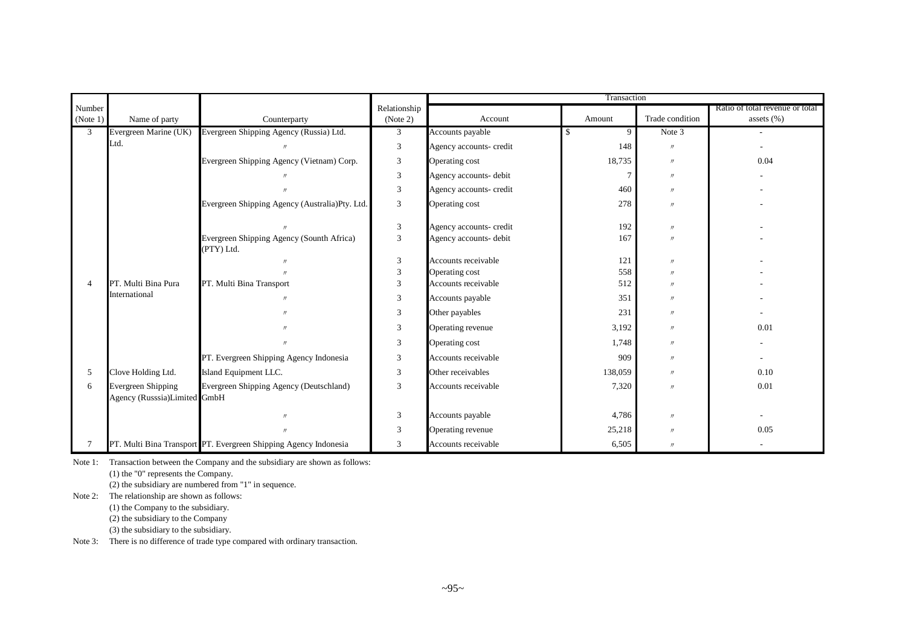|                |                                                           |                                                                  |                             | Transaction             |         |                   |                                 |  |
|----------------|-----------------------------------------------------------|------------------------------------------------------------------|-----------------------------|-------------------------|---------|-------------------|---------------------------------|--|
| Number         |                                                           |                                                                  | Relationship                |                         |         |                   | Ratio of total revenue or total |  |
| (Note 1)       | Name of party                                             | Counterparty                                                     | (Note 2)                    | Account                 | Amount  | Trade condition   | assets (%)                      |  |
| $\overline{3}$ | Evergreen Marine (UK)                                     | Evergreen Shipping Agency (Russia) Ltd.                          | 3                           | Accounts payable        | 9       | Note 3            | $\sim$                          |  |
|                | Ltd.                                                      |                                                                  | 3                           | Agency accounts- credit | 148     | $\prime$          |                                 |  |
|                |                                                           | Evergreen Shipping Agency (Vietnam) Corp.                        | 3                           | Operating cost          | 18,735  | $\prime\prime$    | 0.04                            |  |
|                |                                                           |                                                                  | 3                           | Agency accounts- debit  |         | $\prime\prime$    |                                 |  |
|                |                                                           | $\boldsymbol{\eta}$                                              | 3                           | Agency accounts- credit | 460     | $\prime$          |                                 |  |
|                |                                                           | Evergreen Shipping Agency (Australia)Pty. Ltd.                   | 3                           | Operating cost          | 278     | $^{\prime\prime}$ |                                 |  |
|                |                                                           |                                                                  | $\mathfrak{Z}$              | Agency accounts- credit | 192     | $\prime$          |                                 |  |
|                |                                                           | Evergreen Shipping Agency (Sounth Africa)<br>(PTY) Ltd.          | 3                           | Agency accounts- debit  | 167     | $^{\prime\prime}$ |                                 |  |
|                |                                                           |                                                                  | $\ensuremath{\mathfrak{Z}}$ | Accounts receivable     | 121     | $\prime$          |                                 |  |
|                |                                                           | $^{\prime\prime}$                                                | 3                           | Operating cost          | 558     | $^{\prime\prime}$ |                                 |  |
| $\overline{4}$ | PT. Multi Bina Pura                                       | PT. Multi Bina Transport                                         | $\overline{3}$              | Accounts receivable     | 512     | $\prime$          |                                 |  |
|                | International                                             | $\prime$                                                         | 3                           | Accounts payable        | 351     | $\prime$          |                                 |  |
|                |                                                           | $\prime$                                                         | 3                           | Other payables          | 231     | $\prime$          |                                 |  |
|                |                                                           | $^{\prime\prime}$                                                | 3                           | Operating revenue       | 3,192   | $^{\prime\prime}$ | 0.01                            |  |
|                |                                                           | $\prime$                                                         | 3                           | Operating cost          | 1,748   | $\prime$          |                                 |  |
|                |                                                           | PT. Evergreen Shipping Agency Indonesia                          | 3                           | Accounts receivable     | 909     | $\prime$          |                                 |  |
| 5              | Clove Holding Ltd.                                        | Island Equipment LLC.                                            | 3                           | Other receivables       | 138,059 | $\prime$          | 0.10                            |  |
| 6              | <b>Evergreen Shipping</b><br>Agency (Russsia)Limited GmbH | Evergreen Shipping Agency (Deutschland)                          | 3                           | Accounts receivable     | 7,320   | $^{\prime\prime}$ | 0.01                            |  |
|                |                                                           |                                                                  | 3                           | Accounts payable        | 4,786   | $\prime\prime$    |                                 |  |
|                |                                                           | $^{\prime\prime}$                                                | $\mathfrak{Z}$              | Operating revenue       | 25,218  | $\prime\prime$    | 0.05                            |  |
|                |                                                           | PT. Multi Bina Transport PT. Evergreen Shipping Agency Indonesia | 3                           | Accounts receivable     | 6,505   | $^{\prime\prime}$ |                                 |  |

Note 1: Transaction between the Company and the subsidiary are shown as follows: (1) the "0" represents the Company. (2) the subsidiary are numbered from "1" in sequence.

Note 2: The relationship are shown as follows:

(1) the Company to the subsidiary.

(2) the subsidiary to the Company

(3) the subsidiary to the subsidiary.

Note 3: There is no difference of trade type compared with ordinary transaction.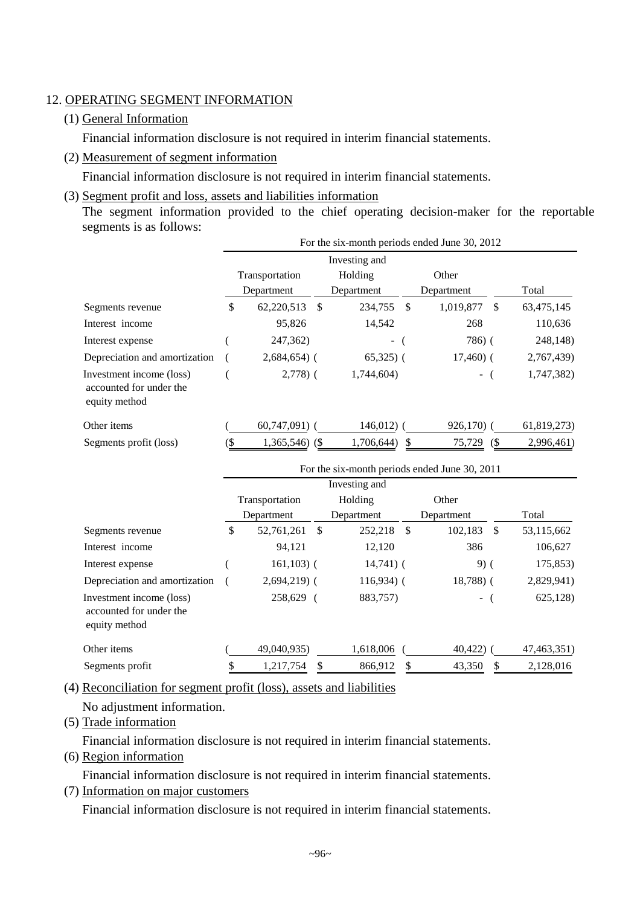### 12. OPERATING SEGMENT INFORMATION

### (1) General Information

Financial information disclosure is not required in interim financial statements.

(2) Measurement of segment information

Financial information disclosure is not required in interim financial statements.

(3) Segment profit and loss, assets and liabilities information

The segment information provided to the chief operating decision-maker for the reportable segments is as follows:

|                                                                      |     | For the six-month periods ended June 30, 2012 |                          |    |              |    |             |  |  |
|----------------------------------------------------------------------|-----|-----------------------------------------------|--------------------------|----|--------------|----|-------------|--|--|
|                                                                      |     |                                               |                          |    |              |    |             |  |  |
|                                                                      |     | Transportation                                | Holding                  |    | Other        |    |             |  |  |
|                                                                      |     | Department                                    | Department               |    | Department   |    | Total       |  |  |
| Segments revenue                                                     | \$  | 62,220,513<br><sup>\$</sup>                   | 234,755                  | \$ | 1,019,877    | \$ | 63,475,145  |  |  |
| Interest income                                                      |     | 95,826                                        | 14,542                   |    | 268          |    | 110,636     |  |  |
| Interest expense                                                     |     | 247,362)                                      | $\overline{\phantom{0}}$ |    | 786(         |    | 248,148)    |  |  |
| Depreciation and amortization                                        |     | $2,684,654$ ) (                               | $65,325$ (               |    | $17,460$ ) ( |    | 2,767,439)  |  |  |
| Investment income (loss)<br>accounted for under the<br>equity method |     | $2,778$ ) (                                   | 1,744,604)               |    | $\sim$       |    | 1,747,382)  |  |  |
| Other items                                                          |     | $60,747,091$ (                                | 146,012                  |    | $926,170$ (  |    | 61,819,273) |  |  |
| Segments profit (loss)                                               | (\$ | $1,365,546$ (\$)                              | 1,706,644)               | \$ | 75,729<br>(S |    | 2,996,461)  |  |  |

|                                                                      | For the six-month periods ended June 30, 2011 |    |              |    |               |  |             |  |  |
|----------------------------------------------------------------------|-----------------------------------------------|----|--------------|----|---------------|--|-------------|--|--|
|                                                                      |                                               |    |              |    |               |  |             |  |  |
|                                                                      | Transportation                                |    | Holding      |    | Other         |  |             |  |  |
|                                                                      | Department                                    |    | Department   |    | Department    |  | Total       |  |  |
| Segments revenue                                                     | \$<br>52,761,261                              | -S | 252,218      | -S | 102,183<br>-S |  | 53,115,662  |  |  |
| Interest income                                                      | 94,121                                        |    | 12,120       |    | 386           |  | 106,627     |  |  |
| Interest expense                                                     | $161, 103$ ) (                                |    | $14,741$ ) ( |    | $9)$ (        |  | 175,853)    |  |  |
| Depreciation and amortization                                        | $2,694,219$ (                                 |    | $116,934$ (  |    | $18,788$ ) (  |  | 2,829,941)  |  |  |
| Investment income (loss)<br>accounted for under the<br>equity method | 258,629 (                                     |    | 883,757)     |    | $\sim$        |  | 625,128)    |  |  |
| Other items                                                          | 49,040,935)                                   |    | 1,618,006    |    | 40,422)       |  | 47,463,351) |  |  |
| Segments profit                                                      | 1,217,754                                     | S  | 866,912      |    | 43,350        |  | 2,128,016   |  |  |

(4) Reconciliation for segment profit (loss), assets and liabilities

No adjustment information.

(5) Trade information

Financial information disclosure is not required in interim financial statements.

(6) Region information

Financial information disclosure is not required in interim financial statements.

(7) Information on major customers

Financial information disclosure is not required in interim financial statements.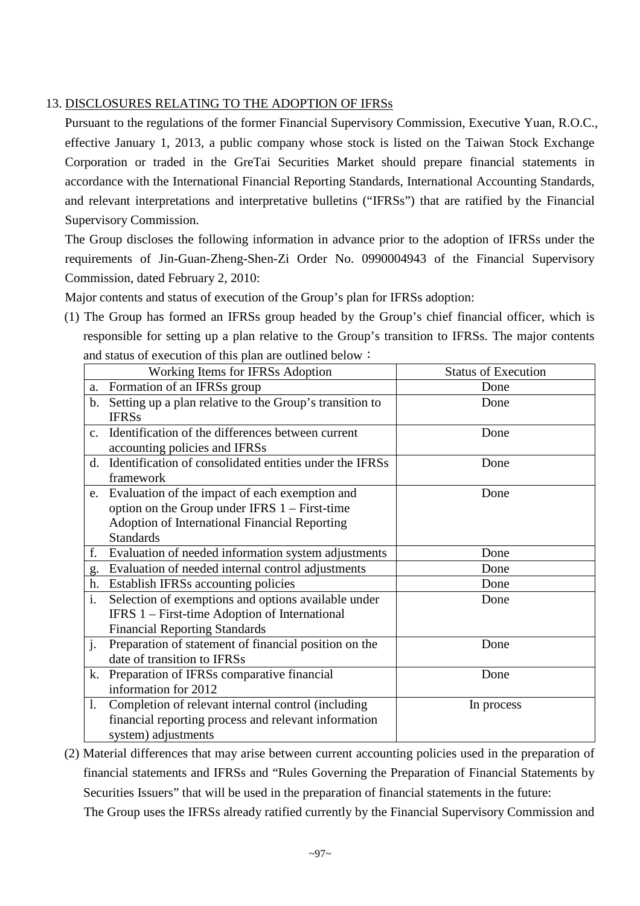# 13. DISCLOSURES RELATING TO THE ADOPTION OF IFRSs

Pursuant to the regulations of the former Financial Supervisory Commission, Executive Yuan, R.O.C., effective January 1, 2013, a public company whose stock is listed on the Taiwan Stock Exchange Corporation or traded in the GreTai Securities Market should prepare financial statements in accordance with the International Financial Reporting Standards, International Accounting Standards, and relevant interpretations and interpretative bulletins ("IFRSs") that are ratified by the Financial Supervisory Commission.

The Group discloses the following information in advance prior to the adoption of IFRSs under the requirements of Jin-Guan-Zheng-Shen-Zi Order No. 0990004943 of the Financial Supervisory Commission, dated February 2, 2010:

Major contents and status of execution of the Group's plan for IFRSs adoption:

(1) The Group has formed an IFRSs group headed by the Group's chief financial officer, which is responsible for setting up a plan relative to the Group's transition to IFRSs. The major contents and status of execution of this plan are outlined below:

|                | Working Items for IFRSs Adoption                           | <b>Status of Execution</b> |
|----------------|------------------------------------------------------------|----------------------------|
|                |                                                            |                            |
|                | a. Formation of an IFRSs group                             | Done                       |
|                | b. Setting up a plan relative to the Group's transition to | Done                       |
|                | <b>IFRSs</b>                                               |                            |
| $\mathbf{c}$ . | Identification of the differences between current          | Done                       |
|                | accounting policies and IFRSs                              |                            |
| d.             | Identification of consolidated entities under the IFRSs    | Done                       |
|                | framework                                                  |                            |
|                | e. Evaluation of the impact of each exemption and          | Done                       |
|                | option on the Group under IFRS $1 -$ First-time            |                            |
|                | Adoption of International Financial Reporting              |                            |
|                | <b>Standards</b>                                           |                            |
| f.             | Evaluation of needed information system adjustments        | Done                       |
| g.             | Evaluation of needed internal control adjustments          | Done                       |
|                | h. Establish IFRSs accounting policies                     | Done                       |
| i.             | Selection of exemptions and options available under        | Done                       |
|                | IFRS 1 – First-time Adoption of International              |                            |
|                | <b>Financial Reporting Standards</b>                       |                            |
| j.             | Preparation of statement of financial position on the      | Done                       |
|                | date of transition to IFRSs                                |                            |
|                | k. Preparation of IFRSs comparative financial              | Done                       |
|                | information for 2012                                       |                            |
| 1.             | Completion of relevant internal control (including         | In process                 |
|                | financial reporting process and relevant information       |                            |
|                | system) adjustments                                        |                            |

(2) Material differences that may arise between current accounting policies used in the preparation of financial statements and IFRSs and "Rules Governing the Preparation of Financial Statements by Securities Issuers" that will be used in the preparation of financial statements in the future: The Group uses the IFRSs already ratified currently by the Financial Supervisory Commission and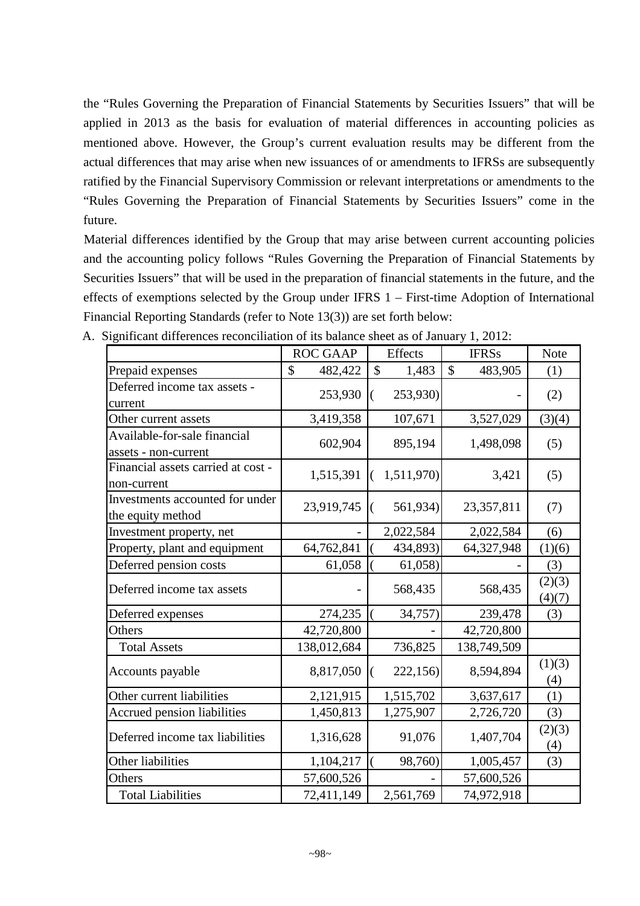the "Rules Governing the Preparation of Financial Statements by Securities Issuers" that will be applied in 2013 as the basis for evaluation of material differences in accounting policies as mentioned above. However, the Group's current evaluation results may be different from the actual differences that may arise when new issuances of or amendments to IFRSs are subsequently ratified by the Financial Supervisory Commission or relevant interpretations or amendments to the "Rules Governing the Preparation of Financial Statements by Securities Issuers" come in the future.

Material differences identified by the Group that may arise between current accounting policies and the accounting policy follows "Rules Governing the Preparation of Financial Statements by Securities Issuers" that will be used in the preparation of financial statements in the future, and the effects of exemptions selected by the Group under IFRS 1 – First-time Adoption of International Financial Reporting Standards (refer to Note 13(3)) are set forth below:

|                                                      | <b>ROC GAAP</b> | Effects                | <b>IFRSs</b>             | <b>Note</b>      |
|------------------------------------------------------|-----------------|------------------------|--------------------------|------------------|
| Prepaid expenses                                     | \$<br>482,422   | $\mathcal{S}$<br>1,483 | $\mathcal{S}$<br>483,905 | (1)              |
| Deferred income tax assets -<br>current              | 253,930         | 253,930)<br>(          |                          | (2)              |
| Other current assets                                 | 3,419,358       | 107,671                | 3,527,029                | (3)(4)           |
| Available-for-sale financial<br>assets - non-current | 602,904         | 895,194                | 1,498,098                | (5)              |
| Financial assets carried at cost -<br>non-current    | 1,515,391       | 1,511,970)<br>$\left($ | 3,421                    | (5)              |
| Investments accounted for under<br>the equity method | 23,919,745      | 561,934)<br>$\left($   | 23,357,811               | (7)              |
| Investment property, net                             |                 | 2,022,584              | 2,022,584                | (6)              |
| Property, plant and equipment                        | 64,762,841      | 434,893)               | 64,327,948               | (1)(6)           |
| Deferred pension costs                               | 61,058          | 61,058)                |                          | (3)              |
| Deferred income tax assets                           |                 | 568,435                | 568,435                  | (2)(3)<br>(4)(7) |
| Deferred expenses                                    | 274,235         | 34,757)                | 239,478                  | (3)              |
| Others                                               | 42,720,800      |                        | 42,720,800               |                  |
| <b>Total Assets</b>                                  | 138,012,684     | 736,825                | 138,749,509              |                  |
| Accounts payable                                     | 8,817,050       | 222,156<br>$\left($    | 8,594,894                | (1)(3)<br>(4)    |
| Other current liabilities                            | 2,121,915       | 1,515,702              | 3,637,617                | (1)              |
| Accrued pension liabilities                          | 1,450,813       | 1,275,907              | 2,726,720                | (3)              |
| Deferred income tax liabilities                      | 1,316,628       | 91,076                 | 1,407,704                | (2)(3)<br>(4)    |
| Other liabilities                                    | 1,104,217       | 98,760)                | 1,005,457                | (3)              |
| Others                                               | 57,600,526      |                        | 57,600,526               |                  |
| <b>Total Liabilities</b>                             | 72,411,149      | 2,561,769              | 74,972,918               |                  |

A. Significant differences reconciliation of its balance sheet as of January 1, 2012: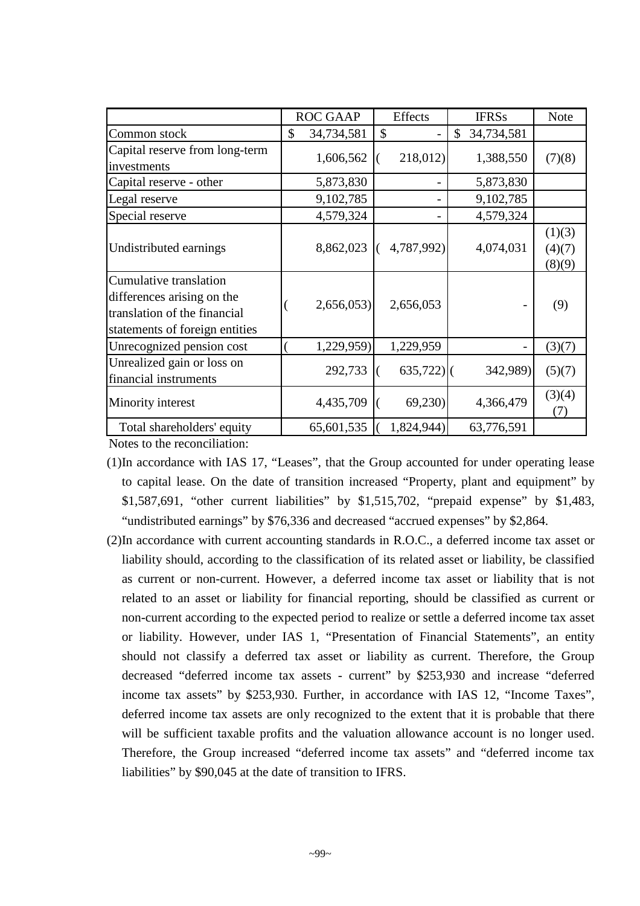|                                                                                                                        | <b>ROC GAAP</b>  | Effects      | <b>IFRSs</b>     | <b>Note</b>                |
|------------------------------------------------------------------------------------------------------------------------|------------------|--------------|------------------|----------------------------|
| Common stock                                                                                                           | \$<br>34,734,581 | \$           | \$<br>34,734,581 |                            |
| Capital reserve from long-term<br>investments                                                                          | 1,606,562        | 218,012      | 1,388,550        | (7)(8)                     |
| Capital reserve - other                                                                                                | 5,873,830        |              | 5,873,830        |                            |
| Legal reserve                                                                                                          | 9,102,785        |              | 9,102,785        |                            |
| Special reserve                                                                                                        | 4,579,324        |              | 4,579,324        |                            |
| Undistributed earnings                                                                                                 | 8,862,023        | 4,787,992)   | 4,074,031        | (1)(3)<br>(4)(7)<br>(8)(9) |
| Cumulative translation<br>differences arising on the<br>translation of the financial<br>statements of foreign entities | 2,656,053        | 2,656,053    |                  | (9)                        |
| Unrecognized pension cost                                                                                              | 1,229,959)       | 1,229,959    |                  | (3)(7)                     |
| Unrealized gain or loss on<br>financial instruments                                                                    | 292,733          | $635,722$ ]( | 342,989)         | (5)(7)                     |
| Minority interest                                                                                                      | 4,435,709        | 69,230       | 4,366,479        | (3)(4)<br>(7)              |
| Total shareholders' equity                                                                                             | 65,601,535       | 1,824,944)   | 63,776,591       |                            |

Notes to the reconciliation:

- (1)In accordance with IAS 17, "Leases", that the Group accounted for under operating lease to capital lease. On the date of transition increased "Property, plant and equipment" by \$1,587,691, "other current liabilities" by \$1,515,702, "prepaid expense" by \$1,483, "undistributed earnings" by \$76,336 and decreased "accrued expenses" by \$2,864.
- (2)In accordance with current accounting standards in R.O.C., a deferred income tax asset or liability should, according to the classification of its related asset or liability, be classified as current or non-current. However, a deferred income tax asset or liability that is not related to an asset or liability for financial reporting, should be classified as current or non-current according to the expected period to realize or settle a deferred income tax asset or liability. However, under IAS 1, "Presentation of Financial Statements", an entity should not classify a deferred tax asset or liability as current. Therefore, the Group decreased "deferred income tax assets - current" by \$253,930 and increase "deferred income tax assets" by \$253,930. Further, in accordance with IAS 12, "Income Taxes", deferred income tax assets are only recognized to the extent that it is probable that there will be sufficient taxable profits and the valuation allowance account is no longer used. Therefore, the Group increased "deferred income tax assets" and "deferred income tax liabilities" by \$90,045 at the date of transition to IFRS.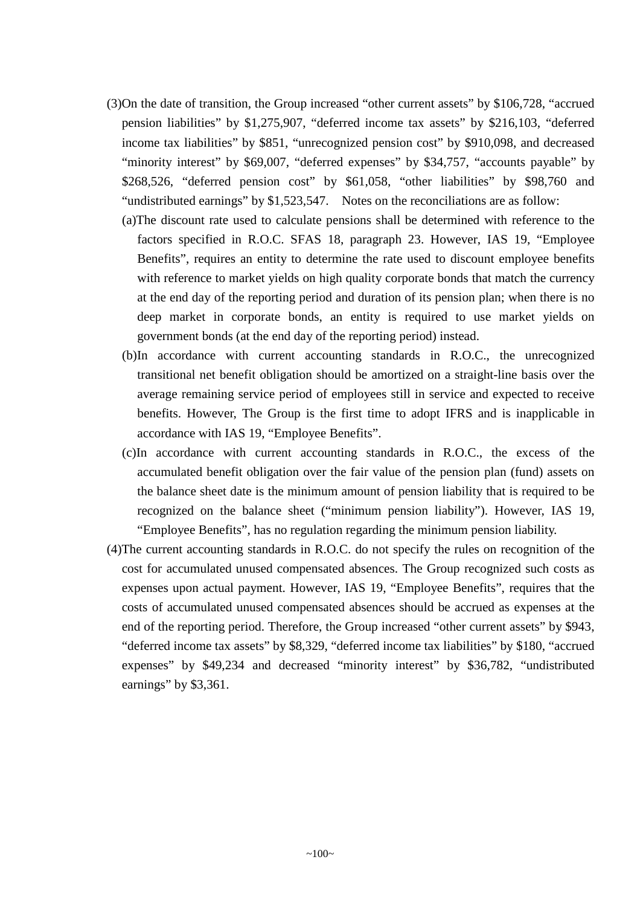- (3)On the date of transition, the Group increased "other current assets" by \$106,728, "accrued pension liabilities" by \$1,275,907, "deferred income tax assets" by \$216,103, "deferred income tax liabilities" by \$851, "unrecognized pension cost" by \$910,098, and decreased "minority interest" by \$69,007, "deferred expenses" by \$34,757, "accounts payable" by \$268,526, "deferred pension cost" by \$61,058, "other liabilities" by \$98,760 and "undistributed earnings" by \$1,523,547. Notes on the reconciliations are as follow:
	- (a)The discount rate used to calculate pensions shall be determined with reference to the factors specified in R.O.C. SFAS 18, paragraph 23. However, IAS 19, "Employee Benefits", requires an entity to determine the rate used to discount employee benefits with reference to market yields on high quality corporate bonds that match the currency at the end day of the reporting period and duration of its pension plan; when there is no deep market in corporate bonds, an entity is required to use market yields on government bonds (at the end day of the reporting period) instead.
	- (b)In accordance with current accounting standards in R.O.C., the unrecognized transitional net benefit obligation should be amortized on a straight-line basis over the average remaining service period of employees still in service and expected to receive benefits. However, The Group is the first time to adopt IFRS and is inapplicable in accordance with IAS 19, "Employee Benefits".
	- (c)In accordance with current accounting standards in R.O.C., the excess of the accumulated benefit obligation over the fair value of the pension plan (fund) assets on the balance sheet date is the minimum amount of pension liability that is required to be recognized on the balance sheet ("minimum pension liability"). However, IAS 19, "Employee Benefits", has no regulation regarding the minimum pension liability.
- (4)The current accounting standards in R.O.C. do not specify the rules on recognition of the cost for accumulated unused compensated absences. The Group recognized such costs as expenses upon actual payment. However, IAS 19, "Employee Benefits", requires that the costs of accumulated unused compensated absences should be accrued as expenses at the end of the reporting period. Therefore, the Group increased "other current assets" by \$943, "deferred income tax assets" by \$8,329, "deferred income tax liabilities" by \$180, "accrued expenses" by \$49,234 and decreased "minority interest" by \$36,782, "undistributed earnings" by \$3,361.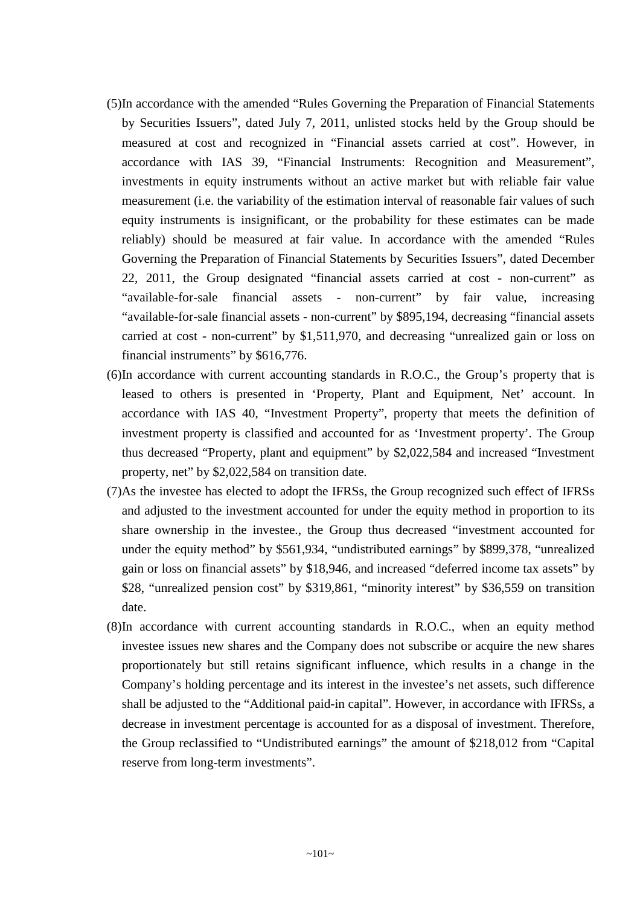- (5)In accordance with the amended "Rules Governing the Preparation of Financial Statements by Securities Issuers", dated July 7, 2011, unlisted stocks held by the Group should be measured at cost and recognized in "Financial assets carried at cost". However, in accordance with IAS 39, "Financial Instruments: Recognition and Measurement", investments in equity instruments without an active market but with reliable fair value measurement (i.e. the variability of the estimation interval of reasonable fair values of such equity instruments is insignificant, or the probability for these estimates can be made reliably) should be measured at fair value. In accordance with the amended "Rules Governing the Preparation of Financial Statements by Securities Issuers", dated December 22, 2011, the Group designated "financial assets carried at cost - non-current" as "available-for-sale financial assets - non-current" by fair value, increasing "available-for-sale financial assets - non-current" by \$895,194, decreasing "financial assets carried at cost - non-current" by \$1,511,970, and decreasing "unrealized gain or loss on financial instruments" by \$616,776.
- (6)In accordance with current accounting standards in R.O.C., the Group's property that is leased to others is presented in 'Property, Plant and Equipment, Net' account. In accordance with IAS 40, "Investment Property", property that meets the definition of investment property is classified and accounted for as 'Investment property'. The Group thus decreased "Property, plant and equipment" by \$2,022,584 and increased "Investment property, net" by \$2,022,584 on transition date.
- (7)As the investee has elected to adopt the IFRSs, the Group recognized such effect of IFRSs and adjusted to the investment accounted for under the equity method in proportion to its share ownership in the investee., the Group thus decreased "investment accounted for under the equity method" by \$561,934, "undistributed earnings" by \$899,378, "unrealized gain or loss on financial assets" by \$18,946, and increased "deferred income tax assets" by \$28, "unrealized pension cost" by \$319,861, "minority interest" by \$36,559 on transition date.
- (8)In accordance with current accounting standards in R.O.C., when an equity method investee issues new shares and the Company does not subscribe or acquire the new shares proportionately but still retains significant influence, which results in a change in the Company's holding percentage and its interest in the investee's net assets, such difference shall be adjusted to the "Additional paid-in capital". However, in accordance with IFRSs, a decrease in investment percentage is accounted for as a disposal of investment. Therefore, the Group reclassified to "Undistributed earnings" the amount of \$218,012 from "Capital reserve from long-term investments".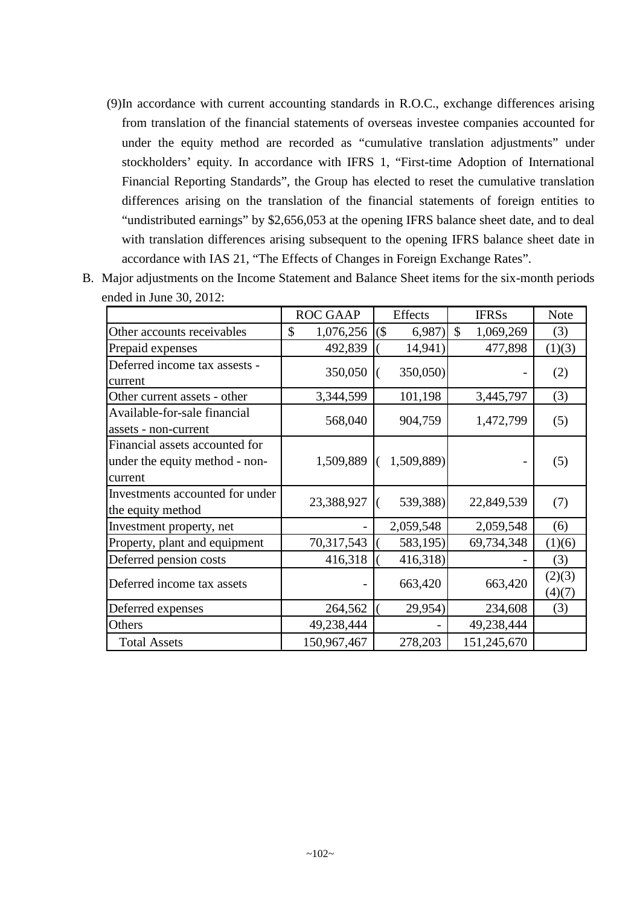(9)In accordance with current accounting standards in R.O.C., exchange differences arising from translation of the financial statements of overseas investee companies accounted for under the equity method are recorded as "cumulative translation adjustments" under stockholders' equity. In accordance with IFRS 1, "First-time Adoption of International Financial Reporting Standards", the Group has elected to reset the cumulative translation differences arising on the translation of the financial statements of foreign entities to "undistributed earnings" by \$2,656,053 at the opening IFRS balance sheet date, and to deal with translation differences arising subsequent to the opening IFRS balance sheet date in accordance with IAS 21, "The Effects of Changes in Foreign Exchange Rates".

|                                                                             | <b>ROC GAAP</b> | <b>Effects</b>   | <b>IFRSs</b>               | <b>Note</b>      |
|-----------------------------------------------------------------------------|-----------------|------------------|----------------------------|------------------|
| Other accounts receivables                                                  | \$<br>1,076,256 | $($ \$<br>6,987) | $\mathcal{S}$<br>1,069,269 | (3)              |
| Prepaid expenses                                                            | 492,839         | 14,941)          | 477,898                    | (1)(3)           |
| Deferred income tax assests -<br>current                                    | 350,050         | 350,050)         |                            | (2)              |
| Other current assets - other                                                | 3,344,599       | 101,198          | 3,445,797                  | (3)              |
| Available-for-sale financial<br>assets - non-current                        | 568,040         | 904,759          | 1,472,799                  | (5)              |
| Financial assets accounted for<br>under the equity method - non-<br>current | 1,509,889       | 1,509,889)       |                            | (5)              |
| Investments accounted for under<br>the equity method                        | 23,388,927      | 539,388)         | 22,849,539                 | (7)              |
| Investment property, net                                                    |                 | 2,059,548        | 2,059,548                  | (6)              |
| Property, plant and equipment                                               | 70,317,543      | 583,195)         | 69,734,348                 | (1)(6)           |
| Deferred pension costs                                                      | 416,318         | 416,318)         |                            | (3)              |
| Deferred income tax assets                                                  |                 | 663,420          | 663,420                    | (2)(3)<br>(4)(7) |
| Deferred expenses                                                           | 264,562         | 29,954)          | 234,608                    | (3)              |
| Others                                                                      | 49,238,444      |                  | 49,238,444                 |                  |
| <b>Total Assets</b>                                                         | 150,967,467     | 278,203          | 151,245,670                |                  |

B. Major adjustments on the Income Statement and Balance Sheet items for the six-month periods ended in June 30, 2012: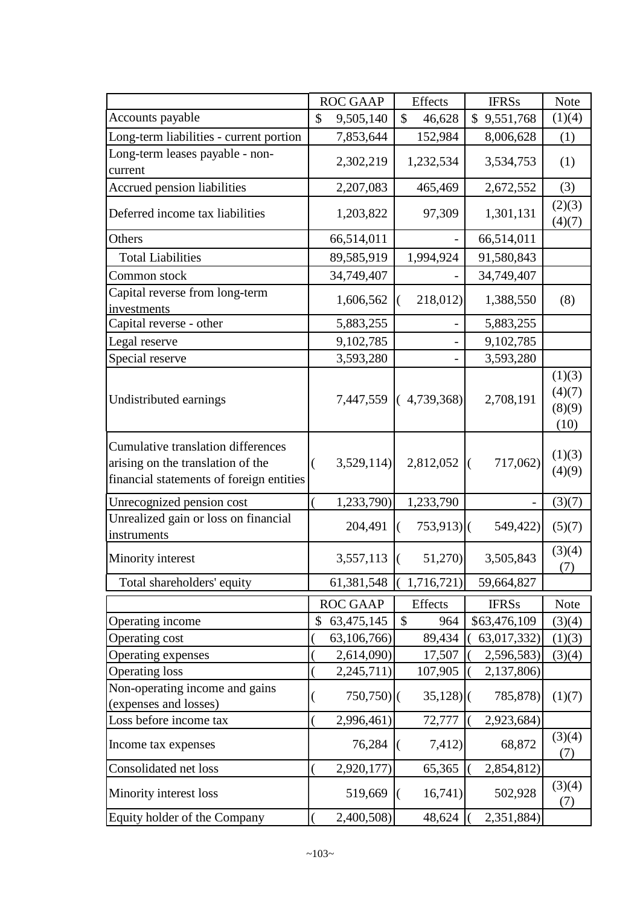|                                                                                                                            |               | <b>ROC GAAP</b> |   | Effects                 | <b>IFRSs</b>  |  |                                    |
|----------------------------------------------------------------------------------------------------------------------------|---------------|-----------------|---|-------------------------|---------------|--|------------------------------------|
| Accounts payable                                                                                                           | $\mathcal{S}$ | 9,505,140       |   | \$<br>46,628            | \$9,551,768   |  | Note<br>(1)(4)                     |
| Long-term liabilities - current portion                                                                                    |               | 7,853,644       |   | 152,984                 | 8,006,628     |  | (1)                                |
| Long-term leases payable - non-<br>current                                                                                 |               | 2,302,219       |   | 1,232,534               | 3,534,753     |  | (1)                                |
| Accrued pension liabilities                                                                                                |               | 2,207,083       |   | 465,469                 | 2,672,552     |  | (3)                                |
| Deferred income tax liabilities                                                                                            |               | 1,203,822       |   | 97,309                  | 1,301,131     |  | (2)(3)<br>(4)(7)                   |
| Others                                                                                                                     |               | 66,514,011      |   |                         | 66,514,011    |  |                                    |
| <b>Total Liabilities</b>                                                                                                   |               | 89,585,919      |   | 1,994,924               | 91,580,843    |  |                                    |
| Common stock                                                                                                               |               | 34,749,407      |   |                         | 34,749,407    |  |                                    |
| Capital reverse from long-term<br>investments                                                                              |               | 1,606,562       |   | 218,012)                | 1,388,550     |  | (8)                                |
| Capital reverse - other                                                                                                    |               | 5,883,255       |   |                         | 5,883,255     |  |                                    |
| Legal reserve                                                                                                              |               | 9,102,785       |   |                         | 9,102,785     |  |                                    |
| Special reserve                                                                                                            |               | 3,593,280       |   |                         | 3,593,280     |  |                                    |
| Undistributed earnings                                                                                                     |               |                 |   | 7,447,559 (4,739,368)   | 2,708,191     |  | (1)(3)<br>(4)(7)<br>(8)(9)<br>(10) |
| <b>Cumulative translation differences</b><br>arising on the translation of the<br>financial statements of foreign entities | (             | 3,529,114       |   | 2,812,052               | 717,062)<br>( |  | (1)(3)<br>(4)(9)                   |
| Unrecognized pension cost                                                                                                  |               | 1,233,790)      |   | 1,233,790               |               |  | (3)(7)                             |
| Unrealized gain or loss on financial<br>instruments                                                                        |               | 204,491         |   | $753,913$ <sup>()</sup> | 549,422)      |  | (5)(7)                             |
| Minority interest                                                                                                          |               | 3,557,113       | € | 51,270)                 | 3,505,843     |  | (3)(4)<br>(7)                      |
| Total shareholders' equity                                                                                                 |               | 61,381,548      |   | 1,716,721)              | 59,664,827    |  |                                    |
|                                                                                                                            |               | <b>ROC GAAP</b> |   | Effects                 | <b>IFRSs</b>  |  | <b>Note</b>                        |
| Operating income                                                                                                           | \$            | 63,475,145      |   | \$<br>964               | \$63,476,109  |  | (3)(4)                             |
| Operating cost                                                                                                             |               | 63,106,766)     |   | 89,434                  | 63,017,332)   |  | (1)(3)                             |
| Operating expenses                                                                                                         |               | 2,614,090)      |   | 17,507                  | 2,596,583)    |  | (3)(4)                             |
| <b>Operating loss</b>                                                                                                      |               | 2,245,711)      |   | 107,905                 | 2,137,806)    |  |                                    |
| Non-operating income and gains<br>(expenses and losses)                                                                    |               | $750,750$ ](    |   | $35,128$ ](             | 785,878)      |  | (1)(7)                             |
| Loss before income tax                                                                                                     |               | 2,996,461)      |   | 72,777                  | 2,923,684)    |  |                                    |
| Income tax expenses                                                                                                        |               | 76,284          |   | 7,412)                  | 68,872        |  | (3)(4)<br>(7)                      |
| Consolidated net loss                                                                                                      |               | 2,920,177)      |   | 65,365                  | 2,854,812)    |  |                                    |
| Minority interest loss                                                                                                     |               | 519,669         |   | 16,741)                 | 502,928       |  | (3)(4)<br>(7)                      |
| Equity holder of the Company                                                                                               |               | 2,400,508)      |   | 48,624                  | 2,351,884)    |  |                                    |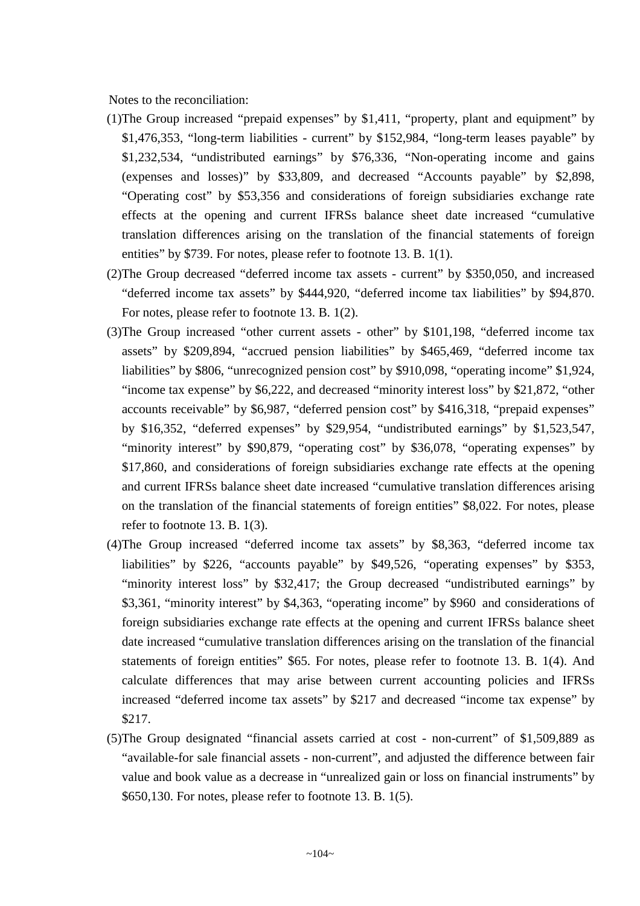Notes to the reconciliation:

- (1)The Group increased "prepaid expenses" by \$1,411, "property, plant and equipment" by \$1,476,353, "long-term liabilities - current" by \$152,984, "long-term leases payable" by \$1,232,534, "undistributed earnings" by \$76,336, "Non-operating income and gains (expenses and losses)" by \$33,809, and decreased "Accounts payable" by \$2,898, "Operating cost" by \$53,356 and considerations of foreign subsidiaries exchange rate effects at the opening and current IFRSs balance sheet date increased "cumulative translation differences arising on the translation of the financial statements of foreign entities" by \$739. For notes, please refer to footnote 13. B. 1(1).
- (2)The Group decreased "deferred income tax assets current" by \$350,050, and increased "deferred income tax assets" by \$444,920, "deferred income tax liabilities" by \$94,870. For notes, please refer to footnote 13. B. 1(2).
- (3)The Group increased "other current assets other" by \$101,198, "deferred income tax assets" by \$209,894, "accrued pension liabilities" by \$465,469, "deferred income tax liabilities" by \$806, "unrecognized pension cost" by \$910,098, "operating income" \$1,924, "income tax expense" by \$6,222, and decreased "minority interest loss" by \$21,872, "other accounts receivable" by \$6,987, "deferred pension cost" by \$416,318, "prepaid expenses" by \$16,352, "deferred expenses" by \$29,954, "undistributed earnings" by \$1,523,547, "minority interest" by \$90,879, "operating cost" by \$36,078, "operating expenses" by \$17,860, and considerations of foreign subsidiaries exchange rate effects at the opening and current IFRSs balance sheet date increased "cumulative translation differences arising on the translation of the financial statements of foreign entities" \$8,022. For notes, please refer to footnote 13. B. 1(3).
- (4)The Group increased "deferred income tax assets" by \$8,363, "deferred income tax liabilities" by \$226, "accounts payable" by \$49,526, "operating expenses" by \$353, "minority interest loss" by \$32,417; the Group decreased "undistributed earnings" by \$3,361, "minority interest" by \$4,363, "operating income" by \$960 and considerations of foreign subsidiaries exchange rate effects at the opening and current IFRSs balance sheet date increased "cumulative translation differences arising on the translation of the financial statements of foreign entities" \$65. For notes, please refer to footnote 13. B. 1(4). And calculate differences that may arise between current accounting policies and IFRSs increased "deferred income tax assets" by \$217 and decreased "income tax expense" by \$217.
- (5)The Group designated "financial assets carried at cost non-current" of \$1,509,889 as "available-for sale financial assets - non-current", and adjusted the difference between fair value and book value as a decrease in "unrealized gain or loss on financial instruments" by \$650,130. For notes, please refer to footnote 13. B. 1(5).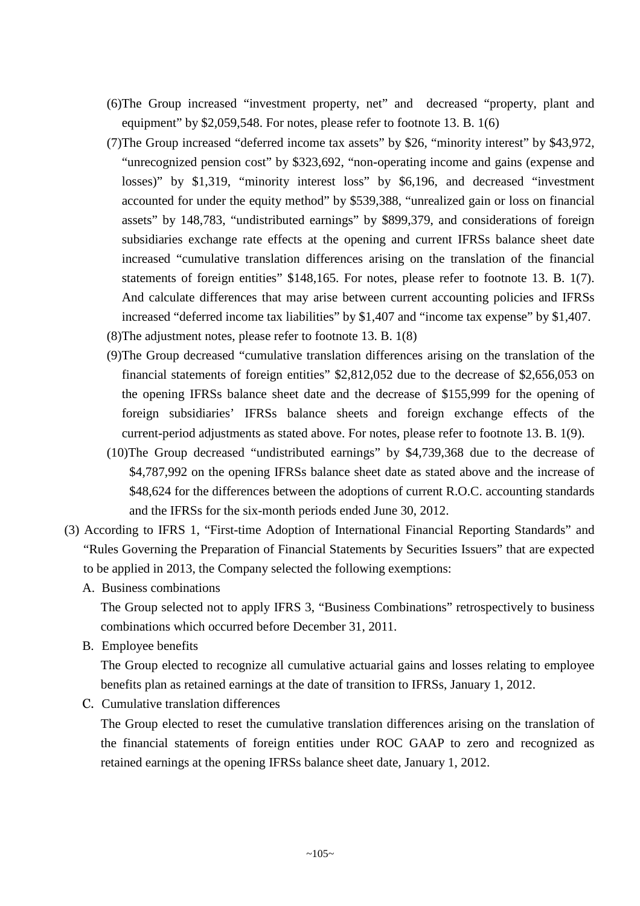- (6)The Group increased "investment property, net" and decreased "property, plant and equipment" by \$2,059,548. For notes, please refer to footnote 13. B. 1(6)
- (7)The Group increased "deferred income tax assets" by \$26, "minority interest" by \$43,972, "unrecognized pension cost" by \$323,692, "non-operating income and gains (expense and losses)" by \$1,319, "minority interest loss" by \$6,196, and decreased "investment accounted for under the equity method" by \$539,388, "unrealized gain or loss on financial assets" by 148,783, "undistributed earnings" by \$899,379, and considerations of foreign subsidiaries exchange rate effects at the opening and current IFRSs balance sheet date increased "cumulative translation differences arising on the translation of the financial statements of foreign entities" \$148,165. For notes, please refer to footnote 13. B. 1(7). And calculate differences that may arise between current accounting policies and IFRSs increased "deferred income tax liabilities" by \$1,407 and "income tax expense" by \$1,407.
- (8)The adjustment notes, please refer to footnote 13. B. 1(8)
- (9)The Group decreased "cumulative translation differences arising on the translation of the financial statements of foreign entities" \$2,812,052 due to the decrease of \$2,656,053 on the opening IFRSs balance sheet date and the decrease of \$155,999 for the opening of foreign subsidiaries' IFRSs balance sheets and foreign exchange effects of the current-period adjustments as stated above. For notes, please refer to footnote 13. B. 1(9).
- (10)The Group decreased "undistributed earnings" by \$4,739,368 due to the decrease of \$4,787,992 on the opening IFRSs balance sheet date as stated above and the increase of \$48,624 for the differences between the adoptions of current R.O.C. accounting standards and the IFRSs for the six-month periods ended June 30, 2012.
- (3) According to IFRS 1, "First-time Adoption of International Financial Reporting Standards" and "Rules Governing the Preparation of Financial Statements by Securities Issuers" that are expected to be applied in 2013, the Company selected the following exemptions:
	- A. Business combinations

The Group selected not to apply IFRS 3, "Business Combinations" retrospectively to business combinations which occurred before December 31, 2011.

B. Employee benefits

The Group elected to recognize all cumulative actuarial gains and losses relating to employee benefits plan as retained earnings at the date of transition to IFRSs, January 1, 2012.

C. Cumulative translation differences

The Group elected to reset the cumulative translation differences arising on the translation of the financial statements of foreign entities under ROC GAAP to zero and recognized as retained earnings at the opening IFRSs balance sheet date, January 1, 2012.